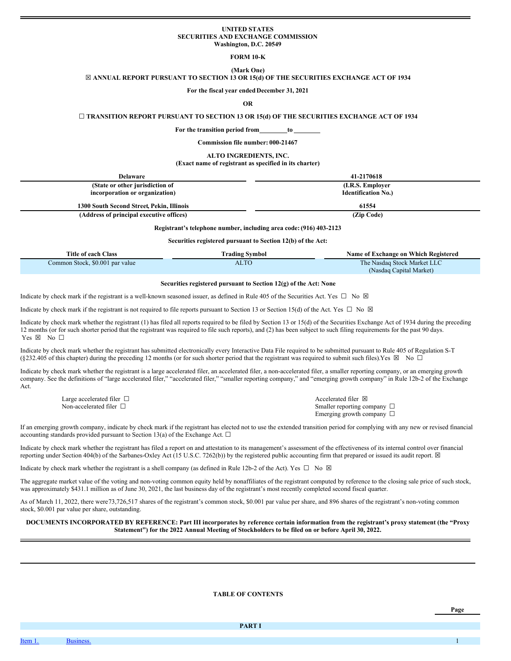### **UNITED STATES SECURITIES AND EXCHANGE COMMISSION Washington, D.C. 20549**

# **FORM 10-K**

## <span id="page-0-0"></span>**(Mark One)** ☒ **ANNUAL REPORT PURSUANT TO SECTION 13 OR 15(d) OF THE SECURITIES EXCHANGE ACT OF 1934**

**For the fiscal year ended December 31, 2021**

**OR**

### ☐ **TRANSITION REPORT PURSUANT TO SECTION 13 OR 15(d) OF THE SECURITIES EXCHANGE ACT OF 1934**

**For the transition period from to**

**Commission file number: 000-21467**

### **ALTO INGREDIENTS, INC.**

#### **(Exact name of registrant as specified in its charter)**

| <b>Delaware</b>                           | 41-2170618                 |
|-------------------------------------------|----------------------------|
| (State or other jurisdiction of           | (I.R.S. Employer)          |
| incorporation or organization)            | <b>Identification No.)</b> |
| 1300 South Second Street, Pekin, Illinois | 61554                      |
| (Address of principal executive offices)  | (Zip Code)                 |

#### **Registrant's telephone number, including area code: (916) 403-2123**

**Securities registered pursuant to Section 12(b) of the Act:**

| Title of each Class             | <b>Trading Symbol</b> | Name of Exchange on Which Registered |
|---------------------------------|-----------------------|--------------------------------------|
| Common Stock, \$0.001 par value | <b>ALTO</b>           | The Nasdaq Stock Market LLC          |
|                                 |                       | (Nasdaq Capital Market)              |

### **Securities registered pursuant to Section 12(g) of the Act: None**

Indicate by check mark if the registrant is a well-known seasoned issuer, as defined in Rule 405 of the Securities Act. Yes  $\Box$  No  $\boxtimes$ 

Indicate by check mark if the registrant is not required to file reports pursuant to Section 13 or Section 15(d) of the Act. Yes  $\square$  No  $\boxtimes$ 

Indicate by check mark whether the registrant (1) has filed all reports required to be filed by Section 13 or 15(d) of the Securities Exchange Act of 1934 during the preceding 12 months (or for such shorter period that the registrant was required to file such reports), and (2) has been subject to such filing requirements for the past 90 days. Yes ⊠ No □

Indicate by check mark whether the registrant has submitted electronically every Interactive Data File required to be submitted pursuant to Rule 405 of Regulation S-T (§232.405 of this chapter) during the preceding 12 months (or for such shorter period that the registrant was required to submit such files).Yes  $\boxtimes$  No  $\Box$ 

Indicate by check mark whether the registrant is a large accelerated filer, an accelerated filer, a non-accelerated filer, a smaller reporting company, or an emerging growth company. See the definitions of "large accelerated filer," "accelerated filer," "smaller reporting company," and "emerging growth company" in Rule 12b-2 of the Exchange Act.

| Large accelerated filer $\Box$ | Accelerated filer $\boxtimes$    |
|--------------------------------|----------------------------------|
| Non-accelerated filer $\Box$   | Smaller reporting company $\Box$ |
|                                | Emerging growth company $\Box$   |

If an emerging growth company, indicate by check mark if the registrant has elected not to use the extended transition period for complying with any new or revised financial accounting standards provided pursuant to Section 13(a) of the Exchange Act.  $\square$ 

Indicate by check mark whether the registrant has filed a report on and attestation to its management's assessment of the effectiveness of its internal control over financial reporting under Section 404(b) of the Sarbanes-Oxley Act (15 U.S.C. 7262(b)) by the registered public accounting firm that prepared or issued its audit report.  $\boxtimes$ 

Indicate by check mark whether the registrant is a shell company (as defined in Rule 12b-2 of the Act). Yes  $\Box$  No  $\boxtimes$ 

The aggregate market value of the voting and non-voting common equity held by nonaffiliates of the registrant computed by reference to the closing sale price of such stock, was approximately \$431.1 million as of June 30, 2021, the last business day of the registrant's most recently completed second fiscal quarter.

As of March 11, 2022, there were73,726,517 shares of the registrant's common stock, \$0.001 par value per share, and 896 shares of the registrant's non-voting common stock, \$0.001 par value per share, outstanding.

DOCUMENTS INCORPORATED BY REFERENCE: Part III incorporates by reference certain information from the registrant's proxy statement (the "Proxy **Statement") for the 2022 Annual Meeting of Stockholders to be filed on or before April 30, 2022.**

### **TABLE OF CONTENTS**

**PART I**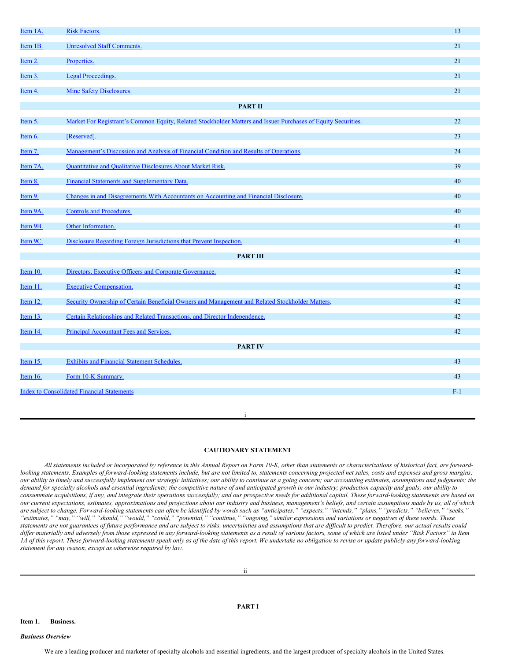| Item 1A.   | <b>Risk Factors.</b>                                                                                          | 13    |
|------------|---------------------------------------------------------------------------------------------------------------|-------|
| Item 1B.   | <b>Unresolved Staff Comments.</b>                                                                             | 21    |
| Item 2.    | Properties.                                                                                                   | 21    |
| Item 3.    | <b>Legal Proceedings.</b>                                                                                     | 21    |
| Item 4.    | Mine Safety Disclosures.                                                                                      | 21    |
|            | <b>PART II</b>                                                                                                |       |
| Item 5.    | Market For Registrant's Common Equity, Related Stockholder Matters and Issuer Purchases of Equity Securities. | 22    |
| Item 6.    | [Reserved].                                                                                                   | 23    |
| Item 7.    | Management's Discussion and Analysis of Financial Condition and Results of Operations.                        | 24    |
| Item 7A.   | <b>Quantitative and Qualitative Disclosures About Market Risk.</b>                                            | 39    |
| Item 8.    | Financial Statements and Supplementary Data.                                                                  | 40    |
| Item 9.    | Changes in and Disagreements With Accountants on Accounting and Financial Disclosure.                         | 40    |
| Item 9A.   | <b>Controls and Procedures.</b>                                                                               | 40    |
| Item 9B.   | Other Information.                                                                                            | 41    |
| Item 9C.   | Disclosure Regarding Foreign Jurisdictions that Prevent Inspection.                                           | 41    |
|            | <b>PART III</b>                                                                                               |       |
| Item 10.   | Directors, Executive Officers and Corporate Governance.                                                       | 42    |
| Item 11.   | <b>Executive Compensation.</b>                                                                                | 42    |
| Item 12.   | Security Ownership of Certain Beneficial Owners and Management and Related Stockholder Matters.               | 42    |
| Item $13.$ | Certain Relationships and Related Transactions, and Director Independence.                                    | 42    |
| Item 14.   | Principal Accountant Fees and Services.                                                                       | 42    |
|            | <b>PART IV</b>                                                                                                |       |
| Item 15.   | Exhibits and Financial Statement Schedules.                                                                   | 43    |
| Item 16.   | Form 10-K Summary.                                                                                            | 43    |
|            | <b>Index to Consolidated Financial Statements</b>                                                             | $F-1$ |
|            |                                                                                                               |       |

# **CAUTIONARY STATEMENT**

i

All statements included or incorporated by reference in this Annual Report on Form 10-K, other than statements or characterizations of historical fact, are forwardlooking statements. Examples of forward-looking statements include, but are not limited to, statements concerning projected net sales, costs and expenses and gross margins; our ability to timely and successfully implement our strategic initiatives; our ability to continue as a going concern; our accounting estimates, assumptions and judgments; the demand for specialty alcohols and essential ingredients; the competitive nature of and anticipated growth in our industry; production capacity and goals; our ability to consummate acquisitions, if any, and integrate their operations successfully; and our prospective needs for additional capital. These forward-looking statements are based on our current expectations, estimates, approximations and projections about our industry and business, management's beliefs, and certain assumptions made by us, all of which are subject to change. Forward-looking statements can often be identified by words such as "anticipates," "expects," "intends," "plans," "predicts," "believes," "seeks," "estimates," "may," "will," "should," "would," "could," "potential," "continue," "ongoing," similar expressions and variations or negatives of these words. These statements are not guarantees of future performance and are subject to risks, uncertainties and assumptions that are difficult to predict. Therefore, our actual results could differ materially and adversely from those expressed in any forward-looking statements as a result of various factors, some of which are listed under "Risk Factors" in Item 1A of this report. These forward-looking statements speak only as of the date of this report. We undertake no obligation to revise or update publicly any forward-looking *statement for any reason, except as otherwise required by law.*

**PART I**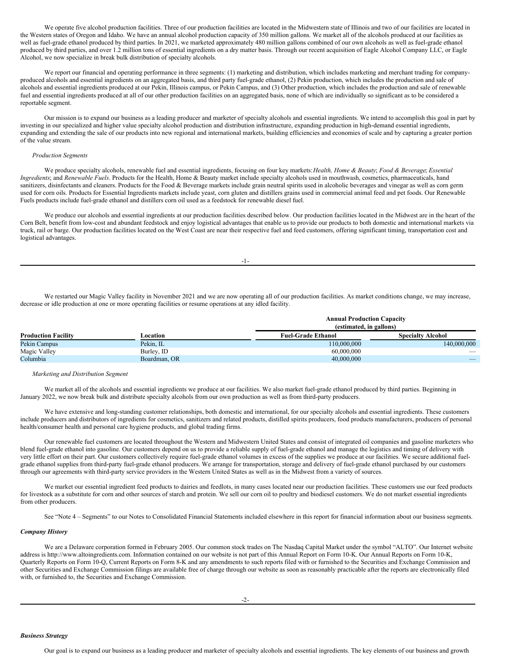We operate five alcohol production facilities. Three of our production facilities are located in the Midwestern state of Illinois and two of our facilities are located in the Western states of Oregon and Idaho. We have an annual alcohol production capacity of 350 million gallons. We market all of the alcohols produced at our facilities as well as fuel-grade ethanol produced by third parties. In 2021, we marketed approximately 480 million gallons combined of our own alcohols as well as fuel-grade ethanol produced by third parties, and over 1.2 million tons of essential ingredients on a dry matter basis. Through our recent acquisition of Eagle Alcohol Company LLC, or Eagle Alcohol, we now specialize in break bulk distribution of specialty alcohols.

We report our financial and operating performance in three segments: (1) marketing and distribution, which includes marketing and merchant trading for companyproduced alcohols and essential ingredients on an aggregated basis, and third party fuel-grade ethanol, (2) Pekin production, which includes the production and sale of alcohols and essential ingredients produced at our Pekin, Illinois campus, or Pekin Campus, and (3) Other production, which includes the production and sale of renewable fuel and essential ingredients produced at all of our other production facilities on an aggregated basis, none of which are individually so significant as to be considered a reportable segment.

Our mission is to expand our business as a leading producer and marketer of specialty alcohols and essential ingredients. We intend to accomplish this goal in part by investing in our specialized and higher value specialty alcohol production and distribution infrastructure, expanding production in high-demand essential ingredients, expanding and extending the sale of our products into new regional and international markets, building efficiencies and economies of scale and by capturing a greater portion of the value stream.

### *Production Segments*

We produce specialty alcohols, renewable fuel and essential ingredients, focusing on four key markets:*Health, Home & Beauty*; *Food & Beverage*; *Essential Ingredients*; and *Renewable Fuels*. Products for the Health, Home & Beauty market include specialty alcohols used in mouthwash, cosmetics, pharmaceuticals, hand sanitizers, disinfectants and cleaners. Products for the Food & Beverage markets include grain neutral spirits used in alcoholic beverages and vinegar as well as corn germ used for corn oils. Products for Essential Ingredients markets include yeast, corn gluten and distillers grains used in commercial animal feed and pet foods. Our Renewable Fuels products include fuel-grade ethanol and distillers corn oil used as a feedstock for renewable diesel fuel.

We produce our alcohols and essential ingredients at our production facilities described below. Our production facilities located in the Midwest are in the heart of the Corn Belt, benefit from low-cost and abundant feedstock and enjoy logistical advantages that enable us to provide our products to both domestic and international markets via truck, rail or barge. Our production facilities located on the West Coast are near their respective fuel and feed customers, offering significant timing, transportation cost and logistical advantages.

-1-

We restarted our Magic Valley facility in November 2021 and we are now operating all of our production facilities. As market conditions change, we may increase, decrease or idle production at one or more operating facilities or resume operations at any idled facility.

|                            |              |                           | <b>Annual Production Capacity</b> |  |  |
|----------------------------|--------------|---------------------------|-----------------------------------|--|--|
|                            |              |                           | (estimated, in gallons)           |  |  |
| <b>Production Facility</b> | Location     | <b>Fuel-Grade Ethanol</b> | <b>Specialty Alcohol</b>          |  |  |
| Pekin Campus               | Pekin, IL    | 110.000.000               | 140,000,000                       |  |  |
| Magic Valley               | Burley, ID   | 60,000,000                | -                                 |  |  |
| Columbia                   | Boardman, OR | 40,000,000                |                                   |  |  |

#### *Marketing and Distribution Segment*

We market all of the alcohols and essential ingredients we produce at our facilities. We also market fuel-grade ethanol produced by third parties. Beginning in January 2022, we now break bulk and distribute specialty alcohols from our own production as well as from third-party producers.

We have extensive and long-standing customer relationships, both domestic and international, for our specialty alcohols and essential ingredients. These customers include producers and distributors of ingredients for cosmetics, sanitizers and related products, distilled spirits producers, food products manufacturers, producers of personal health/consumer health and personal care hygiene products, and global trading firms.

Our renewable fuel customers are located throughout the Western and Midwestern United States and consist of integrated oil companies and gasoline marketers who blend fuel-grade ethanol into gasoline. Our customers depend on us to provide a reliable supply of fuel-grade ethanol and manage the logistics and timing of delivery with very little effort on their part. Our customers collectively require fuel-grade ethanol volumes in excess of the supplies we produce at our facilities. We secure additional fuelgrade ethanol supplies from third-party fuel-grade ethanol producers. We arrange for transportation, storage and delivery of fuel-grade ethanol purchased by our customers through our agreements with third-party service providers in the Western United States as well as in the Midwest from a variety of sources.

We market our essential ingredient feed products to dairies and feedlots, in many cases located near our production facilities. These customers use our feed products for livestock as a substitute for corn and other sources of starch and protein. We sell our corn oil to poultry and biodiesel customers. We do not market essential ingredients from other producers.

See "Note 4 – Segments" to our Notes to Consolidated Financial Statements included elsewhere in this report for financial information about our business segments.

#### *Company History*

We are a Delaware corporation formed in February 2005. Our common stock trades on The Nasdaq Capital Market under the symbol "ALTO". Our Internet website address is http://www.altoingredients.com. Information contained on our website is not part of this Annual Report on Form 10-K. Our Annual Reports on Form 10-K, Quarterly Reports on Form 10-Q, Current Reports on Form 8-K and any amendments to such reports filed with or furnished to the Securities and Exchange Commission and other Securities and Exchange Commission filings are available free of charge through our website as soon as reasonably practicable after the reports are electronically filed with, or furnished to, the Securities and Exchange Commission.

*Business Strategy*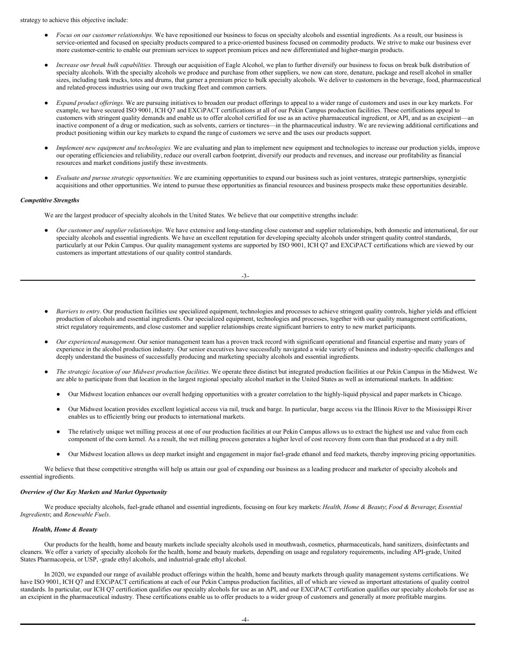strategy to achieve this objective include:

- *Focus on our customer relationships.* We have repositioned our business to focus on specialty alcohols and essential ingredients. As a result, our business is service-oriented and focused on specialty products compared to a price-oriented business focused on commodity products. We strive to make our business ever more customer-centric to enable our premium services to support premium prices and new differentiated and higher-margin products.
- *Increase our break bulk capabilities.* Through our acquisition of Eagle Alcohol, we plan to further diversify our business to focus on break bulk distribution of specialty alcohols. With the specialty alcohols we produce and purchase from other suppliers, we now can store, denature, package and resell alcohol in smaller sizes, including tank trucks, totes and drums, that garner a premium price to bulk specialty alcohols. We deliver to customers in the beverage, food, pharmaceutical and related-process industries using our own trucking fleet and common carriers.
- Expand product offerings. We are pursuing initiatives to broaden our product offerings to appeal to a wider range of customers and uses in our key markets. For example, we have secured ISO 9001, ICH Q7 and EXCiPACT certifications at all of our Pekin Campus production facilities. These certifications appeal to customers with stringent quality demands and enable us to offer alcohol certified for use as an active pharmaceutical ingredient, or API, and as an excipient—an inactive component of a drug or medication, such as solvents, carriers or tinctures—in the pharmaceutical industry. We are reviewing additional certifications and product positioning within our key markets to expand the range of customers we serve and the uses our products support.
- Implement new equipment and technologies. We are evaluating and plan to implement new equipment and technologies to increase our production yields, improve our operating efficiencies and reliability, reduce our overall carbon footprint, diversify our products and revenues, and increase our profitability as financial resources and market conditions justify these investments.
- *Evaluate and pursue strategic opportunities*. We are examining opportunities to expand our business such as joint ventures, strategic partnerships, synergistic acquisitions and other opportunities. We intend to pursue these opportunities as financial resources and business prospects make these opportunities desirable.

# *Competitive Strengths*

We are the largest producer of specialty alcohols in the United States. We believe that our competitive strengths include:

● *Our customer and supplier relationships*. We have extensive and long-standing close customer and supplier relationships, both domestic and international, for our specialty alcohols and essential ingredients. We have an excellent reputation for developing specialty alcohols under stringent quality control standards, particularly at our Pekin Campus. Our quality management systems are supported by ISO 9001, ICH Q7 and EXCiPACT certifications which are viewed by our customers as important attestations of our quality control standards.

- *Barriers to entry*. Our production facilities use specialized equipment, technologies and processes to achieve stringent quality controls, higher yields and efficient production of alcohols and essential ingredients. Our specialized equipment, technologies and processes, together with our quality management certifications, strict regulatory requirements, and close customer and supplier relationships create significant barriers to entry to new market participants.
- *Our experienced management*. Our senior management team has a proven track record with significant operational and financial expertise and many years of experience in the alcohol production industry. Our senior executives have successfully navigated a wide variety of business and industry-specific challenges and deeply understand the business of successfully producing and marketing specialty alcohols and essential ingredients.
- *The strategic location of our Midwest production facilities*. We operate three distinct but integrated production facilities at our Pekin Campus in the Midwest. We are able to participate from that location in the largest regional specialty alcohol market in the United States as well as international markets. In addition:
	- Our Midwest location enhances our overall hedging opportunities with a greater correlation to the highly-liquid physical and paper markets in Chicago.
	- Our Midwest location provides excellent logistical access via rail, truck and barge. In particular, barge access via the Illinois River to the Mississippi River enables us to efficiently bring our products to international markets.
	- The relatively unique wet milling process at one of our production facilities at our Pekin Campus allows us to extract the highest use and value from each component of the corn kernel. As a result, the wet milling process generates a higher level of cost recovery from corn than that produced at a dry mill.
	- Our Midwest location allows us deep market insight and engagement in major fuel-grade ethanol and feed markets, thereby improving pricing opportunities.

We believe that these competitive strengths will help us attain our goal of expanding our business as a leading producer and marketer of specialty alcohols and essential ingredients.

# *Overview of Our Key Markets and Market Opportunity*

We produce specialty alcohols, fuel-grade ethanol and essential ingredients, focusing on four key markets: *Health, Home & Beauty*; *Food & Beverage*; *Essential Ingredients*; and *Renewable Fuels*.

# *Health, Home & Beauty*

Our products for the health, home and beauty markets include specialty alcohols used in mouthwash, cosmetics, pharmaceuticals, hand sanitizers, disinfectants and cleaners. We offer a variety of specialty alcohols for the health, home and beauty markets, depending on usage and regulatory requirements, including API-grade, United States Pharmacopeia, or USP, -grade ethyl alcohols, and industrial-grade ethyl alcohol.

In 2020, we expanded our range of available product offerings within the health, home and beauty markets through quality management systems certifications. We have ISO 9001, ICH Q7 and EXCiPACT certifications at each of our Pekin Campus production facilities, all of which are viewed as important attestations of quality control standards. In particular, our ICH Q7 certification qualifies our specialty alcohols for use as an API, and our EXCiPACT certification qualifies our specialty alcohols for use as an excipient in the pharmaceutical industry. These certifications enable us to offer products to a wider group of customers and generally at more profitable margins.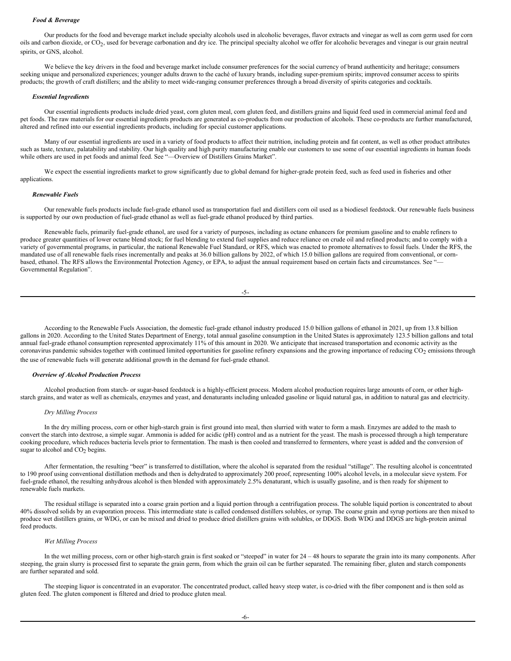#### *Food & Beverage*

Our products for the food and beverage market include specialty alcohols used in alcoholic beverages, flavor extracts and vinegar as well as corn germ used for corn oils and carbon dioxide, or CO<sub>2</sub>, used for beverage carbonation and dry ice. The principal specialty alcohol we offer for alcoholic beverages and vinegar is our grain neutral spirits, or GNS, alcohol.

We believe the key drivers in the food and beverage market include consumer preferences for the social currency of brand authenticity and heritage; consumers seeking unique and personalized experiences; younger adults drawn to the caché of luxury brands, including super-premium spirits; improved consumer access to spirits products; the growth of craft distillers; and the ability to meet wide-ranging consumer preferences through a broad diversity of spirits categories and cocktails.

### *Essential Ingredients*

Our essential ingredients products include dried yeast, corn gluten meal, corn gluten feed, and distillers grains and liquid feed used in commercial animal feed and pet foods. The raw materials for our essential ingredients products are generated as co-products from our production of alcohols. These co-products are further manufactured, altered and refined into our essential ingredients products, including for special customer applications.

Many of our essential ingredients are used in a variety of food products to affect their nutrition, including protein and fat content, as well as other product attributes such as taste, texture, palatability and stability. Our high quality and high purity manufacturing enable our customers to use some of our essential ingredients in human foods while others are used in pet foods and animal feed. See "-Overview of Distillers Grains Market".

We expect the essential ingredients market to grow significantly due to global demand for higher-grade protein feed, such as feed used in fisheries and other applications.

### *Renewable Fuels*

Our renewable fuels products include fuel-grade ethanol used as transportation fuel and distillers corn oil used as a biodiesel feedstock. Our renewable fuels business is supported by our own production of fuel-grade ethanol as well as fuel-grade ethanol produced by third parties.

Renewable fuels, primarily fuel-grade ethanol, are used for a variety of purposes, including as octane enhancers for premium gasoline and to enable refiners to produce greater quantities of lower octane blend stock; for fuel blending to extend fuel supplies and reduce reliance on crude oil and refined products; and to comply with a variety of governmental programs, in particular, the national Renewable Fuel Standard, or RFS, which was enacted to promote alternatives to fossil fuels. Under the RFS, the mandated use of all renewable fuels rises incrementally and peaks at 36.0 billion gallons by 2022, of which 15.0 billion gallons are required from conventional, or cornbased, ethanol. The RFS allows the Environmental Protection Agency, or EPA, to adjust the annual requirement based on certain facts and circumstances. See "-Governmental Regulation".

| -<br>I<br>I |
|-------------|
|-------------|

According to the Renewable Fuels Association, the domestic fuel-grade ethanol industry produced 15.0 billion gallons of ethanol in 2021, up from 13.8 billion gallons in 2020. According to the United States Department of Energy, total annual gasoline consumption in the United States is approximately 123.5 billion gallons and total annual fuel-grade ethanol consumption represented approximately 11% of this amount in 2020. We anticipate that increased transportation and economic activity as the coronavirus pandemic subsides together with continued limited opportunities for gasoline refinery expansions and the growing importance of reducing CO<sub>2</sub> emissions through the use of renewable fuels will generate additional growth in the demand for fuel-grade ethanol.

### *Overview of Alcohol Production Process*

Alcohol production from starch- or sugar-based feedstock is a highly-efficient process. Modern alcohol production requires large amounts of corn, or other highstarch grains, and water as well as chemicals, enzymes and yeast, and denaturants including unleaded gasoline or liquid natural gas, in addition to natural gas and electricity.

### *Dry Milling Process*

In the dry milling process, corn or other high-starch grain is first ground into meal, then slurried with water to form a mash. Enzymes are added to the mash to convert the starch into dextrose, a simple sugar. Ammonia is added for acidic (pH) control and as a nutrient for the yeast. The mash is processed through a high temperature cooking procedure, which reduces bacteria levels prior to fermentation. The mash is then cooled and transferred to fermenters, where yeast is added and the conversion of sugar to alcohol and  $CO<sub>2</sub>$  begins.

After fermentation, the resulting "beer" is transferred to distillation, where the alcohol is separated from the residual "stillage". The resulting alcohol is concentrated to 190 proof using conventional distillation methods and then is dehydrated to approximately 200 proof, representing 100% alcohol levels, in a molecular sieve system. For fuel-grade ethanol, the resulting anhydrous alcohol is then blended with approximately 2.5% denaturant, which is usually gasoline, and is then ready for shipment to renewable fuels markets.

The residual stillage is separated into a coarse grain portion and a liquid portion through a centrifugation process. The soluble liquid portion is concentrated to about 40% dissolved solids by an evaporation process. This intermediate state is called condensed distillers solubles, or syrup. The coarse grain and syrup portions are then mixed to produce wet distillers grains, or WDG, or can be mixed and dried to produce dried distillers grains with solubles, or DDGS. Both WDG and DDGS are high-protein animal feed products.

## *Wet Milling Process*

In the wet milling process, corn or other high-starch grain is first soaked or "steeped" in water for 24 – 48 hours to separate the grain into its many components. After steeping, the grain slurry is processed first to separate the grain germ, from which the grain oil can be further separated. The remaining fiber, gluten and starch components are further separated and sold.

The steeping liquor is concentrated in an evaporator. The concentrated product, called heavy steep water, is co-dried with the fiber component and is then sold as gluten feed. The gluten component is filtered and dried to produce gluten meal.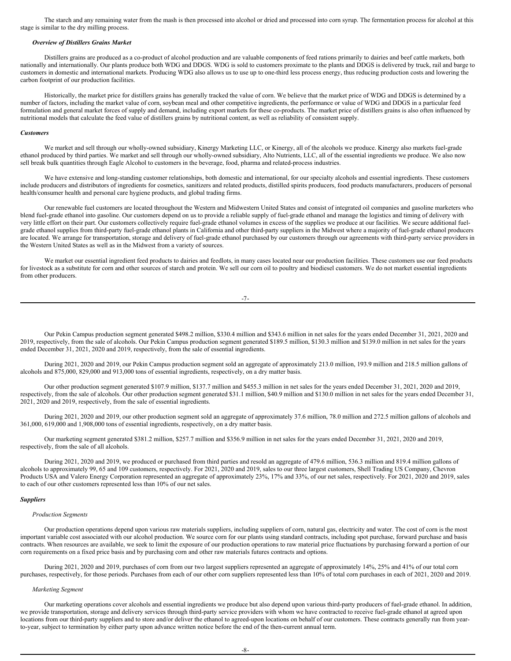The starch and any remaining water from the mash is then processed into alcohol or dried and processed into corn syrup. The fermentation process for alcohol at this stage is similar to the dry milling process.

#### *Overview of Distillers Grains Market*

Distillers grains are produced as a co-product of alcohol production and are valuable components of feed rations primarily to dairies and beef cattle markets, both nationally and internationally. Our plants produce both WDG and DDGS. WDG is sold to customers proximate to the plants and DDGS is delivered by truck, rail and barge to customers in domestic and international markets. Producing WDG also allows us to use up to one-third less process energy, thus reducing production costs and lowering the carbon footprint of our production facilities.

Historically, the market price for distillers grains has generally tracked the value of corn. We believe that the market price of WDG and DDGS is determined by a number of factors, including the market value of corn, soybean meal and other competitive ingredients, the performance or value of WDG and DDGS in a particular feed formulation and general market forces of supply and demand, including export markets for these co-products. The market price of distillers grains is also often influenced by nutritional models that calculate the feed value of distillers grains by nutritional content, as well as reliability of consistent supply.

#### *Customers*

We market and sell through our wholly-owned subsidiary, Kinergy Marketing LLC, or Kinergy, all of the alcohols we produce. Kinergy also markets fuel-grade ethanol produced by third parties. We market and sell through our wholly-owned subsidiary, Alto Nutrients, LLC, all of the essential ingredients we produce. We also now sell break bulk quantities through Eagle Alcohol to customers in the beverage, food, pharma and related-process industries.

We have extensive and long-standing customer relationships, both domestic and international, for our specialty alcohols and essential ingredients. These customers include producers and distributors of ingredients for cosmetics, sanitizers and related products, distilled spirits producers, food products manufacturers, producers of personal health/consumer health and personal care hygiene products, and global trading firms.

Our renewable fuel customers are located throughout the Western and Midwestern United States and consist of integrated oil companies and gasoline marketers who blend fuel-grade ethanol into gasoline. Our customers depend on us to provide a reliable supply of fuel-grade ethanol and manage the logistics and timing of delivery with very little effort on their part. Our customers collectively require fuel-grade ethanol volumes in excess of the supplies we produce at our facilities. We secure additional fuelgrade ethanol supplies from third-party fuel-grade ethanol plants in California and other third-party suppliers in the Midwest where a majority of fuel-grade ethanol producers are located. We arrange for transportation, storage and delivery of fuel-grade ethanol purchased by our customers through our agreements with third-party service providers in the Western United States as well as in the Midwest from a variety of sources.

We market our essential ingredient feed products to dairies and feedlots, in many cases located near our production facilities. These customers use our feed products for livestock as a substitute for corn and other sources of starch and protein. We sell our corn oil to poultry and biodiesel customers. We do not market essential ingredients from other producers.

$$
-7-
$$

Our Pekin Campus production segment generated \$498.2 million, \$330.4 million and \$343.6 million in net sales for the years ended December 31, 2021, 2020 and 2019, respectively, from the sale of alcohols. Our Pekin Campus production segment generated \$189.5 million, \$130.3 million and \$139.0 million in net sales for the years ended December 31, 2021, 2020 and 2019, respectively, from the sale of essential ingredients.

During 2021, 2020 and 2019, our Pekin Campus production segment sold an aggregate of approximately 213.0 million, 193.9 million and 218.5 million gallons of alcohols and 875,000, 829,000 and 913,000 tons of essential ingredients, respectively, on a dry matter basis.

Our other production segment generated \$107.9 million, \$137.7 million and \$455.3 million in net sales for the years ended December 31, 2021, 2020 and 2019, respectively, from the sale of alcohols. Our other production segment generated \$31.1 million, \$40.9 million and \$130.0 million in net sales for the years ended December 31, 2021, 2020 and 2019, respectively, from the sale of essential ingredients.

During 2021, 2020 and 2019, our other production segment sold an aggregate of approximately 37.6 million, 78.0 million and 272.5 million gallons of alcohols and 361,000, 619,000 and 1,908,000 tons of essential ingredients, respectively, on a dry matter basis.

Our marketing segment generated \$381.2 million, \$257.7 million and \$356.9 million in net sales for the years ended December 31, 2021, 2020 and 2019, respectively, from the sale of all alcohols.

During 2021, 2020 and 2019, we produced or purchased from third parties and resold an aggregate of 479.6 million, 536.3 million and 819.4 million gallons of alcohols to approximately 99, 65 and 109 customers, respectively. For 2021, 2020 and 2019, sales to our three largest customers, Shell Trading US Company, Chevron Products USA and Valero Energy Corporation represented an aggregate of approximately 23%, 17% and 33%, of our net sales, respectively. For 2021, 2020 and 2019, sales to each of our other customers represented less than 10% of our net sales.

#### *Suppliers*

#### *Production Segments*

Our production operations depend upon various raw materials suppliers, including suppliers of corn, natural gas, electricity and water. The cost of corn is the most important variable cost associated with our alcohol production. We source corn for our plants using standard contracts, including spot purchase, forward purchase and basis contracts. When resources are available, we seek to limit the exposure of our production operations to raw material price fluctuations by purchasing forward a portion of our corn requirements on a fixed price basis and by purchasing corn and other raw materials futures contracts and options.

During 2021, 2020 and 2019, purchases of corn from our two largest suppliers represented an aggregate of approximately 14%, 25% and 41% of our total corn purchases, respectively, for those periods. Purchases from each of our other corn suppliers represented less than 10% of total corn purchases in each of 2021, 2020 and 2019.

#### *Marketing Segment*

Our marketing operations cover alcohols and essential ingredients we produce but also depend upon various third-party producers of fuel-grade ethanol. In addition, we provide transportation, storage and delivery services through third-party service providers with whom we have contracted to receive fuel-grade ethanol at agreed upon locations from our third-party suppliers and to store and/or deliver the ethanol to agreed-upon locations on behalf of our customers. These contracts generally run from yearto-year, subject to termination by either party upon advance written notice before the end of the then-current annual term.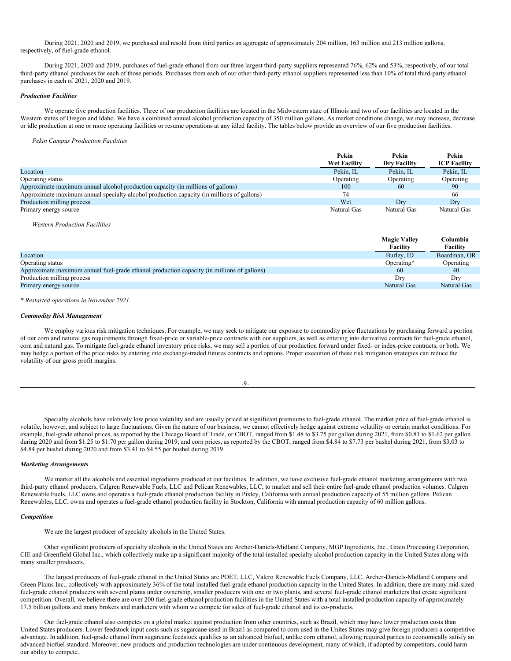During 2021, 2020 and 2019, we purchased and resold from third parties an aggregate of approximately 204 million, 163 million and 213 million gallons, respectively, of fuel-grade ethanol.

During 2021, 2020 and 2019, purchases of fuel-grade ethanol from our three largest third-party suppliers represented 76%, 62% and 53%, respectively, of our total third-party ethanol purchases for each of those periods. Purchases from each of our other third-party ethanol suppliers represented less than 10% of total third-party ethanol purchases in each of 2021, 2020 and 2019.

### *Production Facilities*

We operate five production facilities. Three of our production facilities are located in the Midwestern state of Illinois and two of our facilities are located in the Western states of Oregon and Idaho. We have a combined annual alcohol production capacity of 350 million gallons. As market conditions change, we may increase, decrease or idle production at one or more operating facilities or resume operations at any idled facility. The tables below provide an overview of our five production facilities.

#### *Pekin Campus Production Facilities*

|                                                                                           | Pekin<br><b>Wet Facility</b> | Pekin<br><b>Drv Facility</b> | Pekin<br><b>ICP Facility</b> |
|-------------------------------------------------------------------------------------------|------------------------------|------------------------------|------------------------------|
| Location                                                                                  | Pekin. IL                    | Pekin. IL                    | Pekin. IL                    |
| Operating status                                                                          | Operating                    | Operating                    | Operating                    |
| Approximate maximum annual alcohol production capacity (in millions of gallons)           | 100                          | -60                          | 90                           |
| Approximate maximum annual specialty alcohol production capacity (in millions of gallons) | 74                           |                              | -66                          |
| Production milling process                                                                | Wet                          | Dry                          | Drv                          |
| Primary energy source                                                                     | Natural Gas                  | Natural Gas                  | Natural Gas                  |

*Western Production Facilities*

|                                                                                            | <b>Magic Valley</b><br><b>Facility</b> | Columbia<br><b>Facility</b> |
|--------------------------------------------------------------------------------------------|----------------------------------------|-----------------------------|
| Location                                                                                   | Burley, ID                             | Boardman, OR                |
| Operating status                                                                           | Operating $*$                          | Operating                   |
| Approximate maximum annual fuel-grade ethanol production capacity (in millions of gallons) | 60                                     | 40                          |
| Production milling process                                                                 | Drv                                    | Drv                         |
| Primary energy source                                                                      | Natural Gas                            | Natural Gas                 |
|                                                                                            |                                        |                             |

#### *\* Restarted operations in November 2021.*

## *Commodity Risk Management*

We employ various risk mitigation techniques. For example, we may seek to mitigate our exposure to commodity price fluctuations by purchasing forward a portion of our corn and natural gas requirements through fixed-price or variable-price contracts with our suppliers, as well as entering into derivative contracts for fuel-grade ethanol, corn and natural gas. To mitigate fuel-grade ethanol inventory price risks, we may sell a portion of our production forward under fixed- or index-price contracts, or both. We may hedge a portion of the price risks by entering into exchange-traded futures contracts and options. Proper execution of these risk mitigation strategies can reduce the volatility of our gross profit margins.

Specialty alcohols have relatively low price volatility and are usually priced at significant premiums to fuel-grade ethanol. The market price of fuel-grade ethanol is volatile, however, and subject to large fluctuations. Given the nature of our business, we cannot effectively hedge against extreme volatility or certain market conditions. For example, fuel-grade ethanol prices, as reported by the Chicago Board of Trade, or CBOT, ranged from \$1.48 to \$3.75 per gallon during 2021, from \$0.81 to \$1.62 per gallon during 2020 and from \$1.25 to \$1.70 per gallon during 2019; and corn prices, as reported by the CBOT, ranged from \$4.84 to \$7.73 per bushel during 2021, from \$3.03 to \$4.84 per bushel during 2020 and from \$3.41 to \$4.55 per bushel during 2019.

### *Marketing Arrangements*

We market all the alcohols and essential ingredients produced at our facilities. In addition, we have exclusive fuel-grade ethanol marketing arrangements with two third-party ethanol producers, Calgren Renewable Fuels, LLC and Pelican Renewables, LLC, to market and sell their entire fuel-grade ethanol production volumes. Calgren Renewable Fuels, LLC owns and operates a fuel-grade ethanol production facility in Pixley, California with annual production capacity of 55 million gallons. Pelican Renewables, LLC, owns and operates a fuel-grade ethanol production facility in Stockton, California with annual production capacity of 60 million gallons.

#### *Competition*

We are the largest producer of specialty alcohols in the United States.

Other significant producers of specialty alcohols in the United States are Archer-Daniels-Midland Company, MGP Ingredients, Inc., Grain Processing Corporation, CIE and Greenfield Global Inc., which collectively make up a significant majority of the total installed specialty alcohol production capacity in the United States along with many smaller producers.

The largest producers of fuel-grade ethanol in the United States are POET, LLC, Valero Renewable Fuels Company, LLC, Archer-Daniels-Midland Company and Green Plains Inc., collectively with approximately 36% of the total installed fuel-grade ethanol production capacity in the United States. In addition, there are many mid-sized fuel-grade ethanol producers with several plants under ownership, smaller producers with one or two plants, and several fuel-grade ethanol marketers that create significant competition. Overall, we believe there are over 200 fuel-grade ethanol production facilities in the United States with a total installed production capacity of approximately 17.5 billion gallons and many brokers and marketers with whom we compete for sales of fuel-grade ethanol and its co-products.

Our fuel-grade ethanol also competes on a global market against production from other countries, such as Brazil, which may have lower production costs than United States producers. Lower feedstock input costs such as sugarcane used in Brazil as compared to corn used in the Unites States may give foreign producers a competitive advantage. In addition, fuel-grade ethanol from sugarcane feedstock qualifies as an advanced biofuel, unlike corn ethanol, allowing required parties to economically satisfy an advanced biofuel standard. Moreover, new products and production technologies are under continuous development, many of which, if adopted by competitors, could harm our ability to compete.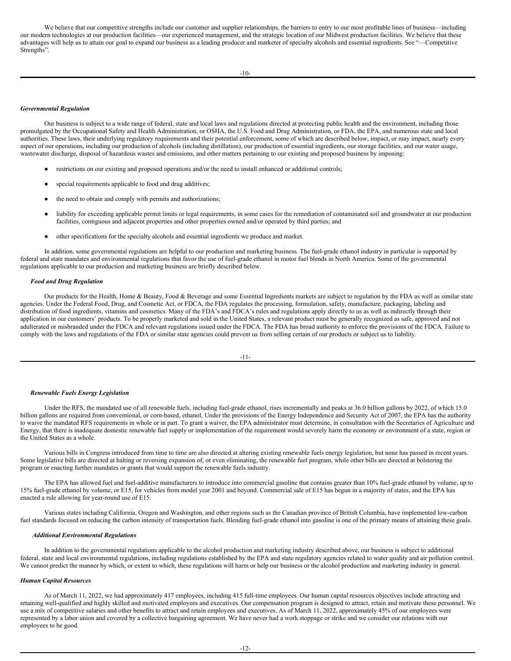We believe that our competitive strengths include our customer and supplier relationships, the barriers to entry to our most profitable lines of business—including our modern technologies at our production facilities—our experienced management, and the strategic location of our Midwest production facilities. We believe that these advantages will help us to attain our goal to expand our business as a leading producer and marketer of specialty alcohols and essential ingredients. See "—Competitive Strengths".

# *Governmental Regulation*

Our business is subject to a wide range of federal, state and local laws and regulations directed at protecting public health and the environment, including those promulgated by the Occupational Safety and Health Administration, or OSHA, the U.S. Food and Drug Administration, or FDA, the EPA, and numerous state and local authorities. These laws, their underlying regulatory requirements and their potential enforcement, some of which are described below, impact, or may impact, nearly every aspect of our operations, including our production of alcohols (including distillation), our production of essential ingredients, our storage facilities, and our water usage, wastewater discharge, disposal of hazardous wastes and emissions, and other matters pertaining to our existing and proposed business by imposing:

- restrictions on our existing and proposed operations and/or the need to install enhanced or additional controls;
- special requirements applicable to food and drug additives;
- the need to obtain and comply with permits and authorizations;
- liability for exceeding applicable permit limits or legal requirements, in some cases for the remediation of contaminated soil and groundwater at our production facilities, contiguous and adjacent properties and other properties owned and/or operated by third parties; and
- other specifications for the specialty alcohols and essential ingredients we produce and market.

In addition, some governmental regulations are helpful to our production and marketing business. The fuel-grade ethanol industry in particular is supported by federal and state mandates and environmental regulations that favor the use of fuel-grade ethanol in motor fuel blends in North America. Some of the governmental regulations applicable to our production and marketing business are briefly described below.

#### *Food and Drug Regulation*

Our products for the Health, Home & Beauty, Food & Beverage and some Essential Ingredients markets are subject to regulation by the FDA as well as similar state agencies. Under the Federal Food, Drug, and Cosmetic Act, or FDCA, the FDA regulates the processing, formulation, safety, manufacture, packaging, labeling and distribution of food ingredients, vitamins and cosmetics. Many of the FDA's and FDCA's rules and regulations apply directly to us as well as indirectly through their application in our customers' products. To be properly marketed and sold in the United States, a relevant product must be generally recognized as safe, approved and not adulterated or misbranded under the FDCA and relevant regulations issued under the FDCA. The FDA has broad authority to enforce the provisions of the FDCA. Failure to comply with the laws and regulations of the FDA or similar state agencies could prevent us from selling certain of our products or subject us to liability.

-11-

#### *Renewable Fuels Energy Legislation*

Under the RFS, the mandated use of all renewable fuels, including fuel-grade ethanol, rises incrementally and peaks at 36.0 billion gallons by 2022, of which 15.0 billion gallons are required from conventional, or corn-based, ethanol. Under the provisions of the Energy Independence and Security Act of 2007, the EPA has the authority to waive the mandated RFS requirements in whole or in part. To grant a waiver, the EPA administrator must determine, in consultation with the Secretaries of Agriculture and Energy, that there is inadequate domestic renewable fuel supply or implementation of the requirement would severely harm the economy or environment of a state, region or the United States as a whole.

Various bills in Congress introduced from time to time are also directed at altering existing renewable fuels energy legislation, but none has passed in recent years. Some legislative bills are directed at halting or reversing expansion of, or even eliminating, the renewable fuel program, while other bills are directed at bolstering the program or enacting further mandates or grants that would support the renewable fuels industry.

The EPA has allowed fuel and fuel-additive manufacturers to introduce into commercial gasoline that contains greater than 10% fuel-grade ethanol by volume, up to 15% fuel-grade ethanol by volume, or E15, for vehicles from model year 2001 and beyond. Commercial sale of E15 has begun in a majority of states, and the EPA has enacted a rule allowing for year-round use of E15.

Various states including California, Oregon and Washington, and other regions such as the Canadian province of British Columbia, have implemented low-carbon fuel standards focused on reducing the carbon intensity of transportation fuels. Blending fuel-grade ethanol into gasoline is one of the primary means of attaining these goals.

### *Additional Environmental Regulations*

In addition to the governmental regulations applicable to the alcohol production and marketing industry described above, our business is subject to additional federal, state and local environmental regulations, including regulations established by the EPA and state regulatory agencies related to water quality and air pollution control. We cannot predict the manner by which, or extent to which, these regulations will harm or help our business or the alcohol production and marketing industry in general.

### *Human Capital Resources*

As of March 11, 2022, we had approximately 417 employees, including 415 full-time employees. Our human capital resources objectives include attracting and retaining well-qualified and highly skilled and motivated employees and executives. Our compensation program is designed to attract, retain and motivate these personnel. We use a mix of competitive salaries and other benefits to attract and retain employees and executives. As of March 11, 2022, approximately 45% of our employees were represented by a labor union and covered by a collective bargaining agreement. We have never had a work stoppage or strike and we consider our relations with our employees to be good.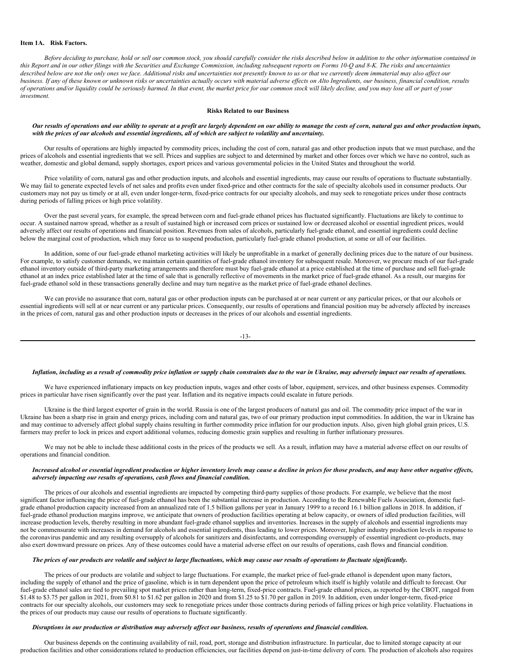# **Item 1A. Risk Factors.**

Before deciding to purchase, hold or sell our common stock, you should carefully consider the risks described below in addition to the other information contained in this Report and in our other filings with the Securities and Exchange Commission, including subsequent reports on Forms 10-Q and 8-K. The risks and uncertainties described below are not the only ones we face. Additional risks and uncertainties not presently known to us or that we currently deem immaterial may also affect our business. If any of these known or unknown risks or uncertainties actually occurs with material adverse effects on Alto Ingredients, our business, financial condition, results of operations and/or liquidity could be seriously harmed. In that event, the market price for our common stock will likely decline, and you may lose all or part of your *investment.*

## **Risks Related to our Business**

# Our results of operations and our ability to operate at a profit are largely dependent on our ability to manage the costs of corn, natural gas and other production inputs, with the prices of our alcohols and essential ingredients, all of which are subject to volatility and uncertainty.

Our results of operations are highly impacted by commodity prices, including the cost of corn, natural gas and other production inputs that we must purchase, and the prices of alcohols and essential ingredients that we sell. Prices and supplies are subject to and determined by market and other forces over which we have no control, such as weather, domestic and global demand, supply shortages, export prices and various governmental policies in the United States and throughout the world.

Price volatility of corn, natural gas and other production inputs, and alcohols and essential ingredients, may cause our results of operations to fluctuate substantially. We may fail to generate expected levels of net sales and profits even under fixed-price and other contracts for the sale of specialty alcohols used in consumer products. Our customers may not pay us timely or at all, even under longer-term, fixed-price contracts for our specialty alcohols, and may seek to renegotiate prices under those contracts during periods of falling prices or high price volatility.

Over the past several years, for example, the spread between corn and fuel-grade ethanol prices has fluctuated significantly. Fluctuations are likely to continue to occur. A sustained narrow spread, whether as a result of sustained high or increased corn prices or sustained low or decreased alcohol or essential ingredient prices, would adversely affect our results of operations and financial position. Revenues from sales of alcohols, particularly fuel-grade ethanol, and essential ingredients could decline below the marginal cost of production, which may force us to suspend production, particularly fuel-grade ethanol production, at some or all of our facilities.

In addition, some of our fuel-grade ethanol marketing activities will likely be unprofitable in a market of generally declining prices due to the nature of our business. For example, to satisfy customer demands, we maintain certain quantities of fuel-grade ethanol inventory for subsequent resale. Moreover, we procure much of our fuel-grade ethanol inventory outside of third-party marketing arrangements and therefore must buy fuel-grade ethanol at a price established at the time of purchase and sell fuel-grade ethanol at an index price established later at the time of sale that is generally reflective of movements in the market price of fuel-grade ethanol. As a result, our margins for fuel-grade ethanol sold in these transactions generally decline and may turn negative as the market price of fuel-grade ethanol declines.

We can provide no assurance that corn, natural gas or other production inputs can be purchased at or near current or any particular prices, or that our alcohols or essential ingredients will sell at or near current or any particular prices. Consequently, our results of operations and financial position may be adversely affected by increases in the prices of corn, natural gas and other production inputs or decreases in the prices of our alcohols and essential ingredients.

$$
-13-
$$

## Inflation, including as a result of commodity price inflation or supply chain constraints due to the war in Ukraine, may adversely impact our results of operations.

We have experienced inflationary impacts on key production inputs, wages and other costs of labor, equipment, services, and other business expenses. Commodity prices in particular have risen significantly over the past year. Inflation and its negative impacts could escalate in future periods.

Ukraine is the third largest exporter of grain in the world. Russia is one of the largest producers of natural gas and oil. The commodity price impact of the war in Ukraine has been a sharp rise in grain and energy prices, including corn and natural gas, two of our primary production input commodities. In addition, the war in Ukraine has and may continue to adversely affect global supply chains resulting in further commodity price inflation for our production inputs. Also, given high global grain prices, U.S. farmers may prefer to lock in prices and export additional volumes, reducing domestic grain supplies and resulting in further inflationary pressures.

We may not be able to include these additional costs in the prices of the products we sell. As a result, inflation may have a material adverse effect on our results of operations and financial condition.

# Increased alcohol or essential ingredient production or higher inventory levels may cause a decline in prices for those products, and may have other negative effects, *adversely impacting our results of operations, cash flows and financial condition.*

The prices of our alcohols and essential ingredients are impacted by competing third-party supplies of those products. For example, we believe that the most significant factor influencing the price of fuel-grade ethanol has been the substantial increase in production. According to the Renewable Fuels Association, domestic fuelgrade ethanol production capacity increased from an annualized rate of 1.5 billion gallons per year in January 1999 to a record 16.1 billion gallons in 2018. In addition, if fuel-grade ethanol production margins improve, we anticipate that owners of production facilities operating at below capacity, or owners of idled production facilities, will increase production levels, thereby resulting in more abundant fuel-grade ethanol supplies and inventories. Increases in the supply of alcohols and essential ingredients may not be commensurate with increases in demand for alcohols and essential ingredients, thus leading to lower prices. Moreover, higher industry production levels in response to the coronavirus pandemic and any resulting oversupply of alcohols for sanitizers and disinfectants, and corresponding oversupply of essential ingredient co-products, may also exert downward pressure on prices. Any of these outcomes could have a material adverse effect on our results of operations, cash flows and financial condition.

# The prices of our products are volatile and subject to large fluctuations, which may cause our results of operations to fluctuate significantly.

The prices of our products are volatile and subject to large fluctuations. For example, the market price of fuel-grade ethanol is dependent upon many factors, including the supply of ethanol and the price of gasoline, which is in turn dependent upon the price of petroleum which itself is highly volatile and difficult to forecast. Our fuel-grade ethanol sales are tied to prevailing spot market prices rather than long-term, fixed-price contracts. Fuel-grade ethanol prices, as reported by the CBOT, ranged from \$1.48 to \$3.75 per gallon in 2021, from \$0.81 to \$1.62 per gallon in 2020 and from \$1.25 to \$1.70 per gallon in 2019. In addition, even under longer-term, fixed-price contracts for our specialty alcohols, our customers may seek to renegotiate prices under those contracts during periods of falling prices or high price volatility. Fluctuations in the prices of our products may cause our results of operations to fluctuate significantly.

## Disruptions in our production or distribution may adversely affect our business, results of operations and financial condition.

Our business depends on the continuing availability of rail, road, port, storage and distribution infrastructure. In particular, due to limited storage capacity at our production facilities and other considerations related to production efficiencies, our facilities depend on just-in-time delivery of corn. The production of alcohols also requires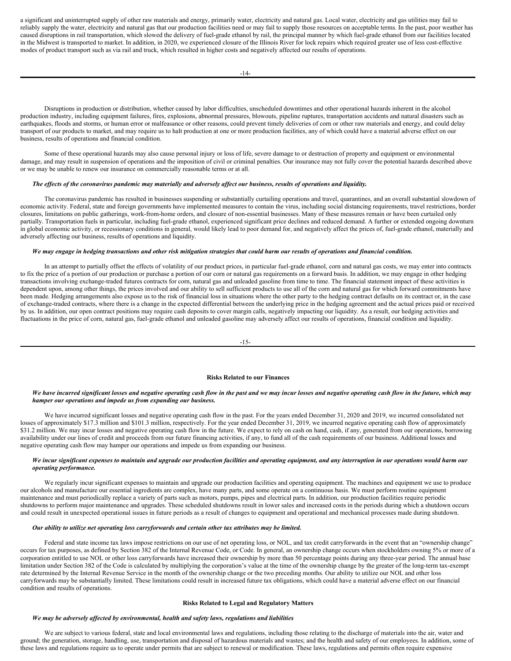a significant and uninterrupted supply of other raw materials and energy, primarily water, electricity and natural gas. Local water, electricity and gas utilities may fail to reliably supply the water, electricity and natural gas that our production facilities need or may fail to supply those resources on acceptable terms. In the past, poor weather has caused disruptions in rail transportation, which slowed the delivery of fuel-grade ethanol by rail, the principal manner by which fuel-grade ethanol from our facilities located in the Midwest is transported to market. In addition, in 2020, we experienced closure of the Illinois River for lock repairs which required greater use of less cost-effective modes of product transport such as via rail and truck, which resulted in higher costs and negatively affected our results of operations.

Disruptions in production or distribution, whether caused by labor difficulties, unscheduled downtimes and other operational hazards inherent in the alcohol production industry, including equipment failures, fires, explosions, abnormal pressures, blowouts, pipeline ruptures, transportation accidents and natural disasters such as earthquakes, floods and storms, or human error or malfeasance or other reasons, could prevent timely deliveries of corn or other raw materials and energy, and could delay transport of our products to market, and may require us to halt production at one or more production facilities, any of which could have a material adverse effect on our business, results of operations and financial condition.

Some of these operational hazards may also cause personal injury or loss of life, severe damage to or destruction of property and equipment or environmental damage, and may result in suspension of operations and the imposition of civil or criminal penalties. Our insurance may not fully cover the potential hazards described above or we may be unable to renew our insurance on commercially reasonable terms or at all.

# The effects of the coronavirus pandemic may materially and adversely affect our business, results of operations and liquidity.

The coronavirus pandemic has resulted in businesses suspending or substantially curtailing operations and travel, quarantines, and an overall substantial slowdown of economic activity. Federal, state and foreign governments have implemented measures to contain the virus, including social distancing requirements, travel restrictions, border closures, limitations on public gatherings, work-from-home orders, and closure of non-essential businesses. Many of these measures remain or have been curtailed only partially. Transportation fuels in particular, including fuel-grade ethanol, experienced significant price declines and reduced demand. A further or extended ongoing downturn in global economic activity, or recessionary conditions in general, would likely lead to poor demand for, and negatively affect the prices of, fuel-grade ethanol, materially and adversely affecting our business, results of operations and liquidity.

# We may engage in hedging transactions and other risk mitigation strategies that could harm our results of operations and financial condition.

In an attempt to partially offset the effects of volatility of our product prices, in particular fuel-grade ethanol, corn and natural gas costs, we may enter into contracts to fix the price of a portion of our production or purchase a portion of our corn or natural gas requirements on a forward basis. In addition, we may engage in other hedging transactions involving exchange-traded futures contracts for corn, natural gas and unleaded gasoline from time to time. The financial statement impact of these activities is dependent upon, among other things, the prices involved and our ability to sell sufficient products to use all of the corn and natural gas for which forward commitments have been made. Hedging arrangements also expose us to the risk of financial loss in situations where the other party to the hedging contract defaults on its contract or, in the case of exchange-traded contracts, where there is a change in the expected differential between the underlying price in the hedging agreement and the actual prices paid or received by us. In addition, our open contract positions may require cash deposits to cover margin calls, negatively impacting our liquidity. As a result, our hedging activities and fluctuations in the price of corn, natural gas, fuel-grade ethanol and unleaded gasoline may adversely affect our results of operations, financial condition and liquidity.

-15-

#### **Risks Related to our Finances**

# We have incurred significant losses and negative operating cash flow in the past and we may incur losses and negative operating cash flow in the future, which may *hamper our operations and impede us from expanding our business.*

We have incurred significant losses and negative operating cash flow in the past. For the years ended December 31, 2020 and 2019, we incurred consolidated net losses of approximately \$17.3 million and \$101.3 million, respectively. For the year ended December 31, 2019, we incurred negative operating cash flow of approximately \$31.2 million. We may incur losses and negative operating cash flow in the future. We expect to rely on cash on hand, cash, if any, generated from our operations, borrowing availability under our lines of credit and proceeds from our future financing activities, if any, to fund all of the cash requirements of our business. Additional losses and negative operating cash flow may hamper our operations and impede us from expanding our business.

# We incur significant expenses to maintain and upgrade our production facilities and operating equipment, and any interruption in our operations would harm our *operating performance.*

We regularly incur significant expenses to maintain and upgrade our production facilities and operating equipment. The machines and equipment we use to produce our alcohols and manufacture our essential ingredients are complex, have many parts, and some operate on a continuous basis. We must perform routine equipment maintenance and must periodically replace a variety of parts such as motors, pumps, pipes and electrical parts. In addition, our production facilities require periodic shutdowns to perform major maintenance and upgrades. These scheduled shutdowns result in lower sales and increased costs in the periods during which a shutdown occurs and could result in unexpected operational issues in future periods as a result of changes to equipment and operational and mechanical processes made during shutdown.

#### *Our ability to utilize net operating loss carryforwards and certain other tax attributes may be limited.*

Federal and state income tax laws impose restrictions on our use of net operating loss, or NOL, and tax credit carryforwards in the event that an "ownership change" occurs for tax purposes, as defined by Section 382 of the Internal Revenue Code, or Code. In general, an ownership change occurs when stockholders owning 5% or more of a corporation entitled to use NOL or other loss carryforwards have increased their ownership by more than 50 percentage points during any three-year period. The annual base limitation under Section 382 of the Code is calculated by multiplying the corporation's value at the time of the ownership change by the greater of the long-term tax-exempt rate determined by the Internal Revenue Service in the month of the ownership change or the two preceding months. Our ability to utilize our NOL and other loss carryforwards may be substantially limited. These limitations could result in increased future tax obligations, which could have a material adverse effect on our financial condition and results of operations.

### **Risks Related to Legal and Regulatory Matters**

## *We may be adversely af ected by environmental, health and safety laws, regulations and liabilities*.

We are subject to various federal, state and local environmental laws and regulations, including those relating to the discharge of materials into the air, water and ground; the generation, storage, handling, use, transportation and disposal of hazardous materials and wastes; and the health and safety of our employees. In addition, some of these laws and regulations require us to operate under permits that are subject to renewal or modification. These laws, regulations and permits often require expensive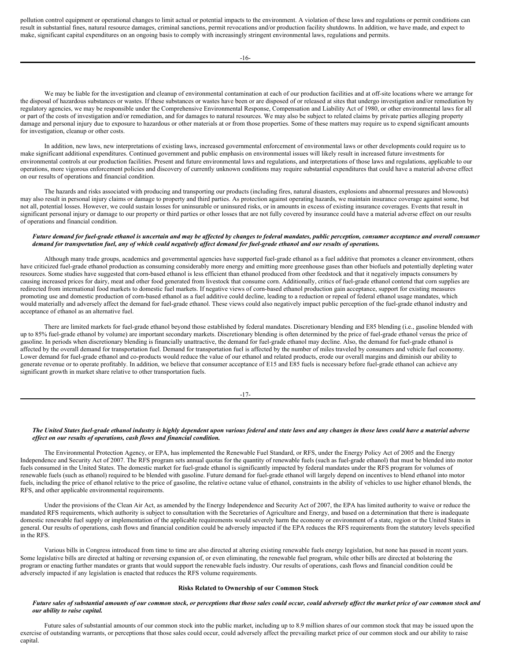pollution control equipment or operational changes to limit actual or potential impacts to the environment. A violation of these laws and regulations or permit conditions can result in substantial fines, natural resource damages, criminal sanctions, permit revocations and/or production facility shutdowns. In addition, we have made, and expect to make, significant capital expenditures on an ongoing basis to comply with increasingly stringent environmental laws, regulations and permits.

We may be liable for the investigation and cleanup of environmental contamination at each of our production facilities and at off-site locations where we arrange for the disposal of hazardous substances or wastes. If these substances or wastes have been or are disposed of or released at sites that undergo investigation and/or remediation by regulatory agencies, we may be responsible under the Comprehensive Environmental Response, Compensation and Liability Act of 1980, or other environmental laws for all or part of the costs of investigation and/or remediation, and for damages to natural resources. We may also be subject to related claims by private parties alleging property damage and personal injury due to exposure to hazardous or other materials at or from those properties. Some of these matters may require us to expend significant amounts for investigation, cleanup or other costs.

In addition, new laws, new interpretations of existing laws, increased governmental enforcement of environmental laws or other developments could require us to make significant additional expenditures. Continued government and public emphasis on environmental issues will likely result in increased future investments for environmental controls at our production facilities. Present and future environmental laws and regulations, and interpretations of those laws and regulations, applicable to our operations, more vigorous enforcement policies and discovery of currently unknown conditions may require substantial expenditures that could have a material adverse effect on our results of operations and financial condition.

The hazards and risks associated with producing and transporting our products (including fires, natural disasters, explosions and abnormal pressures and blowouts) may also result in personal injury claims or damage to property and third parties. As protection against operating hazards, we maintain insurance coverage against some, but not all, potential losses. However, we could sustain losses for uninsurable or uninsured risks, or in amounts in excess of existing insurance coverages. Events that result in significant personal injury or damage to our property or third parties or other losses that are not fully covered by insurance could have a material adverse effect on our results of operations and financial condition.

# Future demand for fuel-grade ethanol is uncertain and may be affected by changes to federal mandates, public perception, consumer acceptance and overall consumer demand for transportation fuel, any of which could negatively affect demand for fuel-grade ethanol and our results of operations.

Although many trade groups, academics and governmental agencies have supported fuel-grade ethanol as a fuel additive that promotes a cleaner environment, others have criticized fuel-grade ethanol production as consuming considerably more energy and emitting more greenhouse gases than other biofuels and potentially depleting water resources. Some studies have suggested that corn-based ethanol is less efficient than ethanol produced from other feedstock and that it negatively impacts consumers by causing increased prices for dairy, meat and other food generated from livestock that consume corn. Additionally, critics of fuel-grade ethanol contend that corn supplies are redirected from international food markets to domestic fuel markets. If negative views of corn-based ethanol production gain acceptance, support for existing measures promoting use and domestic production of corn-based ethanol as a fuel additive could decline, leading to a reduction or repeal of federal ethanol usage mandates, which would materially and adversely affect the demand for fuel-grade ethanol. These views could also negatively impact public perception of the fuel-grade ethanol industry and acceptance of ethanol as an alternative fuel.

There are limited markets for fuel-grade ethanol beyond those established by federal mandates. Discretionary blending and E85 blending (i.e., gasoline blended with up to 85% fuel-grade ethanol by volume) are important secondary markets. Discretionary blending is often determined by the price of fuel-grade ethanol versus the price of gasoline. In periods when discretionary blending is financially unattractive, the demand for fuel-grade ethanol may decline. Also, the demand for fuel-grade ethanol is affected by the overall demand for transportation fuel. Demand for transportation fuel is affected by the number of miles traveled by consumers and vehicle fuel economy. Lower demand for fuel-grade ethanol and co-products would reduce the value of our ethanol and related products, erode our overall margins and diminish our ability to generate revenue or to operate profitably. In addition, we believe that consumer acceptance of E15 and E85 fuels is necessary before fuel-grade ethanol can achieve any significant growth in market share relative to other transportation fuels.

-17-

# The United States fuel-grade ethanol industry is highly dependent upon various federal and state laws and any changes in those laws could have a material adverse *ef ect on our results of operations, cash flows and financial condition.*

The Environmental Protection Agency, or EPA, has implemented the Renewable Fuel Standard, or RFS, under the Energy Policy Act of 2005 and the Energy Independence and Security Act of 2007. The RFS program sets annual quotas for the quantity of renewable fuels (such as fuel-grade ethanol) that must be blended into motor fuels consumed in the United States. The domestic market for fuel-grade ethanol is significantly impacted by federal mandates under the RFS program for volumes of renewable fuels (such as ethanol) required to be blended with gasoline. Future demand for fuel-grade ethanol will largely depend on incentives to blend ethanol into motor fuels, including the price of ethanol relative to the price of gasoline, the relative octane value of ethanol, constraints in the ability of vehicles to use higher ethanol blends, the RFS, and other applicable environmental requirements.

Under the provisions of the Clean Air Act, as amended by the Energy Independence and Security Act of 2007, the EPA has limited authority to waive or reduce the mandated RFS requirements, which authority is subject to consultation with the Secretaries of Agriculture and Energy, and based on a determination that there is inadequate domestic renewable fuel supply or implementation of the applicable requirements would severely harm the economy or environment of a state, region or the United States in general. Our results of operations, cash flows and financial condition could be adversely impacted if the EPA reduces the RFS requirements from the statutory levels specified in the RFS.

Various bills in Congress introduced from time to time are also directed at altering existing renewable fuels energy legislation, but none has passed in recent years. Some legislative bills are directed at halting or reversing expansion of, or even eliminating, the renewable fuel program, while other bills are directed at bolstering the program or enacting further mandates or grants that would support the renewable fuels industry. Our results of operations, cash flows and financial condition could be adversely impacted if any legislation is enacted that reduces the RFS volume requirements.

# **Risks Related to Ownership of our Common Stock**

# Future sales of substantial amounts of our common stock, or perceptions that those sales could occur, could adversely affect the market price of our common stock and *our ability to raise capital.*

Future sales of substantial amounts of our common stock into the public market, including up to 8.9 million shares of our common stock that may be issued upon the exercise of outstanding warrants, or perceptions that those sales could occur, could adversely affect the prevailing market price of our common stock and our ability to raise capital.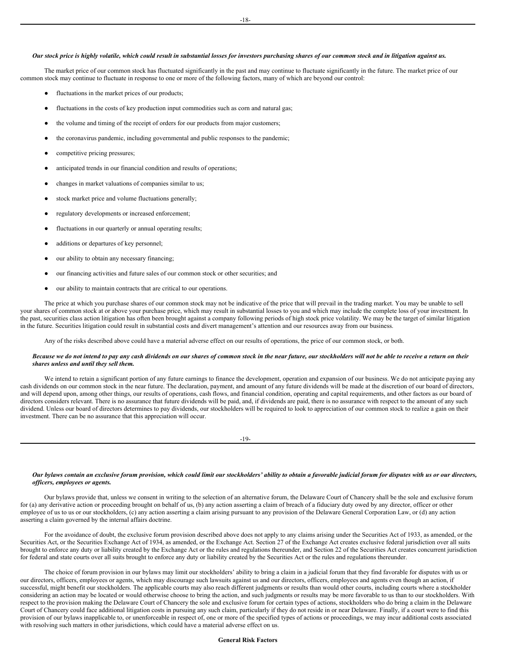## Our stock price is highly volatile, which could result in substantial losses for investors purchasing shares of our common stock and in litigation against us.

The market price of our common stock has fluctuated significantly in the past and may continue to fluctuate significantly in the future. The market price of our common stock may continue to fluctuate in response to one or more of the following factors, many of which are beyond our control:

- fluctuations in the market prices of our products;
- fluctuations in the costs of key production input commodities such as corn and natural gas;
- the volume and timing of the receipt of orders for our products from major customers;
- the coronavirus pandemic, including governmental and public responses to the pandemic;
- competitive pricing pressures;
- anticipated trends in our financial condition and results of operations;
- changes in market valuations of companies similar to us;
- stock market price and volume fluctuations generally;
- regulatory developments or increased enforcement;
- fluctuations in our quarterly or annual operating results;
- additions or departures of key personnel;
- our ability to obtain any necessary financing;
- our financing activities and future sales of our common stock or other securities; and
- our ability to maintain contracts that are critical to our operations.

The price at which you purchase shares of our common stock may not be indicative of the price that will prevail in the trading market. You may be unable to sell your shares of common stock at or above your purchase price, which may result in substantial losses to you and which may include the complete loss of your investment. In the past, securities class action litigation has often been brought against a company following periods of high stock price volatility. We may be the target of similar litigation in the future. Securities litigation could result in substantial costs and divert management's attention and our resources away from our business.

Any of the risks described above could have a material adverse effect on our results of operations, the price of our common stock, or both.

### Because we do not intend to pay any cash dividends on our shares of common stock in the near future, our stockholders will not be able to receive a return on their *shares unless and until they sell them.*

We intend to retain a significant portion of any future earnings to finance the development, operation and expansion of our business. We do not anticipate paying any cash dividends on our common stock in the near future. The declaration, payment, and amount of any future dividends will be made at the discretion of our board of directors, and will depend upon, among other things, our results of operations, cash flows, and financial condition, operating and capital requirements, and other factors as our board of directors considers relevant. There is no assurance that future dividends will be paid, and, if dividends are paid, there is no assurance with respect to the amount of any such dividend. Unless our board of directors determines to pay dividends, our stockholders will be required to look to appreciation of our common stock to realize a gain on their investment. There can be no assurance that this appreciation will occur.

-19-

### Our bylaws contain an exclusive forum provision, which could limit our stockholders' ability to obtain a favorable judicial forum for disputes with us or our directors, *of icers, employees or agents.*

Our bylaws provide that, unless we consent in writing to the selection of an alternative forum, the Delaware Court of Chancery shall be the sole and exclusive forum for (a) any derivative action or proceeding brought on behalf of us, (b) any action asserting a claim of breach of a fiduciary duty owed by any director, officer or other employee of us to us or our stockholders, (c) any action asserting a claim arising pursuant to any provision of the Delaware General Corporation Law, or (d) any action asserting a claim governed by the internal affairs doctrine.

For the avoidance of doubt, the exclusive forum provision described above does not apply to any claims arising under the Securities Act of 1933, as amended, or the Securities Act, or the Securities Exchange Act of 1934, as amended, or the Exchange Act. Section 27 of the Exchange Act creates exclusive federal jurisdiction over all suits brought to enforce any duty or liability created by the Exchange Act or the rules and regulations thereunder, and Section 22 of the Securities Act creates concurrent jurisdiction for federal and state courts over all suits brought to enforce any duty or liability created by the Securities Act or the rules and regulations thereunder.

The choice of forum provision in our bylaws may limit our stockholders' ability to bring a claim in a judicial forum that they find favorable for disputes with us or our directors, officers, employees or agents, which may discourage such lawsuits against us and our directors, officers, employees and agents even though an action, if successful, might benefit our stockholders. The applicable courts may also reach different judgments or results than would other courts, including courts where a stockholder considering an action may be located or would otherwise choose to bring the action, and such judgments or results may be more favorable to us than to our stockholders. With respect to the provision making the Delaware Court of Chancery the sole and exclusive forum for certain types of actions, stockholders who do bring a claim in the Delaware Court of Chancery could face additional litigation costs in pursuing any such claim, particularly if they do not reside in or near Delaware. Finally, if a court were to find this provision of our bylaws inapplicable to, or unenforceable in respect of, one or more of the specified types of actions or proceedings, we may incur additional costs associated with resolving such matters in other jurisdictions, which could have a material adverse effect on us.

#### **General Risk Factors**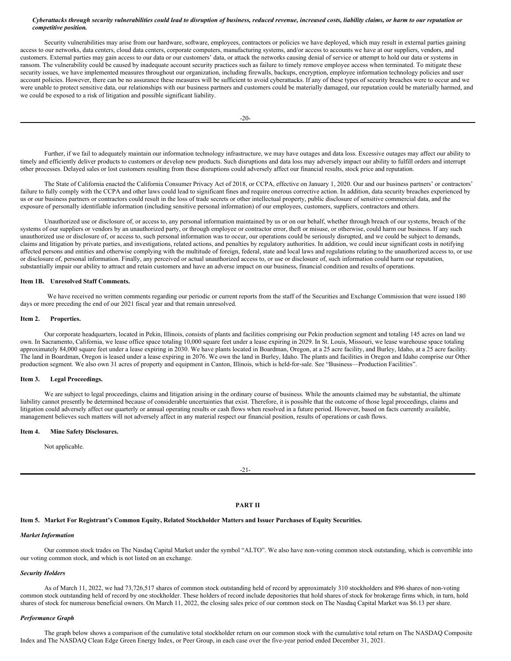## Cyberattacks through security vulnerabilities could lead to disruption of business, reduced revenue, increased costs, liability claims, or harm to our reputation or *competitive position.*

Security vulnerabilities may arise from our hardware, software, employees, contractors or policies we have deployed, which may result in external parties gaining access to our networks, data centers, cloud data centers, corporate computers, manufacturing systems, and/or access to accounts we have at our suppliers, vendors, and customers. External parties may gain access to our data or our customers' data, or attack the networks causing denial of service or attempt to hold our data or systems in ransom. The vulnerability could be caused by inadequate account security practices such as failure to timely remove employee access when terminated. To mitigate these security issues, we have implemented measures throughout our organization, including firewalls, backups, encryption, employee information technology policies and user account policies. However, there can be no assurance these measures will be sufficient to avoid cyberattacks. If any of these types of security breaches were to occur and we were unable to protect sensitive data, our relationships with our business partners and customers could be materially damaged, our reputation could be materially harmed, and we could be exposed to a risk of litigation and possible significant liability.

Further, if we fail to adequately maintain our information technology infrastructure, we may have outages and data loss. Excessive outages may affect our ability to timely and efficiently deliver products to customers or develop new products. Such disruptions and data loss may adversely impact our ability to fulfill orders and interrupt other processes. Delayed sales or lost customers resulting from these disruptions could adversely affect our financial results, stock price and reputation.

The State of California enacted the California Consumer Privacy Act of 2018, or CCPA, effective on January 1, 2020. Our and our business partners' or contractors' failure to fully comply with the CCPA and other laws could lead to significant fines and require onerous corrective action. In addition, data security breaches experienced by us or our business partners or contractors could result in the loss of trade secrets or other intellectual property, public disclosure of sensitive commercial data, and the exposure of personally identifiable information (including sensitive personal information) of our employees, customers, suppliers, contractors and others.

Unauthorized use or disclosure of, or access to, any personal information maintained by us or on our behalf, whether through breach of our systems, breach of the systems of our suppliers or vendors by an unauthorized party, or through employee or contractor error, theft or misuse, or otherwise, could harm our business. If any such unauthorized use or disclosure of, or access to, such personal information was to occur, our operations could be seriously disrupted, and we could be subject to demands, claims and litigation by private parties, and investigations, related actions, and penalties by regulatory authorities. In addition, we could incur significant costs in notifying affected persons and entities and otherwise complying with the multitude of foreign, federal, state and local laws and regulations relating to the unauthorized access to, or use or disclosure of, personal information. Finally, any perceived or actual unauthorized access to, or use or disclosure of, such information could harm our reputation, substantially impair our ability to attract and retain customers and have an adverse impact on our business, financial condition and results of operations.

# **Item 1B. Unresolved Staff Comments.**

We have received no written comments regarding our periodic or current reports from the staff of the Securities and Exchange Commission that were issued 180 days or more preceding the end of our 2021 fiscal year and that remain unresolved.

### **Item 2. Properties.**

Our corporate headquarters, located in Pekin, Illinois, consists of plants and facilities comprising our Pekin production segment and totaling 145 acres on land we own. In Sacramento, California, we lease office space totaling 10,000 square feet under a lease expiring in 2029. In St. Louis, Missouri, we lease warehouse space totaling approximately 84,000 square feet under a lease expiring in 2030. We have plants located in Boardman, Oregon, at a 25 acre facility, and Burley, Idaho, at a 25 acre facility. The land in Boardman, Oregon is leased under a lease expiring in 2076. We own the land in Burley, Idaho. The plants and facilities in Oregon and Idaho comprise our Other production segment. We also own 31 acres of property and equipment in Canton, Illinois, which is held-for-sale. See "Business—Production Facilities".

# **Item 3. Legal Proceedings.**

We are subject to legal proceedings, claims and litigation arising in the ordinary course of business. While the amounts claimed may be substantial, the ultimate liability cannot presently be determined because of considerable uncertainties that exist. Therefore, it is possible that the outcome of those legal proceedings, claims and litigation could adversely affect our quarterly or annual operating results or cash flows when resolved in a future period. However, based on facts currently available, management believes such matters will not adversely affect in any material respect our financial position, results of operations or cash flows.

## **Item 4. Mine Safety Disclosures.**

Not applicable.

-21-

# **PART II**

# Item 5. Market For Registrant's Common Equity, Related Stockholder Matters and Issuer Purchases of Equity Securities.

# *Market Information*

Our common stock trades on The Nasdaq Capital Market under the symbol "ALTO". We also have non-voting common stock outstanding, which is convertible into our voting common stock, and which is not listed on an exchange.

# *Security Holders*

As of March 11, 2022, we had 73,726,517 shares of common stock outstanding held of record by approximately 310 stockholders and 896 shares of non-voting common stock outstanding held of record by one stockholder. These holders of record include depositories that hold shares of stock for brokerage firms which, in turn, hold shares of stock for numerous beneficial owners. On March 11, 2022, the closing sales price of our common stock on The Nasdaq Capital Market was \$6.13 per share.

# *Performance Graph*

The graph below shows a comparison of the cumulative total stockholder return on our common stock with the cumulative total return on The NASDAQ Composite Index and The NASDAQ Clean Edge Green Energy Index, or Peer Group, in each case over the five-year period ended December 31, 2021.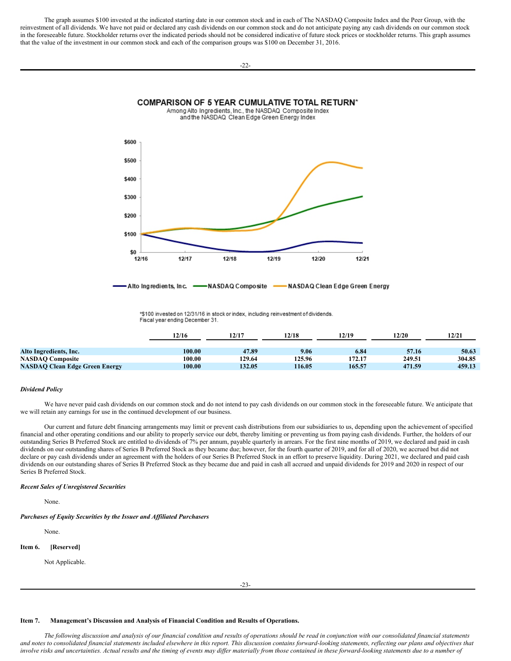The graph assumes \$100 invested at the indicated starting date in our common stock and in each of The NASDAQ Composite Index and the Peer Group, with the reinvestment of all dividends. We have not paid or declared any cash dividends on our common stock and do not anticipate paying any cash dividends on our common stock in the foreseeable future. Stockholder returns over the indicated periods should not be considered indicative of future stock prices or stockholder returns. This graph assumes that the value of the investment in our common stock and each of the comparison groups was \$100 on December 31, 2016.



# **COMPARISON OF 5 YEAR CUMULATIVE TOTAL RETURN\*** Among Alto Ingredients, Inc., the NASDAQ Composite Index

and the NASDAQ Clean Edge Green Energy Index

- Alto Ingredients, Inc. -- - - NASDAQ Composite -- - - NASDAQ Clean Edge Green Energy

\*\$100 invested on 12/31/16 in stock or index, including reinvestment of dividends. Fiscal year ending December 31.

|                                       | 12/16  | 12/17  | 12/18  | 12/19  | 12/20  | 12/21  |
|---------------------------------------|--------|--------|--------|--------|--------|--------|
|                                       |        |        |        |        |        |        |
| Alto Ingredients, Inc.                | 100.00 | 47.89  | 9.06   | 6.84   | 57.16  | 50.63  |
| <b>NASDAO</b> Composite               | 100.00 | 129.64 | 125.96 | 172.17 | 249.51 | 304.85 |
| <b>NASDAO Clean Edge Green Energy</b> | 100.00 | 132.05 | 116.05 | 165.57 | 471.59 | 459.13 |

### *Dividend Policy*

We have never paid cash dividends on our common stock and do not intend to pay cash dividends on our common stock in the foreseeable future. We anticipate that we will retain any earnings for use in the continued development of our business.

Our current and future debt financing arrangements may limit or prevent cash distributions from our subsidiaries to us, depending upon the achievement of specified financial and other operating conditions and our ability to properly service our debt, thereby limiting or preventing us from paying cash dividends. Further, the holders of our outstanding Series B Preferred Stock are entitled to dividends of 7% per annum, payable quarterly in arrears. For the first nine months of 2019, we declared and paid in cash dividends on our outstanding shares of Series B Preferred Stock as they became due; however, for the fourth quarter of 2019, and for all of 2020, we accrued but did not declare or pay cash dividends under an agreement with the holders of our Series B Preferred Stock in an effort to preserve liquidity. During 2021, we declared and paid cash dividends on our outstanding shares of Series B Preferred Stock as they became due and paid in cash all accrued and unpaid dividends for 2019 and 2020 in respect of our Series B Preferred Stock.

### *Recent Sales of Unregistered Securities*

None.

*Purchases of Equity Securities by the Issuer and Af iliated Purchasers*

None.

# **Item 6. [Reserved]**

Not Applicable.

# **Item 7. Management's Discussion and Analysis of Financial Condition and Results of Operations.**

The following discussion and analysis of our financial condition and results of operations should be read in conjunction with our consolidated financial statements and notes to consolidated financial statements included elsewhere in this report. This discussion contains forward-looking statements, reflecting our plans and objectives that involve risks and uncertainties. Actual results and the timing of events may differ materially from those contained in these forward-looking statements due to a number of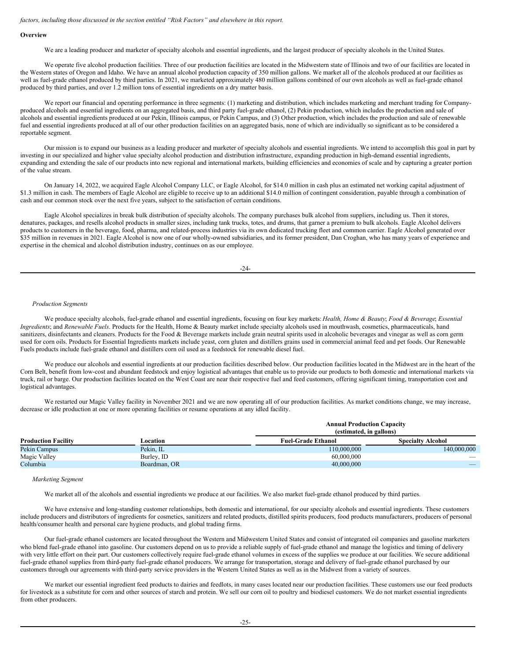*factors, including those discussed in the section entitled "Risk Factors" and elsewhere in this report.*

### **Overview**

We are a leading producer and marketer of specialty alcohols and essential ingredients, and the largest producer of specialty alcohols in the United States.

We operate five alcohol production facilities. Three of our production facilities are located in the Midwestern state of Illinois and two of our facilities are located in the Western states of Oregon and Idaho. We have an annual alcohol production capacity of 350 million gallons. We market all of the alcohols produced at our facilities as well as fuel-grade ethanol produced by third parties. In 2021, we marketed approximately 480 million gallons combined of our own alcohols as well as fuel-grade ethanol produced by third parties, and over 1.2 million tons of essential ingredients on a dry matter basis.

We report our financial and operating performance in three segments: (1) marketing and distribution, which includes marketing and merchant trading for Companyproduced alcohols and essential ingredients on an aggregated basis, and third party fuel-grade ethanol, (2) Pekin production, which includes the production and sale of alcohols and essential ingredients produced at our Pekin, Illinois campus, or Pekin Campus, and (3) Other production, which includes the production and sale of renewable fuel and essential ingredients produced at all of our other production facilities on an aggregated basis, none of which are individually so significant as to be considered a reportable segment.

Our mission is to expand our business as a leading producer and marketer of specialty alcohols and essential ingredients. We intend to accomplish this goal in part by investing in our specialized and higher value specialty alcohol production and distribution infrastructure, expanding production in high-demand essential ingredients, expanding and extending the sale of our products into new regional and international markets, building efficiencies and economies of scale and by capturing a greater portion of the value stream.

On January 14, 2022, we acquired Eagle Alcohol Company LLC, or Eagle Alcohol, for \$14.0 million in cash plus an estimated net working capital adjustment of \$1.3 million in cash. The members of Eagle Alcohol are eligible to receive up to an additional \$14.0 million of contingent consideration, payable through a combination of cash and our common stock over the next five years, subject to the satisfaction of certain conditions.

Eagle Alcohol specializes in break bulk distribution of specialty alcohols. The company purchases bulk alcohol from suppliers, including us. Then it stores, denatures, packages, and resells alcohol products in smaller sizes, including tank trucks, totes, and drums, that garner a premium to bulk alcohols. Eagle Alcohol delivers products to customers in the beverage, food, pharma, and related-process industries via its own dedicated trucking fleet and common carrier. Eagle Alcohol generated over \$35 million in revenues in 2021. Eagle Alcohol is now one of our wholly-owned subsidiaries, and its former president, Dan Croghan, who has many years of experience and expertise in the chemical and alcohol distribution industry, continues on as our employee.

-24-

## *Production Segments*

We produce specialty alcohols, fuel-grade ethanol and essential ingredients, focusing on four key markets: *Health, Home & Beauty*; *Food & Beverage*; *Essential Ingredients*; and *Renewable Fuels*. Products for the Health, Home & Beauty market include specialty alcohols used in mouthwash, cosmetics, pharmaceuticals, hand sanitizers, disinfectants and cleaners. Products for the Food & Beverage markets include grain neutral spirits used in alcoholic beverages and vinegar as well as corn germ used for corn oils. Products for Essential Ingredients markets include yeast, corn gluten and distillers grains used in commercial animal feed and pet foods. Our Renewable Fuels products include fuel-grade ethanol and distillers corn oil used as a feedstock for renewable diesel fuel.

We produce our alcohols and essential ingredients at our production facilities described below. Our production facilities located in the Midwest are in the heart of the Corn Belt, benefit from low-cost and abundant feedstock and enjoy logistical advantages that enable us to provide our products to both domestic and international markets via truck, rail or barge. Our production facilities located on the West Coast are near their respective fuel and feed customers, offering significant timing, transportation cost and logistical advantages.

We restarted our Magic Valley facility in November 2021 and we are now operating all of our production facilities. As market conditions change, we may increase, decrease or idle production at one or more operating facilities or resume operations at any idled facility.

|                            |              |                           | <b>Annual Production Capacity</b><br>(estimated, in gallons) |  |  |
|----------------------------|--------------|---------------------------|--------------------------------------------------------------|--|--|
| <b>Production Facility</b> | Location     | <b>Fuel-Grade Ethanol</b> | <b>Specialty Alcohol</b>                                     |  |  |
| Pekin Campus               | Pekin, IL    | 110,000,000               | 140,000,000                                                  |  |  |
| Magic Valley               | Burley, ID   | 60,000,000                | $\overline{\phantom{a}}$                                     |  |  |
| Columbia                   | Boardman, OR | 40,000,000                | _                                                            |  |  |

#### *Marketing Segment*

We market all of the alcohols and essential ingredients we produce at our facilities. We also market fuel-grade ethanol produced by third parties.

We have extensive and long-standing customer relationships, both domestic and international, for our specialty alcohols and essential ingredients. These customers include producers and distributors of ingredients for cosmetics, sanitizers and related products, distilled spirits producers, food products manufacturers, producers of personal health/consumer health and personal care hygiene products, and global trading firms.

Our fuel-grade ethanol customers are located throughout the Western and Midwestern United States and consist of integrated oil companies and gasoline marketers who blend fuel-grade ethanol into gasoline. Our customers depend on us to provide a reliable supply of fuel-grade ethanol and manage the logistics and timing of delivery with very little effort on their part. Our customers collectively require fuel-grade ethanol volumes in excess of the supplies we produce at our facilities. We secure additional fuel-grade ethanol supplies from third-party fuel-grade ethanol producers. We arrange for transportation, storage and delivery of fuel-grade ethanol purchased by our customers through our agreements with third-party service providers in the Western United States as well as in the Midwest from a variety of sources.

We market our essential ingredient feed products to dairies and feedlots, in many cases located near our production facilities. These customers use our feed products for livestock as a substitute for corn and other sources of starch and protein. We sell our corn oil to poultry and biodiesel customers. We do not market essential ingredients from other producers.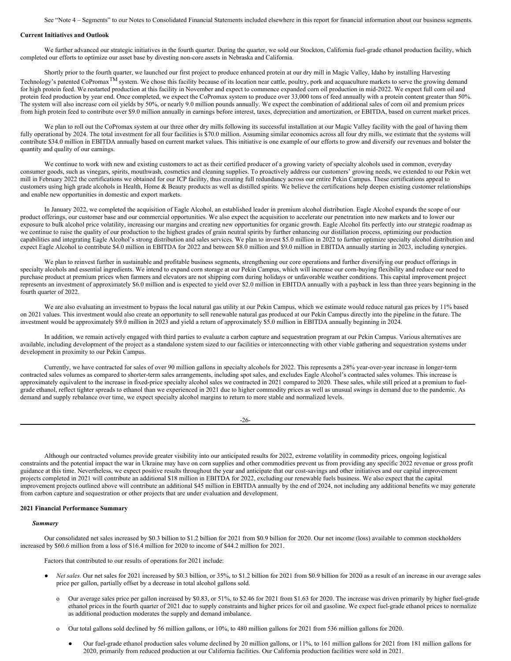See "Note 4 – Segments" to our Notes to Consolidated Financial Statements included elsewhere in this report for financial information about our business segments.

### **Current Initiatives and Outlook**

We further advanced our strategic initiatives in the fourth quarter. During the quarter, we sold our Stockton, California fuel-grade ethanol production facility, which completed our efforts to optimize our asset base by divesting non-core assets in Nebraska and California.

Shortly prior to the fourth quarter, we launched our first project to produce enhanced protein at our dry mill in Magic Valley, Idaho by installing Harvesting Technology's patented CoPromax<sup>TM</sup> system. We chose this facility because of its location near cattle, poultry, pork and acquaculture markets to serve the growing demand for high protein feed. We restarted production at this facility in November and expect to commence expanded corn oil production in mid-2022. We expect full corn oil and protein feed production by year end. Once completed, we expect the CoPromax system to produce over 33,000 tons of feed annually with a protein content greater than 50%. The system will also increase corn oil yields by 50%, or nearly 9.0 million pounds annually. We expect the combination of additional sales of corn oil and premium prices from high protein feed to contribute over \$9.0 million annually in earnings before interest, taxes, depreciation and amortization, or EBITDA, based on current market prices.

We plan to roll out the CoPromax system at our three other dry mills following its successful installation at our Magic Valley facility with the goal of having them fully operational by 2024. The total investment for all four facilities is \$70.0 million. Assuming similar economics across all four dry mills, we estimate that the systems will contribute \$34.0 million in EBITDA annually based on current market values. This initiative is one example of our efforts to grow and diversify our revenues and bolster the quantity and quality of our earnings.

We continue to work with new and existing customers to act as their certified producer of a growing variety of specialty alcohols used in common, everyday consumer goods, such as vinegars, spirits, mouthwash, cosmetics and cleaning supplies. To proactively address our customers' growing needs, we extended to our Pekin wet mill in February 2022 the certifications we obtained for our ICP facility, thus creating full redundancy across our entire Pekin Campus. These certifications appeal to customers using high grade alcohols in Health, Home & Beauty products as well as distilled spirits. We believe the certifications help deepen existing customer relationships and enable new opportunities in domestic and export markets.

In January 2022, we completed the acquisition of Eagle Alcohol, an established leader in premium alcohol distribution. Eagle Alcohol expands the scope of our product offerings, our customer base and our commercial opportunities. We also expect the acquisition to accelerate our penetration into new markets and to lower our exposure to bulk alcohol price volatility, increasing our margins and creating new opportunities for organic growth. Eagle Alcohol fits perfectly into our strategic roadmap as we continue to raise the quality of our production to the highest grades of grain neutral spirits by further enhancing our distillation process, optimizing our production capabilities and integrating Eagle Alcohol's strong distribution and sales services. We plan to invest \$5.0 million in 2022 to further optimize specialty alcohol distribution and expect Eagle Alcohol to contribute \$4.0 million in EBITDA for 2022 and between \$8.0 million and \$9.0 million in EBITDA annually starting in 2023, including synergies.

We plan to reinvest further in sustainable and profitable business segments, strengthening our core operations and further diversifying our product offerings in specialty alcohols and essential ingredients. We intend to expand corn storage at our Pekin Campus, which will increase our corn-buying flexibility and reduce our need to purchase product at premium prices when farmers and elevators are not shipping corn during holidays or unfavorable weather conditions. This capital improvement project represents an investment of approximately \$6.0 million and is expected to yield over \$2.0 million in EBITDA annually with a payback in less than three years beginning in the fourth quarter of 2022.

We are also evaluating an investment to bypass the local natural gas utility at our Pekin Campus, which we estimate would reduce natural gas prices by 11% based on 2021 values. This investment would also create an opportunity to sell renewable natural gas produced at our Pekin Campus directly into the pipeline in the future. The investment would be approximately \$9.0 million in 2023 and yield a return of approximately \$5.0 million in EBITDA annually beginning in 2024.

In addition, we remain actively engaged with third parties to evaluate a carbon capture and sequestration program at our Pekin Campus. Various alternatives are available, including development of the project as a standalone system sized to our facilities or interconnecting with other viable gathering and sequestration systems under development in proximity to our Pekin Campus.

Currently, we have contracted for sales of over 90 million gallons in specialty alcohols for 2022. This represents a 28% year-over-year increase in longer-term contracted sales volumes as compared to shorter-term sales arrangements, including spot sales, and excludes Eagle Alcohol's contracted sales volumes. This increase is approximately equivalent to the increase in fixed-price specialty alcohol sales we contracted in 2021 compared to 2020. These sales, while still priced at a premium to fuelgrade ethanol, reflect tighter spreads to ethanol than we experienced in 2021 due to higher commodity prices as well as unusual swings in demand due to the pandemic. As demand and supply rebalance over time, we expect specialty alcohol margins to return to more stable and normalized levels.

-26-

Although our contracted volumes provide greater visibility into our anticipated results for 2022, extreme volatility in commodity prices, ongoing logistical constraints and the potential impact the war in Ukraine may have on corn supplies and other commodities prevent us from providing any specific 2022 revenue or gross profit guidance at this time. Nevertheless, we expect positive results throughout the year and anticipate that our cost-savings and other initiatives and our capital improvement projects completed in 2021 will contribute an additional \$18 million in EBITDA for 2022, excluding our renewable fuels business. We also expect that the capital improvement projects outlined above will contribute an additional \$45 million in EBITDA annually by the end of 2024, not including any additional benefits we may generate from carbon capture and sequestration or other projects that are under evaluation and development.

## **2021 Financial Performance Summary**

# *Summary*

Our consolidated net sales increased by \$0.3 billion to \$1.2 billion for 2021 from \$0.9 billion for 2020. Our net income (loss) available to common stockholders increased by \$60.6 million from a loss of \$16.4 million for 2020 to income of \$44.2 million for 2021.

Factors that contributed to our results of operations for 2021 include:

- Net sales. Our net sales for 2021 increased by \$0.3 billion, or 35%, to \$1.2 billion for 2021 from \$0.9 billion for 2020 as a result of an increase in our average sales price per gallon, partially offset by a decrease in total alcohol gallons sold.
	- o Our average sales price per gallon increased by \$0.83, or 51%, to \$2.46 for 2021 from \$1.63 for 2020. The increase was driven primarily by higher fuel-grade ethanol prices in the fourth quarter of 2021 due to supply constraints and higher prices for oil and gasoline. We expect fuel-grade ethanol prices to normalize as additional production moderates the supply and demand imbalance.
	- o Our total gallons sold declined by 56 million gallons, or 10%, to 480 million gallons for 2021 from 536 million gallons for 2020.
		- Our fuel-grade ethanol production sales volume declined by 20 million gallons, or 11%, to 161 million gallons for 2021 from 181 million gallons for 2020, primarily from reduced production at our California facilities. Our California production facilities were sold in 2021.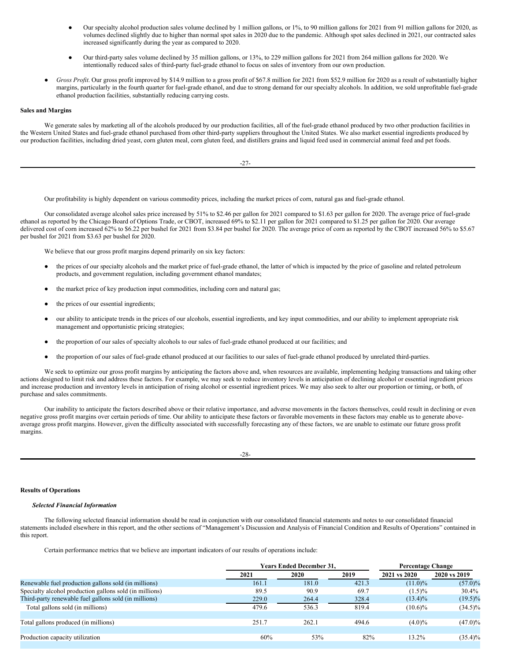- Our specialty alcohol production sales volume declined by 1 million gallons, or 1%, to 90 million gallons for 2021 from 91 million gallons for 2020, as volumes declined slightly due to higher than normal spot sales in 2020 due to the pandemic. Although spot sales declined in 2021, our contracted sales increased significantly during the year as compared to 2020.
- Our third-party sales volume declined by 35 million gallons, or 13%, to 229 million gallons for 2021 from 264 million gallons for 2020. We intentionally reduced sales of third-party fuel-grade ethanol to focus on sales of inventory from our own production.
- *Gross Profit*. Our gross profit improved by \$14.9 million to a gross profit of \$67.8 million for 2021 from \$52.9 million for 2020 as a result of substantially higher margins, particularly in the fourth quarter for fuel-grade ethanol, and due to strong demand for our specialty alcohols. In addition, we sold unprofitable fuel-grade ethanol production facilities, substantially reducing carrying costs.

# **Sales and Margins**

We generate sales by marketing all of the alcohols produced by our production facilities, all of the fuel-grade ethanol produced by two other production facilities in the Western United States and fuel-grade ethanol purchased from other third-party suppliers throughout the United States. We also market essential ingredients produced by our production facilities, including dried yeast, corn gluten meal, corn gluten feed, and distillers grains and liquid feed used in commercial animal feed and pet foods.

| ×<br>I<br>_<br>_ |
|------------------|
|------------------|

Our profitability is highly dependent on various commodity prices, including the market prices of corn, natural gas and fuel-grade ethanol.

Our consolidated average alcohol sales price increased by 51% to \$2.46 per gallon for 2021 compared to \$1.63 per gallon for 2020. The average price of fuel-grade ethanol as reported by the Chicago Board of Options Trade, or CBOT, increased 69% to \$2.11 per gallon for 2021 compared to \$1.25 per gallon for 2020. Our average delivered cost of corn increased 62% to \$6.22 per bushel for 2021 from \$3.84 per bushel for 2020. The average price of corn as reported by the CBOT increased 56% to \$5.67 per bushel for 2021 from \$3.63 per bushel for 2020.

We believe that our gross profit margins depend primarily on six key factors:

- the prices of our specialty alcohols and the market price of fuel-grade ethanol, the latter of which is impacted by the price of gasoline and related petroleum products, and government regulation, including government ethanol mandates;
- the market price of key production input commodities, including corn and natural gas;
- the prices of our essential ingredients;
- our ability to anticipate trends in the prices of our alcohols, essential ingredients, and key input commodities, and our ability to implement appropriate risk management and opportunistic pricing strategies;
- the proportion of our sales of specialty alcohols to our sales of fuel-grade ethanol produced at our facilities; and
- the proportion of our sales of fuel-grade ethanol produced at our facilities to our sales of fuel-grade ethanol produced by unrelated third-parties.

We seek to optimize our gross profit margins by anticipating the factors above and, when resources are available, implementing hedging transactions and taking other actions designed to limit risk and address these factors. For example, we may seek to reduce inventory levels in anticipation of declining alcohol or essential ingredient prices and increase production and inventory levels in anticipation of rising alcohol or essential ingredient prices. We may also seek to alter our proportion or timing, or both, of purchase and sales commitments.

Our inability to anticipate the factors described above or their relative importance, and adverse movements in the factors themselves, could result in declining or even negative gross profit margins over certain periods of time. Our ability to anticipate these factors or favorable movements in these factors may enable us to generate aboveaverage gross profit margins. However, given the difficulty associated with successfully forecasting any of these factors, we are unable to estimate our future gross profit margins.

|   | _ |
|---|---|
| _ |   |
|   | I |
|   | ۹ |
| w |   |

## **Results of Operations**

### *Selected Financial Information*

The following selected financial information should be read in conjunction with our consolidated financial statements and notes to our consolidated financial statements included elsewhere in this report, and the other sections of "Management's Discussion and Analysis of Financial Condition and Results of Operations" contained in this report.

Certain performance metrics that we believe are important indicators of our results of operations include:

|                                                         |       | <b>Years Ended December 31.</b> |       |              | <b>Percentage Change</b> |  |  |
|---------------------------------------------------------|-------|---------------------------------|-------|--------------|--------------------------|--|--|
|                                                         | 2021  | 2020                            | 2019  | 2021 vs 2020 | 2020 vs 2019             |  |  |
| Renewable fuel production gallons sold (in millions)    | 161.1 | 181.0                           | 421.3 | $(11.0)\%$   | $(57.0)\%$               |  |  |
| Specialty alcohol production gallons sold (in millions) | 89.5  | 90.9                            | 69.7  | $(1.5)\%$    | 30.4%                    |  |  |
| Third-party renewable fuel gallons sold (in millions)   | 229.0 | 264.4                           | 328.4 | $(13.4)\%$   | $(19.5)\%$               |  |  |
| Total gallons sold (in millions)                        | 479.6 | 536.3                           | 819.4 | $(10.6)\%$   | $(34.5)\%$               |  |  |
|                                                         |       |                                 |       |              |                          |  |  |
| Total gallons produced (in millions)                    | 251.7 | 262.1                           | 494.6 | $(4.0)\%$    | $(47.0)\%$               |  |  |
|                                                         |       |                                 |       |              |                          |  |  |
| Production capacity utilization                         | 60%   | 53%                             | 82%   | 13.2%        | $(35.4)\%$               |  |  |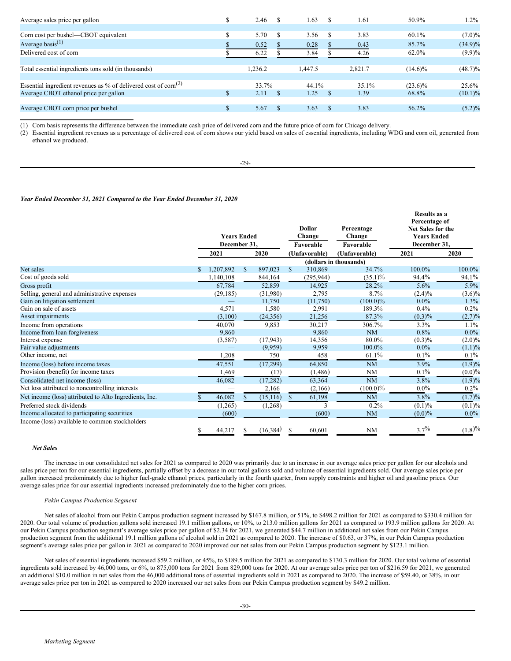| Average sales price per gallon                                              | ۰υ | 2.46    | S | . 63    | S | 1.61    | 50.9%      | 1.2%       |
|-----------------------------------------------------------------------------|----|---------|---|---------|---|---------|------------|------------|
|                                                                             |    |         |   |         |   |         |            |            |
| Corn cost per bushel—CBOT equivalent                                        | ¢  | 5.70    |   | 3.56    |   | 3.83    | 60.1%      | $(7.0)\%$  |
| Average basis $(1)$                                                         |    | 0.52    |   | 0.28    |   | 0.43    | 85.7%      | $(34.9)\%$ |
| Delivered cost of corn                                                      |    | 6.22    |   | 3.84    |   | 4.26    | 62.0%      | $(9.9)\%$  |
|                                                                             |    |         |   |         |   |         |            |            |
| Total essential ingredients tons sold (in thousands)                        |    | 1.236.2 |   | 1.447.5 |   | 2,821.7 | $(14.6)\%$ | $(48.7)\%$ |
|                                                                             |    |         |   |         |   |         |            |            |
| Essential ingredient revenues as % of delivered cost of $\text{corn}^{(2)}$ |    | 33.7%   |   | 44.1%   |   | 35.1%   | $(23.6)\%$ | 25.6%      |
| Average CBOT ethanol price per gallon                                       | D. | 2.11    |   | l.25    |   | 1.39    | 68.8%      | $(10.1)\%$ |
|                                                                             |    |         |   |         |   |         |            |            |
| Average CBOT corn price per bushel                                          | D. | 5.67    |   | 3.63    |   | 3.83    | 56.2%      | $(5.2)\%$  |

(1) Corn basis represents the difference between the immediate cash price of delivered corn and the future price of corn for Chicago delivery.

(2) Essential ingredient revenues as a percentage of delivered cost of corn shows our yield based on sales of essential ingredients, including WDG and corn oil, generated from ethanol we produced.

-29-

| Year Ended December 31, 2021 Compared to the Year Ended December 31, 2020 |  |
|---------------------------------------------------------------------------|--|
|---------------------------------------------------------------------------|--|

|                                                        | <b>Years Ended</b><br>December 31. |              |           |               | <b>Dollar</b><br>Change<br>Favorable | Percentage<br>Change<br>Favorable | Results as a<br>Percentage of<br>Net Sales for the<br><b>Years Ended</b><br>December 31, |           |
|--------------------------------------------------------|------------------------------------|--------------|-----------|---------------|--------------------------------------|-----------------------------------|------------------------------------------------------------------------------------------|-----------|
|                                                        | 2021                               |              | 2020      |               | (Unfavorable)                        | (Unfavorable)                     | 2021                                                                                     | 2020      |
|                                                        |                                    |              |           |               |                                      | (dollars in thousands)            |                                                                                          |           |
| Net sales                                              | 1,207,892                          | $\mathbb{S}$ | 897,023   | <sup>\$</sup> | 310,869                              | 34.7%                             | 100.0%                                                                                   | 100.0%    |
| Cost of goods sold                                     | 1,140,108                          |              | 844,164   |               | (295, 944)                           | $(35.1)\%$                        | 94.4%                                                                                    | 94.1%     |
| Gross profit                                           | 67,784                             |              | 52,859    |               | 14,925                               | 28.2%                             | 5.6%                                                                                     | 5.9%      |
| Selling, general and administrative expenses           | (29, 185)                          |              | (31,980)  |               | 2,795                                | 8.7%                              | $(2.4)\%$                                                                                | $(3.6)\%$ |
| Gain on litigation settlement                          |                                    |              | 11,750    |               | (11,750)                             | $(100.0)\%$                       | $0.0\%$                                                                                  | $1.3\%$   |
| Gain on sale of assets                                 | 4,571                              |              | 1,580     |               | 2,991                                | 189.3%                            | 0.4%                                                                                     | $0.2\%$   |
| Asset impairments                                      | (3,100)                            |              | (24, 356) |               | 21,256                               | 87.3%                             | (0.3)%                                                                                   | $(2.7)\%$ |
| Income from operations                                 | 40,070                             |              | 9,853     |               | 30,217                               | 306.7%                            | 3.3%                                                                                     | 1.1%      |
| Income from loan forgiveness                           | 9,860                              |              |           |               | 9.860                                | <b>NM</b>                         | 0.8%                                                                                     | $0.0\%$   |
| Interest expense                                       | (3,587)                            |              | (17, 943) |               | 14,356                               | 80.0%                             | $(0.3)\%$                                                                                | $(2.0)\%$ |
| Fair value adjustments                                 |                                    |              | (9,959)   |               | 9,959                                | 100.0%                            | $0.0\%$                                                                                  | $(1.1)\%$ |
| Other income, net                                      | 1,208                              |              | 750       |               | 458                                  | 61.1%                             | $0.1\%$                                                                                  | $0.1\%$   |
| Income (loss) before income taxes                      | 47,551                             |              | (17,299)  |               | 64,850                               | <b>NM</b>                         | 3.9%                                                                                     | (1.9)%    |
| Provision (benefit) for income taxes                   | 1,469                              |              | (17)      |               | (1,486)                              | <b>NM</b>                         | $0.1\%$                                                                                  | $(0.0)\%$ |
| Consolidated net income (loss)                         | 46,082                             |              | (17, 282) |               | 63,364                               | NM                                | 3.8%                                                                                     | (1.9)%    |
| Net loss attributed to noncontrolling interests        |                                    |              | 2,166     |               | (2,166)                              | $(100.0)\%$                       | $0.0\%$                                                                                  | $0.2\%$   |
| Net income (loss) attributed to Alto Ingredients, Inc. | 46,082                             | \$.          | (15, 116) | \$.           | 61,198                               | $\rm{NM}$                         | $3.8\%$                                                                                  | (1.7)%    |
| Preferred stock dividends                              | (1,265)                            |              | (1,268)   |               |                                      | $0.2\%$                           | $(0.1)\%$                                                                                | $(0.1)\%$ |
| Income allocated to participating securities           | (600)                              |              |           |               | (600)                                | NM                                | $(0.0)\%$                                                                                | $0.0\%$   |
| Income (loss) available to common stockholders         |                                    |              |           |               |                                      |                                   |                                                                                          |           |
|                                                        | \$<br>44,217                       | S            | (16, 384) | \$.           | 60.601                               | <b>NM</b>                         | $3.7\%$                                                                                  | (1.8)%    |

# *Net Sales*

The increase in our consolidated net sales for 2021 as compared to 2020 was primarily due to an increase in our average sales price per gallon for our alcohols and sales price per ton for our essential ingredients, partially offset by a decrease in our total gallons sold and volume of essential ingredients sold. Our average sales price per gallon increased predominately due to higher fuel-grade ethanol prices, particularly in the fourth quarter, from supply constraints and higher oil and gasoline prices. Our average sales price for our essential ingredients increased predominately due to the higher corn prices.

# *Pekin Campus Production Segment*

Net sales of alcohol from our Pekin Campus production segment increased by \$167.8 million, or 51%, to \$498.2 million for 2021 as compared to \$330.4 million for 2020. Our total volume of production gallons sold increased 19.1 million gallons, or 10%, to 213.0 million gallons for 2021 as compared to 193.9 million gallons for 2020. At our Pekin Campus production segment's average sales price per gallon of \$2.34 for 2021, we generated \$44.7 million in additional net sales from our Pekin Campus production segment from the additional 19.1 million gallons of alcohol sold in 2021 as compared to 2020. The increase of \$0.63, or 37%, in our Pekin Campus production segment's average sales price per gallon in 2021 as compared to 2020 improved our net sales from our Pekin Campus production segment by \$123.1 million.

Net sales of essential ingredients increased \$59.2 million, or 45%, to \$189.5 million for 2021 as compared to \$130.3 million for 2020. Our total volume of essential ingredients sold increased by 46,000 tons, or 6%, to 875,000 tons for 2021 from 829,000 tons for 2020. At our average sales price per ton of \$216.59 for 2021, we generated an additional \$10.0 million in net sales from the 46,000 additional tons of essential ingredients sold in 2021 as compared to 2020. The increase of \$59.40, or 38%, in our average sales price per ton in 2021 as compared to 2020 increased our net sales from our Pekin Campus production segment by \$49.2 million.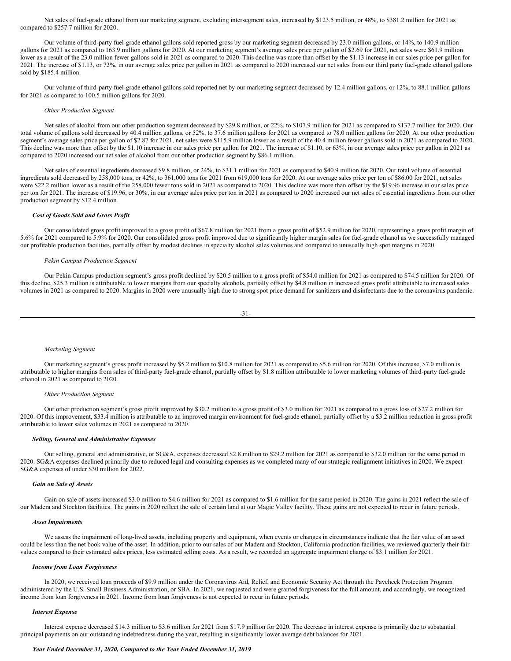Net sales of fuel-grade ethanol from our marketing segment, excluding intersegment sales, increased by \$123.5 million, or 48%, to \$381.2 million for 2021 as compared to \$257.7 million for 2020.

Our volume of third-party fuel-grade ethanol gallons sold reported gross by our marketing segment decreased by 23.0 million gallons, or 14%, to 140.9 million gallons for 2021 as compared to 163.9 million gallons for 2020. At our marketing segment's average sales price per gallon of \$2.69 for 2021, net sales were \$61.9 million lower as a result of the 23.0 million fewer gallons sold in 2021 as compared to 2020. This decline was more than offset by the \$1.13 increase in our sales price per gallon for 2021. The increase of \$1.13, or 72%, in our average sales price per gallon in 2021 as compared to 2020 increased our net sales from our third party fuel-grade ethanol gallons sold by \$185.4 million.

Our volume of third-party fuel-grade ethanol gallons sold reported net by our marketing segment decreased by 12.4 million gallons, or 12%, to 88.1 million gallons for 2021 as compared to 100.5 million gallons for 2020.

## *Other Production Segment*

Net sales of alcohol from our other production segment decreased by \$29.8 million, or 22%, to \$107.9 million for 2021 as compared to \$137.7 million for 2020. Our total volume of gallons sold decreased by 40.4 million gallons, or 52%, to 37.6 million gallons for 2021 as compared to 78.0 million gallons for 2020. At our other production segment's average sales price per gallon of \$2.87 for 2021, net sales were \$115.9 million lower as a result of the 40.4 million fewer gallons sold in 2021 as compared to 2020. This decline was more than offset by the \$1.10 increase in our sales price per gallon for 2021. The increase of \$1.10, or 63%, in our average sales price per gallon in 2021 as compared to 2020 increased our net sales of alcohol from our other production segment by \$86.1 million.

Net sales of essential ingredients decreased \$9.8 million, or 24%, to \$31.1 million for 2021 as compared to \$40.9 million for 2020. Our total volume of essential ingredients sold decreased by 258,000 tons, or 42%, to 361,000 tons for 2021 from 619,000 tons for 2020. At our average sales price per ton of \$86.00 for 2021, net sales were \$22.2 million lower as a result of the 258,000 fewer tons sold in 2021 as compared to 2020. This decline was more than offset by the \$19.96 increase in our sales price per ton for 2021. The increase of \$19.96, or 30%, in our average sales price per ton in 2021 as compared to 2020 increased our net sales of essential ingredients from our other production segment by \$12.4 million.

## *Cost of Goods Sold and Gross Profit*

Our consolidated gross profit improved to a gross profit of \$67.8 million for 2021 from a gross profit of \$52.9 million for 2020, representing a gross profit margin of 5.6% for 2021 compared to 5.9% for 2020. Our consolidated gross profit improved due to significantly higher margin sales for fuel-grade ethanol as we successfully managed our profitable production facilities, partially offset by modest declines in specialty alcohol sales volumes and compared to unusually high spot margins in 2020.

# *Pekin Campus Production Segment*

Our Pekin Campus production segment's gross profit declined by \$20.5 million to a gross profit of \$54.0 million for 2021 as compared to \$74.5 million for 2020. Of this decline, \$25.3 million is attributable to lower margins from our specialty alcohols, partially offset by \$4.8 million in increased gross profit attributable to increased sales volumes in 2021 as compared to 2020. Margins in 2020 were unusually high due to strong spot price demand for sanitizers and disinfectants due to the coronavirus pandemic.

$$
-31-
$$

#### *Marketing Segment*

Our marketing segment's gross profit increased by \$5.2 million to \$10.8 million for 2021 as compared to \$5.6 million for 2020. Of this increase, \$7.0 million is attributable to higher margins from sales of third-party fuel-grade ethanol, partially offset by \$1.8 million attributable to lower marketing volumes of third-party fuel-grade ethanol in 2021 as compared to 2020.

## *Other Production Segment*

Our other production segment's gross profit improved by \$30.2 million to a gross profit of \$3.0 million for 2021 as compared to a gross loss of \$27.2 million for 2020. Of this improvement, \$33.4 million is attributable to an improved margin environment for fuel-grade ethanol, partially offset by a \$3.2 million reduction in gross profit attributable to lower sales volumes in 2021 as compared to 2020.

## *Selling, General and Administrative Expenses*

Our selling, general and administrative, or SG&A, expenses decreased \$2.8 million to \$29.2 million for 2021 as compared to \$32.0 million for the same period in 2020. SG&A expenses declined primarily due to reduced legal and consulting expenses as we completed many of our strategic realignment initiatives in 2020. We expect SG&A expenses of under \$30 million for 2022.

#### *Gain on Sale of Assets*

Gain on sale of assets increased \$3.0 million to \$4.6 million for 2021 as compared to \$1.6 million for the same period in 2020. The gains in 2021 reflect the sale of our Madera and Stockton facilities. The gains in 2020 reflect the sale of certain land at our Magic Valley facility. These gains are not expected to recur in future periods.

#### *Asset Impairments*

We assess the impairment of long-lived assets, including property and equipment, when events or changes in circumstances indicate that the fair value of an asset could be less than the net book value of the asset. In addition, prior to our sales of our Madera and Stockton, California production facilities, we reviewed quarterly their fair values compared to their estimated sales prices, less estimated selling costs. As a result, we recorded an aggregate impairment charge of \$3.1 million for 2021.

#### *Income from Loan Forgiveness*

In 2020, we received loan proceeds of \$9.9 million under the Coronavirus Aid, Relief, and Economic Security Act through the Paycheck Protection Program administered by the U.S. Small Business Administration, or SBA. In 2021, we requested and were granted forgiveness for the full amount, and accordingly, we recognized income from loan forgiveness in 2021. Income from loan forgiveness is not expected to recur in future periods.

#### *Interest Expense*

Interest expense decreased \$14.3 million to \$3.6 million for 2021 from \$17.9 million for 2020. The decrease in interest expense is primarily due to substantial principal payments on our outstanding indebtedness during the year, resulting in significantly lower average debt balances for 2021.

#### *Year Ended December 31, 2020, Compared to the Year Ended December 31, 2019*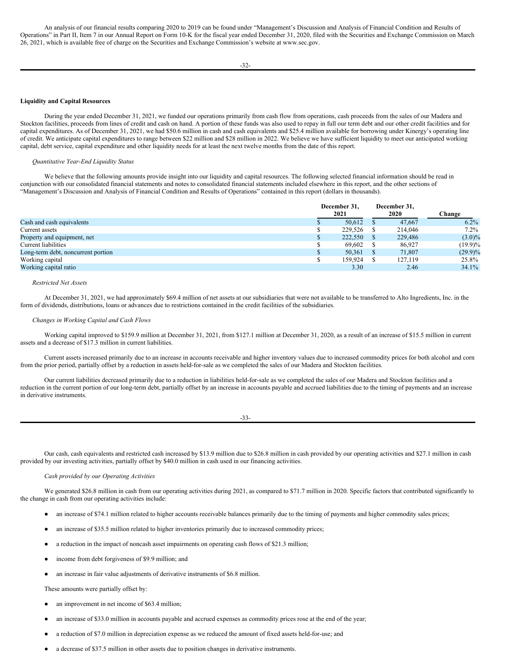An analysis of our financial results comparing 2020 to 2019 can be found under "Management's Discussion and Analysis of Financial Condition and Results of Operations" in Part II, Item 7 in our Annual Report on Form 10-K for the fiscal year ended December 31, 2020, filed with the Securities and Exchange Commission on March 26, 2021, which is available free of charge on the Securities and Exchange Commission's website at www.sec.gov.

# **Liquidity and Capital Resources**

During the year ended December 31, 2021, we funded our operations primarily from cash flow from operations, cash proceeds from the sales of our Madera and Stockton facilities, proceeds from lines of credit and cash on hand. A portion of these funds was also used to repay in full our term debt and our other credit facilities and for capital expenditures. As of December 31, 2021, we had \$50.6 million in cash and cash equivalents and \$25.4 million available for borrowing under Kinergy's operating line of credit. We anticipate capital expenditures to range between \$22 million and \$28 million in 2022. We believe we have sufficient liquidity to meet our anticipated working capital, debt service, capital expenditure and other liquidity needs for at least the next twelve months from the date of this report.

# *Quantitative Year-End Liquidity Status*

We believe that the following amounts provide insight into our liquidity and capital resources. The following selected financial information should be read in conjunction with our consolidated financial statements and notes to consolidated financial statements included elsewhere in this report, and the other sections of "Management's Discussion and Analysis of Financial Condition and Results of Operations" contained in this report (dollars in thousands).

|                                    | December 31. |         | December 31, |         |            |
|------------------------------------|--------------|---------|--------------|---------|------------|
|                                    |              | 2021    |              | 2020    | Change     |
| Cash and cash equivalents          |              | 50.612  |              | 47,667  | $6.2\%$    |
| Current assets                     |              | 229,526 |              | 214,046 | $7.2\%$    |
| Property and equipment, net        |              | 222,550 |              | 229,486 | $(3.0)\%$  |
| Current liabilities                |              | 69.602  |              | 86,927  | $(19.9)\%$ |
| Long-term debt, noncurrent portion |              | 50.361  |              | 71,807  | $(29.9)\%$ |
| Working capital                    |              | 159,924 |              | 127.119 | 25.8%      |
| Working capital ratio              |              | 3.30    |              | 2.46    | 34.1%      |

### *Restricted Net Assets*

At December 31, 2021, we had approximately \$69.4 million of net assets at our subsidiaries that were not available to be transferred to Alto Ingredients, Inc. in the form of dividends, distributions, loans or advances due to restrictions contained in the credit facilities of the subsidiaries.

## *Changes in Working Capital and Cash Flows*

Working capital improved to \$159.9 million at December 31, 2021, from \$127.1 million at December 31, 2020, as a result of an increase of \$15.5 million in current assets and a decrease of \$17.3 million in current liabilities.

Current assets increased primarily due to an increase in accounts receivable and higher inventory values due to increased commodity prices for both alcohol and corn from the prior period, partially offset by a reduction in assets held-for-sale as we completed the sales of our Madera and Stockton facilities.

Our current liabilities decreased primarily due to a reduction in liabilities held-for-sale as we completed the sales of our Madera and Stockton facilities and a reduction in the current portion of our long-term debt, partially offset by an increase in accounts payable and accrued liabilities due to the timing of payments and an increase in derivative instruments.

| _<br>_<br>I<br>I<br>I<br>×<br>۰.<br>×<br>v |
|--------------------------------------------|
|--------------------------------------------|

Our cash, cash equivalents and restricted cash increased by \$13.9 million due to \$26.8 million in cash provided by our operating activities and \$27.1 million in cash provided by our investing activities, partially offset by \$40.0 million in cash used in our financing activities.

# *Cash provided by our Operating Activities*

We generated \$26.8 million in cash from our operating activities during 2021, as compared to \$71.7 million in 2020. Specific factors that contributed significantly to the change in cash from our operating activities include:

- an increase of \$74.1 million related to higher accounts receivable balances primarily due to the timing of payments and higher commodity sales prices;
- an increase of \$35.5 million related to higher inventories primarily due to increased commodity prices;
- a reduction in the impact of noncash asset impairments on operating cash flows of \$21.3 million;
- income from debt forgiveness of \$9.9 million; and
- an increase in fair value adjustments of derivative instruments of \$6.8 million.

These amounts were partially offset by:

- an improvement in net income of \$63.4 million;
- an increase of \$33.0 million in accounts payable and accrued expenses as commodity prices rose at the end of the year;
- a reduction of \$7.0 million in depreciation expense as we reduced the amount of fixed assets held-for-use; and
- a decrease of \$37.5 million in other assets due to position changes in derivative instruments.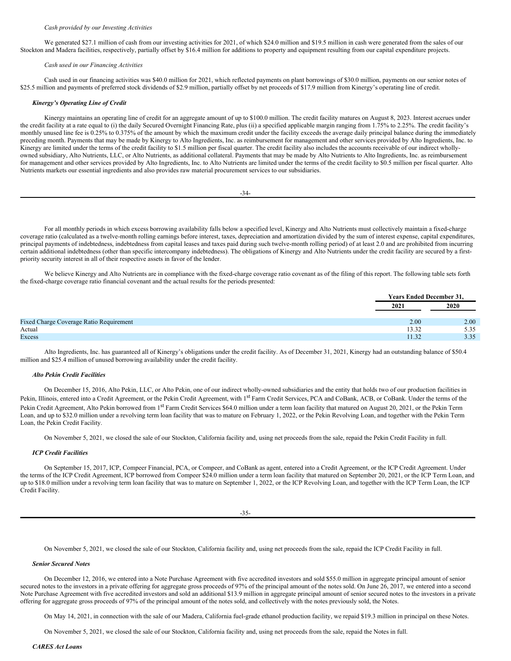#### *Cash provided by our Investing Activities*

We generated \$27.1 million of cash from our investing activities for 2021, of which \$24.0 million and \$19.5 million in cash were generated from the sales of our Stockton and Madera facilities, respectively, partially offset by \$16.4 million for additions to property and equipment resulting from our capital expenditure projects.

#### *Cash used in our Financing Activities*

Cash used in our financing activities was \$40.0 million for 2021, which reflected payments on plant borrowings of \$30.0 million, payments on our senior notes of \$25.5 million and payments of preferred stock dividends of \$2.9 million, partially offset by net proceeds of \$17.9 million from Kinergy's operating line of credit.

#### *Kinergy's Operating Line of Credit*

Kinergy maintains an operating line of credit for an aggregate amount of up to \$100.0 million. The credit facility matures on August 8, 2023. Interest accrues under the credit facility at a rate equal to (i) the daily Secured Overnight Financing Rate, plus (ii) a specified applicable margin ranging from 1.75% to 2.25%. The credit facility's monthly unused line fee is 0.25% to 0.375% of the amount by which the maximum credit under the facility exceeds the average daily principal balance during the immediately preceding month. Payments that may be made by Kinergy to Alto Ingredients, Inc. as reimbursement for management and other services provided by Alto Ingredients, Inc. to Kinergy are limited under the terms of the credit facility to \$1.5 million per fiscal quarter. The credit facility also includes the accounts receivable of our indirect whollyowned subsidiary, Alto Nutrients, LLC, or Alto Nutrients, as additional collateral. Payments that may be made by Alto Nutrients to Alto Ingredients, Inc. as reimbursement for management and other services provided by Alto Ingredients, Inc. to Alto Nutrients are limited under the terms of the credit facility to \$0.5 million per fiscal quarter. Alto Nutrients markets our essential ingredients and also provides raw material procurement services to our subsidiaries.

| _<br>_<br>۰,<br>I<br>$\sim$ |
|-----------------------------|
|-----------------------------|

For all monthly periods in which excess borrowing availability falls below a specified level, Kinergy and Alto Nutrients must collectively maintain a fixed-charge coverage ratio (calculated as a twelve-month rolling earnings before interest, taxes, depreciation and amortization divided by the sum of interest expense, capital expenditures, principal payments of indebtedness, indebtedness from capital leases and taxes paid during such twelve-month rolling period) of at least 2.0 and are prohibited from incurring certain additional indebtedness (other than specific intercompany indebtedness). The obligations of Kinergy and Alto Nutrients under the credit facility are secured by a firstpriority security interest in all of their respective assets in favor of the lender.

We believe Kinergy and Alto Nutrients are in compliance with the fixed-charge coverage ratio covenant as of the filing of this report. The following table sets forth the fixed-charge coverage ratio financial covenant and the actual results for the periods presented:

|                                         |       | <b>Years Ended December 31.</b> |
|-----------------------------------------|-------|---------------------------------|
|                                         | 2021  | 2020                            |
| Fixed Charge Coverage Ratio Requirement | 2.00  | 2.00                            |
| Actual                                  | 13.32 | 5.35                            |
| <b>Excess</b>                           | 11.32 | 3.35                            |

Alto Ingredients, Inc. has guaranteed all of Kinergy's obligations under the credit facility. As of December 31, 2021, Kinergy had an outstanding balance of \$50.4 million and \$25.4 million of unused borrowing availability under the credit facility.

### *Alto Pekin Credit Facilities*

On December 15, 2016, Alto Pekin, LLC, or Alto Pekin, one of our indirect wholly-owned subsidiaries and the entity that holds two of our production facilities in Pekin, Illinois, entered into a Credit Agreement, or the Pekin Credit Agreement, with 1<sup>st</sup> Farm Credit Services, PCA and CoBank, ACB, or CoBank. Under the terms of the Pekin Credit Agreement, Alto Pekin borrowed from 1<sup>st</sup> Farm Credit Services \$64.0 million under a term loan facility that matured on August 20, 2021, or the Pekin Term Loan, and up to \$32.0 million under a revolving term loan facility that was to mature on February 1, 2022, or the Pekin Revolving Loan, and together with the Pekin Term Loan, the Pekin Credit Facility.

On November 5, 2021, we closed the sale of our Stockton, California facility and, using net proceeds from the sale, repaid the Pekin Credit Facility in full.

# *ICP Credit Facilities*

On September 15, 2017, ICP, Compeer Financial, PCA, or Compeer, and CoBank as agent, entered into a Credit Agreement, or the ICP Credit Agreement. Under the terms of the ICP Credit Agreement, ICP borrowed from Compeer \$24.0 million under a term loan facility that matured on September 20, 2021, or the ICP Term Loan, and up to \$18.0 million under a revolving term loan facility that was to mature on September 1, 2022, or the ICP Revolving Loan, and together with the ICP Term Loan, the ICP Credit Facility.

-35-

On November 5, 2021, we closed the sale of our Stockton, California facility and, using net proceeds from the sale, repaid the ICP Credit Facility in full.

# *Senior Secured Notes*

On December 12, 2016, we entered into a Note Purchase Agreement with five accredited investors and sold \$55.0 million in aggregate principal amount of senior secured notes to the investors in a private offering for aggregate gross proceeds of 97% of the principal amount of the notes sold. On June 26, 2017, we entered into a second Note Purchase Agreement with five accredited investors and sold an additional \$13.9 million in aggregate principal amount of senior secured notes to the investors in a private offering for aggregate gross proceeds of 97% of the principal amount of the notes sold, and collectively with the notes previously sold, the Notes.

On May 14, 2021, in connection with the sale of our Madera, California fuel-grade ethanol production facility, we repaid \$19.3 million in principal on these Notes.

On November 5, 2021, we closed the sale of our Stockton, California facility and, using net proceeds from the sale, repaid the Notes in full.

*CARES Act Loans*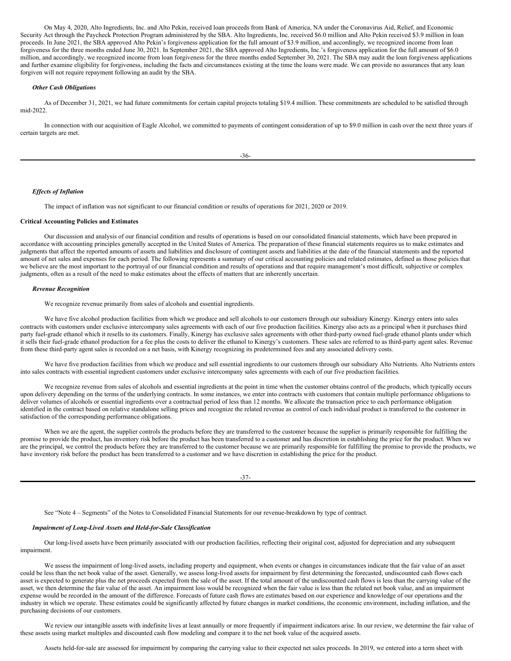On May 4, 2020, Alto Ingredients, Inc. and Alto Pekin, received loan proceeds from Bank of America, NA under the Coronavirus Aid, Relief, and Economic Security Act through the Paycheck Protection Program administered by the SBA. Alto Ingredients, Inc. received \$6.0 million and Alto Pekin received \$3.9 million in loan proceeds. In June 2021, the SBA approved Alto Pekin's forgiveness application for the full amount of \$3.9 million, and accordingly, we recognized income from loan forgiveness for the three months ended June 30, 2021. In September 2021, the SBA approved Alto Ingredients, Inc.'s forgiveness application for the full amount of \$6.0 million, and accordingly, we recognized income from loan forgiveness for the three months ended September 30, 2021. The SBA may audit the loan forgiveness applications and further examine eligibility for forgiveness, including the facts and circumstances existing at the time the loans were made. We can provide no assurances that any loan forgiven will not require repayment following an audit by the SBA.

#### *Other Cash Obligations*

As of December 31, 2021, we had future commitments for certain capital projects totaling \$19.4 million. These commitments are scheduled to be satisfied through mid-2022.

In connection with our acquisition of Eagle Alcohol, we committed to payments of contingent consideration of up to \$9.0 million in cash over the next three years if certain targets are met.

-36-

## *Ef ects of Inflation*

The impact of inflation was not significant to our financial condition or results of operations for 2021, 2020 or 2019.

#### **Critical Accounting Policies and Estimates**

Our discussion and analysis of our financial condition and results of operations is based on our consolidated financial statements, which have been prepared in accordance with accounting principles generally accepted in the United States of America. The preparation of these financial statements requires us to make estimates and judgments that affect the reported amounts of assets and liabilities and disclosure of contingent assets and liabilities at the date of the financial statements and the reported amount of net sales and expenses for each period. The following represents a summary of our critical accounting policies and related estimates, defined as those policies that we believe are the most important to the portrayal of our financial condition and results of operations and that require management's most difficult, subjective or complex judgments, often as a result of the need to make estimates about the effects of matters that are inherently uncertain.

### *Revenue Recognition*

We recognize revenue primarily from sales of alcohols and essential ingredients.

We have five alcohol production facilities from which we produce and sell alcohols to our customers through our subsidiary Kinergy. Kinergy enters into sales contracts with customers under exclusive intercompany sales agreements with each of our five production facilities. Kinergy also acts as a principal when it purchases third party fuel-grade ethanol which it resells to its customers. Finally, Kinergy has exclusive sales agreements with other third-party owned fuel-grade ethanol plants under which it sells their fuel-grade ethanol production for a fee plus the costs to deliver the ethanol to Kinergy's customers. These sales are referred to as third-party agent sales. Revenue from these third-party agent sales is recorded on a net basis, with Kinergy recognizing its predetermined fees and any associated delivery costs.

We have five production facilities from which we produce and sell essential ingredients to our customers through our subsidiary Alto Nutrients. Alto Nutrients enters into sales contracts with essential ingredient customers under exclusive intercompany sales agreements with each of our five production facilities.

We recognize revenue from sales of alcohols and essential ingredients at the point in time when the customer obtains control of the products, which typically occurs upon delivery depending on the terms of the underlying contracts. In some instances, we enter into contracts with customers that contain multiple performance obligations to deliver volumes of alcohols or essential ingredients over a contractual period of less than 12 months. We allocate the transaction price to each performance obligation identified in the contract based on relative standalone selling prices and recognize the related revenue as control of each individual product is transferred to the customer in satisfaction of the corresponding performance obligations.

When we are the agent, the supplier controls the products before they are transferred to the customer because the supplier is primarily responsible for fulfilling the promise to provide the product, has inventory risk before the product has been transferred to a customer and has discretion in establishing the price for the product. When we are the principal, we control the products before they are transferred to the customer because we are primarily responsible for fulfilling the promise to provide the products, we have inventory risk before the product has been transferred to a customer and we have discretion in establishing the price for the product.

-37-

See "Note 4 – Segments" of the Notes to Consolidated Financial Statements for our revenue-breakdown by type of contract.

### *Impairment of Long-Lived Assets and Held-for-Sale Classification*

Our long-lived assets have been primarily associated with our production facilities, reflecting their original cost, adjusted for depreciation and any subsequent impairment.

We assess the impairment of long-lived assets, including property and equipment, when events or changes in circumstances indicate that the fair value of an asset could be less than the net book value of the asset. Generally, we assess long-lived assets for impairment by first determining the forecasted, undiscounted cash flows each asset is expected to generate plus the net proceeds expected from the sale of the asset. If the total amount of the undiscounted cash flows is less than the carrying value of the asset, we then determine the fair value of the asset. An impairment loss would be recognized when the fair value is less than the related net book value, and an impairment expense would be recorded in the amount of the difference. Forecasts of future cash flows are estimates based on our experience and knowledge of our operations and the industry in which we operate. These estimates could be significantly affected by future changes in market conditions, the economic environment, including inflation, and the purchasing decisions of our customers.

We review our intangible assets with indefinite lives at least annually or more frequently if impairment indicators arise. In our review, we determine the fair value of these assets using market multiples and discounted cash flow modeling and compare it to the net book value of the acquired assets.

Assets held-for-sale are assessed for impairment by comparing the carrying value to their expected net sales proceeds. In 2019, we entered into a term sheet with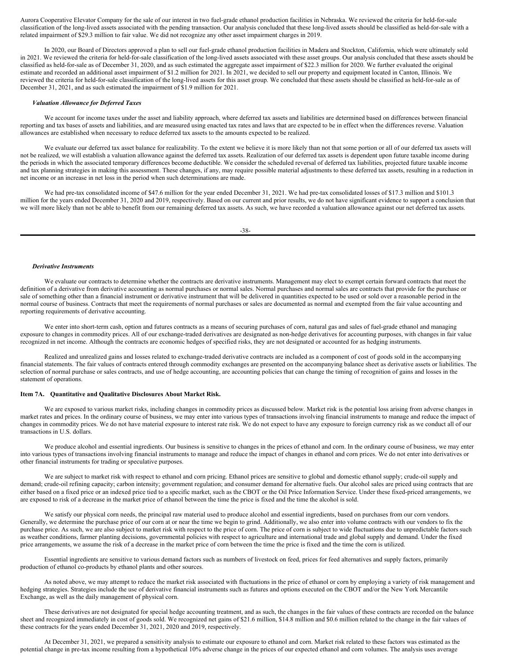Aurora Cooperative Elevator Company for the sale of our interest in two fuel-grade ethanol production facilities in Nebraska. We reviewed the criteria for held-for-sale classification of the long-lived assets associated with the pending transaction. Our analysis concluded that these long-lived assets should be classified as held-for-sale with a related impairment of \$29.3 million to fair value. We did not recognize any other asset impairment charges in 2019.

In 2020, our Board of Directors approved a plan to sell our fuel-grade ethanol production facilities in Madera and Stockton, California, which were ultimately sold in 2021. We reviewed the criteria for held-for-sale classification of the long-lived assets associated with these asset groups. Our analysis concluded that these assets should be classified as held-for-sale as of December 31, 2020, and as such estimated the aggregate asset impairment of \$22.3 million for 2020. We further evaluated the original estimate and recorded an additional asset impairment of \$1.2 million for 2021. In 2021, we decided to sell our property and equipment located in Canton, Illinois. We reviewed the criteria for held-for-sale classification of the long-lived assets for this asset group. We concluded that these assets should be classified as held-for-sale as of December 31, 2021, and as such estimated the impairment of \$1.9 million for 2021.

#### *Valuation Allowance for Deferred Taxes*

We account for income taxes under the asset and liability approach, where deferred tax assets and liabilities are determined based on differences between financial reporting and tax bases of assets and liabilities, and are measured using enacted tax rates and laws that are expected to be in effect when the differences reverse. Valuation allowances are established when necessary to reduce deferred tax assets to the amounts expected to be realized.

We evaluate our deferred tax asset balance for realizability. To the extent we believe it is more likely than not that some portion or all of our deferred tax assets will not be realized, we will establish a valuation allowance against the deferred tax assets. Realization of our deferred tax assets is dependent upon future taxable income during the periods in which the associated temporary differences become deductible. We consider the scheduled reversal of deferred tax liabilities, projected future taxable income and tax planning strategies in making this assessment. These changes, if any, may require possible material adjustments to these deferred tax assets, resulting in a reduction in net income or an increase in net loss in the period when such determinations are made.

We had pre-tax consolidated income of \$47.6 million for the year ended December 31, 2021. We had pre-tax consolidated losses of \$17.3 million and \$101.3 million for the years ended December 31, 2020 and 2019, respectively. Based on our current and prior results, we do not have significant evidence to support a conclusion that we will more likely than not be able to benefit from our remaining deferred tax assets. As such, we have recorded a valuation allowance against our net deferred tax assets.

-38-

#### *Derivative Instruments*

We evaluate our contracts to determine whether the contracts are derivative instruments. Management may elect to exempt certain forward contracts that meet the definition of a derivative from derivative accounting as normal purchases or normal sales. Normal purchases and normal sales are contracts that provide for the purchase or sale of something other than a financial instrument or derivative instrument that will be delivered in quantities expected to be used or sold over a reasonable period in the normal course of business. Contracts that meet the requirements of normal purchases or sales are documented as normal and exempted from the fair value accounting and reporting requirements of derivative accounting.

We enter into short-term cash, option and futures contracts as a means of securing purchases of corn, natural gas and sales of fuel-grade ethanol and managing exposure to changes in commodity prices. All of our exchange-traded derivatives are designated as non-hedge derivatives for accounting purposes, with changes in fair value recognized in net income. Although the contracts are economic hedges of specified risks, they are not designated or accounted for as hedging instruments.

Realized and unrealized gains and losses related to exchange-traded derivative contracts are included as a component of cost of goods sold in the accompanying financial statements. The fair values of contracts entered through commodity exchanges are presented on the accompanying balance sheet as derivative assets or liabilities. The selection of normal purchase or sales contracts, and use of hedge accounting, are accounting policies that can change the timing of recognition of gains and losses in the statement of operations.

## **Item 7A. Quantitative and Qualitative Disclosures About Market Risk.**

We are exposed to various market risks, including changes in commodity prices as discussed below. Market risk is the potential loss arising from adverse changes in market rates and prices. In the ordinary course of business, we may enter into various types of transactions involving financial instruments to manage and reduce the impact of changes in commodity prices. We do not have material exposure to interest rate risk. We do not expect to have any exposure to foreign currency risk as we conduct all of our transactions in U.S. dollars.

We produce alcohol and essential ingredients. Our business is sensitive to changes in the prices of ethanol and corn. In the ordinary course of business, we may enter into various types of transactions involving financial instruments to manage and reduce the impact of changes in ethanol and corn prices. We do not enter into derivatives or other financial instruments for trading or speculative purposes.

We are subject to market risk with respect to ethanol and corn pricing. Ethanol prices are sensitive to global and domestic ethanol supply; crude-oil supply and demand; crude-oil refining capacity; carbon intensity; government regulation; and consumer demand for alternative fuels. Our alcohol sales are priced using contracts that are either based on a fixed price or an indexed price tied to a specific market, such as the CBOT or the Oil Price Information Service. Under these fixed-priced arrangements, we are exposed to risk of a decrease in the market price of ethanol between the time the price is fixed and the time the alcohol is sold.

We satisfy our physical corn needs, the principal raw material used to produce alcohol and essential ingredients, based on purchases from our corn vendors. Generally, we determine the purchase price of our corn at or near the time we begin to grind. Additionally, we also enter into volume contracts with our vendors to fix the purchase price. As such, we are also subject to market risk with respect to the price of corn. The price of corn is subject to wide fluctuations due to unpredictable factors such as weather conditions, farmer planting decisions, governmental policies with respect to agriculture and international trade and global supply and demand. Under the fixed price arrangements, we assume the risk of a decrease in the market price of corn between the time the price is fixed and the time the corn is utilized.

Essential ingredients are sensitive to various demand factors such as numbers of livestock on feed, prices for feed alternatives and supply factors, primarily production of ethanol co-products by ethanol plants and other sources.

As noted above, we may attempt to reduce the market risk associated with fluctuations in the price of ethanol or corn by employing a variety of risk management and hedging strategies. Strategies include the use of derivative financial instruments such as futures and options executed on the CBOT and/or the New York Mercantile Exchange, as well as the daily management of physical corn.

These derivatives are not designated for special hedge accounting treatment, and as such, the changes in the fair values of these contracts are recorded on the balance sheet and recognized immediately in cost of goods sold. We recognized net gains of \$21.6 million, \$14.8 million and \$0.6 million related to the change in the fair values of these contracts for the years ended December 31, 2021, 2020 and 2019, respectively.

At December 31, 2021, we prepared a sensitivity analysis to estimate our exposure to ethanol and corn. Market risk related to these factors was estimated as the potential change in pre-tax income resulting from a hypothetical 10% adverse change in the prices of our expected ethanol and corn volumes. The analysis uses average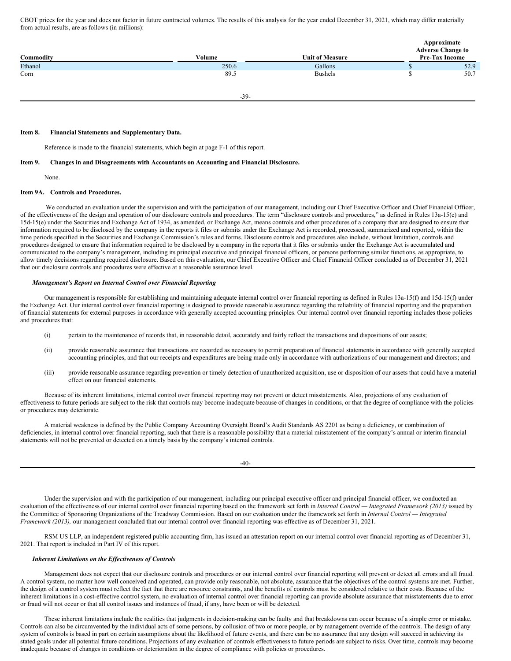CBOT prices for the year and does not factor in future contracted volumes. The results of this analysis for the year ended December 31, 2021, which may differ materially from actual results, are as follows (in millions):

| Commodity | Volume | <b>Unit of Measure</b> |   | Approximate<br><b>Adverse Change to</b><br>Pre-Tax Income |
|-----------|--------|------------------------|---|-----------------------------------------------------------|
|           |        |                        |   |                                                           |
| Ethanol   | 250.6  | Gallons                | w | 52.9                                                      |
| Corn      | 89.5   | <b>Bushels</b>         |   | 50.7                                                      |
|           |        |                        |   |                                                           |
|           |        |                        |   |                                                           |
|           | $-39-$ |                        |   |                                                           |

### **Item 8. Financial Statements and Supplementary Data.**

Reference is made to the financial statements, which begin at page F-1 of this report.

### **Item 9. Changes in and Disagreements with Accountants on Accounting and Financial Disclosure.**

None.

### **Item 9A. Controls and Procedures.**

We conducted an evaluation under the supervision and with the participation of our management, including our Chief Executive Officer and Chief Financial Officer, of the effectiveness of the design and operation of our disclosure controls and procedures. The term "disclosure controls and procedures," as defined in Rules 13a-15(e) and 15d-15(e) under the Securities and Exchange Act of 1934, as amended, or Exchange Act, means controls and other procedures of a company that are designed to ensure that information required to be disclosed by the company in the reports it files or submits under the Exchange Act is recorded, processed, summarized and reported, within the time periods specified in the Securities and Exchange Commission's rules and forms. Disclosure controls and procedures also include, without limitation, controls and procedures designed to ensure that information required to be disclosed by a company in the reports that it files or submits under the Exchange Act is accumulated and communicated to the company's management, including its principal executive and principal financial officers, or persons performing similar functions, as appropriate, to allow timely decisions regarding required disclosure. Based on this evaluation, our Chief Executive Officer and Chief Financial Officer concluded as of December 31, 2021 that our disclosure controls and procedures were effective at a reasonable assurance level.

#### *Management's Report on Internal Control over Financial Reporting*

Our management is responsible for establishing and maintaining adequate internal control over financial reporting as defined in Rules 13a-15(f) and 15d-15(f) under the Exchange Act. Our internal control over financial reporting is designed to provide reasonable assurance regarding the reliability of financial reporting and the preparation of financial statements for external purposes in accordance with generally accepted accounting principles. Our internal control over financial reporting includes those policies and procedures that:

- (i) pertain to the maintenance of records that, in reasonable detail, accurately and fairly reflect the transactions and dispositions of our assets;
- (ii) provide reasonable assurance that transactions are recorded as necessary to permit preparation of financial statements in accordance with generally accepted accounting principles, and that our receipts and expenditures are being made only in accordance with authorizations of our management and directors; and
- (iii) provide reasonable assurance regarding prevention or timely detection of unauthorized acquisition, use or disposition of our assets that could have a material effect on our financial statements.

Because of its inherent limitations, internal control over financial reporting may not prevent or detect misstatements. Also, projections of any evaluation of effectiveness to future periods are subject to the risk that controls may become inadequate because of changes in conditions, or that the degree of compliance with the policies or procedures may deteriorate.

A material weakness is defined by the Public Company Accounting Oversight Board's Audit Standards AS 2201 as being a deficiency, or combination of deficiencies, in internal control over financial reporting, such that there is a reasonable possibility that a material misstatement of the company's annual or interim financial statements will not be prevented or detected on a timely basis by the company's internal controls.

## -40-

Under the supervision and with the participation of our management, including our principal executive officer and principal financial officer, we conducted an evaluation of the effectiveness of our internal control over financial reporting based on the framework set forth in *Internal Control — Integrated Framework (2013)* issued by the Committee of Sponsoring Organizations of the Treadway Commission. Based on our evaluation under the framework set forth in *Internal Control — Integrated Framework (2013),* our management concluded that our internal control over financial reporting was effective as of December 31, 2021.

RSM US LLP, an independent registered public accounting firm, has issued an attestation report on our internal control over financial reporting as of December 31, 2021. That report is included in Part IV of this report.

### *Inherent Limitations on the Ef ectiveness of Controls*

Management does not expect that our disclosure controls and procedures or our internal control over financial reporting will prevent or detect all errors and all fraud. A control system, no matter how well conceived and operated, can provide only reasonable, not absolute, assurance that the objectives of the control systems are met. Further, the design of a control system must reflect the fact that there are resource constraints, and the benefits of controls must be considered relative to their costs. Because of the inherent limitations in a cost-effective control system, no evaluation of internal control over financial reporting can provide absolute assurance that misstatements due to error or fraud will not occur or that all control issues and instances of fraud, if any, have been or will be detected.

These inherent limitations include the realities that judgments in decision-making can be faulty and that breakdowns can occur because of a simple error or mistake. Controls can also be circumvented by the individual acts of some persons, by collusion of two or more people, or by management override of the controls. The design of any system of controls is based in part on certain assumptions about the likelihood of future events, and there can be no assurance that any design will succeed in achieving its stated goals under all potential future conditions. Projections of any evaluation of controls effectiveness to future periods are subject to risks. Over time, controls may become inadequate because of changes in conditions or deterioration in the degree of compliance with policies or procedures.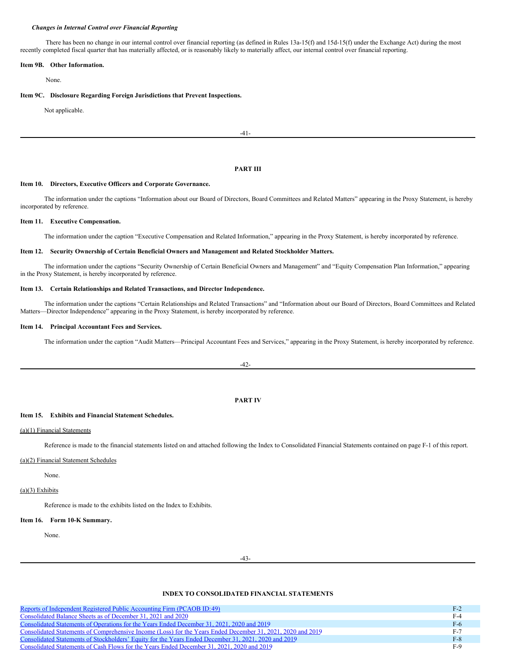### *Changes in Internal Control over Financial Reporting*

There has been no change in our internal control over financial reporting (as defined in Rules 13a-15(f) and 15d-15(f) under the Exchange Act) during the most recently completed fiscal quarter that has materially affected, or is reasonably likely to materially affect, our internal control over financial reporting.

#### **Item 9B. Other Information.**

None.

# **Item 9C. Disclosure Regarding Foreign Jurisdictions that Prevent Inspections.**

Not applicable.

 $-41-$ 

# **PART III**

## **Item 10. Directors, Executive Officers and Corporate Governance.**

The information under the captions "Information about our Board of Directors, Board Committees and Related Matters" appearing in the Proxy Statement, is hereby incorporated by reference.

#### **Item 11. Executive Compensation.**

The information under the caption "Executive Compensation and Related Information," appearing in the Proxy Statement, is hereby incorporated by reference.

### **Item 12. Security Ownership of Certain Beneficial Owners and Management and Related Stockholder Matters.**

The information under the captions "Security Ownership of Certain Beneficial Owners and Management" and "Equity Compensation Plan Information," appearing in the Proxy Statement, is hereby incorporated by reference.

# **Item 13. Certain Relationships and Related Transactions, and Director Independence.**

The information under the captions "Certain Relationships and Related Transactions" and "Information about our Board of Directors, Board Committees and Related Matters—Director Independence" appearing in the Proxy Statement, is hereby incorporated by reference.

# **Item 14. Principal Accountant Fees and Services.**

The information under the caption "Audit Matters—Principal Accountant Fees and Services," appearing in the Proxy Statement, is hereby incorporated by reference.

# **PART IV**

# **Item 15. Exhibits and Financial Statement Schedules.**

# (a)(1) Financial Statements

Reference is made to the financial statements listed on and attached following the Index to Consolidated Financial Statements contained on page F-1 of this report.

# (a)(2) Financial Statement Schedules

None.

# (a)(3) Exhibits

Reference is made to the exhibits listed on the Index to Exhibits.

# **Item 16. Form 10-K Summary.**

None.

-43-

# **INDEX TO CONSOLIDATED FINANCIAL STATEMENTS**

| Reports of Independent Registered Public Accounting Firm (PCAOB ID:49)                                      | $F-2$ |
|-------------------------------------------------------------------------------------------------------------|-------|
| Consolidated Balance Sheets as of December 31, 2021 and 2020                                                | $F-4$ |
| Consolidated Statements of Operations for the Years Ended December 31, 2021, 2020 and 2019                  | F-6   |
| Consolidated Statements of Comprehensive Income (Loss) for the Years Ended December 31, 2021, 2020 and 2019 | F-1   |
| Consolidated Statements of Stockholders' Equity for the Years Ended December 31, 2021, 2020 and 2019        | $F-8$ |
| Consolidated Statements of Cash Flows for the Years Ended December 31, 2021, 2020 and 2019                  | $F-9$ |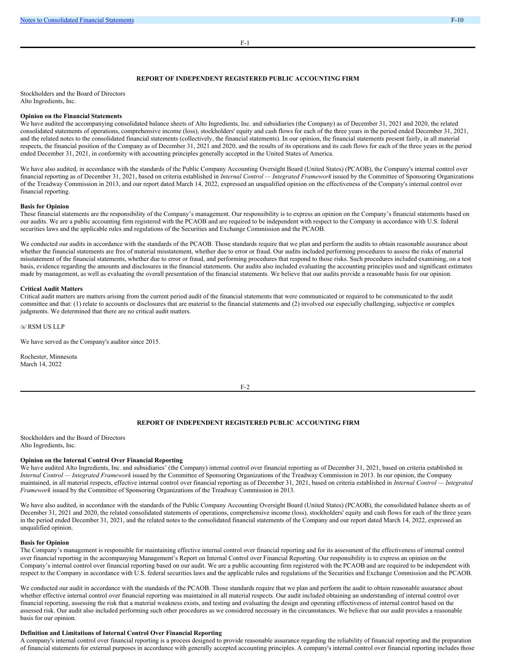F-1

# **REPORT OF INDEPENDENT REGISTERED PUBLIC ACCOUNTING FIRM**

Stockholders and the Board of Directors Alto Ingredients, Inc.

### **Opinion on the Financial Statements**

We have audited the accompanying consolidated balance sheets of Alto Ingredients, Inc. and subsidiaries (the Company) as of December 31, 2021 and 2020, the related consolidated statements of operations, comprehensive income (loss), stockholders' equity and cash flows for each of the three years in the period ended December 31, 2021, and the related notes to the consolidated financial statements (collectively, the financial statements). In our opinion, the financial statements present fairly, in all material respects, the financial position of the Company as of December 31, 2021 and 2020, and the results of its operations and its cash flows for each of the three years in the period ended December 31, 2021, in conformity with accounting principles generally accepted in the United States of America.

We have also audited, in accordance with the standards of the Public Company Accounting Oversight Board (United States) (PCAOB), the Company's internal control over financial reporting as of December 31, 2021, based on criteria established in *Internal Control — Integrated Framework* issued by the Committee of Sponsoring Organizations of the Treadway Commission in 2013, and our report dated March 14, 2022, expressed an unqualified opinion on the effectiveness of the Company's internal control over financial reporting.

# **Basis for Opinion**

These financial statements are the responsibility of the Company's management. Our responsibility is to express an opinion on the Company's financial statements based on our audits. We are a public accounting firm registered with the PCAOB and are required to be independent with respect to the Company in accordance with U.S. federal securities laws and the applicable rules and regulations of the Securities and Exchange Commission and the PCAOB.

We conducted our audits in accordance with the standards of the PCAOB. Those standards require that we plan and perform the audits to obtain reasonable assurance about whether the financial statements are free of material misstatement, whether due to error or fraud. Our audits included performing procedures to assess the risks of material misstatement of the financial statements, whether due to error or fraud, and performing procedures that respond to those risks. Such procedures included examining, on a test basis, evidence regarding the amounts and disclosures in the financial statements. Our audits also included evaluating the accounting principles used and significant estimates made by management, as well as evaluating the overall presentation of the financial statements. We believe that our audits provide a reasonable basis for our opinion.

## **Critical Audit Matters**

Critical audit matters are matters arising from the current period audit of the financial statements that were communicated or required to be communicated to the audit committee and that: (1) relate to accounts or disclosures that are material to the financial statements and (2) involved our especially challenging, subjective or complex judgments. We determined that there are no critical audit matters.

/s/ RSM US LLP

We have served as the Company's auditor since 2015.

Rochester, Minnesota March 14, 2022

F-2

## **REPORT OF INDEPENDENT REGISTERED PUBLIC ACCOUNTING FIRM**

Stockholders and the Board of Directors Alto Ingredients, Inc.

# **Opinion on the Internal Control Over Financial Reporting**

We have audited Alto Ingredients, Inc. and subsidiaries' (the Company) internal control over financial reporting as of December 31, 2021, based on criteria established in *Internal Control — Integrated Framework* issued by the Committee of Sponsoring Organizations of the Treadway Commission in 2013. In our opinion, the Company maintained, in all material respects, effective internal control over financial reporting as of December 31, 2021, based on criteria established in *Internal Control — Integrated Framework* issued by the Committee of Sponsoring Organizations of the Treadway Commission in 2013.

We have also audited, in accordance with the standards of the Public Company Accounting Oversight Board (United States) (PCAOB), the consolidated balance sheets as of December 31, 2021 and 2020, the related consolidated statements of operations, comprehensive income (loss), stockholders' equity and cash flows for each of the three years in the period ended December 31, 2021, and the related notes to the consolidated financial statements of the Company and our report dated March 14, 2022, expressed an unqualified opinion.

#### **Basis for Opinion**

The Company's management is responsible for maintaining effective internal control over financial reporting and for its assessment of the effectiveness of internal control over financial reporting in the accompanying Management's Report on Internal Control over Financial Reporting. Our responsibility is to express an opinion on the Company's internal control over financial reporting based on our audit. We are a public accounting firm registered with the PCAOB and are required to be independent with respect to the Company in accordance with U.S. federal securities laws and the applicable rules and regulations of the Securities and Exchange Commission and the PCAOB.

We conducted our audit in accordance with the standards of the PCAOB. Those standards require that we plan and perform the audit to obtain reasonable assurance about whether effective internal control over financial reporting was maintained in all material respects. Our audit included obtaining an understanding of internal control over financial reporting, assessing the risk that a material weakness exists, and testing and evaluating the design and operating effectiveness of internal control based on the assessed risk. Our audit also included performing such other procedures as we considered necessary in the circumstances. We believe that our audit provides a reasonable basis for our opinion.

# **Definition and Limitations of Internal Control Over Financial Reporting**

A company's internal control over financial reporting is a process designed to provide reasonable assurance regarding the reliability of financial reporting and the preparation of financial statements for external purposes in accordance with generally accepted accounting principles. A company's internal control over financial reporting includes those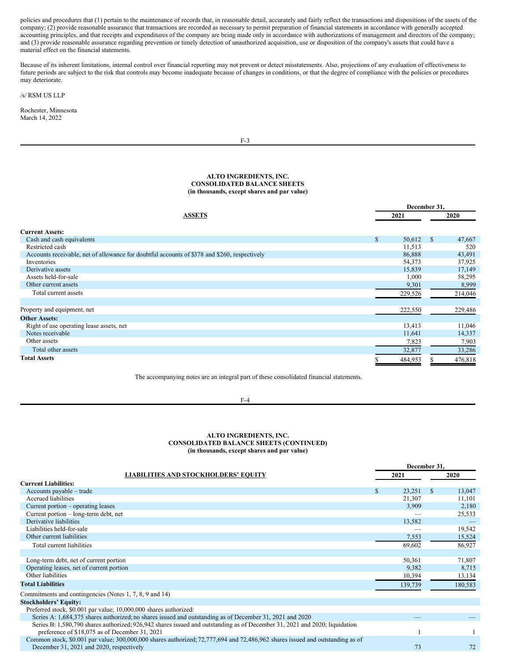policies and procedures that (1) pertain to the maintenance of records that, in reasonable detail, accurately and fairly reflect the transactions and dispositions of the assets of the company; (2) provide reasonable assurance that transactions are recorded as necessary to permit preparation of financial statements in accordance with generally accepted accounting principles, and that receipts and expenditures of the company are being made only in accordance with authorizations of management and directors of the company; and (3) provide reasonable assurance regarding prevention or timely detection of unauthorized acquisition, use or disposition of the company's assets that could have a material effect on the financial statements.

Because of its inherent limitations, internal control over financial reporting may not prevent or detect misstatements. Also, projections of any evaluation of effectiveness to future periods are subject to the risk that controls may become inadequate because of changes in conditions, or that the degree of compliance with the policies or procedures may deteriorate.

/s/ RSM US LLP

Rochester, Minnesota March 14, 2022

## **ALTO INGREDIENTS, INC. CONSOLIDATED BALANCE SHEETS (in thousands, except shares and par value)**

|                                                                                              |              | December 31, |   |         |  |  |  |  |
|----------------------------------------------------------------------------------------------|--------------|--------------|---|---------|--|--|--|--|
| <b>ASSETS</b>                                                                                |              | 2021         |   | 2020    |  |  |  |  |
| <b>Current Assets:</b>                                                                       |              |              |   |         |  |  |  |  |
| Cash and cash equivalents                                                                    | $\mathbb{S}$ | 50,612       | S | 47,667  |  |  |  |  |
| Restricted cash                                                                              |              | 11,513       |   | 520     |  |  |  |  |
| Accounts receivable, net of allowance for doubtful accounts of \$378 and \$260, respectively |              | 86,888       |   | 43,491  |  |  |  |  |
| Inventories                                                                                  |              | 54,373       |   | 37,925  |  |  |  |  |
| Derivative assets                                                                            |              | 15,839       |   | 17,149  |  |  |  |  |
| Assets held-for-sale                                                                         |              | 1,000        |   | 58,295  |  |  |  |  |
| Other current assets                                                                         |              | 9,301        |   | 8,999   |  |  |  |  |
| Total current assets                                                                         |              | 229,526      |   | 214,046 |  |  |  |  |
|                                                                                              |              |              |   |         |  |  |  |  |
| Property and equipment, net                                                                  |              | 222,550      |   | 229,486 |  |  |  |  |
| <b>Other Assets:</b>                                                                         |              |              |   |         |  |  |  |  |
| Right of use operating lease assets, net                                                     |              | 13,413       |   | 11,046  |  |  |  |  |
| Notes receivable                                                                             |              | 11,641       |   | 14,337  |  |  |  |  |
| Other assets                                                                                 |              | 7,823        |   | 7,903   |  |  |  |  |
| Total other assets                                                                           |              | 32,877       |   | 33,286  |  |  |  |  |
| <b>Total Assets</b>                                                                          | ъ            | 484,953      |   | 476,818 |  |  |  |  |

The accompanying notes are an integral part of these consolidated financial statements.

F-4

## **ALTO INGREDIENTS, INC. CONSOLIDATED BALANCE SHEETS (CONTINUED) (in thousands, except shares and par value)**

|                                                                                                                               |                        | December 31. |
|-------------------------------------------------------------------------------------------------------------------------------|------------------------|--------------|
| <b>LIABILITIES AND STOCKHOLDERS' EQUITY</b>                                                                                   | 2021                   | 2020         |
| <b>Current Liabilities:</b>                                                                                                   |                        |              |
| Accounts payable - trade                                                                                                      | $\mathbb{S}$<br>23,251 | 13,047<br>S  |
| Accrued liabilities                                                                                                           | 21,307                 | 11,101       |
| Current portion – operating leases                                                                                            | 3,909                  | 2,180        |
| Current portion – long-term debt, net                                                                                         |                        | 25,533       |
| Derivative liabilities                                                                                                        | 13,582                 |              |
| Liabilities held-for-sale                                                                                                     |                        | 19,542       |
| Other current liabilities                                                                                                     | 7,553                  | 15,524       |
| Total current liabilities                                                                                                     | 69,602                 | 86,927       |
|                                                                                                                               |                        |              |
| Long-term debt, net of current portion                                                                                        | 50,361                 | 71,807       |
| Operating leases, net of current portion                                                                                      | 9,382                  | 8,715        |
| Other liabilities                                                                                                             | 10,394                 | 13,134       |
| <b>Total Liabilities</b>                                                                                                      | 139,739                | 180,583      |
| Commitments and contingencies (Notes 1, 7, 8, 9 and 14)                                                                       |                        |              |
| <b>Stockholders' Equity:</b>                                                                                                  |                        |              |
| Preferred stock, \$0.001 par value; 10,000,000 shares authorized:                                                             |                        |              |
| Series A: 1,684,375 shares authorized; no shares issued and outstanding as of December 31, 2021 and 2020                      |                        |              |
| Series B: 1,580,790 shares authorized; 926,942 shares issued and outstanding as of December 31, 2021 and 2020; liquidation    |                        |              |
| preference of \$18,075 as of December 31, 2021                                                                                |                        |              |
| Common stock, \$0.001 par value; 300,000,000 shares authorized; 72,777,694 and 72,486,962 shares issued and outstanding as of |                        |              |
| December 31, 2021 and 2020, respectively                                                                                      | 73                     | 72           |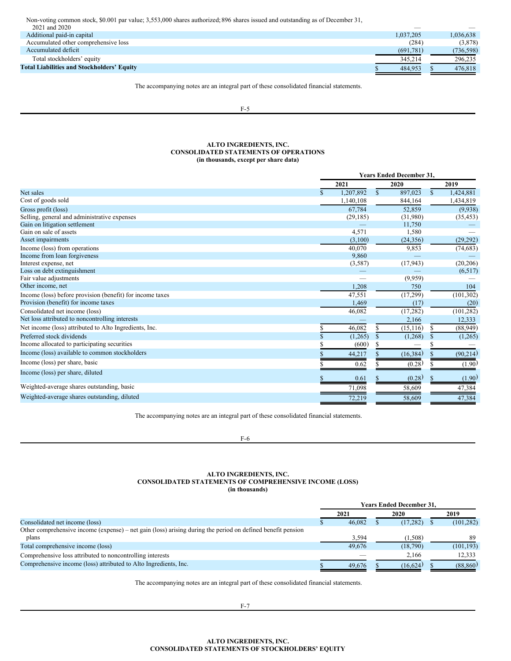Non-voting common stock, \$0.001 par value; 3,553,000 shares authorized; 896 shares issued and outstanding as of December 31,

| 2021 and 2020                                     | $\sim$    |           |
|---------------------------------------------------|-----------|-----------|
| Additional paid-in capital                        | 1,037,205 | .036,638  |
| Accumulated other comprehensive loss              | (284)     | (3,878)   |
| Accumulated deficit                               | (691,781) | (736,598) |
| Total stockholders' equity                        | 345.214   | 296.235   |
| <b>Total Liabilities and Stockholders' Equity</b> | 484.953   | 476.818   |
|                                                   |           |           |

The accompanying notes are an integral part of these consolidated financial statements.

### F-5

# **ALTO INGREDIENTS, INC. CONSOLIDATED STATEMENTS OF OPERATIONS (in thousands, except per share data)**

|                                                           |    | <b>Years Ended December 31.</b> |              |           |              |            |
|-----------------------------------------------------------|----|---------------------------------|--------------|-----------|--------------|------------|
|                                                           |    | 2021                            |              | 2020      |              | 2019       |
| Net sales                                                 | S. | 1,207,892                       | $\mathbb{S}$ | 897,023   | $\mathbb{S}$ | 1,424,881  |
| Cost of goods sold                                        |    | 1,140,108                       |              | 844,164   |              | 1,434,819  |
| Gross profit (loss)                                       |    | 67,784                          |              | 52,859    |              | (9,938)    |
| Selling, general and administrative expenses              |    | (29, 185)                       |              | (31,980)  |              | (35, 453)  |
| Gain on litigation settlement                             |    |                                 |              | 11,750    |              |            |
| Gain on sale of assets                                    |    | 4,571                           |              | 1,580     |              |            |
| Asset impairments                                         |    | (3,100)                         |              | (24, 356) |              | (29, 292)  |
| Income (loss) from operations                             |    | 40,070                          |              | 9,853     |              | (74, 683)  |
| Income from loan forgiveness                              |    | 9,860                           |              |           |              |            |
| Interest expense, net                                     |    | (3,587)                         |              | (17, 943) |              | (20, 206)  |
| Loss on debt extinguishment                               |    |                                 |              |           |              | (6,517)    |
| Fair value adjustments                                    |    |                                 |              | (9,959)   |              |            |
| Other income, net                                         |    | 1,208                           |              | 750       |              | 104        |
| Income (loss) before provision (benefit) for income taxes |    | 47,551                          |              | (17,299)  |              | (101, 302) |
| Provision (benefit) for income taxes                      |    | 1,469                           |              | (17)      |              | (20)       |
| Consolidated net income (loss)                            |    | 46,082                          |              | (17, 282) |              | (101, 282) |
| Net loss attributed to noncontrolling interests           |    |                                 |              | 2,166     |              | 12,333     |
| Net income (loss) attributed to Alto Ingredients, Inc.    |    | 46,082                          | S            | (15, 116) | S            | (88, 949)  |
| Preferred stock dividends                                 |    | (1,265)                         | \$           | (1,268)   | S            | (1,265)    |
| Income allocated to participating securities              |    | (600)                           |              |           |              |            |
| Income (loss) available to common stockholders            |    | 44,217                          |              | (16, 384) |              | (90,214)   |
| Income (loss) per share, basic                            |    | 0.62                            |              | (0.28)    |              | (1.90)     |
| Income (loss) per share, diluted                          |    | 0.61                            | \$.          | (0.28)    | S.           | (1.90)     |
| Weighted-average shares outstanding, basic                |    | 71,098                          |              | 58,609    |              | 47,384     |
| Weighted-average shares outstanding, diluted              |    | 72,219                          |              | 58,609    |              | 47,384     |

The accompanying notes are an integral part of these consolidated financial statements.

### F-6

### **ALTO INGREDIENTS, INC. CONSOLIDATED STATEMENTS OF COMPREHENSIVE INCOME (LOSS) (in thousands)**

|  | (ill thousanus) |  |
|--|-----------------|--|
|  |                 |  |

|                                                                                                             |  | <b>Years Ended December 31.</b> |      |           |  |            |  |
|-------------------------------------------------------------------------------------------------------------|--|---------------------------------|------|-----------|--|------------|--|
|                                                                                                             |  | 2021                            | 2020 |           |  | 2019       |  |
| Consolidated net income (loss)                                                                              |  | 46.082                          |      | (17, 282) |  | (101, 282) |  |
| Other comprehensive income (expense) – net gain (loss) arising during the period on defined benefit pension |  |                                 |      |           |  |            |  |
| plans                                                                                                       |  | 3.594                           |      | (1,508)   |  | 89         |  |
| Total comprehensive income (loss)                                                                           |  | 49,676                          |      | (18,790)  |  | (101, 193) |  |
| Comprehensive loss attributed to noncontrolling interests                                                   |  |                                 |      | 2.166     |  | 12.333     |  |
| Comprehensive income (loss) attributed to Alto Ingredients, Inc.                                            |  | 49,676                          |      | (16.624)  |  | (88, 860)  |  |

The accompanying notes are an integral part of these consolidated financial statements.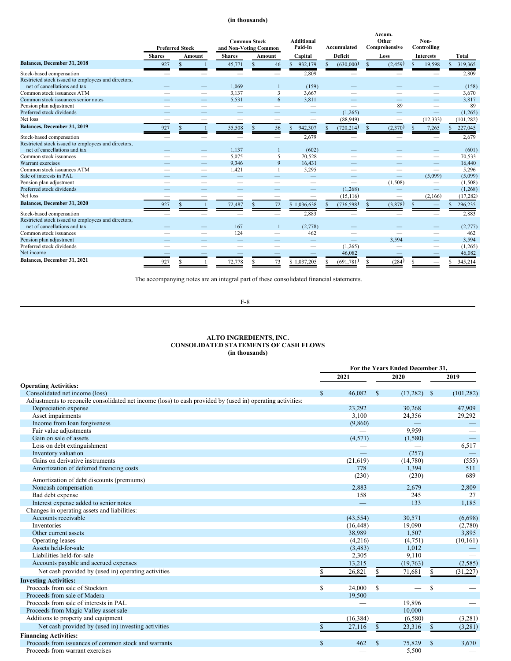# **(in thousands)**

|                                                                                     |               | <b>Preferred Stock</b> | and Non-Voting Common | <b>Common Stock</b> |                          | <b>Additional</b><br>Paid-In | Accumulated              |     | Accum.<br>Other<br>Comprehensive | Non-<br>Controlling             |              |
|-------------------------------------------------------------------------------------|---------------|------------------------|-----------------------|---------------------|--------------------------|------------------------------|--------------------------|-----|----------------------------------|---------------------------------|--------------|
|                                                                                     | <b>Shares</b> | Amount                 | <b>Shares</b>         |                     | Amount                   | Capital                      | <b>Deficit</b>           |     | Loss                             | <b>Interests</b>                | <b>Total</b> |
| Balances, December 31, 2018                                                         | 927           |                        | 45,771                |                     | 46                       | 932,179                      | (630,000)                | \$. | (2, 459)                         | 19,598                          | 319,365      |
| Stock-based compensation                                                            |               |                        |                       |                     |                          | 2,809                        |                          |     |                                  |                                 | 2,809        |
| Restricted stock issued to employees and directors,<br>net of cancellations and tax |               |                        | 1,069                 |                     |                          | (159)                        |                          |     |                                  |                                 | (158)        |
| Common stock issuances ATM                                                          |               |                        | 3,137                 |                     | 3                        | 3,667                        |                          |     |                                  |                                 | 3,670        |
| Common stock issuances senior notes                                                 |               |                        | 5,531                 |                     | 6                        | 3,811                        |                          |     |                                  |                                 | 3,817        |
| Pension plan adjustment                                                             |               |                        |                       |                     |                          |                              | $\overline{\phantom{0}}$ |     | 89                               |                                 | 89           |
| Preferred stock dividends                                                           |               |                        |                       |                     |                          |                              | (1,265)                  |     |                                  |                                 | (1,265)      |
| Net loss                                                                            |               |                        |                       |                     |                          | —                            | (88,949)                 |     | -                                | (12, 333)                       | (101, 282)   |
| Balances, December 31, 2019                                                         | 927           | $\mathcal{S}$          | 55,508                | $\mathbb{S}$        | 56                       | 942,307                      | (720, 214)               | \$. | (2,370)                          | 7,265                           | 227,045      |
| Stock-based compensation                                                            |               |                        |                       |                     |                          | 2,679                        | $\overline{\phantom{0}}$ |     | -                                |                                 | 2,679        |
| Restricted stock issued to employees and directors,                                 |               |                        |                       |                     |                          |                              |                          |     |                                  |                                 |              |
| net of cancellations and tax                                                        |               |                        | 1,137                 |                     |                          | (602)                        |                          |     |                                  |                                 | (601)        |
| Common stock issuances                                                              |               |                        | 5,075                 |                     | 5                        | 70,528                       |                          |     |                                  |                                 | 70,533       |
| Warrant exercises                                                                   |               |                        | 9.346                 |                     | 9                        | 16,431                       |                          |     |                                  |                                 | 16,440       |
| Common stock issuances ATM                                                          |               |                        | 1,421<br>--           |                     |                          | 5,295                        |                          |     |                                  |                                 | 5,296        |
| Sale of interests in PAL                                                            |               |                        |                       |                     |                          |                              | $\overline{\phantom{a}}$ |     | $\overline{\phantom{m}}$         | (5,099)                         | (5,099)      |
| Pension plan adjustment                                                             |               |                        |                       |                     |                          |                              | $\overline{\phantom{0}}$ |     | (1,508)                          |                                 | (1, 508)     |
| Preferred stock dividends                                                           |               |                        |                       |                     |                          |                              | (1,268)                  |     |                                  | $\qquad \qquad -$               | (1, 268)     |
| Net loss                                                                            |               |                        |                       |                     |                          |                              | (15, 116)                |     |                                  | (2,166)                         | (17, 282)    |
| Balances, December 31, 2020                                                         |               |                        | 72,487                |                     | 72                       | \$1,036,638                  | (736, 598)               |     | (3,878)                          |                                 | 296,235      |
| Stock-based compensation                                                            |               |                        |                       |                     | $\overline{\phantom{a}}$ | 2,883                        |                          |     | $\overline{\phantom{a}}$         |                                 | 2,883        |
| Restricted stock issued to employees and directors,<br>net of cancellations and tax |               |                        | 167                   |                     |                          | (2,778)                      |                          |     |                                  |                                 | (2,777)      |
| Common stock issuances                                                              |               |                        | 124                   |                     |                          | 462                          |                          |     |                                  |                                 | 462          |
| Pension plan adjustment                                                             |               |                        |                       |                     |                          |                              |                          |     | 3,594                            | $\hspace{0.1mm}-\hspace{0.1mm}$ | 3,594        |
| Preferred stock dividends                                                           |               |                        |                       |                     |                          | -                            | (1,265)                  |     |                                  |                                 | (1,265)      |
| Net income                                                                          |               |                        |                       |                     |                          |                              | 46,082                   |     |                                  |                                 | 46,082       |
| Balances, December 31, 2021                                                         | 927           |                        | 72,778                |                     | 73                       | \$1,037,205                  | (691, 781)               |     | (284)                            |                                 | 345,214      |

The accompanying notes are an integral part of these consolidated financial statements.

# F-8

## **ALTO INGREDIENTS, INC. CONSOLIDATED STATEMENTS OF CASH FLOWS (in thousands)**

|                                                                                                             | For the Years Ended December 31, |           |              |           |              |                 |
|-------------------------------------------------------------------------------------------------------------|----------------------------------|-----------|--------------|-----------|--------------|-----------------|
|                                                                                                             |                                  | 2021      |              | 2020      |              | 2019            |
| <b>Operating Activities:</b>                                                                                |                                  |           |              |           |              |                 |
| Consolidated net income (loss)                                                                              | $\mathbb{S}$                     | 46.082    | $\mathbb{S}$ | (17, 282) | $\mathbb{S}$ | (101, 282)      |
| Adjustments to reconcile consolidated net income (loss) to cash provided by (used in) operating activities: |                                  |           |              |           |              |                 |
| Depreciation expense                                                                                        |                                  | 23,292    |              | 30.268    |              | 47,909          |
| Asset impairments                                                                                           |                                  | 3.100     |              | 24,356    |              | 29,292          |
| Income from loan forgiveness                                                                                |                                  | (9,860)   |              |           |              |                 |
| Fair value adjustments                                                                                      |                                  |           |              | 9.959     |              |                 |
| Gain on sale of assets                                                                                      |                                  | (4,571)   |              | (1,580)   |              | $\qquad \qquad$ |
| Loss on debt extinguishment                                                                                 |                                  |           |              |           |              | 6,517           |
| Inventory valuation                                                                                         |                                  |           |              | (257)     |              |                 |
| Gains on derivative instruments                                                                             |                                  | (21,619)  |              | (14,780)  |              | (555)           |
| Amortization of deferred financing costs                                                                    |                                  | 778       |              | 1.394     |              | 511             |
| Amortization of debt discounts (premiums)                                                                   |                                  | (230)     |              | (230)     |              | 689             |
| Noncash compensation                                                                                        |                                  | 2,883     |              | 2,679     |              | 2,809           |
| Bad debt expense                                                                                            |                                  | 158       |              | 245       |              | 27              |
| Interest expense added to senior notes                                                                      |                                  |           |              | 133       |              | 1,185           |
| Changes in operating assets and liabilities:                                                                |                                  |           |              |           |              |                 |
| Accounts receivable                                                                                         |                                  | (43, 554) |              | 30,571    |              | (6,698)         |
| Inventories                                                                                                 |                                  | (16, 448) |              | 19,090    |              | (2,780)         |
| Other current assets                                                                                        |                                  | 38,989    |              | 1,507     |              | 3,895           |
| Operating leases                                                                                            |                                  | (4,216)   |              | (4,751)   |              | (10,161)        |
| Assets held-for-sale                                                                                        |                                  | (3, 483)  |              | 1,012     |              |                 |
| Liabilities held-for-sale                                                                                   |                                  | 2,305     |              | 9,110     |              |                 |
| Accounts payable and accrued expenses                                                                       |                                  | 13,215    |              | (19,763)  |              | (2, 585)        |
| Net cash provided by (used in) operating activities                                                         |                                  | 26,821    | \$.          | 71,681    | S            | (31,227)        |
| <b>Investing Activities:</b>                                                                                |                                  |           |              |           |              |                 |
| Proceeds from sale of Stockton                                                                              | \$                               | 24,000    | \$           |           | S            |                 |
| Proceeds from sale of Madera                                                                                |                                  | 19,500    |              |           |              |                 |
| Proceeds from sale of interests in PAL                                                                      |                                  |           |              | 19.896    |              |                 |
| Proceeds from Magic Valley asset sale                                                                       |                                  |           |              | 10,000    |              |                 |
| Additions to property and equipment                                                                         |                                  | (16, 384) |              | (6,580)   |              | (3,281)         |
| Net cash provided by (used in) investing activities                                                         | $\mathcal{S}$                    | 27,116    | $\mathbb{S}$ | 23,316    | $\mathbb{S}$ | (3,281)         |
| <b>Financing Activities:</b>                                                                                |                                  |           |              |           |              |                 |
| Proceeds from issuances of common stock and warrants                                                        | $\mathbf S$                      | 462       | S            | 75,829    | S            | 3,670           |
| Proceeds from warrant exercises                                                                             |                                  |           |              | 5,500     |              |                 |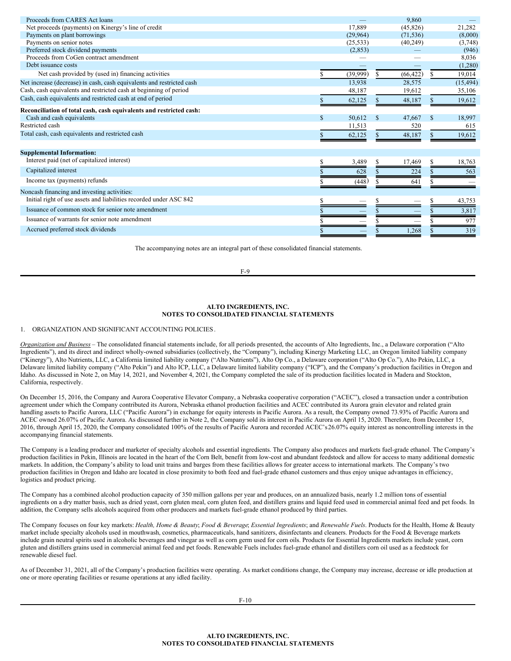| Proceeds from CARES Act loans                                         |              |           |    | 9.860     |    |           |
|-----------------------------------------------------------------------|--------------|-----------|----|-----------|----|-----------|
| Net proceeds (payments) on Kinergy's line of credit                   |              | 17,889    |    | (45, 826) |    | 21,282    |
| Payments on plant borrowings                                          |              | (29,964)  |    | (71, 536) |    | (8,000)   |
| Payments on senior notes                                              |              | (25, 533) |    | (40,249)  |    | (3,748)   |
| Preferred stock dividend payments                                     |              | (2,853)   |    |           |    | (946)     |
| Proceeds from CoGen contract amendment                                |              |           |    |           |    | 8,036     |
| Debt issuance costs                                                   |              |           |    |           |    | (1,280)   |
| Net cash provided by (used in) financing activities                   |              | (39, 999) | S  | (66, 422) | S. | 19,014    |
| Net increase (decrease) in cash, cash equivalents and restricted cash |              | 13,938    |    | 28,575    |    | (15, 494) |
| Cash, cash equivalents and restricted cash at beginning of period     |              | 48,187    |    | 19,612    |    | 35,106    |
| Cash, cash equivalents and restricted cash at end of period           |              | 62,125    | S  | 48,187    |    | 19,612    |
| Reconciliation of total cash, cash equivalents and restricted cash:   |              |           |    |           |    |           |
| Cash and cash equivalents                                             | $\mathbb{S}$ | 50,612    | \$ | 47,667    | \$ | 18,997    |
| Restricted cash                                                       |              | 11,513    |    | 520       |    | 615       |
| Total cash, cash equivalents and restricted cash                      |              | 62,125    | \$ | 48,187    | S. | 19,612    |
|                                                                       |              |           |    |           |    |           |
| <b>Supplemental Information:</b>                                      |              |           |    |           |    |           |
| Interest paid (net of capitalized interest)                           |              | 3,489     |    | 17,469    |    | 18,763    |
| Capitalized interest                                                  |              | 628       |    | 224       |    | 563       |
| Income tax (payments) refunds                                         |              | (448)     |    | 641       |    |           |
| Noncash financing and investing activities:                           |              |           |    |           |    |           |
| Initial right of use assets and liabilities recorded under ASC 842    |              |           |    |           |    | 43,753    |
| Issuance of common stock for senior note amendment                    |              |           |    |           |    | 3,817     |
| Issuance of warrants for senior note amendment                        |              |           |    |           |    | 977       |
| Accrued preferred stock dividends                                     |              |           |    | 1,268     |    | 319       |
|                                                                       |              |           |    |           |    |           |

The accompanying notes are an integral part of these consolidated financial statements.

F-9

# **ALTO INGREDIENTS, INC. NOTES TO CONSOLIDATED FINANCIAL STATEMENTS**

1. ORGANIZATION AND SIGNIFICANT ACCOUNTING POLICIES.

*Organization and Business* – The consolidated financial statements include, for all periods presented, the accounts of Alto Ingredients, Inc., a Delaware corporation ("Alto Ingredients"), and its direct and indirect wholly-owned subsidiaries (collectively, the "Company"), including Kinergy Marketing LLC, an Oregon limited liability company ("Kinergy"), Alto Nutrients, LLC, a California limited liability company ("Alto Nutrients"), Alto Op Co., a Delaware corporation ("Alto Op Co."), Alto Pekin, LLC, a Delaware limited liability company ("Alto Pekin") and Alto ICP, LLC, a Delaware limited liability company ("ICP"), and the Company's production facilities in Oregon and Idaho. As discussed in Note 2, on May 14, 2021, and November 4, 2021, the Company completed the sale of its production facilities located in Madera and Stockton, California, respectively.

On December 15, 2016, the Company and Aurora Cooperative Elevator Company, a Nebraska cooperative corporation ("ACEC"), closed a transaction under a contribution agreement under which the Company contributed its Aurora, Nebraska ethanol production facilities and ACEC contributed its Aurora grain elevator and related grain handling assets to Pacific Aurora, LLC ("Pacific Aurora") in exchange for equity interests in Pacific Aurora. As a result, the Company owned 73.93% of Pacific Aurora and ACEC owned 26.07% of Pacific Aurora. As discussed further in Note 2, the Company sold its interest in Pacific Aurora on April 15, 2020. Therefore, from December 15, 2016, through April 15, 2020, the Company consolidated 100% of the results of Pacific Aurora and recorded ACEC's26.07% equity interest as noncontrolling interests in the accompanying financial statements.

The Company is a leading producer and marketer of specialty alcohols and essential ingredients. The Company also produces and markets fuel-grade ethanol. The Company's production facilities in Pekin, Illinois are located in the heart of the Corn Belt, benefit from low-cost and abundant feedstock and allow for access to many additional domestic markets. In addition, the Company's ability to load unit trains and barges from these facilities allows for greater access to international markets. The Company's two production facilities in Oregon and Idaho are located in close proximity to both feed and fuel-grade ethanol customers and thus enjoy unique advantages in efficiency, logistics and product pricing.

The Company has a combined alcohol production capacity of 350 million gallons per year and produces, on an annualized basis, nearly 1.2 million tons of essential ingredients on a dry matter basis, such as dried yeast, corn gluten meal, corn gluten feed, and distillers grains and liquid feed used in commercial animal feed and pet foods. In addition, the Company sells alcohols acquired from other producers and markets fuel-grade ethanol produced by third parties.

The Company focuses on four key markets: Health, Home & Beauty; Food & Beverage, Essential Ingredients; and Renewable Fuels. Products for the Health, Home & Beauty market include specialty alcohols used in mouthwash, cosmetics, pharmaceuticals, hand sanitizers, disinfectants and cleaners. Products for the Food & Beverage markets include grain neutral spirits used in alcoholic beverages and vinegar as well as corn germ used for corn oils. Products for Essential Ingredients markets include yeast, corn gluten and distillers grains used in commercial animal feed and pet foods. Renewable Fuels includes fuel-grade ethanol and distillers corn oil used as a feedstock for renewable diesel fuel.

As of December 31, 2021, all of the Company's production facilities were operating. As market conditions change, the Company may increase, decrease or idle production at one or more operating facilities or resume operations at any idled facility.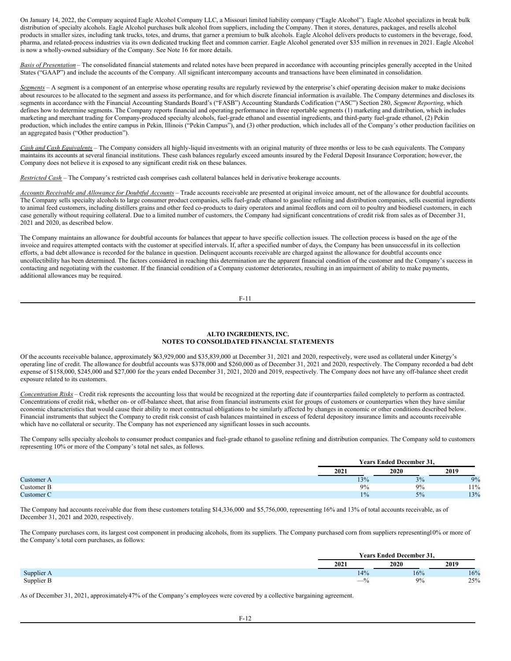On January 14, 2022, the Company acquired Eagle Alcohol Company LLC, a Missouri limited liability company ("Eagle Alcohol"). Eagle Alcohol specializes in break bulk distribution of specialty alcohols. Eagle Alcohol purchases bulk alcohol from suppliers, including the Company. Then it stores, denatures, packages, and resells alcohol products in smaller sizes, including tank trucks, totes, and drums, that garner a premium to bulk alcohols. Eagle Alcohol delivers products to customers in the beverage, food, pharma, and related-process industries via its own dedicated trucking fleet and common carrier. Eagle Alcohol generated over \$35 million in revenues in 2021. Eagle Alcohol is now a wholly-owned subsidiary of the Company. See Note 16 for more details.

*Basis of Presentation* – The consolidated financial statements and related notes have been prepared in accordance with accounting principles generally accepted in the United States ("GAAP") and include the accounts of the Company. All significant intercompany accounts and transactions have been eliminated in consolidation.

*Segments* – A segment is a component of an enterprise whose operating results are regularly reviewed by the enterprise's chief operating decision maker to make decisions about resources to be allocated to the segment and assess its performance, and for which discrete financial information is available. The Company determines and discloses its segments in accordance with the Financial Accounting Standards Board's ("FASB") Accounting Standards Codification ("ASC") Section 280, *Segment Reporting*, which defines how to determine segments. The Company reports financial and operating performance in three reportable segments (1) marketing and distribution, which includes marketing and merchant trading for Company-produced specialty alcohols, fuel-grade ethanol and essential ingredients, and third-party fuel-grade ethanol, (2) Pekin production, which includes the entire campus in Pekin, Illinois ("Pekin Campus"), and (3) other production, which includes all of the Company's other production facilities on an aggregated basis ("Other production").

*Cash and Cash Equivalents* – The Company considers all highly-liquid investments with an original maturity of three months or less to be cash equivalents. The Company maintains its accounts at several financial institutions. These cash balances regularly exceed amounts insured by the Federal Deposit Insurance Corporation; however, the Company does not believe it is exposed to any significant credit risk on these balances.

*Restricted Cash* – The Company's restricted cash comprises cash collateral balances held in derivative brokerage accounts.

*Accounts Receivable and Allowance for Doubtful Accounts* – Trade accounts receivable are presented at original invoice amount, net of the allowance for doubtful accounts. The Company sells specialty alcohols to large consumer product companies, sells fuel-grade ethanol to gasoline refining and distribution companies, sells essential ingredients to animal feed customers, including distillers grains and other feed co-products to dairy operators and animal feedlots and corn oil to poultry and biodiesel customers, in each case generally without requiring collateral. Due to a limited number of customers, the Company had significant concentrations of credit risk from sales as of December 31, 2021 and 2020, as described below.

The Company maintains an allowance for doubtful accounts for balances that appear to have specific collection issues. The collection process is based on the age of the invoice and requires attempted contacts with the customer at specified intervals. If, after a specified number of days, the Company has been unsuccessful in its collection efforts, a bad debt allowance is recorded for the balance in question. Delinquent accounts receivable are charged against the allowance for doubtful accounts once uncollectibility has been determined. The factors considered in reaching this determination are the apparent financial condition of the customer and the Company's success in contacting and negotiating with the customer. If the financial condition of a Company customer deteriorates, resulting in an impairment of ability to make payments, additional allowances may be required.

F-11

# **ALTO INGREDIENTS, INC. NOTES TO CONSOLIDATED FINANCIAL STATEMENTS**

Of the accounts receivable balance, approximately \$63,929,000 and \$35,839,000 at December 31, 2021 and 2020, respectively, were used as collateral under Kinergy's operating line of credit. The allowance for doubtful accounts was \$378,000 and \$260,000 as of December 31, 2021 and 2020, respectively. The Company recorded a bad debt expense of \$158,000, \$245,000 and \$27,000 for the years ended December 31, 2021, 2020 and 2019, respectively. The Company does not have any off-balance sheet credit exposure related to its customers.

*Concentration Risks* – Credit risk represents the accounting loss that would be recognized at the reporting date if counterparties failed completely to perform as contracted. Concentrations of credit risk, whether on- or off-balance sheet, that arise from financial instruments exist for groups of customers or counterparties when they have similar economic characteristics that would cause their ability to meet contractual obligations to be similarly affected by changes in economic or other conditions described below. Financial instruments that subject the Company to credit risk consist of cash balances maintained in excess of federal depository insurance limits and accounts receivable which have no collateral or security. The Company has not experienced any significant losses in such accounts.

The Company sells specialty alcohols to consumer product companies and fuel-grade ethanol to gasoline refining and distribution companies. The Company sold to customers representing 10% or more of the Company's total net sales, as follows.

|            |       | <b>Years Ended December 31.</b> |      |  |  |  |  |
|------------|-------|---------------------------------|------|--|--|--|--|
|            | 2021  | 2020                            | 2019 |  |  |  |  |
| Customer A | 13%   | 3%                              | 9%   |  |  |  |  |
| Customer B | 9%    | 9%                              | 11%  |  |  |  |  |
| Customer C | $1\%$ | 5%                              | 13%  |  |  |  |  |

The Company had accounts receivable due from these customers totaling \$14,336,000 and \$5,756,000, representing 16% and 13% of total accounts receivable, as of December 31, 2021 and 2020, respectively.

The Company purchases corn, its largest cost component in producing alcohols, from its suppliers. The Company purchased corn from suppliers representing10% or more of the Company's total corn purchases, as follows:

|            | <b>Years Ended December 31.</b> |      |      |  |  |  |
|------------|---------------------------------|------|------|--|--|--|
|            | 2021                            | 2020 | 2019 |  |  |  |
| Supplier A | 14%                             | 16%  | 16%  |  |  |  |
| Supplier B | $\sim$                          | 9%   | 25%  |  |  |  |

As of December 31, 2021, approximately47% of the Company's employees were covered by a collective bargaining agreement.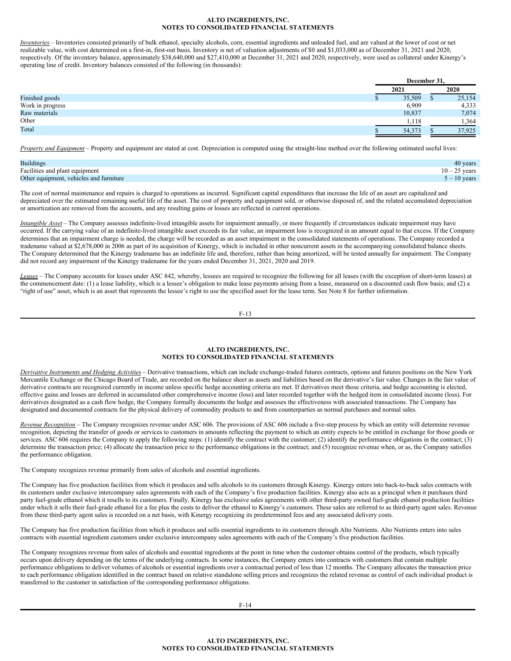# **ALTO INGREDIENTS, INC. NOTES TO CONSOLIDATED FINANCIAL STATEMENTS**

*Inventories* – Inventories consisted primarily of bulk ethanol, specialty alcohols, corn, essential ingredients and unleaded fuel, and are valued at the lower of cost or net realizable value, with cost determined on a first-in, first-out basis. Inventory is net of valuation adjustments of \$0 and \$1,033,000 as of December 31, 2021 and 2020, respectively. Of the inventory balance, approximately \$38,640,000 and \$27,410,000 at December 31, 2021 and 2020, respectively, were used as collateral under Kinergy's operating line of credit. Inventory balances consisted of the following (in thousands):

|                  | December 31, |  |        |
|------------------|--------------|--|--------|
|                  | 2021         |  | 2020   |
| Finished goods   | 35,509       |  | 25,154 |
| Work in progress | 6,909        |  | 4,333  |
| Raw materials    | 10,837       |  | 7,074  |
| Other            | 1,118        |  | 1,364  |
| Total            | 54,373       |  | 37,925 |

*Property and Equipment* – Property and equipment are stated at cost. Depreciation is computed using the straight-line method over the following estimated useful lives:

| <b>Buildings</b>                        | 40 years |
|-----------------------------------------|----------|
| Facilities and plant equipment          | 25 years |
| Other equipment, vehicles and furniture | 10 years |

The cost of normal maintenance and repairs is charged to operations as incurred. Significant capital expenditures that increase the life of an asset are capitalized and depreciated over the estimated remaining useful life of the asset. The cost of property and equipment sold, or otherwise disposed of, and the related accumulated depreciation or amortization are removed from the accounts, and any resulting gains or losses are reflected in current operations.

*Intangible Asset* – The Company assesses indefinite-lived intangible assets for impairment annually, or more frequently if circumstances indicate impairment may have occurred. If the carrying value of an indefinite-lived intangible asset exceeds its fair value, an impairment loss is recognized in an amount equal to that excess. If the Company determines that an impairment charge is needed, the charge will be recorded as an asset impairment in the consolidated statements of operations. The Company recorded a tradename valued at \$2,678,000 in 2006 as part of its acquisition of Kinergy, which is included in other noncurrent assets in the accompanying consolidated balance sheets. The Company determined that the Kinergy tradename has an indefinite life and, therefore, rather than being amortized, will be tested annually for impairment. The Company did not record any impairment of the Kinergy tradename for the years ended December 31, 2021, 2020 and 2019.

*Leases* – The Company accounts for leases under ASC 842, whereby, lessees are required to recognize the following for all leases (with the exception of short-term leases) at the commencement date: (1) a lease liability, which is a lessee's obligation to make lease payments arising from a lease, measured on a discounted cash flow basis; and (2) a "right of use" asset, which is an asset that represents the lessee's right to use the specified asset for the lease term. See Note 8 for further information.

# F-13

# **ALTO INGREDIENTS, INC. NOTES TO CONSOLIDATED FINANCIAL STATEMENTS**

*Derivative Instruments and Hedging Activities* – Derivative transactions, which can include exchange-traded futures contracts, options and futures positions on the New York Mercantile Exchange or the Chicago Board of Trade, are recorded on the balance sheet as assets and liabilities based on the derivative's fair value. Changes in the fair value of derivative contracts are recognized currently in income unless specific hedge accounting criteria are met. If derivatives meet those criteria, and hedge accounting is elected, effective gains and losses are deferred in accumulated other comprehensive income (loss) and later recorded together with the hedged item in consolidated income (loss). For derivatives designated as a cash flow hedge, the Company formally documents the hedge and assesses the effectiveness with associated transactions. The Company has designated and documented contracts for the physical delivery of commodity products to and from counterparties as normal purchases and normal sales.

*Revenue Recognition* – The Company recognizes revenue under ASC 606. The provisions of ASC 606 include a five-step process by which an entity will determine revenue recognition, depicting the transfer of goods or services to customers in amounts reflecting the payment to which an entity expects to be entitled in exchange for those goods or services. ASC 606 requires the Company to apply the following steps: (1) identify the contract with the customer; (2) identify the performance obligations in the contract; (3) determine the transaction price; (4) allocate the transaction price to the performance obligations in the contract; and (5) recognize revenue when, or as, the Company satisfies the performance obligation.

The Company recognizes revenue primarily from sales of alcohols and essential ingredients.

The Company has five production facilities from which it produces and sells alcohols to its customers through Kinergy. Kinergy enters into back-to-back sales contracts with its customers under exclusive intercompany sales agreements with each of the Company's five production facilities. Kinergy also acts as a principal when it purchases third party fuel-grade ethanol which it resells to its customers. Finally, Kinergy has exclusive sales agreements with other third-party owned fuel-grade ethanol production facilities under which it sells their fuel-grade ethanol for a fee plus the costs to deliver the ethanol to Kinergy's customers. These sales are referred to as third-party agent sales. Revenue from these third-party agent sales is recorded on a net basis, with Kinergy recognizing its predetermined fees and any associated delivery costs.

The Company has five production facilities from which it produces and sells essential ingredients to its customers through Alto Nutrients. Alto Nutrients enters into sales contracts with essential ingredient customers under exclusive intercompany sales agreements with each of the Company's five production facilities.

The Company recognizes revenue from sales of alcohols and essential ingredients at the point in time when the customer obtains control of the products, which typically occurs upon delivery depending on the terms of the underlying contracts. In some instances, the Company enters into contracts with customers that contain multiple performance obligations to deliver volumes of alcohols or essential ingredients over a contractual period of less than 12 months. The Company allocates the transaction price to each performance obligation identified in the contract based on relative standalone selling prices and recognizes the related revenue as control of each individual product is transferred to the customer in satisfaction of the corresponding performance obligations.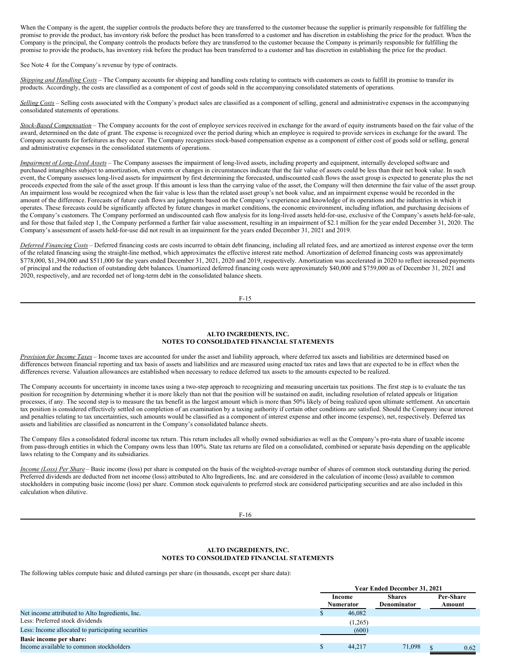When the Company is the agent, the supplier controls the products before they are transferred to the customer because the supplier is primarily responsible for fulfilling the promise to provide the product, has inventory risk before the product has been transferred to a customer and has discretion in establishing the price for the product. When the Company is the principal, the Company controls the products before they are transferred to the customer because the Company is primarily responsible for fulfilling the promise to provide the products, has inventory risk before the product has been transferred to a customer and has discretion in establishing the price for the product.

See Note 4 for the Company's revenue by type of contracts.

*Shipping and Handling Costs* – The Company accounts for shipping and handling costs relating to contracts with customers as costs to fulfill its promise to transfer its products. Accordingly, the costs are classified as a component of cost of goods sold in the accompanying consolidated statements of operations.

*Selling Costs* – Selling costs associated with the Company's product sales are classified as a component of selling, general and administrative expenses in the accompanying consolidated statements of operations.

*Stock-Based Compensation* – The Company accounts for the cost of employee services received in exchange for the award of equity instruments based on the fair value of the award, determined on the date of grant. The expense is recognized over the period during which an employee is required to provide services in exchange for the award. The Company accounts for forfeitures as they occur. The Company recognizes stock-based compensation expense as a component of either cost of goods sold or selling, general and administrative expenses in the consolidated statements of operations.

*Impairment of Long-Lived Assets* – The Company assesses the impairment of long-lived assets, including property and equipment, internally developed software and purchased intangibles subject to amortization, when events or changes in circumstances indicate that the fair value of assets could be less than their net book value. In such event, the Company assesses long-lived assets for impairment by first determining the forecasted, undiscounted cash flows the asset group is expected to generate plus the net proceeds expected from the sale of the asset group. If this amount is less than the carrying value of the asset, the Company will then determine the fair value of the asset group. An impairment loss would be recognized when the fair value is less than the related asset group's net book value, and an impairment expense would be recorded in the amount of the difference. Forecasts of future cash flows are judgments based on the Company's experience and knowledge of its operations and the industries in which it operates. These forecasts could be significantly affected by future changes in market conditions, the economic environment, including inflation, and purchasing decisions of the Company's customers. The Company performed an undiscounted cash flow analysis for its long-lived assets held-for-use, exclusive of the Company's assets held-for-sale, and for those that failed step 1, the Company performed a further fair value assessment, resulting in an impairment of \$2.1 million for the year ended December 31, 2020. The Company's assessment of assets held-for-use did not result in an impairment for the years ended December 31, 2021 and 2019.

*Deferred Financing Costs* – Deferred financing costs are costs incurred to obtain debt financing, including all related fees, and are amortized as interest expense over the term of the related financing using the straight-line method, which approximates the effective interest rate method. Amortization of deferred financing costs was approximately \$778,000, \$1,394,000 and \$511,000 for the years ended December 31, 2021, 2020 and 2019, respectively. Amortization was accelerated in 2020 to reflect increased payments of principal and the reduction of outstanding debt balances. Unamortized deferred financing costs were approximately \$40,000 and \$759,000 as of December 31, 2021 and 2020, respectively, and are recorded net of long-term debt in the consolidated balance sheets.

F-15

# **ALTO INGREDIENTS, INC. NOTES TO CONSOLIDATED FINANCIAL STATEMENTS**

*Provision for Income Taxes* – Income taxes are accounted for under the asset and liability approach, where deferred tax assets and liabilities are determined based on differences between financial reporting and tax basis of assets and liabilities and are measured using enacted tax rates and laws that are expected to be in effect when the differences reverse. Valuation allowances are established when necessary to reduce deferred tax assets to the amounts expected to be realized.

The Company accounts for uncertainty in income taxes using a two-step approach to recognizing and measuring uncertain tax positions. The first step is to evaluate the tax position for recognition by determining whether it is more likely than not that the position will be sustained on audit, including resolution of related appeals or litigation processes, if any. The second step is to measure the tax benefit as the largest amount which is more than 50% likely of being realized upon ultimate settlement. An uncertain tax position is considered effectively settled on completion of an examination by a taxing authority if certain other conditions are satisfied. Should the Company incur interest and penalties relating to tax uncertainties, such amounts would be classified as a component of interest expense and other income (expense), net, respectively. Deferred tax assets and liabilities are classified as noncurrent in the Company's consolidated balance sheets.

The Company files a consolidated federal income tax return. This return includes all wholly owned subsidiaries as well as the Company's pro-rata share of taxable income from pass-through entities in which the Company owns less than 100%. State tax returns are filed on a consolidated, combined or separate basis depending on the applicable laws relating to the Company and its subsidiaries.

*Income* (Loss) Per Share – Basic income (loss) per share is computed on the basis of the weighted-average number of shares of common stock outstanding during the period. Preferred dividends are deducted from net income (loss) attributed to Alto Ingredients, Inc. and are considered in the calculation of income (loss) available to common stockholders in computing basic income (loss) per share. Common stock equivalents to preferred stock are considered participating securities and are also included in this calculation when dilutive.

F-16

# **ALTO INGREDIENTS, INC. NOTES TO CONSOLIDATED FINANCIAL STATEMENTS**

The following tables compute basic and diluted earnings per share (in thousands, except per share data):

|                                                    | Year Ended December 31, 2021 |                              |  |                     |
|----------------------------------------------------|------------------------------|------------------------------|--|---------------------|
|                                                    | Income<br><b>Numerator</b>   | <b>Shares</b><br>Denominator |  | Per-Share<br>Amount |
| Net income attributed to Alto Ingredients, Inc.    | 46,082                       |                              |  |                     |
| Less: Preferred stock dividends                    | (1,265)                      |                              |  |                     |
| Less: Income allocated to participating securities | (600)                        |                              |  |                     |
| Basic income per share:                            |                              |                              |  |                     |
| Income available to common stockholders            | 44,217                       | 71,098                       |  | 0.62                |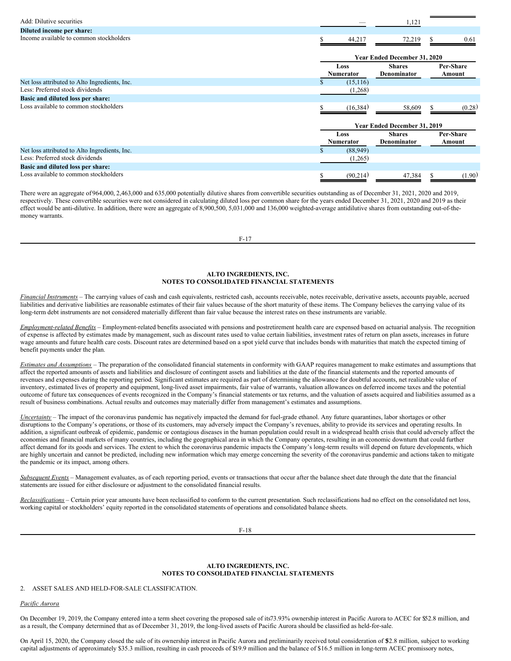| Add: Dilutive securities                      |                              |           | 1,121                        |                     |           |  |
|-----------------------------------------------|------------------------------|-----------|------------------------------|---------------------|-----------|--|
| Diluted income per share:                     |                              |           |                              |                     |           |  |
| Income available to common stockholders       |                              | 44,217    | 72,219                       |                     | 0.61      |  |
|                                               | Year Ended December 31, 2020 |           |                              |                     |           |  |
|                                               | Loss<br>Numerator            |           | <b>Shares</b><br>Denominator | Per-Share<br>Amount |           |  |
| Net loss attributed to Alto Ingredients, Inc. |                              | (15, 116) |                              |                     |           |  |
| Less: Preferred stock dividends               |                              | (1,268)   |                              |                     |           |  |
| Basic and diluted loss per share:             |                              |           |                              |                     |           |  |
| Loss available to common stockholders         |                              | (16,384)  | 58,609                       |                     | (0.28)    |  |
|                                               | Year Ended December 31, 2019 |           |                              |                     |           |  |
|                                               | Loss                         |           | <b>Shares</b>                |                     | Per-Share |  |
|                                               | Numerator                    |           | <b>Denominator</b><br>Amount |                     |           |  |
| Net loss attributed to Alto Ingredients, Inc. |                              | (88,949)  |                              |                     |           |  |
| Less: Preferred stock dividends               |                              | (1,265)   |                              |                     |           |  |
| Basic and diluted loss per share:             |                              |           |                              |                     |           |  |
| Loss available to common stockholders         |                              | (90,214)  | 47,384                       |                     | (1.90)    |  |

There were an aggregate of 964,000, 2,463,000 and 635,000 potentially dilutive shares from convertible securities outstanding as of December 31, 2021, 2020 and 2019, respectively. These convertible securities were not considered in calculating diluted loss per common share for the years ended December 31, 2021, 2020 and 2019 as their effect would be anti-dilutive. In addition, there were an aggregate of 8,900,500, 5,031,000 and 136,000 weighted-average antidilutive shares from outstanding out-of-themoney warrants.

F-17

# **ALTO INGREDIENTS, INC. NOTES TO CONSOLIDATED FINANCIAL STATEMENTS**

*Financial Instruments* – The carrying values of cash and cash equivalents, restricted cash, accounts receivable, notes receivable, derivative assets, accounts payable, accrued liabilities and derivative liabilities are reasonable estimates of their fair values because of the short maturity of these items. The Company believes the carrying value of its long-term debt instruments are not considered materially different than fair value because the interest rates on these instruments are variable.

*Employment-related Benefits* – Employment-related benefits associated with pensions and postretirement health care are expensed based on actuarial analysis. The recognition of expense is affected by estimates made by management, such as discount rates used to value certain liabilities, investment rates of return on plan assets, increases in future wage amounts and future health care costs. Discount rates are determined based on a spot yield curve that includes bonds with maturities that match the expected timing of benefit payments under the plan.

*Estimates and Assumptions* – The preparation of the consolidated financial statements in conformity with GAAP requires management to make estimates and assumptions that affect the reported amounts of assets and liabilities and disclosure of contingent assets and liabilities at the date of the financial statements and the reported amounts of revenues and expenses during the reporting period. Significant estimates are required as part of determining the allowance for doubtful accounts, net realizable value of inventory, estimated lives of property and equipment, long-lived asset impairments, fair value of warrants, valuation allowances on deferred income taxes and the potential outcome of future tax consequences of events recognized in the Company's financial statements or tax returns, and the valuation of assets acquired and liabilities assumed as a result of business combinations. Actual results and outcomes may materially differ from management's estimates and assumptions.

*Uncertainty* – The impact of the coronavirus pandemic has negatively impacted the demand for fuel-grade ethanol. Any future quarantines, labor shortages or other disruptions to the Company's operations, or those of its customers, may adversely impact the Company's revenues, ability to provide its services and operating results. In addition, a significant outbreak of epidemic, pandemic or contagious diseases in the human population could result in a widespread health crisis that could adversely affect the economies and financial markets of many countries, including the geographical area in which the Company operates, resulting in an economic downturn that could further affect demand for its goods and services. The extent to which the coronavirus pandemic impacts the Company's long-term results will depend on future developments, which are highly uncertain and cannot be predicted, including new information which may emerge concerning the severity of the coronavirus pandemic and actions taken to mitigate the pandemic or its impact, among others.

*Subsequent Events* – Management evaluates, as of each reporting period, events or transactions that occur after the balance sheet date through the date that the financial statements are issued for either disclosure or adjustment to the consolidated financial results.

*Reclassifications* – Certain prior year amounts have been reclassified to conform to the current presentation. Such reclassifications had no effect on the consolidated net loss, working capital or stockholders' equity reported in the consolidated statements of operations and consolidated balance sheets.

F-18

# **ALTO INGREDIENTS, INC. NOTES TO CONSOLIDATED FINANCIAL STATEMENTS**

2. ASSET SALES AND HELD-FOR-SALE CLASSIFICATION.

*Pacific Aurora*

On December 19, 2019, the Company entered into a term sheet covering the proposed sale of its73.93% ownership interest in Pacific Aurora to ACEC for \$52.8 million, and as a result, the Company determined that as of December 31, 2019, the long-lived assets of Pacific Aurora should be classified as held-for-sale.

On April 15, 2020, the Company closed the sale of its ownership interest in Pacific Aurora and preliminarily received total consideration of \$52.8 million, subject to working capital adjustments of approximately \$35.3 million, resulting in cash proceeds of \$19.9 million and the balance of \$16.5 million in long-term ACEC promissory notes,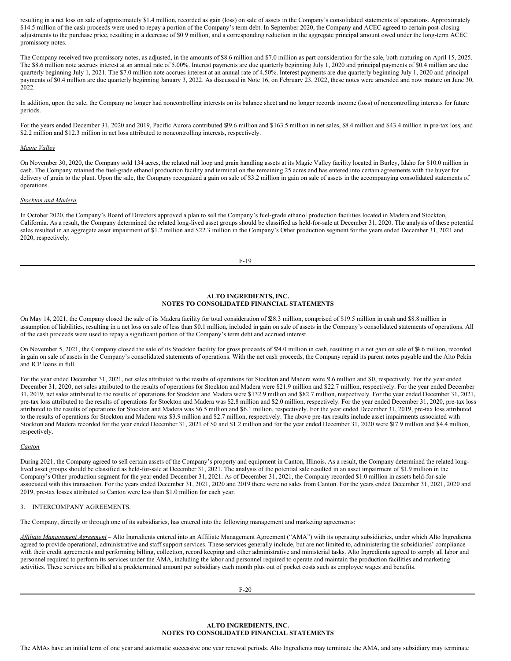resulting in a net loss on sale of approximately \$1.4 million, recorded as gain (loss) on sale of assets in the Company's consolidated statements of operations. Approximately \$14.5 million of the cash proceeds were used to repay a portion of the Company's term debt. In September 2020, the Company and ACEC agreed to certain post-closing adjustments to the purchase price, resulting in a decrease of \$0.9 million, and a corresponding reduction in the aggregate principal amount owed under the long-term ACEC promissory notes.

The Company received two promissory notes, as adjusted, in the amounts of \$8.6 million and \$7.0 million as part consideration for the sale, both maturing on April 15, 2025. The \$8.6 million note accrues interest at an annual rate of 5.00%. Interest payments are due quarterly beginning July 1, 2020 and principal payments of \$0.4 million are due quarterly beginning July 1, 2021. The \$7.0 million note accrues interest at an annual rate of 4.50%. Interest payments are due quarterly beginning July 1, 2020 and principal payments of \$0.4 million are due quarterly beginning January 3, 2022. As discussed in Note 16, on February 23, 2022, these notes were amended and now mature on June 30, 2022.

In addition, upon the sale, the Company no longer had noncontrolling interests on its balance sheet and no longer records income (loss) of noncontrolling interests for future periods.

For the years ended December 31, 2020 and 2019, Pacific Aurora contributed \$39.6 million and \$163.5 million in net sales, \$8.4 million and \$43.4 million in pre-tax loss, and \$2.2 million and \$12.3 million in net loss attributed to noncontrolling interests, respectively.

# *Magic Valley*

On November 30, 2020, the Company sold 134 acres, the related rail loop and grain handling assets at its Magic Valley facility located in Burley, Idaho for \$10.0 million in cash. The Company retained the fuel-grade ethanol production facility and terminal on the remaining 25 acres and has entered into certain agreements with the buyer for delivery of grain to the plant. Upon the sale, the Company recognized a gain on sale of \$3.2 million in gain on sale of assets in the accompanying consolidated statements of operations.

# *Stockton and Madera*

In October 2020, the Company's Board of Directors approved a plan to sell the Company's fuel-grade ethanol production facilities located in Madera and Stockton, California. As a result, the Company determined the related long-lived asset groups should be classified as held-for-sale at December 31, 2020. The analysis of these potential sales resulted in an aggregate asset impairment of \$1.2 million and \$22.3 million in the Company's Other production segment for the years ended December 31, 2021 and 2020, respectively.

# **ALTO INGREDIENTS, INC. NOTES TO CONSOLIDATED FINANCIAL STATEMENTS**

On May 14, 2021, the Company closed the sale of its Madera facility for total consideration of \$28.3 million, comprised of \$19.5 million in cash and \$8.8 million in assumption of liabilities, resulting in a net loss on sale of less than \$0.1 million, included in gain on sale of assets in the Company's consolidated statements of operations. All of the cash proceeds were used to repay a significant portion of the Company's term debt and accrued interest.

On November 5, 2021, the Company closed the sale of its Stockton facility for gross proceeds of \$24.0 million in cash, resulting in a net gain on sale of \$4.6 million, recorded in gain on sale of assets in the Company's consolidated statements of operations. With the net cash proceeds, the Company repaid its parent notes payable and the Alto Pekin and ICP loans in full.

For the year ended December 31, 2021, net sales attributed to the results of operations for Stockton and Madera were \$.6 million and \$0, respectively. For the year ended December 31, 2020, net sales attributed to the results of operations for Stockton and Madera were \$21.9 million and \$22.7 million, respectively. For the year ended December 31, 2019, net sales attributed to the results of operations for Stockton and Madera were \$132.9 million and \$82.7 million, respectively. For the year ended December 31, 2021, pre-tax loss attributed to the results of operations for Stockton and Madera was \$2.8 million and \$2.0 million, respectively. For the year ended December 31, 2020, pre-tax loss attributed to the results of operations for Stockton and Madera was \$6.5 million and \$6.1 million, respectively. For the year ended December 31, 2019, pre-tax loss attributed to the results of operations for Stockton and Madera was \$3.9 million and \$2.7 million, respectively. The above pre-tax results include asset impairments associated with Stockton and Madera recorded for the year ended December 31, 2021 of \$0 and \$1.2 million and for the year ended December 31, 2020 were \$17.9 million and \$4.4 million, respectively.

# *Canton*

During 2021, the Company agreed to sell certain assets of the Company's property and equipment in Canton, Illinois. As a result, the Company determined the related longlived asset groups should be classified as held-for-sale at December 31, 2021. The analysis of the potential sale resulted in an asset impairment of \$1.9 million in the Company's Other production segment for the year ended December 31, 2021. As of December 31, 2021, the Company recorded \$1.0 million in assets held-for-sale associated with this transaction. For the years ended December 31, 2021, 2020 and 2019 there were no sales from Canton. For the years ended December 31, 2021, 2020 and 2019, pre-tax losses attributed to Canton were less than \$1.0 million for each year.

# 3. INTERCOMPANY AGREEMENTS.

The Company, directly or through one of its subsidiaries, has entered into the following management and marketing agreements:

*Af iliate Management Agreement* – Alto Ingredients entered into an Affiliate Management Agreement ("AMA") with its operating subsidiaries, under which Alto Ingredients agreed to provide operational, administrative and staff support services. These services generally include, but are not limited to, administering the subsidiaries' compliance with their credit agreements and performing billing, collection, record keeping and other administrative and ministerial tasks. Alto Ingredients agreed to supply all labor and personnel required to perform its services under the AMA, including the labor and personnel required to operate and maintain the production facilities and marketing activities. These services are billed at a predetermined amount per subsidiary each month plus out of pocket costs such as employee wages and benefits.

### **ALTO INGREDIENTS, INC. NOTES TO CONSOLIDATED FINANCIAL STATEMENTS**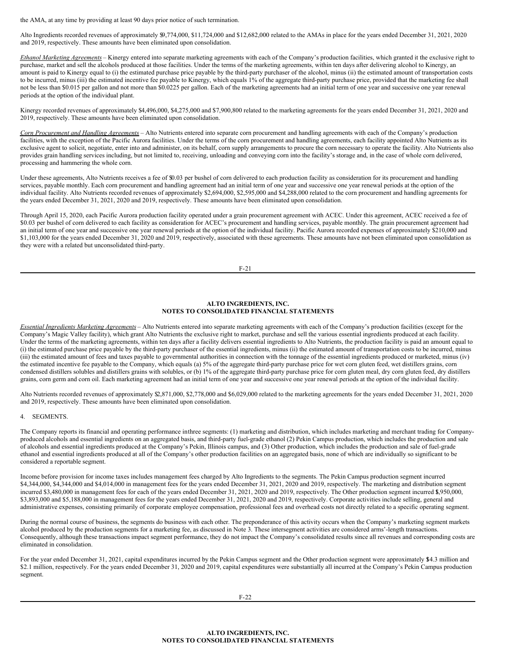the AMA, at any time by providing at least 90 days prior notice of such termination.

Alto Ingredients recorded revenues of approximately \$9,774,000, \$11,724,000 and \$12,682,000 related to the AMAs in place for the years ended December 31, 2021, 2020 and 2019, respectively. These amounts have been eliminated upon consolidation.

*Ethanol Marketing Agreements* – Kinergy entered into separate marketing agreements with each of the Company's production facilities, which granted it the exclusive right to purchase, market and sell the alcohols produced at those facilities. Under the terms of the marketing agreements, within ten days after delivering alcohol to Kinergy, an amount is paid to Kinergy equal to (i) the estimated purchase price payable by the third-party purchaser of the alcohol, minus (ii) the estimated amount of transportation costs to be incurred, minus (iii) the estimated incentive fee payable to Kinergy, which equals 1% of the aggregate third-party purchase price, provided that the marketing fee shall not be less than \$0.015 per gallon and not more than \$0.0225 per gallon. Each of the marketing agreements had an initial term of one year and successive one year renewal periods at the option of the individual plant.

Kinergy recorded revenues of approximately \$4,496,000, \$4,275,000 and \$7,900,800 related to the marketing agreements for the years ended December 31, 2021, 2020 and 2019, respectively. These amounts have been eliminated upon consolidation.

*Corn Procurement and Handling Agreements* – Alto Nutrients entered into separate corn procurement and handling agreements with each of the Company's production facilities, with the exception of the Pacific Aurora facilities. Under the terms of the corn procurement and handling agreements, each facility appointed Alto Nutrients as its exclusive agent to solicit, negotiate, enter into and administer, on its behalf, corn supply arrangements to procure the corn necessary to operate the facility. Alto Nutrients also provides grain handling services including, but not limited to, receiving, unloading and conveying corn into the facility's storage and, in the case of whole corn delivered, processing and hammering the whole corn.

Under these agreements, Alto Nutrients receives a fee of \$0.03 per bushel of corn delivered to each production facility as consideration for its procurement and handling services, payable monthly. Each corn procurement and handling agreement had an initial term of one year and successive one year renewal periods at the option of the individual facility. Alto Nutrients recorded revenues of approximately \$2,694,000, \$2,595,000 and \$4,288,000 related to the corn procurement and handling agreements for the years ended December 31, 2021, 2020 and 2019, respectively. These amounts have been eliminated upon consolidation.

Through April 15, 2020, each Pacific Aurora production facility operated under a grain procurement agreement with ACEC. Under this agreement, ACEC received a fee of \$0.03 per bushel of corn delivered to each facility as consideration for ACEC's procurement and handling services, payable monthly. The grain procurement agreement had an initial term of one year and successive one year renewal periods at the option of the individual facility. Pacific Aurora recorded expenses of approximately \$210,000 and \$1,103,000 for the years ended December 31, 2020 and 2019, respectively, associated with these agreements. These amounts have not been eliminated upon consolidation as they were with a related but unconsolidated third-party.

#### F-21

# **ALTO INGREDIENTS, INC. NOTES TO CONSOLIDATED FINANCIAL STATEMENTS**

*Essential Ingredients Marketing Agreements* – Alto Nutrients entered into separate marketing agreements with each of the Company's production facilities (except for the Company's Magic Valley facility), which grant Alto Nutrients the exclusive right to market, purchase and sell the various essential ingredients produced at each facility. Under the terms of the marketing agreements, within ten days after a facility delivers essential ingredients to Alto Nutrients, the production facility is paid an amount equal to (i) the estimated purchase price payable by the third-party purchaser of the essential ingredients, minus (ii) the estimated amount of transportation costs to be incurred, minus (iii) the estimated amount of fees and taxes payable to governmental authorities in connection with the tonnage of the essential ingredients produced or marketed, minus (iv) the estimated incentive fee payable to the Company, which equals (a) 5% of the aggregate third-party purchase price for wet corn gluten feed, wet distillers grains, corn condensed distillers solubles and distillers grains with solubles, or (b) 1% of the aggregate third-party purchase price for corn gluten meal, dry corn gluten feed, dry distillers grains, corn germ and corn oil. Each marketing agreement had an initial term of one year and successive one year renewal periods at the option of the individual facility.

Alto Nutrients recorded revenues of approximately \$2,871,000, \$2,778,000 and \$6,029,000 related to the marketing agreements for the years ended December 31, 2021, 2020 and 2019, respectively. These amounts have been eliminated upon consolidation.

# 4. SEGMENTS.

The Company reports its financial and operating performance inthree segments: (1) marketing and distribution, which includes marketing and merchant trading for Companyproduced alcohols and essential ingredients on an aggregated basis, and third-party fuel-grade ethanol (2) Pekin Campus production, which includes the production and sale of alcohols and essential ingredients produced at the Company's Pekin, Illinois campus, and (3) Other production, which includes the production and sale of fuel-grade ethanol and essential ingredients produced at all of the Company's other production facilities on an aggregated basis, none of which are individually so significant to be considered a reportable segment.

Income before provision for income taxes includes management fees charged by Alto Ingredients to the segments. The Pekin Campus production segment incurred \$4,344,000, \$4,344,000 and \$4,014,000 in management fees for the years ended December 31, 2021, 2020 and 2019, respectively. The marketing and distribution segment incurred \$3,480,000 in management fees for each of the years ended December 31, 2021, 2020 and 2019, respectively. The Other production segment incurred \$,950,000, \$3,893,000 and \$5,188,000 in management fees for the years ended December 31, 2021, 2020 and 2019, respectively. Corporate activities include selling, general and administrative expenses, consisting primarily of corporate employee compensation, professional fees and overhead costs not directly related to a specific operating segment.

During the normal course of business, the segments do business with each other. The preponderance of this activity occurs when the Company's marketing segment markets alcohol produced by the production segments for a marketing fee, as discussed in Note 3. These intersegment activities are considered arms'-length transactions. Consequently, although these transactions impact segment performance, they do not impact the Company's consolidated results since all revenues and corresponding costs are eliminated in consolidation.

For the year ended December 31, 2021, capital expenditures incurred by the Pekin Campus segment and the Other production segment were approximately \$14.3 million and \$2.1 million, respectively. For the years ended December 31, 2020 and 2019, capital expenditures were substantially all incurred at the Company's Pekin Campus production segment.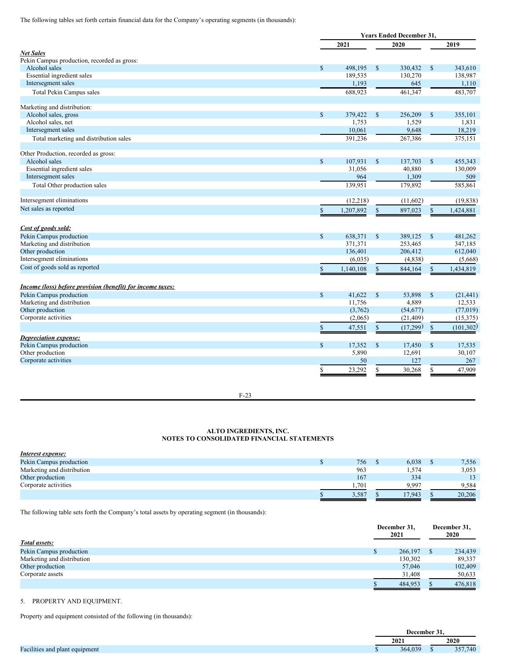The following tables set forth certain financial data for the Company's operating segments (in thousands):

|                                                            |              | <b>Years Ended December 31,</b> |                 |              |                     |
|------------------------------------------------------------|--------------|---------------------------------|-----------------|--------------|---------------------|
|                                                            |              | 2021                            | 2020            |              | 2019                |
| Net Sales                                                  |              |                                 |                 |              |                     |
| Pekin Campus production, recorded as gross:                |              |                                 |                 |              |                     |
| Alcohol sales                                              | \$           | 498,195<br>\$                   | 330,432         | $\mathbb{S}$ | 343,610             |
| Essential ingredient sales                                 |              | 189,535                         | 130,270         |              | 138,987             |
| Intersegment sales                                         |              | 1,193                           | 645             |              | 1,110               |
| <b>Total Pekin Campus sales</b>                            |              | 688,923                         | 461,347         |              | 483,707             |
| Marketing and distribution:                                |              |                                 |                 |              |                     |
| Alcohol sales, gross                                       | $\mathbb{S}$ | 379,422<br>$\mathbb{S}$         | 256,209         | \$           | 355,101             |
| Alcohol sales, net                                         |              | 1,753                           | 1,529           |              | 1,831               |
| Intersegment sales                                         |              | 10,061                          | 9,648           |              | 18,219              |
| Total marketing and distribution sales                     |              | 391,236                         | 267,386         |              | 375,151             |
| Other Production, recorded as gross:                       |              |                                 |                 |              |                     |
| Alcohol sales                                              | $\mathbb{S}$ | 107,931<br>$\mathbb{S}$         | 137,703         | $\mathbb{S}$ | 455,343             |
| Essential ingredient sales                                 |              | 31,056                          | 40,880          |              | 130,009             |
| Intersegment sales                                         |              | 964                             | 1,309           |              | 509                 |
| Total Other production sales                               |              | 139,951                         | 179,892         |              | 585,861             |
| Intersegment eliminations                                  |              | (12,218)                        | (11,602)        |              | (19, 838)           |
| Net sales as reported                                      | S            | 1,207,892<br>\$                 | 897,023         | \$           | 1,424,881           |
|                                                            |              |                                 |                 |              |                     |
| Cost of goods sold:                                        |              |                                 |                 |              |                     |
| Pekin Campus production                                    | $\mathbb{S}$ | $\mathcal{S}$<br>638,371        | 389,125         | $\mathbb{S}$ | 481,262             |
| Marketing and distribution                                 |              | 371,371                         | 253,465         |              | 347,185             |
| Other production                                           |              | 136,401                         | 206,412         |              | 612,040             |
| Intersegment eliminations                                  |              | (6,035)                         | (4,838)         |              | (5,668)             |
| Cost of goods sold as reported                             | \$           | $\mathbf S$<br>1,140,108        | 844,164         | S            | 1,434,819           |
|                                                            |              |                                 |                 |              |                     |
| Income (loss) before provision (benefit) for income taxes: |              |                                 |                 |              |                     |
| Pekin Campus production                                    | $\mathbb{S}$ | 41,622<br>\$<br>11,756          | 53,898<br>4,889 | $\mathbb{S}$ | (21, 441)<br>12,533 |
| Marketing and distribution<br>Other production             |              | (3,762)                         | (54, 677)       |              | (77, 019)           |
| Corporate activities                                       |              | (2,065)                         | (21, 409)       |              | (15,375)            |
|                                                            |              | 47,551<br>\$                    | (17,299)        | $\mathbb S$  | (101, 302)          |
|                                                            |              |                                 |                 |              |                     |
| Depreciation expense:                                      |              |                                 |                 |              |                     |
| Pekin Campus production                                    | \$           | 17,352<br>\$                    | 17,450          | $\mathbf S$  | 17,535              |
| Other production<br>Corporate activities                   |              | 5,890<br>50                     | 12,691<br>127   |              | 30,107              |
|                                                            |              |                                 |                 |              | 267                 |
|                                                            | \$           | 23,292<br>\$                    | 30,268          | \$           | 47,909              |

F-23

# **ALTO INGREDIENTS, INC. NOTES TO CONSOLIDATED FINANCIAL STATEMENTS**

| 756   | 6,038  | 7,556  |
|-------|--------|--------|
| 963   | 1,574  | 3,053  |
| 167   | 334    | 13     |
| 1.701 | 9.997  | 9.584  |
| 3,587 | 17.943 | 20,206 |
|       |        |        |

The following table sets forth the Company's total assets by operating segment (in thousands):

|                            |   | December 31,<br>2021 |  | December 31,<br>2020 |  |
|----------------------------|---|----------------------|--|----------------------|--|
| <b>Total assets:</b>       |   |                      |  |                      |  |
| Pekin Campus production    | ъ | 266,197              |  | 234,439              |  |
| Marketing and distribution |   | 130,302              |  | 89,337               |  |
| Other production           |   | 57,046               |  | 102,409              |  |
| Corporate assets           |   | 31,408               |  | 50,633               |  |
|                            |   | 484,953              |  | 476,818              |  |

# 5. PROPERTY AND EQUIPMENT.

*Interest expense:*

Property and equipment consisted of the following (in thousands):

|                                | December   |      |
|--------------------------------|------------|------|
|                                | 2021       | 2020 |
| Facilities and plant equipment | 039<br>364 | 740  |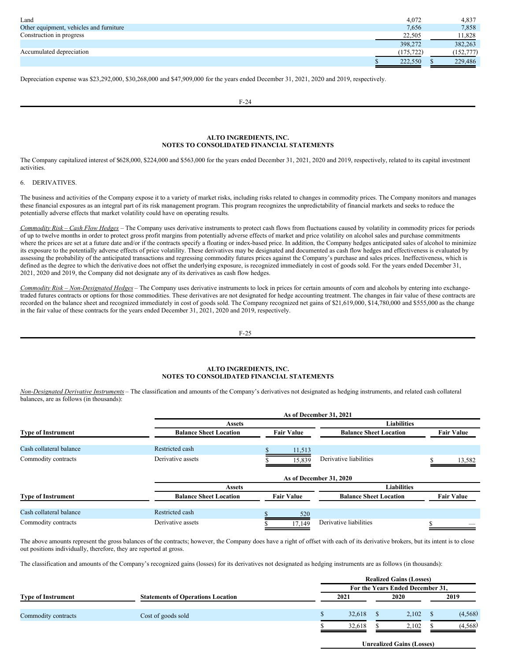| Land                                    | 4,072     | 4,837      |
|-----------------------------------------|-----------|------------|
| Other equipment, vehicles and furniture | 7,656     | 7,858      |
| Construction in progress                | 22,505    | 11.828     |
|                                         | 398,272   | 382,263    |
| Accumulated depreciation                | (175.722) | (152, 777) |
|                                         | 222,550   | 229,486    |

Depreciation expense was \$23,292,000, \$30,268,000 and \$47,909,000 for the years ended December 31, 2021, 2020 and 2019, respectively.

F-24

## **ALTO INGREDIENTS, INC. NOTES TO CONSOLIDATED FINANCIAL STATEMENTS**

The Company capitalized interest of \$628,000, \$224,000 and \$563,000 for the years ended December 31, 2021, 2020 and 2019, respectively, related to its capital investment activities.

# 6. DERIVATIVES.

The business and activities of the Company expose it to a variety of market risks, including risks related to changes in commodity prices. The Company monitors and manages these financial exposures as an integral part of its risk management program. This program recognizes the unpredictability of financial markets and seeks to reduce the potentially adverse effects that market volatility could have on operating results.

*Commodity Risk* – *Cash Flow Hedges* – The Company uses derivative instruments to protect cash flows from fluctuations caused by volatility in commodity prices for periods of up to twelve months in order to protect gross profit margins from potentially adverse effects of market and price volatility on alcohol sales and purchase commitments where the prices are set at a future date and/or if the contracts specify a floating or index-based price. In addition, the Company hedges anticipated sales of alcohol to minimize its exposure to the potentially adverse effects of price volatility. These derivatives may be designated and documented as cash flow hedges and effectiveness is evaluated by assessing the probability of the anticipated transactions and regressing commodity futures prices against the Company's purchase and sales prices. Ineffectiveness, which is defined as the degree to which the derivative does not offset the underlying exposure, is recognized immediately in cost of goods sold. For the years ended December 31, 2021, 2020 and 2019, the Company did not designate any of its derivatives as cash flow hedges.

*Commodity Risk – Non-Designated Hedges* – The Company uses derivative instruments to lock in prices for certain amounts of corn and alcohols by entering into exchangetraded futures contracts or options for those commodities. These derivatives are not designated for hedge accounting treatment. The changes in fair value of these contracts are recorded on the balance sheet and recognized immediately in cost of goods sold. The Company recognized net gains of \$21,619,000, \$14,780,000 and \$555,000 as the change in the fair value of these contracts for the years ended December 31, 2021, 2020 and 2019, respectively.

#### F-25

### **ALTO INGREDIENTS, INC. NOTES TO CONSOLIDATED FINANCIAL STATEMENTS**

*Non-Designated Derivative Instruments* – The classification and amounts of the Company's derivatives not designated as hedging instruments, and related cash collateral balances, are as follows (in thousands):

|                           |                               | As of December 31, 2021 |                               |                   |  |  |  |  |  |
|---------------------------|-------------------------------|-------------------------|-------------------------------|-------------------|--|--|--|--|--|
|                           | <b>Assets</b>                 |                         | <b>Liabilities</b>            |                   |  |  |  |  |  |
| <b>Type of Instrument</b> | <b>Balance Sheet Location</b> | <b>Fair Value</b>       | <b>Balance Sheet Location</b> | <b>Fair Value</b> |  |  |  |  |  |
| Cash collateral balance   | Restricted cash               | 11,513                  |                               |                   |  |  |  |  |  |
| Commodity contracts       | Derivative assets             | 15,839                  | Derivative liabilities        | 13,582            |  |  |  |  |  |
|                           |                               |                         | As of December 31, 2020       |                   |  |  |  |  |  |
|                           | <b>Assets</b>                 |                         | <b>Liabilities</b>            |                   |  |  |  |  |  |
| <b>Type of Instrument</b> | <b>Balance Sheet Location</b> | <b>Fair Value</b>       | <b>Balance Sheet Location</b> | <b>Fair Value</b> |  |  |  |  |  |
| Cash collateral balance   | Restricted cash               | 520                     |                               |                   |  |  |  |  |  |
| Commodity contracts       | Derivative assets             | 17.149                  | Derivative liabilities        |                   |  |  |  |  |  |

The above amounts represent the gross balances of the contracts; however, the Company does have a right of offset with each of its derivative brokers, but its intent is to close out positions individually, therefore, they are reported at gross.

The classification and amounts of the Company's recognized gains (losses) for its derivatives not designated as hedging instruments are as follows (in thousands):

| <b>Type of Instrument</b> |                                          |  | <b>Realized Gains (Losses)</b>   |  |       |  |         |  |  |
|---------------------------|------------------------------------------|--|----------------------------------|--|-------|--|---------|--|--|
|                           |                                          |  | For the Years Ended December 31, |  |       |  |         |  |  |
|                           | <b>Statements of Operations Location</b> |  | 2021                             |  | 2020  |  | 2019    |  |  |
| Commodity contracts       | Cost of goods sold                       |  | 32.618                           |  | 2.102 |  | (4,568) |  |  |
|                           |                                          |  | 32.618                           |  | 2.102 |  | (4,568) |  |  |

**Unrealized Gains (Losses)**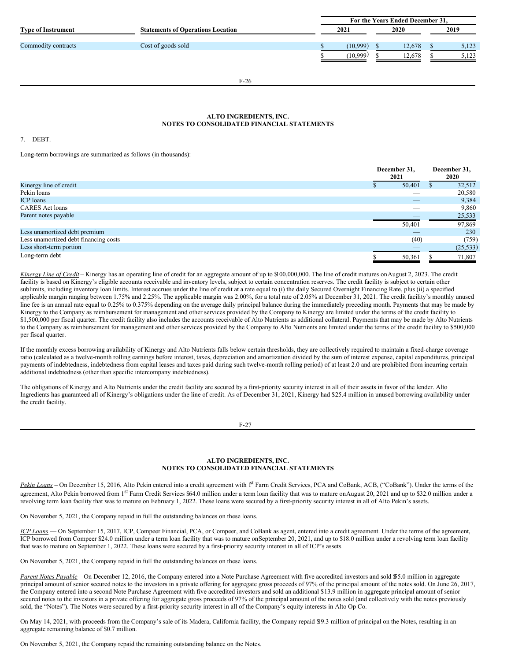|                           |                                                  |  | For the Years Ended December 31. |  |        |  |       |  |  |  |  |  |  |  |  |  |      |
|---------------------------|--------------------------------------------------|--|----------------------------------|--|--------|--|-------|--|--|--|--|--|--|--|--|--|------|
| <b>Type of Instrument</b> | 2021<br><b>Statements of Operations Location</b> |  |                                  |  | 2020   |  |       |  |  |  |  |  |  |  |  |  | 2019 |
|                           |                                                  |  |                                  |  |        |  |       |  |  |  |  |  |  |  |  |  |      |
| Commodity contracts       | Cost of goods sold                               |  | (10.999)                         |  | 12.678 |  | 5,123 |  |  |  |  |  |  |  |  |  |      |
|                           |                                                  |  | (10.999)                         |  | .2,678 |  | 5,123 |  |  |  |  |  |  |  |  |  |      |

F-26

# **ALTO INGREDIENTS, INC. NOTES TO CONSOLIDATED FINANCIAL STATEMENTS**

7. DEBT.

Long-term borrowings are summarized as follows (in thousands):

|                                       |  | December 31,<br>2021 | December 31,<br><b>2020</b> |           |  |
|---------------------------------------|--|----------------------|-----------------------------|-----------|--|
| Kinergy line of credit                |  | 50,401               | Ъ.                          | 32,512    |  |
| Pekin loans                           |  |                      |                             | 20,580    |  |
| <b>ICP</b> loans                      |  | _                    |                             | 9,384     |  |
| <b>CARES</b> Act loans                |  | $\sim$               |                             | 9,860     |  |
| Parent notes payable                  |  |                      |                             | 25,533    |  |
|                                       |  | 50,401               |                             | 97,869    |  |
| Less unamortized debt premium         |  | _                    |                             | 230       |  |
| Less unamortized debt financing costs |  | (40)                 |                             | (759)     |  |
| Less short-term portion               |  |                      |                             | (25, 533) |  |
| Long-term debt                        |  | 50,361               |                             | 71,807    |  |

*Kinergy Line of Credit* – Kinergy has an operating line of credit for an aggregate amount of up to \$100,000,000. The line of credit matures onAugust 2, 2023. The credit facility is based on Kinergy's eligible accounts receivable and inventory levels, subject to certain concentration reserves. The credit facility is subject to certain other sublimits, including inventory loan limits. Interest accrues under the line of credit at a rate equal to (i) the daily Secured Overnight Financing Rate, plus (ii) a specified applicable margin ranging between 1.75% and 2.25%. The applicable margin was 2.00%, for a total rate of 2.05% at December 31, 2021. The credit facility's monthly unused line fee is an annual rate equal to 0.25% to 0.375% depending on the average daily principal balance during the immediately preceding month. Payments that may be made by Kinergy to the Company as reimbursement for management and other services provided by the Company to Kinergy are limited under the terms of the credit facility to \$1,500,000 per fiscal quarter. The credit facility also includes the accounts receivable of Alto Nutrients as additional collateral. Payments that may be made by Alto Nutrients to the Company as reimbursement for management and other services provided by the Company to Alto Nutrients are limited under the terms of the credit facility to \$500,000 per fiscal quarter.

If the monthly excess borrowing availability of Kinergy and Alto Nutrients falls below certain thresholds, they are collectively required to maintain a fixed-charge coverage ratio (calculated as a twelve-month rolling earnings before interest, taxes, depreciation and amortization divided by the sum of interest expense, capital expenditures, principal payments of indebtedness, indebtedness from capital leases and taxes paid during such twelve-month rolling period) of at least 2.0 and are prohibited from incurring certain additional indebtedness (other than specific intercompany indebtedness).

The obligations of Kinergy and Alto Nutrients under the credit facility are secured by a first-priority security interest in all of their assets in favor of the lender. Alto Ingredients has guaranteed all of Kinergy's obligations under the line of credit. As of December 31, 2021, Kinergy had \$25.4 million in unused borrowing availability under the credit facility.

# F-27

# **ALTO INGREDIENTS, INC. NOTES TO CONSOLIDATED FINANCIAL STATEMENTS**

Pekin Loans – On December 15, 2016, Alto Pekin entered into a credit agreement with  $f<sup>st</sup> Farm Credit Services, PCA and CoBank, ACB, ("CoBank"). Under the terms of the$ agreement, Alto Pekin borrowed from 1<sup>st</sup> Farm Credit Services \$64.0 million under a term loan facility that was to mature onAugust 20, 2021 and up to \$32.0 million under a revolving term loan facility that was to mature on February 1, 2022. These loans were secured by a first-priority security interest in all of Alto Pekin's assets.

On November 5, 2021, the Company repaid in full the outstanding balances on these loans.

*ICP Loans* — On September 15, 2017, ICP, Compeer Financial, PCA, or Compeer, and CoBank as agent, entered into a credit agreement. Under the terms of the agreement,  $\overline{ICP}$  borrowed from Compeer \$24.0 million under a term loan facility that was to mature on September 20, 2021, and up to \$18.0 million under a revolving term loan facility that was to mature on September 1, 2022. These loans were secured by a first-priority security interest in all of ICP's assets.

On November 5, 2021, the Company repaid in full the outstanding balances on these loans.

*Parent Notes Payable* – On December 12, 2016, the Company entered into a Note Purchase Agreement with five accredited investors and sold \$55.0 million in aggregate principal amount of senior secured notes to the investors in a private offering for aggregate gross proceeds of 97% of the principal amount of the notes sold. On June 26, 2017, the Company entered into a second Note Purchase Agreement with five accredited investors and sold an additional \$13.9 million in aggregate principal amount of senior secured notes to the investors in a private offering for aggregate gross proceeds of 97% of the principal amount of the notes sold (and collectively with the notes previously sold, the "Notes"). The Notes were secured by a first-priority security interest in all of the Company's equity interests in Alto Op Co.

On May 14, 2021, with proceeds from the Company's sale of its Madera, California facility, the Company repaid \$19.3 million of principal on the Notes, resulting in an aggregate remaining balance of \$0.7 million.

On November 5, 2021, the Company repaid the remaining outstanding balance on the Notes.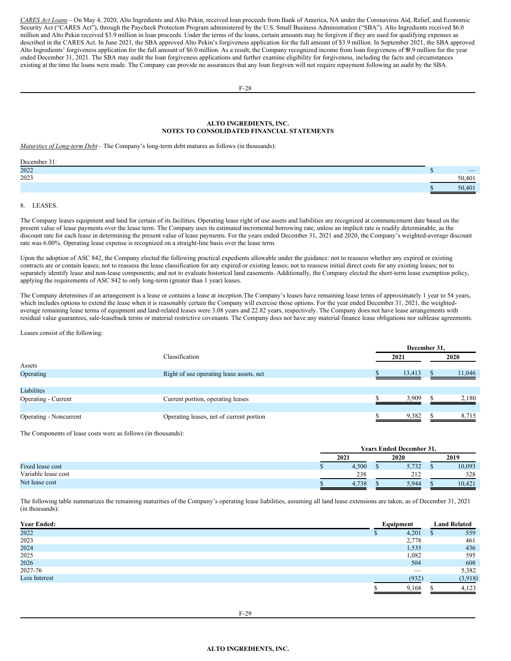*CARES Act Loans* – On May 4, 2020, Alto Ingredients and Alto Pekin, received loan proceeds from Bank of America, NA under the Coronavirus Aid, Relief, and Economic Security Act ("CARES Act"), through the Paycheck Protection Program administered by the U.S. Small Business Administration ("SBA"). Alto Ingredients received \$6.0 million and Alto Pekin received \$3.9 million in loan proceeds. Under the terms of the loans, certain amounts may be forgiven if they are used for qualifying expenses as described in the CARES Act. In June 2021, the SBA approved Alto Pekin's forgiveness application for the full amount of \$3.9 million. In September 2021, the SBA approved Alto Ingredients' forgiveness application for the full amount of \$6.0 million. As a result, the Company recognized income from loan forgiveness of \$9.9 million for the year ended December 31, 2021. The SBA may audit the loan forgiveness applications and further examine eligibility for forgiveness, including the facts and circumstances existing at the time the loans were made. The Company can provide no assurances that any loan forgiven will not require repayment following an audit by the SBA.

## **ALTO INGREDIENTS, INC. NOTES TO CONSOLIDATED FINANCIAL STATEMENTS**

*Maturities of Long-term Debt* – The Company's long-term debt matures as follows (in thousands):

| December 31: |                                                                                                                                                                                                                                                                                                                                                                                       |
|--------------|---------------------------------------------------------------------------------------------------------------------------------------------------------------------------------------------------------------------------------------------------------------------------------------------------------------------------------------------------------------------------------------|
| 2022         | $\hspace{1.0cm} \overline{\hspace{1.0cm} \hspace{1.0cm} \hspace{1.0cm} \hspace{1.0cm} } \hspace{1.0cm} \hspace{1.0cm} \hspace{1.0cm} \hspace{1.0cm} \hspace{1.0cm} \hspace{1.0cm} \hspace{1.0cm} \hspace{1.0cm} \hspace{1.0cm} \hspace{1.0cm} \hspace{1.0cm} \hspace{1.0cm} \hspace{1.0cm} \hspace{1.0cm} \hspace{1.0cm} \hspace{1.0cm} \hspace{1.0cm} \hspace{1.0cm} \hspace{1.0cm}$ |
| 2023         | 50,401                                                                                                                                                                                                                                                                                                                                                                                |
|              | 50.401                                                                                                                                                                                                                                                                                                                                                                                |

8. LEASES.

The Company leases equipment and land for certain of its facilities. Operating lease right of use assets and liabilities are recognized at commencement date based on the present value of lease payments over the lease term. The Company uses its estimated incremental borrowing rate, unless an implicit rate is readily determinable, as the discount rate for each lease in determining the present value of lease payments. For the years ended December 31, 2021 and 2020, the Company's weighted-average discount rate was 6.00%. Operating lease expense is recognized on a straight-line basis over the lease term.

Upon the adoption of ASC 842, the Company elected the following practical expedients allowable under the guidance: not to reassess whether any expired or existing contracts are or contain leases; not to reassess the lease classification for any expired or existing leases; not to reassess initial direct costs for any existing leases; not to separately identify lease and non-lease components; and not to evaluate historical land easements. Additionally, the Company elected the short-term lease exemption policy, applying the requirements of ASC 842 to only long-term (greater than 1 year) leases.

The Company determines if an arrangement is a lease or contains a lease at inception.The Company's leases have remaining lease terms of approximately 1 year to 54 years, which includes options to extend the lease when it is reasonably certain the Company will exercise those options. For the year ended December 31, 2021, the weightedaverage remaining lease terms of equipment and land-related leases were 3.08 years and 22.82 years, respectively. The Company does not have lease arrangements with residual value guarantees, sale-leaseback terms or material restrictive covenants. The Company does not have any material finance lease obligations nor sublease agreements.

Leases consist of the following:

| 11,046 |
|--------|
|        |
|        |
| 2,180  |
|        |
| 8,715  |
|        |

The Components of lease costs were as follows (in thousands):

|                     |       | <b>Years Ended December 31.</b> |      |        |  |
|---------------------|-------|---------------------------------|------|--------|--|
|                     | 2021  | 2020                            | 2019 |        |  |
| Fixed lease cost    | 4.500 | 5.732                           |      | 10,093 |  |
| Variable lease cost | 238   | 212                             |      | 328    |  |
| Net lease cost      | 4.738 | 5.944                           |      | 10.421 |  |

The following table summarizes the remaining maturities of the Company's operating lease liabilities, assuming all land lease extensions are taken, as of December 31, 2021 (in thousands):

| <b>Year Ended:</b>   | Equipment                | <b>Land Related</b> |
|----------------------|--------------------------|---------------------|
| 2022                 | 4,201                    | 559                 |
| 2023                 | 2,778                    | 461                 |
| 2024                 | 1,535                    | 436                 |
| 2025                 | 1,082                    | 595                 |
| 2026                 | 504                      | 608                 |
| 2027-76              | $\overline{\phantom{a}}$ | 5,382               |
| <b>Less Interest</b> | (932)                    | (3,918)             |
|                      | 9,168                    | 4,123               |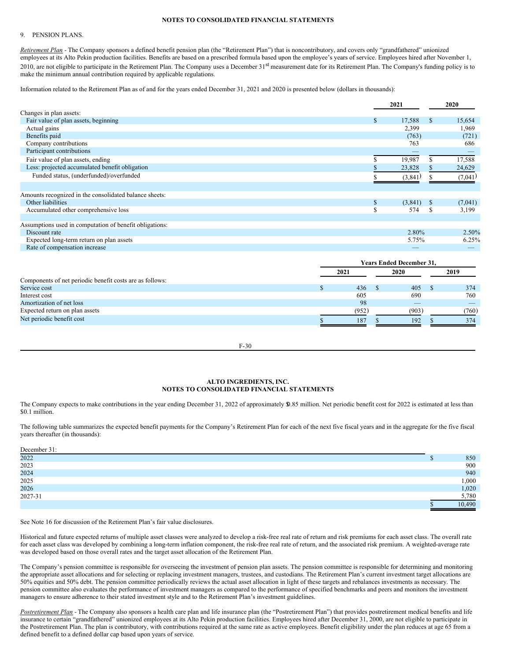# **NOTES TO CONSOLIDATED FINANCIAL STATEMENTS**

## 9. PENSION PLANS.

*Retirement Plan -* The Company sponsors a defined benefit pension plan (the "Retirement Plan") that is noncontributory, and covers only "grandfathered" unionized employees at its Alto Pekin production facilities. Benefits are based on a prescribed formula based upon the employee's years of service. Employees hired after November 1, 2010, are not eligible to participate in the Retirement Plan. The Company uses a December 31<sup>st</sup> measurement date for its Retirement Plan. The Company's funding policy is to make the minimum annual contribution required by applicable regulations.

Information related to the Retirement Plan as of and for the years ended December 31, 2021 and 2020 is presented below (dollars in thousands):

|                                                         |               | 2021    |              | 2020     |
|---------------------------------------------------------|---------------|---------|--------------|----------|
| Changes in plan assets:                                 |               |         |              |          |
| Fair value of plan assets, beginning                    | <sup>\$</sup> | 17,588  | S            | 15,654   |
| Actual gains                                            |               | 2,399   |              | 1,969    |
| Benefits paid                                           |               | (763)   |              | (721)    |
| Company contributions                                   |               | 763     |              | 686      |
| Participant contributions                               |               |         |              |          |
| Fair value of plan assets, ending                       |               | 19,987  |              | 17,588   |
| Less: projected accumulated benefit obligation          |               | 23,828  |              | 24,629   |
| Funded status, (underfunded)/overfunded                 |               | (3,841) |              | (7,041)  |
|                                                         |               |         |              |          |
| Amounts recognized in the consolidated balance sheets:  |               |         |              |          |
| Other liabilities                                       | \$            | (3,841) | <sup>S</sup> | (7,041)  |
| Accumulated other comprehensive loss                    | <sup>\$</sup> | 574     | S            | 3,199    |
|                                                         |               |         |              |          |
| Assumptions used in computation of benefit obligations: |               |         |              |          |
| Discount rate                                           |               | 2.80%   |              | $2.50\%$ |
| Expected long-term return on plan assets                |               | 5.75%   |              | 6.25%    |
| Rate of compensation increase                           |               |         |              |          |

|                                                          | <b>Years Ended December 31.</b> |  |                          |  |                          |
|----------------------------------------------------------|---------------------------------|--|--------------------------|--|--------------------------|
|                                                          | 2021                            |  | 2020                     |  | 2019                     |
| Components of net periodic benefit costs are as follows: |                                 |  |                          |  |                          |
| Service cost                                             | 436                             |  | 405                      |  | 374                      |
| Interest cost                                            | 605                             |  | 690                      |  | 760                      |
| Amortization of net loss                                 | 98                              |  | $\overline{\phantom{a}}$ |  | $\overline{\phantom{a}}$ |
| Expected return on plan assets                           | (952)                           |  | (903)                    |  | (760)                    |
| Net periodic benefit cost                                | 187                             |  | 192                      |  | 374                      |
|                                                          |                                 |  |                          |  |                          |

F-30

## **ALTO INGREDIENTS, INC. NOTES TO CONSOLIDATED FINANCIAL STATEMENTS**

The Company expects to make contributions in the year ending December 31, 2022 of approximately \$0.85 million. Net periodic benefit cost for 2022 is estimated at less than \$0.1 million.

The following table summarizes the expected benefit payments for the Company's Retirement Plan for each of the next five fiscal years and in the aggregate for the five fiscal years thereafter (in thousands):

| December 31: |        |
|--------------|--------|
| 2022         | 850    |
| 2023         | 900    |
| 2024         | 940    |
| 2025         | ,000   |
| 2026         | 1,020  |
| 2027-31      | 5,780  |
|              | 10,490 |

See Note 16 for discussion of the Retirement Plan's fair value disclosures.

Historical and future expected returns of multiple asset classes were analyzed to develop a risk-free real rate of return and risk premiums for each asset class. The overall rate for each asset class was developed by combining a long-term inflation component, the risk-free real rate of return, and the associated risk premium. A weighted-average rate was developed based on those overall rates and the target asset allocation of the Retirement Plan.

The Company's pension committee is responsible for overseeing the investment of pension plan assets. The pension committee is responsible for determining and monitoring the appropriate asset allocations and for selecting or replacing investment managers, trustees, and custodians. The Retirement Plan's current investment target allocations are 50% equities and 50% debt. The pension committee periodically reviews the actual asset allocation in light of these targets and rebalances investments as necessary. The pension committee also evaluates the performance of investment managers as compared to the performance of specified benchmarks and peers and monitors the investment managers to ensure adherence to their stated investment style and to the Retirement Plan's investment guidelines.

*Postretirement Plan -* The Company also sponsors a health care plan and life insurance plan (the "Postretirement Plan") that provides postretirement medical benefits and life insurance to certain "grandfathered" unionized employees at its Alto Pekin production facilities. Employees hired after December 31, 2000, are not eligible to participate in the Postretirement Plan. The plan is contributory, with contributions required at the same rate as active employees. Benefit eligibility under the plan reduces at age  $65$  from a defined benefit to a defined dollar cap based upon years of service.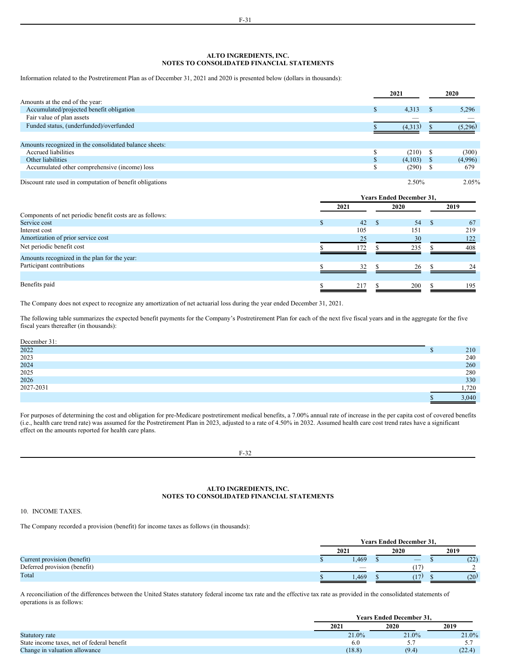# **ALTO INGREDIENTS, INC. NOTES TO CONSOLIDATED FINANCIAL STATEMENTS**

Information related to the Postretirement Plan as of December 31, 2021 and 2020 is presented below (dollars in thousands):

|                                                          |   | 2021         |      | 2020    |
|----------------------------------------------------------|---|--------------|------|---------|
| Amounts at the end of the year:                          |   |              |      |         |
| Accumulated/projected benefit obligation                 |   | 4,313        |      | 5,296   |
| Fair value of plan assets                                |   |              |      |         |
| Funded status, (underfunded)/overfunded                  |   | (4,313)      |      | (5,296) |
|                                                          |   |              |      |         |
| Amounts recognized in the consolidated balance sheets:   |   |              |      |         |
| Accrued liabilities                                      |   | (210)        | - S  | (300)   |
| Other liabilities                                        |   | $(4,103)$ \$ |      | (4,996) |
| Accumulated other comprehensive (income) loss            | S | (290)        | - \$ | 679     |
|                                                          |   |              |      |         |
| Discount rate used in computation of benefit obligations |   | 2.50%        |      | 2.05%   |

|                                                          | <b>Years Ended December 31,</b> |      |  |      |  |      |
|----------------------------------------------------------|---------------------------------|------|--|------|--|------|
|                                                          |                                 | 2021 |  | 2020 |  | 2019 |
| Components of net periodic benefit costs are as follows: |                                 |      |  |      |  |      |
| Service cost                                             |                                 | 42   |  | 54   |  | 67   |
| Interest cost                                            |                                 | 105  |  | 151  |  | 219  |
| Amortization of prior service cost                       |                                 | 25   |  | 30   |  | 122  |
| Net periodic benefit cost                                |                                 | 172  |  | 235  |  | 408  |
| Amounts recognized in the plan for the year:             |                                 |      |  |      |  |      |
| Participant contributions                                |                                 | 32   |  | 26   |  | 24   |
|                                                          |                                 |      |  |      |  |      |
| Benefits paid                                            |                                 | 217  |  | 200  |  | 195  |

The Company does not expect to recognize any amortization of net actuarial loss during the year ended December 31, 2021.

The following table summarizes the expected benefit payments for the Company's Postretirement Plan for each of the next five fiscal years and in the aggregate for the five fiscal years thereafter (in thousands):

| December 31: |       |
|--------------|-------|
| 2022         | 210   |
| 2023         | 240   |
| 2024<br>2025 | 260   |
|              | 280   |
| 2026         | 330   |
| 2027-2031    | ,720  |
|              | 3,040 |

For purposes of determining the cost and obligation for pre-Medicare postretirement medical benefits, a 7.00% annual rate of increase in the per capita cost of covered benefits (i.e., health care trend rate) was assumed for the Postretirement Plan in 2023, adjusted to a rate of 4.50% in 2032. Assumed health care cost trend rates have a significant effect on the amounts reported for health care plans.



# **ALTO INGREDIENTS, INC. NOTES TO CONSOLIDATED FINANCIAL STATEMENTS**

### 10. INCOME TAXES.

The Company recorded a provision (benefit) for income taxes as follows (in thousands):

|                              | <b>Years Ended December 31.</b> |       |  |                          |  |      |
|------------------------------|---------------------------------|-------|--|--------------------------|--|------|
|                              |                                 | 2021  |  | 2020                     |  | 2019 |
| Current provision (benefit)  |                                 | 1,469 |  | $\overline{\phantom{a}}$ |  | (22) |
| Deferred provision (benefit) |                                 | _     |  |                          |  |      |
| Total                        |                                 | 1,469 |  | .                        |  | (20) |

A reconciliation of the differences between the United States statutory federal income tax rate and the effective tax rate as provided in the consolidated statements of operations is as follows:

|                                            |        | <b>Years Ended December 31.</b> |          |  |  |  |
|--------------------------------------------|--------|---------------------------------|----------|--|--|--|
|                                            | 2021   | 2020                            | 2019     |  |  |  |
| Statutory rate                             | 21.0%  | 21.0%                           | $21.0\%$ |  |  |  |
| State income taxes, net of federal benefit | 6.0    |                                 | J.,      |  |  |  |
| Change in valuation allowance              | (18.8) | (9.4)                           | (22.4)   |  |  |  |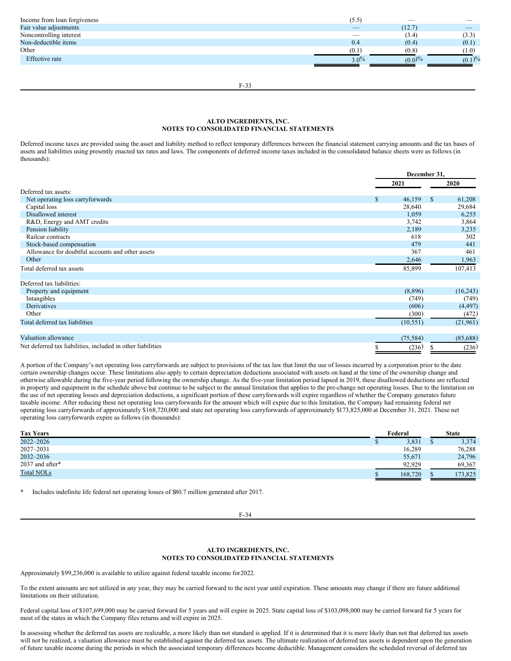| Income from loan forgiveness | (5.5)                    | $\overline{\phantom{a}}$ | $\overline{\phantom{a}}$ |
|------------------------------|--------------------------|--------------------------|--------------------------|
| Fair value adjustments       |                          | (12.7)                   | _                        |
| Noncontrolling interest      | $\overline{\phantom{a}}$ | (3.4)                    | (3.3)                    |
| Non-deductible items         | 0.4                      | (0.4)                    | (0.1)                    |
| Other                        | (0.1)                    | (0.8)                    | (1.0)                    |
| Effective rate               | $3.0\%$                  | $(0.0)$ %                | $(0.1)$ %                |
|                              |                          |                          |                          |

F-33

# **ALTO INGREDIENTS, INC. NOTES TO CONSOLIDATED FINANCIAL STATEMENTS**

Deferred income taxes are provided using the asset and liability method to reflect temporary differences between the financial statement carrying amounts and the tax bases of assets and liabilities using presently enacted tax rates and laws. The components of deferred income taxes included in the consolidated balance sheets were as follows (in thousands):

|                                                             |                        | December 31,           |
|-------------------------------------------------------------|------------------------|------------------------|
|                                                             | 2021                   | 2020                   |
| Deferred tax assets:                                        |                        |                        |
| Net operating loss carryforwards                            | $\mathbb{S}$<br>46,159 | 61,208<br><sup>S</sup> |
| Capital loss                                                | 28,640                 | 29,684                 |
| Disallowed interest                                         | 1,059                  | 6,255                  |
| R&D, Energy and AMT credits                                 | 3,742                  | 3,864                  |
| Pension liability                                           | 2,189                  | 3,235                  |
| Railcar contracts                                           | 618                    | 302                    |
| Stock-based compensation                                    | 479                    | 441                    |
| Allowance for doubtful accounts and other assets            | 367                    | 461                    |
| Other                                                       | 2,646                  | 1,963                  |
| Total deferred tax assets                                   | 85,899                 | 107,413                |
| Deferred tax liabilities:                                   |                        |                        |
| Property and equipment                                      | (8,896)                | (16,243)               |
| Intangibles                                                 | (749)                  | (749)                  |
| Derivatives                                                 | (606)                  | (4, 497)               |
| Other                                                       | (300)                  | (472)                  |
| Total deferred tax liabilities                              | (10, 551)              | (21,961)               |
| Valuation allowance                                         | (75, 584)              | (85,688)               |
| Net deferred tax liabilities, included in other liabilities | (236)                  | (236)                  |

A portion of the Company's net operating loss carryforwards are subject to provisions of the tax law that limit the use of losses incurred by a corporation prior to the date certain ownership changes occur. These limitations also apply to certain depreciation deductions associated with assets on hand at the time of the ownership change and otherwise allowable during the five-year period following the ownership change. As the five-year limitation period lapsed in 2019, these disallowed deductions are reflected in property and equipment in the schedule above but continue to be subject to the annual limitation that applies to the pre-change net operating losses. Due to the limitation on the use of net operating losses and depreciation deductions, a significant portion of these carryforwards will expire regardless of whether the Company generates future taxable income. After reducing these net operating loss carryforwards for the amount which will expire due to this limitation, the Company had remaining federal net operating loss carryforwards of approximately \$168,720,000 and state net operating loss carryforwards of approximately \$173,825,000 at December 31, 2021. These net operating loss carryforwards expire as follows (in thousands):

| <b>Tax Years</b>  | Federal    |  | <b>State</b> |
|-------------------|------------|--|--------------|
| 2022-2026         | 3,831<br>Φ |  | 3,374        |
| 2027-2031         | 16,289     |  | 76,288       |
| 2032-2036         | 55,671     |  | 24,796       |
| 2037 and after*   | 92.929     |  | 69.367       |
| <b>Total NOLs</b> | 168,720    |  | 173,825      |

Includes indefinite life federal net operating losses of \$80.7 million generated after 2017.

F-34

# **ALTO INGREDIENTS, INC. NOTES TO CONSOLIDATED FINANCIAL STATEMENTS**

Approximately \$99,236,000 is available to utilize against federal taxable income for2022.

To the extent amounts are not utilized in any year, they may be carried forward to the next year until expiration. These amounts may change if there are future additional limitations on their utilization.

Federal capital loss of \$107,699,000 may be carried forward for 5 years and will expire in 2025. State capital loss of \$103,098,000 may be carried forward for 5 years for most of the states in which the Company files returns and will expire in 2025.

In assessing whether the deferred tax assets are realizable, a more likely than not standard is applied. If it is determined that it is more likely than not that deferred tax assets will not be realized, a valuation allowance must be established against the deferred tax assets. The ultimate realization of deferred tax assets is dependent upon the generation of future taxable income during the periods in which the associated temporary differences become deductible. Management considers the scheduled reversal of deferred tax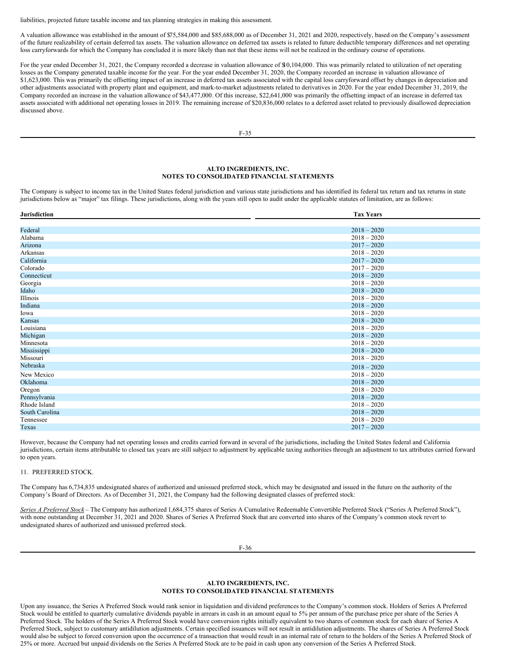liabilities, projected future taxable income and tax planning strategies in making this assessment.

A valuation allowance was established in the amount of \$75,584,000 and \$85,688,000 as of December 31, 2021 and 2020, respectively, based on the Company's assessment of the future realizability of certain deferred tax assets. The valuation allowance on deferred tax assets is related to future deductible temporary differences and net operating loss carryforwards for which the Company has concluded it is more likely than not that these items will not be realized in the ordinary course of operations.

For the year ended December 31, 2021, the Company recorded a decrease in valuation allowance of \$0,104,000. This was primarily related to utilization of net operating losses as the Company generated taxable income for the year. For the year ended December 31, 2020, the Company recorded an increase in valuation allowance of \$1,623,000. This was primarily the offsetting impact of an increase in deferred tax assets associated with the capital loss carryforward offset by changes in depreciation and other adjustments associated with property plant and equipment, and mark-to-market adjustments related to derivatives in 2020. For the year ended December 31, 2019, the Company recorded an increase in the valuation allowance of \$43,477,000. Of this increase, \$22,641,000 was primarily the offsetting impact of an increase in deferred tax assets associated with additional net operating losses in 2019. The remaining increase of \$20,836,000 relates to a deferred asset related to previously disallowed depreciation discussed above.

### **ALTO INGREDIENTS, INC. NOTES TO CONSOLIDATED FINANCIAL STATEMENTS**

The Company is subject to income tax in the United States federal jurisdiction and various state jurisdictions and has identified its federal tax return and tax returns in state jurisdictions below as "major" tax filings. These jurisdictions, along with the years still open to audit under the applicable statutes of limitation, are as follows:

| <b>Jurisdiction</b> | <b>Tax Years</b> |
|---------------------|------------------|
|                     |                  |
| Federal             | $2018 - 2020$    |
| Alabama             | $2018 - 2020$    |
| Arizona             | $2017 - 2020$    |
| Arkansas            | $2018 - 2020$    |
| California          | $2017 - 2020$    |
| Colorado            | $2017 - 2020$    |
| Connecticut         | $2018 - 2020$    |
| Georgia             | $2018 - 2020$    |
| Idaho               | $2018 - 2020$    |
| Illinois            | $2018 - 2020$    |
| Indiana             | $2018 - 2020$    |
| Iowa                | $2018 - 2020$    |
| Kansas              | $2018 - 2020$    |
| Louisiana           | $2018 - 2020$    |
| Michigan            | $2018 - 2020$    |
| Minnesota           | $2018 - 2020$    |
| Mississippi         | $2018 - 2020$    |
| Missouri            | $2018 - 2020$    |
| Nebraska            | $2018 - 2020$    |
| New Mexico          | $2018 - 2020$    |
| Oklahoma            | $2018 - 2020$    |
| Oregon              | $2018 - 2020$    |
| Pennsylvania        | $2018 - 2020$    |
| Rhode Island        | $2018 - 2020$    |
| South Carolina      | $2018 - 2020$    |
| Tennessee           | $2018 - 2020$    |
| Texas               | $2017 - 2020$    |

However, because the Company had net operating losses and credits carried forward in several of the jurisdictions, including the United States federal and California jurisdictions, certain items attributable to closed tax years are still subject to adjustment by applicable taxing authorities through an adjustment to tax attributes carried forward to open years.

# 11. PREFERRED STOCK.

The Company has 6,734,835 undesignated shares of authorized and unissued preferred stock, which may be designated and issued in the future on the authority of the Company's Board of Directors. As of December 31, 2021, the Company had the following designated classes of preferred stock:

*Series A Preferred Stock* – The Company has authorized 1,684,375 shares of Series A Cumulative Redeemable Convertible Preferred Stock ("Series A Preferred Stock"), with none outstanding at December 31, 2021 and 2020. Shares of Series A Preferred Stock that are converted into shares of the Company's common stock revert to undesignated shares of authorized and unissued preferred stock.

# **ALTO INGREDIENTS, INC. NOTES TO CONSOLIDATED FINANCIAL STATEMENTS**

Upon any issuance, the Series A Preferred Stock would rank senior in liquidation and dividend preferences to the Company's common stock. Holders of Series A Preferred Stock would be entitled to quarterly cumulative dividends payable in arrears in cash in an amount equal to 5% per annum of the purchase price per share of the Series A Preferred Stock. The holders of the Series A Preferred Stock would have conversion rights initially equivalent to two shares of common stock for each share of Series A Preferred Stock, subject to customary antidilution adjustments. Certain specified issuances will not result in antidilution adjustments. The shares of Series A Preferred Stock would also be subject to forced conversion upon the occurrence of a transaction that would result in an internal rate of return to the holders of the Series A Preferred Stock of 25% or more. Accrued but unpaid dividends on the Series A Preferred Stock are to be paid in cash upon any conversion of the Series A Preferred Stock.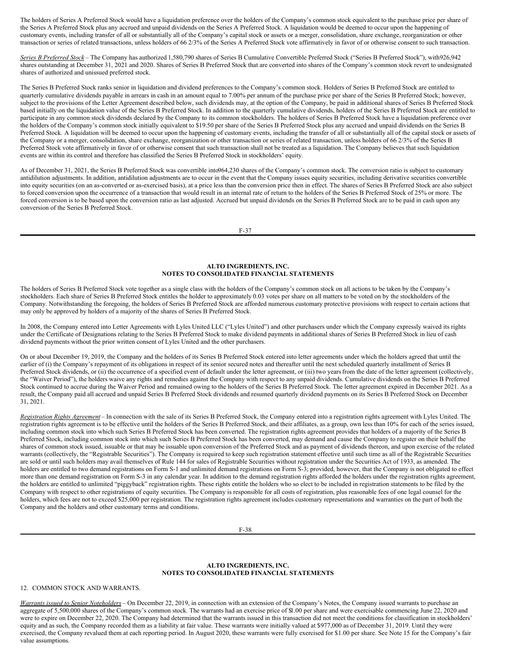The holders of Series A Preferred Stock would have a liquidation preference over the holders of the Company's common stock equivalent to the purchase price per share of the Series A Preferred Stock plus any accrued and unpaid dividends on the Series A Preferred Stock. A liquidation would be deemed to occur upon the happening of customary events, including transfer of all or substantially all of the Company's capital stock or assets or a merger, consolidation, share exchange, reorganization or other transaction or series of related transactions, unless holders of 66 2/3% of the Series A Preferred Stock vote affirmatively in favor of or otherwise consent to such transaction.

*Series B Preferred Stock* – The Company has authorized 1,580,790 shares of Series B Cumulative Convertible Preferred Stock ("Series B Preferred Stock"), with926,942 shares outstanding at December 31, 2021 and 2020. Shares of Series B Preferred Stock that are converted into shares of the Company's common stock revert to undesignated shares of authorized and unissued preferred stock.

The Series B Preferred Stock ranks senior in liquidation and dividend preferences to the Company's common stock. Holders of Series B Preferred Stock are entitled to quarterly cumulative dividends payable in arrears in cash in an amount equal to 7.00% per annum of the purchase price per share of the Series B Preferred Stock; however, subject to the provisions of the Letter Agreement described below, such dividends may, at the option of the Company, be paid in additional shares of Series B Preferred Stock based initially on the liquidation value of the Series B Preferred Stock. In addition to the quarterly cumulative dividends, holders of the Series B Preferred Stock are entitled to participate in any common stock dividends declared by the Company to its common stockholders. The holders of Series B Preferred Stock have a liquidation preference over the holders of the Company's common stock initially equivalent to \$19.50 per share of the Series B Preferred Stock plus any accrued and unpaid dividends on the Series B Preferred Stock. A liquidation will be deemed to occur upon the happening of customary events, including the transfer of all or substantially all of the capital stock or assets of the Company or a merger, consolidation, share exchange, reorganization or other transaction or series of related transaction, unless holders of 66 2/3% of the Series B Preferred Stock vote affirmatively in favor of or otherwise consent that such transaction shall not be treated as a liquidation. The Company believes that such liquidation events are within its control and therefore has classified the Series B Preferred Stock in stockholders' equity*.*

As of December 31, 2021, the Series B Preferred Stock was convertible into964,230 shares of the Company's common stock. The conversion ratio is subject to customary antidilution adjustments. In addition, antidilution adjustments are to occur in the event that the Company issues equity securities, including derivative securities convertible into equity securities (on an as-converted or as-exercised basis), at a price less than the conversion price then in effect. The shares of Series B Preferred Stock are also subject to forced conversion upon the occurrence of a transaction that would result in an internal rate of return to the holders of the Series B Preferred Stock of 25% or more. The forced conversion is to be based upon the conversion ratio as last adjusted. Accrued but unpaid dividends on the Series B Preferred Stock are to be paid in cash upon any conversion of the Series B Preferred Stock.

F-37

# **ALTO INGREDIENTS, INC. NOTES TO CONSOLIDATED FINANCIAL STATEMENTS**

The holders of Series B Preferred Stock vote together as a single class with the holders of the Company's common stock on all actions to be taken by the Company's stockholders. Each share of Series B Preferred Stock entitles the holder to approximately 0.03 votes per share on all matters to be voted on by the stockholders of the Company. Notwithstanding the foregoing, the holders of Series B Preferred Stock are afforded numerous customary protective provisions with respect to certain actions that may only be approved by holders of a majority of the shares of Series B Preferred Stock.

In 2008, the Company entered into Letter Agreements with Lyles United LLC ("Lyles United") and other purchasers under which the Company expressly waived its rights under the Certificate of Designations relating to the Series B Preferred Stock to make dividend payments in additional shares of Series B Preferred Stock in lieu of cash dividend payments without the prior written consent of Lyles United and the other purchasers.

On or about December 19, 2019, the Company and the holders of its Series B Preferred Stock entered into letter agreements under which the holders agreed that until the earlier of (i) the Company's repayment of its obligations in respect of its senior secured notes and thereafter until the next scheduled quarterly installment of Series B Preferred Stock dividends, or (ii) the occurrence of a specified event of default under the letter agreement, or (iii) two years from the date of the letter agreement (collectively, the "Waiver Period"), the holders waive any rights and remedies against the Company with respect to any unpaid dividends. Cumulative dividends on the Series B Preferred Stock continued to accrue during the Waiver Period and remained owing to the holders of the Series B Preferred Stock. The letter agreement expired in December 2021. As a result, the Company paid all accrued and unpaid Series B Preferred Stock dividends and resumed quarterly dividend payments on its Series B Preferred Stock on December 31, 2021.

*Registration Rights Agreement* – In connection with the sale of its Series B Preferred Stock, the Company entered into a registration rights agreement with Lyles United. The registration rights agreement is to be effective until the holders of the Series B Preferred Stock, and their affiliates, as a group, own less than 10% for each of the series issued, including common stock into which such Series B Preferred Stock has been converted. The registration rights agreement provides that holders of a majority of the Series B Preferred Stock, including common stock into which such Series B Preferred Stock has been converted, may demand and cause the Company to register on their behalf the shares of common stock issued, issuable or that may be issuable upon conversion of the Preferred Stock and as payment of dividends thereon, and upon exercise of the related warrants (collectively, the "Registrable Securities"). The Company is required to keep such registration statement effective until such time as all of the Registrable Securities are sold or until such holders may avail themselves of Rule 144 for sales of Registrable Securities without registration under the Securities Act of 1933, as amended. The holders are entitled to two demand registrations on Form S-1 and unlimited demand registrations on Form S-3; provided, however, that the Company is not obligated to effect more than one demand registration on Form S-3 in any calendar year. In addition to the demand registration rights afforded the holders under the registration rights agreement, the holders are entitled to unlimited "piggyback" registration rights. These rights entitle the holders who so elect to be included in registration statements to be filed by the Company with respect to other registrations of equity securities. The Company is responsible for all costs of registration, plus reasonable fees of one legal counsel for the holders, which fees are not to exceed \$25,000 per registration. The registration rights agreement includes customary representations and warranties on the part of both the Company and the holders and other customary terms and conditions.

F-38

# **ALTO INGREDIENTS, INC. NOTES TO CONSOLIDATED FINANCIAL STATEMENTS**

# 12. COMMON STOCK AND WARRANTS.

*Warrants issued to Senior Noteholders* – On December 22, 2019, in connection with an extension of the Company's Notes, the Company issued warrants to purchase an aggregate of 5,500,000 shares of the Company's common stock. The warrants had an exercise price of \$1.00 per share and were exercisable commencing June 22, 2020 and were to expire on December 22, 2020. The Company had determined that the warrants issued in this transaction did not meet the conditions for classification in stockholders' equity and as such, the Company recorded them as a liability at fair value. These warrants were initially valued at \$977,000 as of December 31, 2019. Until they were exercised, the Company revalued them at each reporting period. In August 2020, these warrants were fully exercised for \$1.00 per share. See Note 15 for the Company's fair value assumptions.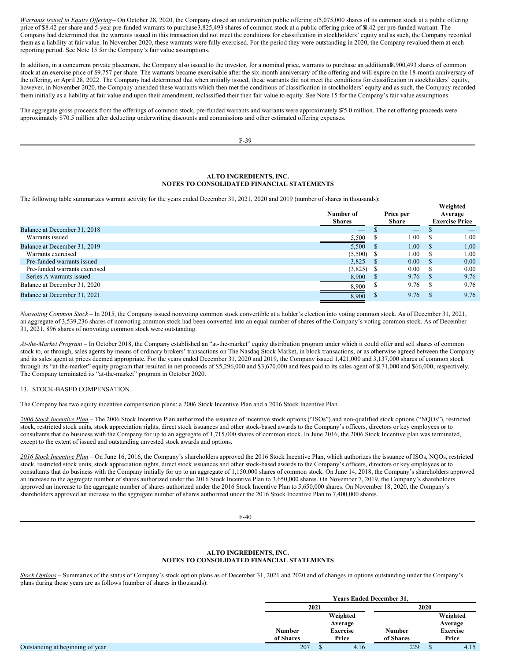*Warrants issued in Equity Of ering* – On October 28, 2020, the Company closed an underwritten public offering of5,075,000 shares of its common stock at a public offering price of \$8.42 per share and 5-year pre-funded warrants to purchase3,825,493 shares of common stock at a public offering price of \$8.42 per pre-funded warrant. The Company had determined that the warrants issued in this transaction did not meet the conditions for classification in stockholders' equity and as such, the Company recorded them as a liability at fair value. In November 2020, these warrants were fully exercised. For the period they were outstanding in 2020, the Company revalued them at each reporting period. See Note 15 for the Company's fair value assumptions.

In addition, in a concurrent private placement, the Company also issued to the investor, for a nominal price, warrants to purchase an additional8,900,493 shares of common stock at an exercise price of \$9.757 per share. The warrants became exercisable after the six-month anniversary of the offering and will expire on the 18-month anniversary of the offering, or April 28, 2022. The Company had determined that when initially issued, these warrants did not meet the conditions for classification in stockholders' equity, however, in November 2020, the Company amended these warrants which then met the conditions of classification in stockholders' equity and as such, the Company recorded them initially as a liability at fair value and upon their amendment, reclassified their then fair value to equity. See Note 15 for the Company's fair value assumptions.

The aggregate gross proceeds from the offerings of common stock, pre-funded warrants and warrants were approximately \$75.0 million. The net offering proceeds were approximately \$70.5 million after deducting underwriting discounts and commissions and other estimated offering expenses.

### **ALTO INGREDIENTS, INC. NOTES TO CONSOLIDATED FINANCIAL STATEMENTS**

**Weighted**

The following table summarizes warrant activity for the years ended December 31, 2021, 2020 and 2019 (number of shares in thousands):

|                               | Number of<br><b>Shares</b>      |              | Price per<br><b>Share</b> | weignted<br>Average<br><b>Exercise Price</b> |      |  |
|-------------------------------|---------------------------------|--------------|---------------------------|----------------------------------------------|------|--|
| Balance at December 31, 2018  | $\hspace{0.1mm}-\hspace{0.1mm}$ |              | $\qquad \qquad -$         |                                              | _    |  |
| Warrants issued               | 5,500                           |              | 1.00                      |                                              | 1.00 |  |
| Balance at December 31, 2019  | 5.500                           |              | 1.00                      |                                              | 1.00 |  |
| Warrants exercised            | $(5,500)$ \$                    |              | 1.00                      |                                              | 1.00 |  |
| Pre-funded warrants issued    | 3,825                           | $\mathbf{S}$ | 0.00 <sub>1</sub>         |                                              | 0.00 |  |
| Pre-funded warrants exercised | $(3,825)$ \$                    |              | 0.00                      |                                              | 0.00 |  |
| Series A warrants issued      | 8,900                           | ъ.           | 9.76                      | - \$                                         | 9.76 |  |
| Balance at December 31, 2020  | 8,900                           |              | 9.76                      |                                              | 9.76 |  |
| Balance at December 31, 2021  | 8.900                           |              | 9.76                      |                                              | 9.76 |  |

*Nonvoting Common Stock* – In 2015, the Company issued nonvoting common stock convertible at a holder's election into voting common stock. As of December 31, 2021, an aggregate of 3,539,236 shares of nonvoting common stock had been converted into an equal number of shares of the Company's voting common stock. As of December 31, 2021, 896 shares of nonvoting common stock were outstanding.

*At-the-Market Program* – In October 2018, the Company established an "at-the-market" equity distribution program under which it could offer and sell shares of common stock to, or through, sales agents by means of ordinary brokers' transactions on The Nasdaq Stock Market, in block transactions, or as otherwise agreed between the Company and its sales agent at prices deemed appropriate. For the years ended December 31, 2020 and 2019, the Company issued 1,421,000 and 3,137,000 shares of common stock through its "at-the-market" equity program that resulted in net proceeds of \$5,296,000 and \$3,670,000 and fees paid to its sales agent of \$171,000 and \$66,000, respectively. The Company terminated its "at-the-market" program in October 2020.

13. STOCK-BASED COMPENSATION.

The Company has two equity incentive compensation plans: a 2006 Stock Incentive Plan and a 2016 Stock Incentive Plan.

*2006 Stock Incentive Plan* – The 2006 Stock Incentive Plan authorized the issuance of incentive stock options ("ISOs") and non-qualified stock options ("NQOs"), restricted stock, restricted stock units, stock appreciation rights, direct stock issuances and other stock-based awards to the Company's officers, directors or key employees or to consultants that do business with the Company for up to an aggregate of 1,715,000 shares of common stock. In June 2016, the 2006 Stock Incentive plan was terminated, except to the extent of issued and outstanding unvested stock awards and options.

*2016 Stock Incentive Plan* – On June 16, 2016, the Company's shareholders approved the 2016 Stock Incentive Plan, which authorizes the issuance of ISOs, NQOs, restricted stock, restricted stock units, stock appreciation rights, direct stock issuances and other stock-based awards to the Company's officers, directors or key employees or to consultants that do business with the Company initially for up to an aggregate of 1,150,000 shares of common stock. On June 14, 2018, the Company's shareholders approved an increase to the aggregate number of shares authorized under the 2016 Stock Incentive Plan to 3,650,000 shares. On November 7, 2019, the Company's shareholders approved an increase to the aggregate number of shares authorized under the 2016 Stock Incentive Plan to 5,650,000 shares. On November 18, 2020, the Company's shareholders approved an increase to the aggregate number of shares authorized under the 2016 Stock Incentive Plan to 7,400,000 shares.

F-40

# **ALTO INGREDIENTS, INC. NOTES TO CONSOLIDATED FINANCIAL STATEMENTS**

*Stock Options* – Summaries of the status of Company's stock option plans as of December 31, 2021 and 2020 and of changes in options outstanding under the Company's plans during those years are as follows (number of shares in thousands):

|               | <b>Years Ended December 31,</b> |                 |               |      |                 |  |  |  |
|---------------|---------------------------------|-----------------|---------------|------|-----------------|--|--|--|
| 2021          |                                 |                 |               | 2020 |                 |  |  |  |
|               |                                 | Weighted        |               |      | Weighted        |  |  |  |
|               |                                 | Average         |               |      | Average         |  |  |  |
| <b>Number</b> |                                 | <b>Exercise</b> | <b>Number</b> |      | <b>Exercise</b> |  |  |  |
| of Shares     |                                 | Price           | of Shares     |      | Price           |  |  |  |
| 207           |                                 | 4.16            | 229           |      | 4.15            |  |  |  |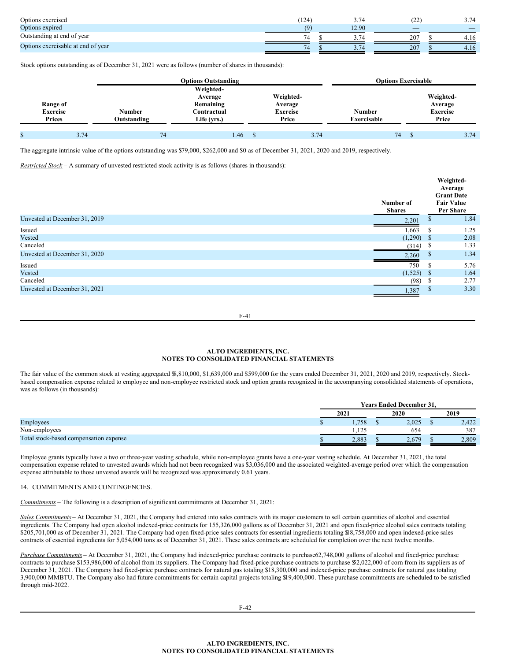| Options exercised                  | 124 | 3.14  | າາ<br>ے ک                |                          |
|------------------------------------|-----|-------|--------------------------|--------------------------|
| Options expired                    | (9) | 12.90 | $\overline{\phantom{a}}$ | $\overline{\phantom{a}}$ |
| Outstanding at end of year         | 74  |       | 207                      | 4.16                     |
| Options exercisable at end of year | 74  |       | 207                      | 4.16                     |

Stock options outstanding as of December 31, 2021 were as follows (number of shares in thousands):

|                                       |                              | <b>Options Exercisable</b>                                      |                                                  |      |                              |    |  |                                                  |      |  |  |
|---------------------------------------|------------------------------|-----------------------------------------------------------------|--------------------------------------------------|------|------------------------------|----|--|--------------------------------------------------|------|--|--|
| Range of<br><b>Exercise</b><br>Prices | <b>Number</b><br>Outstanding | Weighted-<br>Average<br>Remaining<br>Contractual<br>Life (yrs.) | Weighted-<br>Average<br><b>Exercise</b><br>Price |      | <b>Number</b><br>Exercisable |    |  | Weighted-<br>Average<br><b>Exercise</b><br>Price |      |  |  |
| \$<br>3.74                            | 74                           | 1.46                                                            |                                                  | 3.74 |                              | 74 |  |                                                  | 3.74 |  |  |

The aggregate intrinsic value of the options outstanding was \$79,000, \$262,000 and \$0 as of December 31, 2021, 2020 and 2019, respectively.

*Restricted Stock* – A summary of unvested restricted stock activity is as follows (shares in thousands):

|                               | Number of<br><b>Shares</b> |              | Weighted-<br>Average<br><b>Grant Date</b><br><b>Fair Value</b><br>Per Share |
|-------------------------------|----------------------------|--------------|-----------------------------------------------------------------------------|
| Unvested at December 31, 2019 | 2,201                      | S            | 1.84                                                                        |
| Issued                        | 1,663                      | S            | 1.25                                                                        |
| Vested                        | $(1,290)$ \$               |              | 2.08                                                                        |
| Canceled                      | (314)                      | -S           | 1.33                                                                        |
| Unvested at December 31, 2020 | 2,260                      | $\mathbb{S}$ | 1.34                                                                        |
| Issued                        | 750                        | S            | 5.76                                                                        |
| Vested                        | $(1,525)$ \$               |              | 1.64                                                                        |
| Canceled                      | (98)                       | -S           | 2.77                                                                        |
| Unvested at December 31, 2021 | 1,387                      | \$           | 3.30                                                                        |

F-41

# **ALTO INGREDIENTS, INC. NOTES TO CONSOLIDATED FINANCIAL STATEMENTS**

The fair value of the common stock at vesting aggregated \$8,810,000, \$1,639,000 and \$599,000 for the years ended December 31, 2021, 2020 and 2019, respectively. Stockbased compensation expense related to employee and non-employee restricted stock and option grants recognized in the accompanying consolidated statements of operations, was as follows (in thousands):

|                                        | <b>Years Ended December 31.</b> |  |       |  |       |  |
|----------------------------------------|---------------------------------|--|-------|--|-------|--|
|                                        | 2021                            |  | 2020  |  | 2019  |  |
| Employees                              | 1.758                           |  | 2.025 |  | 2.422 |  |
| Non-employees                          | 1.129                           |  | 654   |  | 387   |  |
| Total stock-based compensation expense | 2.883                           |  | 2,679 |  | 2.809 |  |

Employee grants typically have a two or three-year vesting schedule, while non-employee grants have a one-year vesting schedule. At December 31, 2021, the total compensation expense related to unvested awards which had not been recognized was \$3,036,000 and the associated weighted-average period over which the compensation expense attributable to those unvested awards will be recognized was approximately 0.61 years.

# 14. COMMITMENTS AND CONTINGENCIES.

*Commitments* – The following is a description of significant commitments at December 31, 2021:

*Sales Commitments* – At December 31, 2021, the Company had entered into sales contracts with its major customers to sell certain quantities of alcohol and essential ingredients. The Company had open alcohol indexed-price contracts for 155,326,000 gallons as of December 31, 2021 and open fixed-price alcohol sales contracts totaling \$205,701,000 as of December 31, 2021. The Company had open fixed-price sales contracts for essential ingredients totaling \$18,758,000 and open indexed-price sales contracts of essential ingredients for 5,054,000 tons as of December 31, 2021. These sales contracts are scheduled for completion over the next twelve months.

*Purchase Commitments* – At December 31, 2021, the Company had indexed-price purchase contracts to purchase62,748,000 gallons of alcohol and fixed-price purchase contracts to purchase \$153,986,000 of alcohol from its suppliers. The Company had fixed-price purchase contracts to purchase \$52,022,000 of corn from its suppliers as of December 31, 2021. The Company had fixed-price purchase contracts for natural gas totaling \$18,300,000 and indexed-price purchase contracts for natural gas totaling 3,900,000 MMBTU. The Company also had future commitments for certain capital projects totaling \$19,400,000. These purchase commitments are scheduled to be satisfied through mid-2022.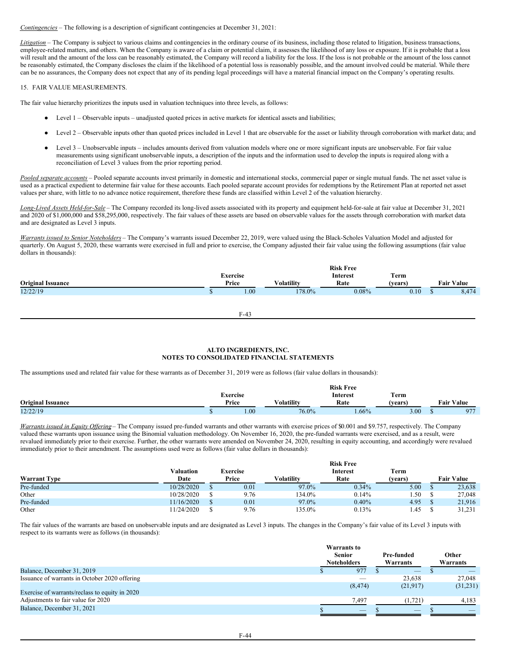*Contingencies* – The following is a description of significant contingencies at December 31, 2021:

*Litigation* – The Company is subject to various claims and contingencies in the ordinary course of its business, including those related to litigation, business transactions, employee-related matters, and others. When the Company is aware of a claim or potential claim, it assesses the likelihood of any loss or exposure. If it is probable that a loss will result and the amount of the loss can be reasonably estimated, the Company will record a liability for the loss. If the loss is not probable or the amount of the loss cannot be reasonably estimated, the Company discloses the claim if the likelihood of a potential loss is reasonably possible, and the amount involved could be material. While there can be no assurances, the Company does not expect that any of its pending legal proceedings will have a material financial impact on the Company's operating results.

## 15. FAIR VALUE MEASUREMENTS.

The fair value hierarchy prioritizes the inputs used in valuation techniques into three levels, as follows:

- Level 1 Observable inputs unadjusted quoted prices in active markets for identical assets and liabilities;
- Level 2 Observable inputs other than quoted prices included in Level 1 that are observable for the asset or liability through corroboration with market data; and
- Level 3 Unobservable inputs includes amounts derived from valuation models where one or more significant inputs are unobservable. For fair value measurements using significant unobservable inputs, a description of the inputs and the information used to develop the inputs is required along with a reconciliation of Level 3 values from the prior reporting period.

*Pooled separate accounts* – Pooled separate accounts invest primarily in domestic and international stocks, commercial paper or single mutual funds. The net asset value is used as a practical expedient to determine fair value for these accounts. Each pooled separate account provides for redemptions by the Retirement Plan at reported net asset values per share, with little to no advance notice requirement, therefore these funds are classified within Level 2 of the valuation hierarchy.

*Long-Lived Assets Held-for-Sale* – The Company recorded its long-lived assets associated with its property and equipment held-for-sale at fair value at December 31, 2021 and 2020 of \$1,000,000 and \$58,295,000, respectively. The fair values of these assets are based on observable values for the assets through corroboration with market data and are designated as Level 3 inputs.

*Warrants issued to Senior Noteholders* – The Company's warrants issued December 22, 2019, were valued using the Black-Scholes Valuation Model and adjusted for quarterly. On August 5, 2020, these warrants were exercised in full and prior to exercise, the Company adjusted their fair value using the following assumptions (fair value dollars in thousands):

|                          | <b>Risk Free</b> |       |                   |                 |         |  |                   |  |
|--------------------------|------------------|-------|-------------------|-----------------|---------|--|-------------------|--|
|                          | <b>Exercise</b>  |       |                   | <b>Interest</b> | Term    |  |                   |  |
| <b>Original Issuance</b> |                  | Price | <b>Volatility</b> | Rate            | (vears) |  | <b>Fair Value</b> |  |
| 12/22/19                 |                  | 1.00  | 178.0%            | 0.08%           | 0.10    |  | 8,474             |  |
|                          |                  |       |                   |                 |         |  |                   |  |
|                          |                  |       |                   |                 |         |  |                   |  |

F-43

## **ALTO INGREDIENTS, INC. NOTES TO CONSOLIDATED FINANCIAL STATEMENTS**

The assumptions used and related fair value for these warrants as of December 31, 2019 were as follows (fair value dollars in thousands):

|                          | <b>Risk Free</b> |      |                   |          |                                             |  |                   |  |
|--------------------------|------------------|------|-------------------|----------|---------------------------------------------|--|-------------------|--|
|                          | xercise          |      |                   | Interest | Term<br>the contract of the contract of the |  |                   |  |
| <b>Original Issuance</b> | Price            |      | <b>Volatility</b> | Rate     | <i>(vears)</i>                              |  | <b>Fair Value</b> |  |
| 12/22/19                 |                  | 1.00 | 76.0%             | .66%     | 3.00                                        |  | 977               |  |

*Warrants issued in Equity Of ering* – The Company issued pre-funded warrants and other warrants with exercise prices of \$0.001 and \$9.757, respectively. The Company valued these warrants upon issuance using the Binomial valuation methodology. On November 16, 2020, the pre-funded warrants were exercised, and as a result, were revalued immediately prior to their exercise. Further, the other warrants were amended on November 24, 2020, resulting in equity accounting, and accordingly were revalued immediately prior to their amendment. The assumptions used were as follows (fair value dollars in thousands):

|                     |            | <b>Risk Free</b> |            |                 |         |  |                   |  |  |
|---------------------|------------|------------------|------------|-----------------|---------|--|-------------------|--|--|
|                     | Valuation  | <b>Exercise</b>  |            | <b>Interest</b> | Term    |  |                   |  |  |
| <b>Warrant Type</b> | Date       | Price            | Volatilitv | Rate            | (vears) |  | <b>Fair Value</b> |  |  |
| Pre-funded          | 10/28/2020 | 0.01             | 97.0%      | $0.34\%$        | 5.00    |  | 23,638            |  |  |
| Other               | 10/28/2020 | 9.76             | 134.0%     | 0.14%           | . . 50  |  | 27,048            |  |  |
| Pre-funded          | 11/16/2020 | 0.01             | 97.0%      | 0.40%           | 4.95    |  | 21,916            |  |  |
| Other               | 11/24/2020 | 9.76             | 135.0%     | 0.13%           | 1.45    |  | 31,231            |  |  |

The fair values of the warrants are based on unobservable inputs and are designated as Level 3 inputs. The changes in the Company's fair value of its Level 3 inputs with respect to its warrants were as follows (in thousands):

|                                                | <b>Warrants to</b> |               |  |                                 |  |          |
|------------------------------------------------|--------------------|---------------|--|---------------------------------|--|----------|
|                                                |                    | <b>Senior</b> |  | Pre-funded                      |  | Other    |
|                                                | <b>Noteholders</b> |               |  | Warrants                        |  | Warrants |
| Balance, December 31, 2019                     |                    | 977           |  | $\hspace{0.1mm}-\hspace{0.1mm}$ |  |          |
| Issuance of warrants in October 2020 offering  |                    |               |  | 23,638                          |  | 27,048   |
|                                                |                    | (8, 474)      |  | (21,917)                        |  | (31,231) |
| Exercise of warrants/reclass to equity in 2020 |                    |               |  |                                 |  |          |
| Adjustments to fair value for 2020             |                    | 7.497         |  | (1, 721)                        |  | 4,183    |
| Balance, December 31, 2021                     |                    | $-$           |  | $\overline{\phantom{a}}$        |  |          |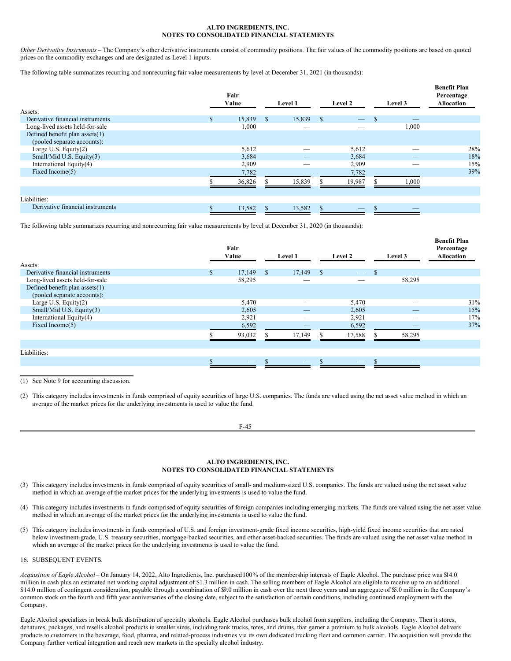# **ALTO INGREDIENTS, INC. NOTES TO CONSOLIDATED FINANCIAL STATEMENTS**

*Other Derivative Instruments* – The Company's other derivative instruments consist of commodity positions. The fair values of the commodity positions are based on quoted prices on the commodity exchanges and are designated as Level 1 inputs.

The following table summarizes recurring and nonrecurring fair value measurements by level at December 31, 2021 (in thousands):

| Assets:                                                          |     | Fair<br>Value |      | Level 1 |    | Level 2 |          | Level 3 | <b>Benefit Plan</b><br>Percentage<br>Allocation |
|------------------------------------------------------------------|-----|---------------|------|---------|----|---------|----------|---------|-------------------------------------------------|
| Derivative financial instruments                                 | \$. | 15,839        | - \$ | 15,839  | -S | $-$     | <b>S</b> |         |                                                 |
| Long-lived assets held-for-sale                                  |     | 1,000         |      |         |    |         |          | 1,000   |                                                 |
| Defined benefit plan assets $(1)$<br>(pooled separate accounts): |     |               |      |         |    |         |          |         |                                                 |
| Large U.S. Equity $(2)$                                          |     | 5,612         |      | --      |    | 5,612   |          |         | 28%                                             |
| Small/Mid U.S. Equity(3)                                         |     | 3,684         |      | _       |    | 3,684   |          | _       | 18%                                             |
| International Equity(4)                                          |     | 2,909         |      |         |    | 2,909   |          |         | 15%                                             |
| Fixed Income(5)                                                  |     | 7,782         |      |         |    | 7,782   |          |         | 39%                                             |
|                                                                  |     | 36,826        |      | 15,839  |    | 19,987  |          | 1,000   |                                                 |
| Liabilities:                                                     |     |               |      |         |    |         |          |         |                                                 |
| Derivative financial instruments                                 |     | 13,582        |      | 13,582  |    |         |          |         |                                                 |

The following table summarizes recurring and nonrecurring fair value measurements by level at December 31, 2020 (in thousands):

| Assets:                          |     | Fair<br>Value |              | Level 1     | Level 2 |              | Level 3                  | <b>Benefit Plan</b><br>Percentage<br>Allocation |
|----------------------------------|-----|---------------|--------------|-------------|---------|--------------|--------------------------|-------------------------------------------------|
| Derivative financial instruments | \$. | 17,149        | $\mathbf{s}$ | $17,149$ \$ |         | $\mathbf{s}$ |                          |                                                 |
| Long-lived assets held-for-sale  |     | 58,295        |              | _           |         |              | 58,295                   |                                                 |
| Defined benefit plan assets(1)   |     |               |              |             |         |              |                          |                                                 |
| (pooled separate accounts):      |     |               |              |             |         |              |                          |                                                 |
| Large U.S. Equity(2)             |     | 5,470         |              | _           | 5,470   |              |                          | 31%                                             |
| Small/Mid U.S. Equity(3)         |     | 2,605         |              |             | 2,605   |              |                          | 15%                                             |
| International Equity(4)          |     | 2,921         |              | _           | 2,921   |              | $\overline{\phantom{a}}$ | 17%                                             |
| Fixed Income(5)                  |     | 6,592         |              | _           | 6,592   |              |                          | 37%                                             |
|                                  |     | 93,032        |              | 17,149      | 17,588  |              | 58,295                   |                                                 |
|                                  |     |               |              |             |         |              |                          |                                                 |
| Liabilities:                     |     |               |              |             |         |              |                          |                                                 |
|                                  |     |               |              |             |         |              |                          |                                                 |
|                                  |     |               |              |             |         |              |                          |                                                 |

(1) See Note 9 for accounting discussion.

(2) This category includes investments in funds comprised of equity securities of large U.S. companies. The funds are valued using the net asset value method in which an average of the market prices for the underlying investments is used to value the fund.

| _<br>I<br>$\sim$ |
|------------------|
|------------------|

# **ALTO INGREDIENTS, INC. NOTES TO CONSOLIDATED FINANCIAL STATEMENTS**

- (3) This category includes investments in funds comprised of equity securities of small- and medium-sized U.S. companies. The funds are valued using the net asset value method in which an average of the market prices for the underlying investments is used to value the fund.
- (4) This category includes investments in funds comprised of equity securities of foreign companies including emerging markets. The funds are valued using the net asset value method in which an average of the market prices for the underlying investments is used to value the fund.
- (5) This category includes investments in funds comprised of U.S. and foreign investment-grade fixed income securities, high-yield fixed income securities that are rated below investment-grade, U.S. treasury securities, mortgage-backed securities, and other asset-backed securities. The funds are valued using the net asset value method in which an average of the market prices for the underlying investments is used to value the fund.
- 16. SUBSEQUENT EVENTS.

*Acquisition of Eagle Alcohol*– On January 14, 2022, Alto Ingredients, Inc. purchased 100% of the membership interests of Eagle Alcohol. The purchase price was \$14.0 million in cash plus an estimated net working capital adjustment of \$1.3 million in cash. The selling members of Eagle Alcohol are eligible to receive up to an additional \$14.0 million of contingent consideration, payable through a combination of \$9.0 million in cash over the next three years and an aggregate of \$5.0 million in the Company's common stock on the fourth and fifth year anniversaries of the closing date, subject to the satisfaction of certain conditions, including continued employment with the Company.

Eagle Alcohol specializes in break bulk distribution of specialty alcohols. Eagle Alcohol purchases bulk alcohol from suppliers, including the Company. Then it stores, denatures, packages, and resells alcohol products in smaller sizes, including tank trucks, totes, and drums, that garner a premium to bulk alcohols. Eagle Alcohol delivers products to customers in the beverage, food, pharma, and related-process industries via its own dedicated trucking fleet and common carrier. The acquisition will provide the Company further vertical integration and reach new markets in the specialty alcohol industry.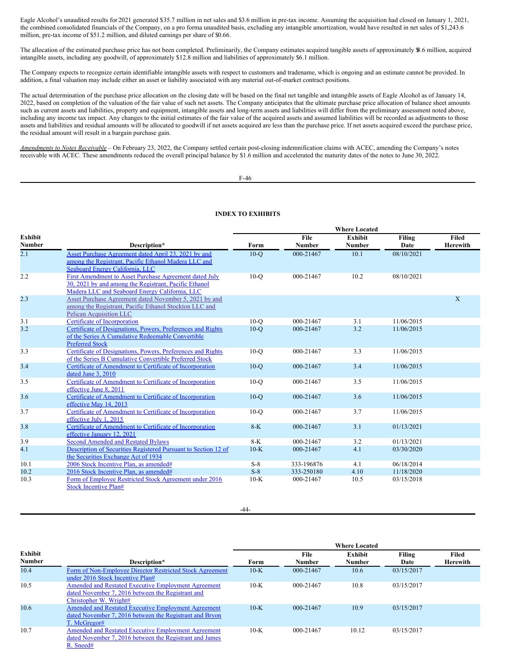Eagle Alcohol's unaudited results for 2021 generated \$35.7 million in net sales and \$3.6 million in pre-tax income. Assuming the acquisition had closed on January 1, 2021, the combined consolidated financials of the Company, on a pro forma unaudited basis, excluding any intangible amortization, would have resulted in net sales of \$1,243.6 million, pre-tax income of \$51.2 million, and diluted earnings per share of \$0.66.

The allocation of the estimated purchase price has not been completed. Preliminarily, the Company estimates acquired tangible assets of approximately \$8.6 million, acquired intangible assets, including any goodwill, of approximately \$12.8 million and liabilities of approximately \$6.1 million.

The Company expects to recognize certain identifiable intangible assets with respect to customers and tradename, which is ongoing and an estimate cannot be provided. In addition, a final valuation may include either an asset or liability associated with any material out-of-market contract positions.

The actual determination of the purchase price allocation on the closing date will be based on the final net tangible and intangible assets of Eagle Alcohol as of January 14, 2022, based on completion of the valuation of the fair value of such net assets. The Company anticipates that the ultimate purchase price allocation of balance sheet amounts such as current assets and liabilities, property and equipment, intangible assets and long-term assets and liabilities will differ from the preliminary assessment noted above, including any income tax impact. Any changes to the initial estimates of the fair value of the acquired assets and assumed liabilities will be recorded as adjustments to those assets and liabilities and residual amounts will be allocated to goodwill if net assets acquired are less than the purchase price. If net assets acquired exceed the purchase price, the residual amount will result in a bargain purchase gain.

*Amendments to Notes Receivable –* On February 23, 2022, the Company settled certain post-closing indemnification claims with ACEC, amending the Company's notes receivable with ACEC. These amendments reduced the overall principal balance by \$1.6 million and accelerated the maturity dates of the notes to June 30, 2022.

F-46

# **INDEX TO EXHIBITS**

| <b>Exhibit</b><br>Number | Description*                                                                                                                                                      | Form   | File<br>Number | <b>Exhibit</b><br>Number | <b>Filing</b><br>Date | Filed<br><b>Herewith</b> |
|--------------------------|-------------------------------------------------------------------------------------------------------------------------------------------------------------------|--------|----------------|--------------------------|-----------------------|--------------------------|
| $\overline{2.1}$         | Asset Purchase Agreement dated April 23, 2021 by and<br>among the Registrant, Pacific Ethanol Madera LLC and<br>Seaboard Energy California, LLC                   | $10-o$ | 000-21467      | 10.1                     | 08/10/2021            |                          |
| 2.2                      | First Amendment to Asset Purchase Agreement dated July<br>30, 2021 by and among the Registrant, Pacific Ethanol<br>Madera LLC and Seaboard Energy California, LLC | $10-o$ | 000-21467      | 10.2                     | 08/10/2021            |                          |
| 2.3                      | Asset Purchase Agreement dated November 5, 2021 by and<br>among the Registrant, Pacific Ethanol Stockton LLC and<br><b>Pelican Acquisition LLC</b>                |        |                |                          |                       | $\mathbf{X}$             |
| 3.1                      | Certificate of Incorporation                                                                                                                                      | $10-o$ | 000-21467      | 3.1                      | 11/06/2015            |                          |
| 3.2                      | Certificate of Designations, Powers, Preferences and Rights<br>of the Series A Cumulative Redeemable Convertible<br><b>Preferred Stock</b>                        | $10-Q$ | 000-21467      | 3.2                      | 11/06/2015            |                          |
| 3.3                      | Certificate of Designations, Powers, Preferences and Rights<br>of the Series B Cumulative Convertible Preferred Stock                                             | $10-o$ | 000-21467      | 3.3                      | 11/06/2015            |                          |
| 3.4                      | Certificate of Amendment to Certificate of Incorporation<br>dated June 3, 2010                                                                                    | $10-o$ | 000-21467      | 3.4                      | 11/06/2015            |                          |
| 3.5                      | Certificate of Amendment to Certificate of Incorporation<br>effective June 8, 2011                                                                                | $10-Q$ | 000-21467      | 3.5                      | 11/06/2015            |                          |
| 3.6                      | Certificate of Amendment to Certificate of Incorporation<br>effective May 14, 2013                                                                                | $10-Q$ | 000-21467      | 3.6                      | 11/06/2015            |                          |
| 3.7                      | Certificate of Amendment to Certificate of Incorporation<br>effective July 1, 2015                                                                                | $10-o$ | 000-21467      | 3.7                      | 11/06/2015            |                          |
| 3.8                      | Certificate of Amendment to Certificate of Incorporation<br>effective January 12, 2021                                                                            | $8-K$  | 000-21467      | 3.1                      | 01/13/2021            |                          |
| 3.9                      | <b>Second Amended and Restated Bylaws</b>                                                                                                                         | $8-K$  | 000-21467      | 3.2                      | 01/13/2021            |                          |
| 4.1                      | Description of Securities Registered Pursuant to Section 12 of<br>the Securities Exchange Act of 1934                                                             | $10-K$ | 000-21467      | 4.1                      | 03/30/2020            |                          |
| 10.1                     | 2006 Stock Incentive Plan, as amended#                                                                                                                            | $S-8$  | 333-196876     | 4.1                      | 06/18/2014            |                          |
| 10.2                     | 2016 Stock Incentive Plan, as amended#                                                                                                                            | $S-8$  | 333-250180     | 4.10                     | 11/18/2020            |                          |
| 10.3                     | Form of Employee Restricted Stock Agreement under 2016<br><b>Stock Incentive Plan#</b>                                                                            | $10-K$ | 000-21467      | 10.5                     | 03/15/2018            |                          |

-44-

|                          |                                                                                                                                    |        |                       | <b>Where Located</b>            |                |                          |
|--------------------------|------------------------------------------------------------------------------------------------------------------------------------|--------|-----------------------|---------------------------------|----------------|--------------------------|
| Exhibit<br><b>Number</b> | Description*                                                                                                                       | Form   | File<br><b>Number</b> | <b>Exhibit</b><br><b>Number</b> | Filing<br>Date | Filed<br><b>Herewith</b> |
| 10.4                     | Form of Non-Employee Director Restricted Stock Agreement<br>under 2016 Stock Incentive Plan#                                       | $10-K$ | 000-21467             | 10.6                            | 03/15/2017     |                          |
| 10.5                     | Amended and Restated Executive Employment Agreement<br>dated November 7, 2016 between the Registrant and<br>Christopher W. Wright# | $10-K$ | 000-21467             | 10.8                            | 03/15/2017     |                          |
| 10.6                     | Amended and Restated Executive Employment Agreement<br>dated November 7, 2016 between the Registrant and Bryon<br>T. McGregor#     | $10-K$ | 000-21467             | 10.9                            | 03/15/2017     |                          |
| 10.7                     | Amended and Restated Executive Employment Agreement<br>dated November 7, 2016 between the Registrant and James<br>R. Sneed#        | $10-K$ | 000-21467             | 10.12                           | 03/15/2017     |                          |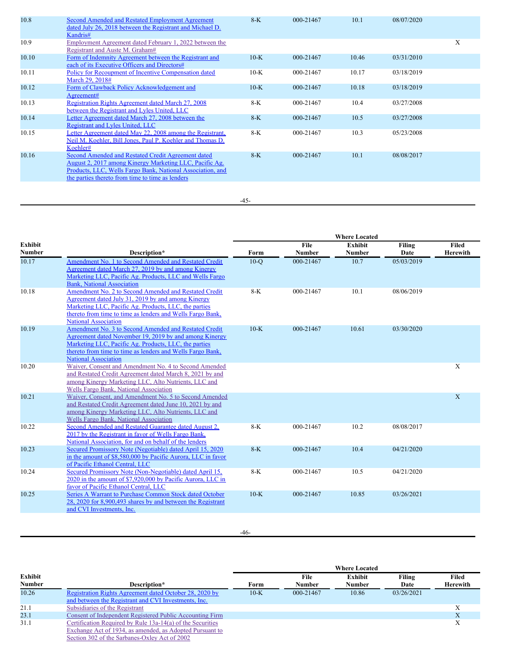| 10.8  | Second Amended and Restated Employment Agreement<br>dated July 26, 2018 between the Registrant and Michael D.<br>Kandris#                                                                                                       | $8-K$  | 000-21467 | 10.1  | 08/07/2020 |   |
|-------|---------------------------------------------------------------------------------------------------------------------------------------------------------------------------------------------------------------------------------|--------|-----------|-------|------------|---|
| 10.9  | Employment Agreement dated February 1, 2022 between the<br>Registrant and Auste M. Graham#                                                                                                                                      |        |           |       |            | X |
| 10.10 | Form of Indemnity Agreement between the Registrant and<br>each of its Executive Officers and Directors#                                                                                                                         | $10-K$ | 000-21467 | 10.46 | 03/31/2010 |   |
| 10.11 | Policy for Recoupment of Incentive Compensation dated<br>March 29, 2018#                                                                                                                                                        | $10-K$ | 000-21467 | 10.17 | 03/18/2019 |   |
| 10.12 | Form of Clawback Policy Acknowledgement and<br>$A$ greement#                                                                                                                                                                    | $10-K$ | 000-21467 | 10.18 | 03/18/2019 |   |
| 10.13 | <b>Registration Rights Agreement dated March 27, 2008</b><br>between the Registrant and Lyles United, LLC                                                                                                                       | $8-K$  | 000-21467 | 10.4  | 03/27/2008 |   |
| 10.14 | Letter Agreement dated March 27, 2008 between the<br>Registrant and Lyles United, LLC                                                                                                                                           | $8-K$  | 000-21467 | 10.5  | 03/27/2008 |   |
| 10.15 | Letter Agreement dated May 22, 2008 among the Registrant,<br>Neil M. Koehler, Bill Jones, Paul P. Koehler and Thomas D.<br>Koehler#                                                                                             | $8-K$  | 000-21467 | 10.3  | 05/23/2008 |   |
| 10.16 | Second Amended and Restated Credit Agreement dated<br>August 2, 2017 among Kinergy Marketing LLC, Pacific Ag.<br>Products, LLC, Wells Fargo Bank, National Association, and<br>the parties thereto from time to time as lenders | $8-K$  | 000-21467 | 10.1  | 08/08/2017 |   |
|       |                                                                                                                                                                                                                                 |        |           |       |            |   |

-45-

|                                 |                                                                                                                                                                                                                                                                       |        |                       | <b>Where Located</b>     |                       |                          |
|---------------------------------|-----------------------------------------------------------------------------------------------------------------------------------------------------------------------------------------------------------------------------------------------------------------------|--------|-----------------------|--------------------------|-----------------------|--------------------------|
| <b>Exhibit</b><br><b>Number</b> | Description*                                                                                                                                                                                                                                                          | Form   | File<br><b>Number</b> | <b>Exhibit</b><br>Number | <b>Filing</b><br>Date | <b>Filed</b><br>Herewith |
| 10.17                           | Amendment No. 1 to Second Amended and Restated Credit<br>Agreement dated March 27, 2019 by and among Kinergy<br>Marketing LLC, Pacific Ag. Products, LLC and Wells Fargo<br><b>Bank, National Association</b>                                                         | $10-Q$ | 000-21467             | 10.7                     | 05/03/2019            |                          |
| 10.18                           | Amendment No. 2 to Second Amended and Restated Credit<br>Agreement dated July 31, 2019 by and among Kinergy<br>Marketing LLC, Pacific Ag. Products, LLC, the parties<br>thereto from time to time as lenders and Wells Fargo Bank,<br><b>National Association</b>     | $8-K$  | 000-21467             | 10.1                     | 08/06/2019            |                          |
| 10.19                           | Amendment No. 3 to Second Amended and Restated Credit<br>Agreement dated November 19, 2019 by and among Kinergy<br>Marketing LLC, Pacific Ag. Products, LLC, the parties<br>thereto from time to time as lenders and Wells Fargo Bank,<br><b>National Association</b> | $10-K$ | 000-21467             | 10.61                    | 03/30/2020            |                          |
| 10.20                           | Waiver, Consent and Amendment No. 4 to Second Amended<br>and Restated Credit Agreement dated March 8, 2021 by and<br>among Kinergy Marketing LLC, Alto Nutrients, LLC and<br>Wells Fargo Bank, National Association                                                   |        |                       |                          |                       | X                        |
| 10.21                           | Waiver, Consent, and Amendment No. 5 to Second Amended<br>and Restated Credit Agreement dated June 10, 2021 by and<br>among Kinergy Marketing LLC, Alto Nutrients, LLC and<br>Wells Fargo Bank, National Association                                                  |        |                       |                          |                       | X                        |
| 10.22                           | Second Amended and Restated Guarantee dated August 2,<br>2017 by the Registrant in favor of Wells Fargo Bank,<br>National Association, for and on behalf of the lenders                                                                                               | $8-K$  | 000-21467             | 10.2                     | 08/08/2017            |                          |
| 10.23                           | Secured Promissory Note (Negotiable) dated April 15, 2020<br>in the amount of \$8,580,000 by Pacific Aurora, LLC in favor<br>of Pacific Ethanol Central, LLC                                                                                                          | $8-K$  | 000-21467             | 10.4                     | 04/21/2020            |                          |
| 10.24                           | Secured Promissory Note (Non-Negotiable) dated April 15,<br>2020 in the amount of \$7,920,000 by Pacific Aurora, LLC in<br>favor of Pacific Ethanol Central, LLC                                                                                                      | $8-K$  | 000-21467             | 10.5                     | 04/21/2020            |                          |
| 10.25                           | Series A Warrant to Purchase Common Stock dated October<br>28, 2020 for 8,900,493 shares by and between the Registrant<br>and CVI Investments, Inc.                                                                                                                   | $10-K$ | 000-21467             | 10.85                    | 03/26/2021            |                          |
|                                 |                                                                                                                                                                                                                                                                       |        |                       |                          |                       |                          |

-46-

|               |                                                                                                                                                                         |        |               | <b>Where Located</b> |            |                 |
|---------------|-------------------------------------------------------------------------------------------------------------------------------------------------------------------------|--------|---------------|----------------------|------------|-----------------|
| Exhibit       |                                                                                                                                                                         |        | File          | Exhibit              | Filing     | Filed           |
| <b>Number</b> | Description*                                                                                                                                                            | Form   | <b>Number</b> | <b>Number</b>        | Date       | <b>Herewith</b> |
| 10.26         | Registration Rights Agreement dated October 28, 2020 by<br>and between the Registrant and CVI Investments, Inc.                                                         | $10-K$ | 000-21467     | 10.86                | 03/26/2021 |                 |
| 21.1          | Subsidiaries of the Registrant                                                                                                                                          |        |               |                      |            |                 |
| 23.1          | Consent of Independent Registered Public Accounting Firm                                                                                                                |        |               |                      |            |                 |
| 31.1          | Certification Required by Rule 13a-14(a) of the Securities<br>Exchange Act of 1934, as amended, as Adopted Pursuant to<br>Section 302 of the Sarbanes-Oxley Act of 2002 |        |               |                      |            |                 |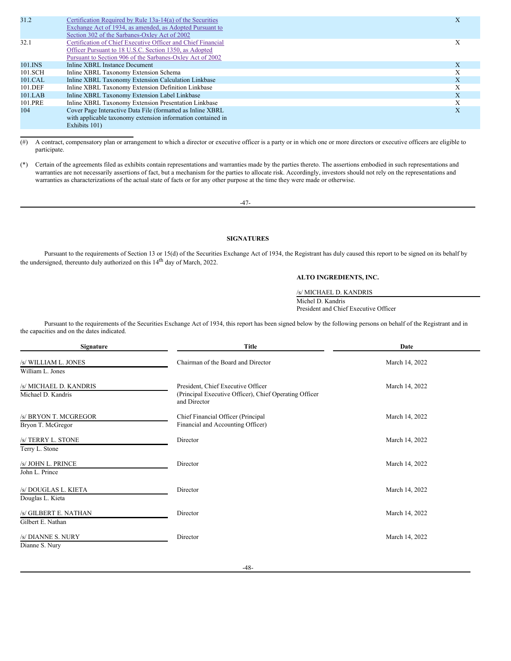| 31.2    | Certification Required by Rule 13a-14(a) of the Securities<br>Exchange Act of 1934, as amended, as Adopted Pursuant to<br>Section 302 of the Sarbanes-Oxley Act of 2002             | $\lambda$ |
|---------|-------------------------------------------------------------------------------------------------------------------------------------------------------------------------------------|-----------|
| 32.1    | Certification of Chief Executive Officer and Chief Financial<br>Officer Pursuant to 18 U.S.C. Section 1350, as Adopted<br>Pursuant to Section 906 of the Sarbanes-Oxley Act of 2002 | Х         |
| 101.INS | Inline XBRL Instance Document                                                                                                                                                       |           |
| 101.SCH | Inline XBRL Taxonomy Extension Schema                                                                                                                                               |           |
| 101.CAL | Inline XBRL Taxonomy Extension Calculation Linkbase                                                                                                                                 |           |
| 101.DEF | Inline XBRL Taxonomy Extension Definition Linkbase                                                                                                                                  |           |
| 101.LAB | Inline XBRL Taxonomy Extension Label Linkbase                                                                                                                                       |           |
| 101.PRE | Inline XBRL Taxonomy Extension Presentation Linkbase                                                                                                                                |           |
| 104     | Cover Page Interactive Data File (formatted as Inline XBRL<br>with applicable taxonomy extension information contained in<br>Exhibits 101)                                          | $\lambda$ |

 $(\#)$  A contract, compensatory plan or arrangement to which a director or executive officer is a party or in which one or more directors or executive officers are eligible to participate.

(\*) Certain of the agreements filed as exhibits contain representations and warranties made by the parties thereto. The assertions embodied in such representations and warranties are not necessarily assertions of fact, but a mechanism for the parties to allocate risk. Accordingly, investors should not rely on the representations and warranties as characterizations of the actual state of facts or for any other purpose at the time they were made or otherwise.

-47-

# **SIGNATURES**

Pursuant to the requirements of Section 13 or 15(d) of the Securities Exchange Act of 1934, the Registrant has duly caused this report to be signed on its behalf by the undersigned, thereunto duly authorized on this 14<sup>th</sup> day of March, 2022.

# **ALTO INGREDIENTS, INC.**

/s/ MICHAEL D. KANDRIS

Michel D. Kandris President and Chief Executive Officer

Pursuant to the requirements of the Securities Exchange Act of 1934, this report has been signed below by the following persons on behalf of the Registrant and in the capacities and on the dates indicated.

| Signature                                    | Title                                                                                                        | Date           |
|----------------------------------------------|--------------------------------------------------------------------------------------------------------------|----------------|
| /s/ WILLIAM L. JONES<br>William L. Jones     | Chairman of the Board and Director                                                                           | March 14, 2022 |
| /s/ MICHAEL D. KANDRIS<br>Michael D. Kandris | President, Chief Executive Officer<br>(Principal Executive Officer), Chief Operating Officer<br>and Director | March 14, 2022 |
| /s/ BRYON T. MCGREGOR<br>Bryon T. McGregor   | Chief Financial Officer (Principal<br>Financial and Accounting Officer)                                      | March 14, 2022 |
| /s/ TERRY L. STONE<br>Terry L. Stone         | Director                                                                                                     | March 14, 2022 |
| /s/ JOHN L. PRINCE<br>John L. Prince         | Director                                                                                                     | March 14, 2022 |
| /s/ DOUGLAS L. KIETA<br>Douglas L. Kieta     | Director                                                                                                     | March 14, 2022 |
| /s/ GILBERT E. NATHAN<br>Gilbert E. Nathan   | Director                                                                                                     | March 14, 2022 |
| /s/ DIANNE S. NURY<br>Dianne S. Nury         | Director                                                                                                     | March 14, 2022 |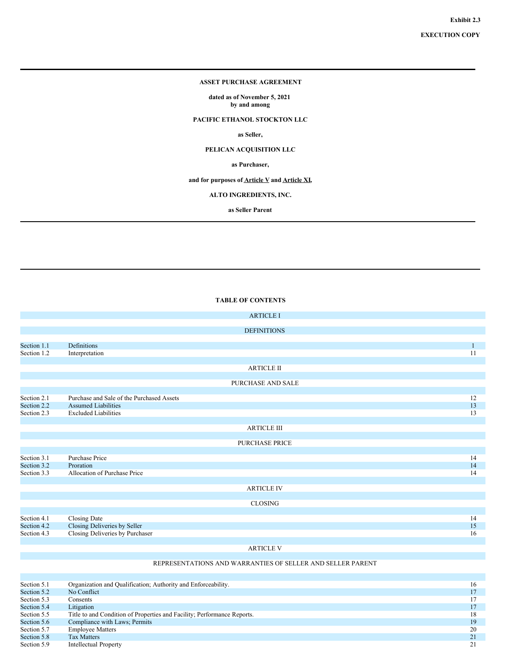**EXECUTION COPY**

**Exhibit 2.3**

# **ASSET PURCHASE AGREEMENT**

**dated as of November 5, 2021 by and among**

# **PACIFIC ETHANOL STOCKTON LLC**

**as Seller,**

# **PELICAN ACQUISITION LLC**

# **as Purchaser,**

**and for purposes of Article V and Article XI,**

# **ALTO INGREDIENTS, INC.**

**as Seller Parent**

# **TABLE OF CONTENTS**

|                            |                                                           | <b>ARTICLE I</b>      |          |
|----------------------------|-----------------------------------------------------------|-----------------------|----------|
|                            |                                                           | <b>DEFINITIONS</b>    |          |
|                            |                                                           |                       |          |
| Section 1.1                | Definitions                                               |                       | 1        |
| Section 1.2                | Interpretation                                            |                       | 11       |
|                            |                                                           |                       |          |
|                            |                                                           | <b>ARTICLE II</b>     |          |
|                            |                                                           |                       |          |
|                            |                                                           | PURCHASE AND SALE     |          |
|                            |                                                           |                       |          |
| Section 2.1                | Purchase and Sale of the Purchased Assets                 |                       | 12       |
| Section 2.2<br>Section 2.3 | <b>Assumed Liabilities</b><br><b>Excluded Liabilities</b> |                       | 13<br>13 |
|                            |                                                           |                       |          |
|                            |                                                           | <b>ARTICLE III</b>    |          |
|                            |                                                           |                       |          |
|                            |                                                           | <b>PURCHASE PRICE</b> |          |
|                            |                                                           |                       |          |
| Section 3.1                | Purchase Price                                            |                       | 14       |
| Section 3.2                | Proration                                                 |                       | 14       |
| Section 3.3                | Allocation of Purchase Price                              |                       | 14       |
|                            |                                                           |                       |          |
|                            |                                                           | <b>ARTICLE IV</b>     |          |
|                            |                                                           |                       |          |
|                            |                                                           | <b>CLOSING</b>        |          |
| Section 4.1                | Closing Date                                              |                       | 14       |
| Section 4.2                | Closing Deliveries by Seller                              |                       | 15       |
| Section 4.3                | Closing Deliveries by Purchaser                           |                       | 16       |
|                            |                                                           |                       |          |
|                            |                                                           |                       |          |

# ARTICLE V

# REPRESENTATIONS AND WARRANTIES OF SELLER AND SELLER PARENT

| Section 5.1 | Organization and Qualification; Authority and Enforceability.           | 16           |
|-------------|-------------------------------------------------------------------------|--------------|
| Section 5.2 | No Conflict                                                             |              |
| Section 5.3 | Consents                                                                |              |
| Section 5.4 | Litigation                                                              |              |
| Section 5.5 | Title to and Condition of Properties and Facility; Performance Reports. |              |
| Section 5.6 | Compliance with Laws; Permits                                           | 19           |
| Section 5.7 | <b>Employee Matters</b>                                                 | 20           |
| Section 5.8 | Tax Matters                                                             |              |
| Section 5.9 | Intellectual Property                                                   | $^{\circ}$ 1 |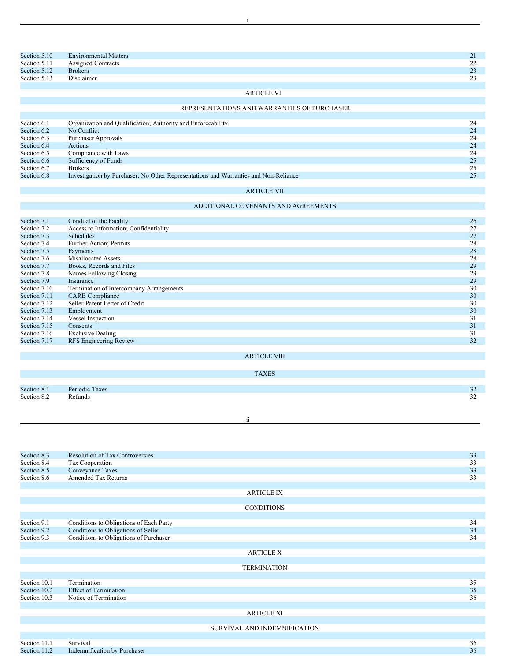| Section 5.10 | <b>Environmental Matters</b>                                                         | 21     |
|--------------|--------------------------------------------------------------------------------------|--------|
| Section 5.11 | <b>Assigned Contracts</b>                                                            | 22     |
| Section 5.12 | <b>Brokers</b>                                                                       | 23     |
| Section 5.13 | Disclaimer                                                                           | 23     |
|              |                                                                                      |        |
|              | <b>ARTICLE VI</b>                                                                    |        |
|              |                                                                                      |        |
|              | REPRESENTATIONS AND WARRANTIES OF PURCHASER                                          |        |
|              |                                                                                      |        |
| Section 6.1  | Organization and Qualification; Authority and Enforceability.                        | 24     |
| Section 6.2  | No Conflict                                                                          | 24     |
| Section 6.3  | Purchaser Approvals                                                                  | 24     |
| Section 6.4  | Actions                                                                              | 24     |
| Section 6.5  | Compliance with Laws                                                                 | 24     |
| Section 6.6  | Sufficiency of Funds                                                                 | 25     |
| Section 6.7  | <b>Brokers</b>                                                                       | 25     |
|              |                                                                                      | 25     |
| Section 6.8  | Investigation by Purchaser; No Other Representations and Warranties and Non-Reliance |        |
|              |                                                                                      |        |
|              | <b>ARTICLE VII</b>                                                                   |        |
|              |                                                                                      |        |
|              | ADDITIONAL COVENANTS AND AGREEMENTS                                                  |        |
|              |                                                                                      |        |
| Section 7.1  | Conduct of the Facility                                                              | 26     |
| Section 7.2  | Access to Information; Confidentiality                                               | 27     |
| Section 7.3  | Schedules                                                                            | 27     |
| Section 7.4  | Further Action; Permits                                                              | 28     |
| Section 7.5  | Payments                                                                             | 28     |
| Section 7.6  | Misallocated Assets                                                                  | 28     |
| Section 7.7  | Books, Records and Files                                                             | 29     |
| Section 7.8  | Names Following Closing                                                              | 29     |
| Section 7.9  | Insurance                                                                            | 29     |
| Section 7.10 | Termination of Intercompany Arrangements                                             | 30     |
|              |                                                                                      |        |
| Section 7.11 | <b>CARB</b> Compliance                                                               | 30     |
| Section 7.12 | Seller Parent Letter of Credit                                                       | 30     |
| Section 7.13 | Employment                                                                           | 30     |
| Section 7.14 | Vessel Inspection                                                                    | 31     |
| Section 7.15 | Consents                                                                             | 31     |
| Section 7.16 | <b>Exclusive Dealing</b>                                                             | 31     |
| Section 7.17 | RFS Engineering Review                                                               | 32     |
|              |                                                                                      |        |
|              | <b>ARTICLE VIII</b>                                                                  |        |
|              |                                                                                      |        |
|              | <b>TAXES</b>                                                                         |        |
|              |                                                                                      |        |
| Section 8.1  | Periodic Taxes                                                                       |        |
|              |                                                                                      | $32\,$ |
| Section 8.2  | Refunds                                                                              | 32     |
|              |                                                                                      |        |
|              |                                                                                      |        |
|              | ii                                                                                   |        |
|              |                                                                                      |        |
|              |                                                                                      |        |
|              |                                                                                      |        |
| Section 8.3  | <b>Resolution of Tax Controversies</b>                                               |        |
|              |                                                                                      | 33     |
| Section 8.4  | Tax Cooperation                                                                      | 33     |
| Section 8.5  | Conveyance Taxes                                                                     | 33     |
| Section 8.6  | <b>Amended Tax Returns</b>                                                           | 33     |
|              |                                                                                      |        |
|              | <b>ARTICLE IX</b>                                                                    |        |
|              |                                                                                      |        |
|              | <b>CONDITIONS</b>                                                                    |        |
|              |                                                                                      |        |
| Section 9.1  | Conditions to Obligations of Each Party                                              | 34     |
| Section 9.2  | Conditions to Obligations of Seller                                                  | 34     |
| Section 9.3  | Conditions to Obligations of Purchaser                                               | 34     |
|              |                                                                                      |        |
|              | <b>ARTICLE X</b>                                                                     |        |
|              |                                                                                      |        |
|              | <b>TERMINATION</b>                                                                   |        |
|              |                                                                                      |        |
| Section 10.1 | Termination                                                                          | 35     |
| Section 10.2 | <b>Effect of Termination</b>                                                         | 35     |
| Section 10.3 | Notice of Termination                                                                | 36     |
|              |                                                                                      |        |
|              |                                                                                      |        |
|              | <b>ARTICLE XI</b>                                                                    |        |
|              |                                                                                      |        |
|              | SURVIVAL AND INDEMNIFICATION                                                         |        |
|              |                                                                                      |        |
| Section 11.1 | Survival                                                                             | 36     |
| Section 11.2 | Indemnification by Purchaser                                                         | 36     |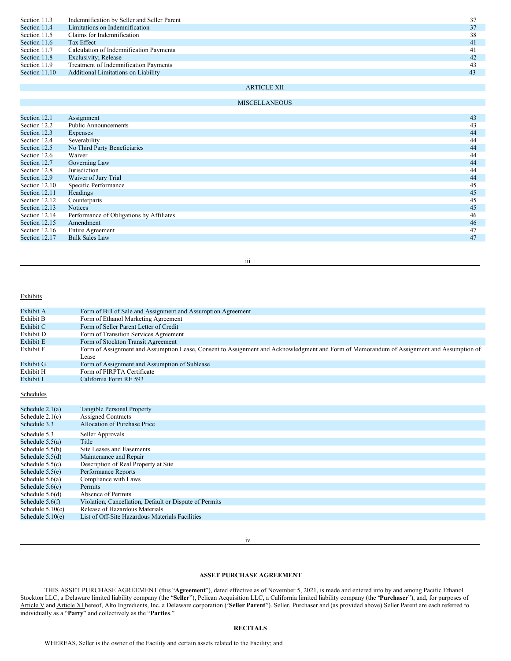| 38 |
|----|
|    |
|    |
| 42 |
| 43 |
| 43 |
|    |

# ARTICLE XII

# MISCELLANEOUS

| Section 12.1  | Assignment                               | 43 |
|---------------|------------------------------------------|----|
| Section 12.2  | <b>Public Announcements</b>              | 43 |
| Section 12.3  | Expenses                                 | 44 |
| Section 12.4  | Severability                             | 44 |
| Section 12.5  | No Third Party Beneficiaries             | 44 |
| Section 12.6  | Waiver                                   | 44 |
| Section 12.7  | Governing Law                            | 44 |
| Section 12.8  | Jurisdiction                             | 44 |
| Section 12.9  | Waiver of Jury Trial                     | 44 |
| Section 12.10 | Specific Performance                     | 45 |
| Section 12.11 | Headings                                 | 45 |
| Section 12.12 | Counterparts                             | 45 |
| Section 12.13 | <b>Notices</b>                           | 45 |
| Section 12.14 | Performance of Obligations by Affiliates | 46 |
| Section 12.15 | Amendment                                | 46 |
| Section 12.16 | Entire Agreement                         | 47 |
| Section 12.17 | <b>Bulk Sales Law</b>                    | 47 |

iii

# Exhibits

| Exhibit A | Form of Bill of Sale and Assignment and Assumption Agreement                                                                             |
|-----------|------------------------------------------------------------------------------------------------------------------------------------------|
| Exhibit B | Form of Ethanol Marketing Agreement                                                                                                      |
| Exhibit C | Form of Seller Parent Letter of Credit                                                                                                   |
| Exhibit D | Form of Transition Services Agreement                                                                                                    |
| Exhibit E | Form of Stockton Transit Agreement                                                                                                       |
| Exhibit F | Form of Assignment and Assumption Lease, Consent to Assignment and Acknowledgment and Form of Memorandum of Assignment and Assumption of |
|           | Lease                                                                                                                                    |
| Exhibit G | Form of Assignment and Assumption of Sublease                                                                                            |
| Exhibit H | Form of FIRPTA Certificate                                                                                                               |
| Exhibit I | California Form RE 593                                                                                                                   |
|           |                                                                                                                                          |

**Schedules** 

| Schedule $2.1(a)$  | Tangible Personal Property                             |
|--------------------|--------------------------------------------------------|
| Schedule $2.1(c)$  | <b>Assigned Contracts</b>                              |
| Schedule 3.3       | Allocation of Purchase Price                           |
| Schedule 5.3       | Seller Approvals                                       |
| Schedule $5.5(a)$  | Title                                                  |
| Schedule $5.5(b)$  | Site Leases and Easements                              |
| Schedule $5.5(d)$  | Maintenance and Repair                                 |
| Schedule $5.5(c)$  | Description of Real Property at Site                   |
| Schedule $5.5(e)$  | Performance Reports                                    |
| Schedule $5.6(a)$  | Compliance with Laws                                   |
| Schedule $5.6(c)$  | Permits                                                |
| Schedule $5.6(d)$  | Absence of Permits                                     |
| Schedule $5.6(f)$  | Violation, Cancellation, Default or Dispute of Permits |
| Schedule $5.10(c)$ | Release of Hazardous Materials                         |
| Schedule $5.10(e)$ | List of Off-Site Hazardous Materials Facilities        |
|                    |                                                        |

iv

# **ASSET PURCHASE AGREEMENT**

THIS ASSET PURCHASE AGREEMENT (this "**Agreement**"), dated effective as of November 5, 2021, is made and entered into by and among Pacific Ethanol Stockton LLC, a Delaware limited liability company (the "**Seller**"), Pelican Acquisition LLC, a California limited liability company (the "**Purchaser**"), and, for purposes of Article V and Article XI hereof, Alto Ingredients, Inc. a Delaware corporation ("**Seller Parent**"). Seller, Purchaser and (as provided above) Seller Parent are each referred to individually as a "**Party**" and collectively as the "**Parties**."

# **RECITALS**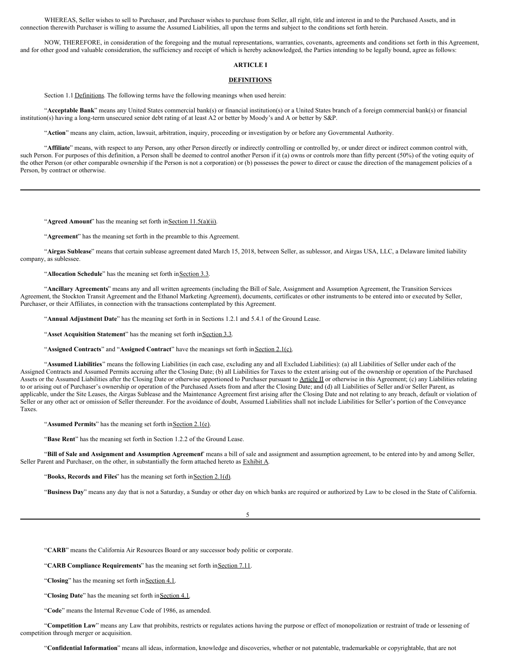WHEREAS, Seller wishes to sell to Purchaser, and Purchaser wishes to purchase from Seller, all right, title and interest in and to the Purchased Assets, and in connection therewith Purchaser is willing to assume the Assumed Liabilities, all upon the terms and subject to the conditions set forth herein.

NOW, THEREFORE, in consideration of the foregoing and the mutual representations, warranties, covenants, agreements and conditions set forth in this Agreement, and for other good and valuable consideration, the sufficiency and receipt of which is hereby acknowledged, the Parties intending to be legally bound, agree as follows:

### **ARTICLE I**

#### **DEFINITIONS**

Section 1.1 Definitions. The following terms have the following meanings when used herein:

"**Acceptable Bank**" means any United States commercial bank(s) or financial institution(s) or a United States branch of a foreign commercial bank(s) or financial institution(s) having a long-term unsecured senior debt rating of at least A2 or better by Moody's and A or better by S&P.

"**Action**" means any claim, action, lawsuit, arbitration, inquiry, proceeding or investigation by or before any Governmental Authority.

"**Affiliate**" means, with respect to any Person, any other Person directly or indirectly controlling or controlled by, or under direct or indirect common control with, such Person. For purposes of this definition, a Person shall be deemed to control another Person if it (a) owns or controls more than fifty percent (50%) of the voting equity of the other Person (or other comparable ownership if the Person is not a corporation) or (b) possesses the power to direct or cause the direction of the management policies of a Person, by contract or otherwise.

"**Agreed Amount**" has the meaning set forth in Section 11.5(a)(ii).

"**Agreement**" has the meaning set forth in the preamble to this Agreement.

"**Airgas Sublease**" means that certain sublease agreement dated March 15, 2018, between Seller, as sublessor, and Airgas USA, LLC, a Delaware limited liability company, as sublessee.

"**Allocation Schedule**" has the meaning set forth inSection 3.3.

"**Ancillary Agreements**" means any and all written agreements (including the Bill of Sale, Assignment and Assumption Agreement, the Transition Services Agreement, the Stockton Transit Agreement and the Ethanol Marketing Agreement), documents, certificates or other instruments to be entered into or executed by Seller, Purchaser, or their Affiliates, in connection with the transactions contemplated by this Agreement.

"**Annual Adjustment Date**" has the meaning set forth in in Sections 1.2.1 and 5.4.1 of the Ground Lease.

"**Asset Acquisition Statement**" has the meaning set forth in Section 3.3.

"**Assigned Contracts**" and "**Assigned Contract**" have the meanings set forth in **Section 2.1(c)**.

"**Assumed Liabilities**" means the following Liabilities (in each case, excluding any and all Excluded Liabilities): (a) all Liabilities of Seller under each of the Assigned Contracts and Assumed Permits accruing after the Closing Date; (b) all Liabilities for Taxes to the extent arising out of the ownership or operation of the Purchased Assets or the Assumed Liabilities after the Closing Date or otherwise apportioned to Purchaser pursuant to Article II or otherwise in this Agreement; (c) any Liabilities relating to or arising out of Purchaser's ownership or operation of the Purchased Assets from and after the Closing Date; and (d) all Liabilities of Seller and/or Seller Parent, as applicable, under the Site Leases, the Airgas Sublease and the Maintenance Agreement first arising after the Closing Date and not relating to any breach, default or violation of Seller or any other act or omission of Seller thereunder. For the avoidance of doubt, Assumed Liabilities shall not include Liabilities for Seller's portion of the Conveyance Taxes.

"**Assumed Permits**" has the meaning set forth in Section 2.1(e).

"**Base Rent**" has the meaning set forth in Section 1.2.2 of the Ground Lease.

"**Bill of Sale and Assignment and Assumption Agreement**" means a bill of sale and assignment and assumption agreement, to be entered into by and among Seller, Seller Parent and Purchaser, on the other, in substantially the form attached hereto as Exhibit A.

"Books, Records and Files" has the meaning set forth in Section 2.1(d).

"**Business Day**" means any day that is not a Saturday, a Sunday or other day on which banks are required or authorized by Law to be closed in the State of California.

5

"**CARB**" means the California Air Resources Board or any successor body politic or corporate.

"CARB Compliance Requirements" has the meaning set forth in Section 7.11.

"Closing" has the meaning set forth in Section 4.1.

"Closing Date" has the meaning set forth in Section 4.1.

"**Code**" means the Internal Revenue Code of 1986, as amended.

"**Competition Law**" means any Law that prohibits, restricts or regulates actions having the purpose or effect of monopolization or restraint of trade or lessening of competition through merger or acquisition.

"**Confidential Information**" means all ideas, information, knowledge and discoveries, whether or not patentable, trademarkable or copyrightable, that are not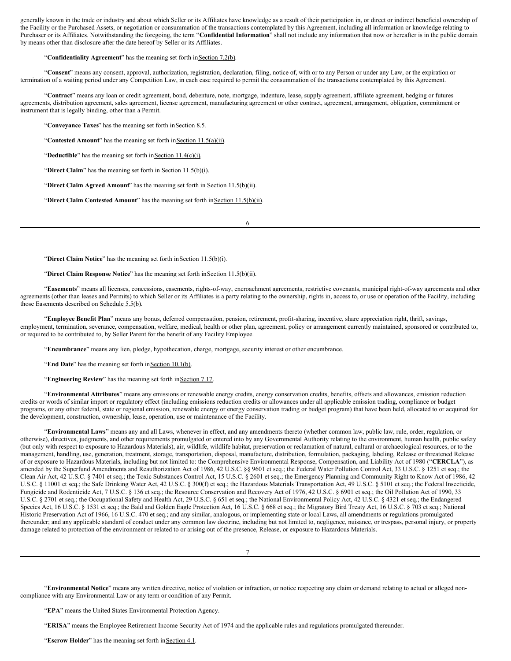generally known in the trade or industry and about which Seller or its Affiliates have knowledge as a result of their participation in, or direct or indirect beneficial ownership of the Facility or the Purchased Assets, or negotiation or consummation of the transactions contemplated by this Agreement, including all information or knowledge relating to Purchaser or its Affiliates. Notwithstanding the foregoing, the term "**Confidential Information**" shall not include any information that now or hereafter is in the public domain by means other than disclosure after the date hereof by Seller or its Affiliates.

### "**Confidentiality Agreement**" has the meaning set forth inSection 7.2(b).

"**Consent**" means any consent, approval, authorization, registration, declaration, filing, notice of, with or to any Person or under any Law, or the expiration or termination of a waiting period under any Competition Law, in each case required to permit the consummation of the transactions contemplated by this Agreement.

"**Contract**" means any loan or credit agreement, bond, debenture, note, mortgage, indenture, lease, supply agreement, affiliate agreement, hedging or futures agreements, distribution agreement, sales agreement, license agreement, manufacturing agreement or other contract, agreement, arrangement, obligation, commitment or instrument that is legally binding, other than a Permit.

"Conveyance Taxes" has the meaning set forth in Section 8.5.

"**Contested Amount**" has the meaning set forth inSection 11.5(a)(ii).

"Deductible" has the meaning set forth in Section 11.4(c)(i).

"**Direct Claim**" has the meaning set forth in Section 11.5(b)(i).

"**Direct Claim Agreed Amount**" has the meaning set forth in Section 11.5(b)(ii).

"Direct Claim Contested Amount" has the meaning set forth in Section 11.5(b)(ii).

6

"**Direct Claim Notice**" has the meaning set forth inSection 11.5(b)(i).

# "Direct Claim Response Notice" has the meaning set forth in Section 11.5(b)(ii).

"**Easements**" means all licenses, concessions, easements, rights-of-way, encroachment agreements, restrictive covenants, municipal right-of-way agreements and other agreements (other than leases and Permits) to which Seller or its Affiliates is a party relating to the ownership, rights in, access to, or use or operation of the Facility, including those Easements described on Schedule 5.5(b).

"**Employee Benefit Plan**" means any bonus, deferred compensation, pension, retirement, profit-sharing, incentive, share appreciation right, thrift, savings, employment, termination, severance, compensation, welfare, medical, health or other plan, agreement, policy or arrangement currently maintained, sponsored or contributed to, or required to be contributed to, by Seller Parent for the benefit of any Facility Employee.

"**Encumbrance**" means any lien, pledge, hypothecation, charge, mortgage, security interest or other encumbrance.

"**End Date**" has the meaning set forth inSection 10.1(b).

"**Engineering Review**" has the meaning set forth inSection 7.17.

"**Environmental Attributes**" means any emissions or renewable energy credits, energy conservation credits, benefits, offsets and allowances, emission reduction credits or words of similar import or regulatory effect (including emissions reduction credits or allowances under all applicable emission trading, compliance or budget programs, or any other federal, state or regional emission, renewable energy or energy conservation trading or budget program) that have been held, allocated to or acquired for the development, construction, ownership, lease, operation, use or maintenance of the Facility.

"**Environmental Laws**" means any and all Laws, whenever in effect, and any amendments thereto (whether common law, public law, rule, order, regulation, or otherwise), directives, judgments, and other requirements promulgated or entered into by any Governmental Authority relating to the environment, human health, public safety (but only with respect to exposure to Hazardous Materials), air, wildlife, wildlife habitat, preservation or reclamation of natural, cultural or archaeological resources, or to the management, handling, use, generation, treatment, storage, transportation, disposal, manufacture, distribution, formulation, packaging, labeling, Release or threatened Release of or exposure to Hazardous Materials, including but not limited to: the Comprehensive Environmental Response, Compensation, and Liability Act of 1980 ("**CERCLA**"), as amended by the Superfund Amendments and Reauthorization Act of 1986, 42 U.S.C. §§ 9601 et seq.; the Federal Water Pollution Control Act, 33 U.S.C. § 1251 et seq.; the Clean Air Act, 42 U.S.C. § 7401 et seq.; the Toxic Substances Control Act, 15 U.S.C. § 2601 et seq.; the Emergency Planning and Community Right to Know Act of 1986, 42 U.S.C. § 11001 et seq.; the Safe Drinking Water Act, 42 U.S.C. § 300(f) et seq.; the Hazardous Materials Transportation Act, 49 U.S.C. § 5101 et seq.; the Federal Insecticide, Fungicide and Rodenticide Act, 7 U.S.C. § 136 et seq.; the Resource Conservation and Recovery Act of 1976, 42 U.S.C. § 6901 et seq.; the Oil Pollution Act of 1990, 33 U.S.C. § 2701 et seq.; the Occupational Safety and Health Act, 29 U.S.C. § 651 et seq.; the National Environmental Policy Act, 42 U.S.C. § 4321 et seq.; the Endangered Species Act, 16 U.S.C. § 1531 et seq.; the Bald and Golden Eagle Protection Act, 16 U.S.C. § 668 et seq.; the Migratory Bird Treaty Act, 16 U.S.C. § 703 et seq.; National Historic Preservation Act of 1966, 16 U.S.C. 470 et seq.; and any similar, analogous, or implementing state or local Laws, all amendments or regulations promulgated thereunder; and any applicable standard of conduct under any common law doctrine, including but not limited to, negligence, nuisance, or trespass, personal injury, or property damage related to protection of the environment or related to or arising out of the presence, Release, or exposure to Hazardous Materials.

"**Environmental Notice**" means any written directive, notice of violation or infraction, or notice respecting any claim or demand relating to actual or alleged noncompliance with any Environmental Law or any term or condition of any Permit.

"**EPA**" means the United States Environmental Protection Agency.

"**ERISA**" means the Employee Retirement Income Security Act of 1974 and the applicable rules and regulations promulgated thereunder.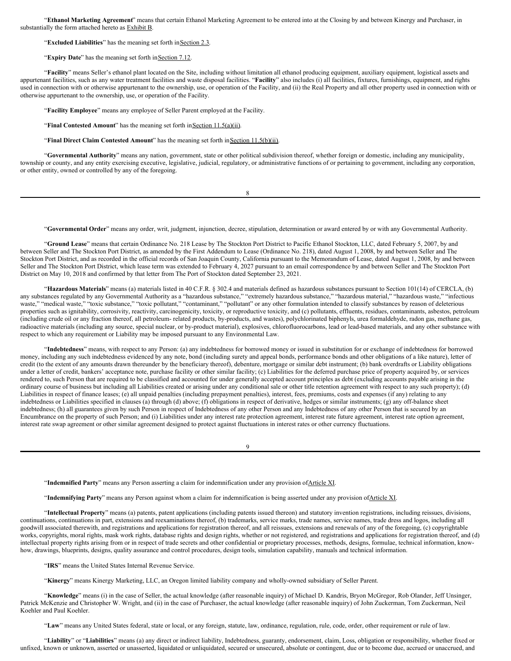"**Ethanol Marketing Agreement**" means that certain Ethanol Marketing Agreement to be entered into at the Closing by and between Kinergy and Purchaser, in substantially the form attached hereto as **Exhibit B**.

"**Excluded Liabilities**" has the meaning set forth inSection 2.3.

"**Expiry Date**" has the meaning set forth in Section 7.12.

"**Facility**" means Seller's ethanol plant located on the Site, including without limitation all ethanol producing equipment, auxiliary equipment, logistical assets and appurtenant facilities, such as any water treatment facilities and waste disposal facilities. "**Facility**" also includes (i) all facilities, fixtures, furnishings, equipment, and rights used in connection with or otherwise appurtenant to the ownership, use, or operation of the Facility, and (ii) the Real Property and all other property used in connection with or otherwise appurtenant to the ownership, use, or operation of the Facility.

"**Facility Employee**" means any employee of Seller Parent employed at the Facility.

"**Final Contested Amount**" has the meaning set forth inSection 11.5(a)(ii).

"**Final Direct Claim Contested Amount**" has the meaning set forth inSection 11.5(b)(ii).

"**Governmental Authority**" means any nation, government, state or other political subdivision thereof, whether foreign or domestic, including any municipality, township or county, and any entity exercising executive, legislative, judicial, regulatory, or administrative functions of or pertaining to government, including any corporation, or other entity, owned or controlled by any of the foregoing.

| I            |  |
|--------------|--|
| I            |  |
| ï<br>×<br>۰, |  |

"**Governmental Order**" means any order, writ, judgment, injunction, decree, stipulation, determination or award entered by or with any Governmental Authority.

"**Ground Lease**" means that certain Ordinance No. 218 Lease by The Stockton Port District to Pacific Ethanol Stockton, LLC, dated February 5, 2007, by and between Seller and The Stockton Port District, as amended by the First Addendum to Lease (Ordinance No. 218), dated August 1, 2008, by and between Seller and The Stockton Port District, and as recorded in the official records of San Joaquin County, California pursuant to the Memorandum of Lease, dated August 1, 2008, by and between Seller and The Stockton Port District, which lease term was extended to February 4, 2027 pursuant to an email correspondence by and between Seller and The Stockton Port District on May 10, 2018 and confirmed by that letter from The Port of Stockton dated September 23, 2021.

"**Hazardous Materials**" means (a) materials listed in 40 C.F.R. § 302.4 and materials defined as hazardous substances pursuant to Section 101(14) of CERCLA, (b) any substances regulated by any Governmental Authority as a "hazardous substance," "extremely hazardous substance," "hazardous material," "hazardous waste," "infectious waste," "medical waste," "toxic substance," "toxic pollutant," "contaminant," "pollutant" or any other formulation intended to classify substances by reason of deleterious properties such as ignitability, corrosivity, reactivity, carcinogenicity, toxicity, or reproductive toxicity, and (c) pollutants, effluents, residues, contaminants, asbestos, petroleum (including crude oil or any fraction thereof, all petroleum- related products, by-products, and wastes), polychlorinated biphenyls, urea formaldehyde, radon gas, methane gas, radioactive materials (including any source, special nuclear, or by-product material), explosives, chlorofluorocarbons, lead or lead-based materials, and any other substance with respect to which any requirement or Liability may be imposed pursuant to any Environmental Law.

"**Indebtedness**" means, with respect to any Person: (a) any indebtedness for borrowed money or issued in substitution for or exchange of indebtedness for borrowed money, including any such indebtedness evidenced by any note, bond (including surety and appeal bonds, performance bonds and other obligations of a like nature), letter of credit (to the extent of any amounts drawn thereunder by the beneficiary thereof), debenture, mortgage or similar debt instrument; (b) bank overdrafts or Liability obligations under a letter of credit, bankers' acceptance note, purchase facility or other similar facility; (c) Liabilities for the deferred purchase price of property acquired by, or services rendered to, such Person that are required to be classified and accounted for under generally accepted account principles as debt (excluding accounts payable arising in the ordinary course of business but including all Liabilities created or arising under any conditional sale or other title retention agreement with respect to any such property); (d) Liabilities in respect of finance leases; (e) all unpaid penalties (including prepayment penalties), interest, fees, premiums, costs and expenses (if any) relating to any indebtedness or Liabilities specified in clauses (a) through (d) above; (f) obligations in respect of derivative, hedges or similar instruments; (g) any off-balance sheet indebtedness; (h) all guarantees given by such Person in respect of Indebtedness of any other Person and any Indebtedness of any other Person that is secured by an Encumbrance on the property of such Person; and (i) Liabilities under any interest rate protection agreement, interest rate future agreement, interest rate option agreement, interest rate swap agreement or other similar agreement designed to protect against fluctuations in interest rates or other currency fluctuations.

9

"**Indemnified Party**" means any Person asserting a claim for indemnification under any provision ofArticle XI.

"**Indemnifying Party**" means any Person against whom a claim for indemnification is being asserted under any provision ofArticle XI.

"**Intellectual Property**" means (a) patents, patent applications (including patents issued thereon) and statutory invention registrations, including reissues, divisions, continuations, continuations in part, extensions and reexaminations thereof, (b) trademarks, service marks, trade names, service names, trade dress and logos, including all goodwill associated therewith, and registrations and applications for registration thereof, and all reissues, extensions and renewals of any of the foregoing, (c) copyrightable works, copyrights, moral rights, mask work rights, database rights and design rights, whether or not registered, and registrations and applications for registration thereof, and (d) intellectual property rights arising from or in respect of trade secrets and other confidential or proprietary processes, methods, designs, formulae, technical information, knowhow, drawings, blueprints, designs, quality assurance and control procedures, design tools, simulation capability, manuals and technical information.

"**IRS**" means the United States Internal Revenue Service.

"**Kinergy**" means Kinergy Marketing, LLC, an Oregon limited liability company and wholly-owned subsidiary of Seller Parent.

"**Knowledge**" means (i) in the case of Seller, the actual knowledge (after reasonable inquiry) of Michael D. Kandris, Bryon McGregor, Rob Olander, Jeff Unsinger, Patrick McKenzie and Christopher W. Wright, and (ii) in the case of Purchaser, the actual knowledge (after reasonable inquiry) of John Zuckerman, Tom Zuckerman, Neil Koehler and Paul Koehler.

"**Law**" means any United States federal, state or local, or any foreign, statute, law, ordinance, regulation, rule, code, order, other requirement or rule of law.

"**Liability**" or "**Liabilities**" means (a) any direct or indirect liability, Indebtedness, guaranty, endorsement, claim, Loss, obligation or responsibility, whether fixed or unfixed, known or unknown, asserted or unasserted, liquidated or unliquidated, secured or unsecured, absolute or contingent, due or to become due, accrued or unaccrued, and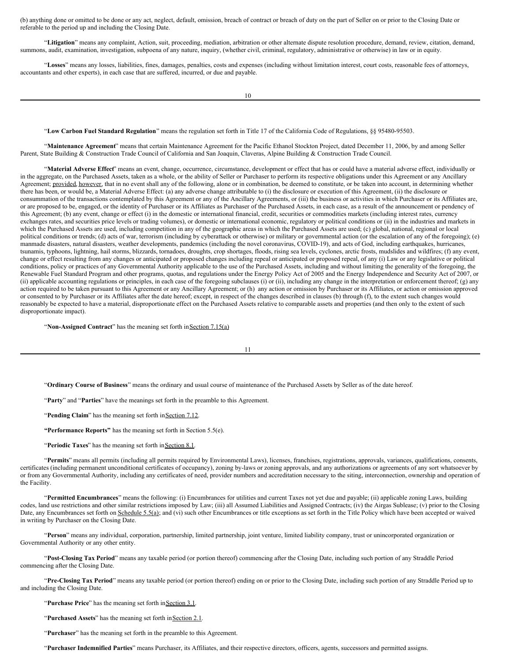(b) anything done or omitted to be done or any act, neglect, default, omission, breach of contract or breach of duty on the part of Seller on or prior to the Closing Date or referable to the period up and including the Closing Date.

"**Litigation**" means any complaint, Action, suit, proceeding, mediation, arbitration or other alternate dispute resolution procedure, demand, review, citation, demand, summons, audit, examination, investigation, subpoena of any nature, inquiry, (whether civil, criminal, regulatory, administrative or otherwise) in law or in equity.

"**Losses**" means any losses, liabilities, fines, damages, penalties, costs and expenses (including without limitation interest, court costs, reasonable fees of attorneys, accountants and other experts), in each case that are suffered, incurred, or due and payable.

"**Low Carbon Fuel Standard Regulation**" means the regulation set forth in Title 17 of the California Code of Regulations, §§ 95480-95503.

"Maintenance Agreement" means that certain Maintenance Agreement for the Pacific Ethanol Stockton Project, dated December 11, 2006, by and among Seller Parent, State Building & Construction Trade Council of California and San Joaquin, Claveras, Alpine Building & Construction Trade Council.

"**Material Adverse Effect**" means an event, change, occurrence, circumstance, development or effect that has or could have a material adverse effect, individually or in the aggregate, on the Purchased Assets, taken as a whole, or the ability of Seller or Purchaser to perform its respective obligations under this Agreement or any Ancillary Agreement; provided, however, that in no event shall any of the following, alone or in combination, be deemed to constitute, or be taken into account, in determining whether there has been, or would be, a Material Adverse Effect: (a) any adverse change attributable to (i) the disclosure or execution of this Agreement, (ii) the disclosure or consummation of the transactions contemplated by this Agreement or any of the Ancillary Agreements, or (iii) the business or activities in which Purchaser or its Affiliates are, or are proposed to be, engaged, or the identity of Purchaser or its Affiliates as Purchaser of the Purchased Assets, in each case, as a result of the announcement or pendency of this Agreement; (b) any event, change or effect (i) in the domestic or international financial, credit, securities or commodities markets (including interest rates, currency exchanges rates, and securities price levels or trading volumes), or domestic or international economic, regulatory or political conditions or (ii) in the industries and markets in which the Purchased Assets are used, including competition in any of the geographic areas in which the Purchased Assets are used; (c) global, national, regional or local political conditions or trends; (d) acts of war, terrorism (including by cyberattack or otherwise) or military or governmental action (or the escalation of any of the foregoing); (e) manmade disasters, natural disasters, weather developments, pandemics (including the novel coronavirus, COVID-19), and acts of God, including earthquakes, hurricanes, tsunamis, typhoons, lightning, hail storms, blizzards, tornadoes, droughts, crop shortages, floods, rising sea levels, cyclones, arctic frosts, mudslides and wildfires; (f) any event, change or effect resulting from any changes or anticipated or proposed changes including repeal or anticipated or proposed repeal, of any (i) Law or any legislative or political conditions, policy or practices of any Governmental Authority applicable to the use of the Purchased Assets, including and without limiting the generality of the foregoing, the Renewable Fuel Standard Program and other programs, quotas, and regulations under the Energy Policy Act of 2005 and the Energy Independence and Security Act of 2007, or (ii) applicable accounting regulations or principles, in each case of the foregoing subclauses (i) or (ii), including any change in the interpretation or enforcement thereof; (g) any action required to be taken pursuant to this Agreement or any Ancillary Agreement; or (h) any action or omission by Purchaser or its Affiliates, or action or omission approved or consented to by Purchaser or its Affiliates after the date hereof; except, in respect of the changes described in clauses (b) through (f), to the extent such changes would reasonably be expected to have a material, disproportionate effect on the Purchased Assets relative to comparable assets and properties (and then only to the extent of such disproportionate impact).

"**Non-Assigned Contract**" has the meaning set forth inSection 7.15(a)

11

"**Ordinary Course of Business**" means the ordinary and usual course of maintenance of the Purchased Assets by Seller as of the date hereof.

"**Party**" and "**Parties**" have the meanings set forth in the preamble to this Agreement.

"Pending Claim" has the meaning set forth in Section 7.12.

**"Performance Reports"** has the meaning set forth in Section 5.5(e).

"**Periodic Taxes**" has the meaning set forth inSection 8.1.

"**Permits**" means all permits (including all permits required by Environmental Laws), licenses, franchises, registrations, approvals, variances, qualifications, consents, certificates (including permanent unconditional certificates of occupancy), zoning by-laws or zoning approvals, and any authorizations or agreements of any sort whatsoever by or from any Governmental Authority, including any certificates of need, provider numbers and accreditation necessary to the siting, interconnection, ownership and operation of the Facility.

"**Permitted Encumbrances**" means the following: (i) Encumbrances for utilities and current Taxes not yet due and payable; (ii) applicable zoning Laws, building codes, land use restrictions and other similar restrictions imposed by Law; (iii) all Assumed Liabilities and Assigned Contracts; (iv) the Airgas Sublease; (v) prior to the Closing Date, any Encumbrances set forth on Schedule 5.5(a); and (vi) such other Encumbrances or title exceptions as set forth in the Title Policy which have been accepted or waived in writing by Purchaser on the Closing Date.

"**Person**" means any individual, corporation, partnership, limited partnership, joint venture, limited liability company, trust or unincorporated organization or Governmental Authority or any other entity.

"**Post-Closing Tax Period**" means any taxable period (or portion thereof) commencing after the Closing Date, including such portion of any Straddle Period commencing after the Closing Date.

"**Pre-Closing Tax Period**" means any taxable period (or portion thereof) ending on or prior to the Closing Date, including such portion of any Straddle Period up to and including the Closing Date.

"**Purchase Price**" has the meaning set forth inSection 3.1.

"Purchased Assets" has the meaning set forth in Section 2.1.

"**Purchaser**" has the meaning set forth in the preamble to this Agreement.

"**Purchaser Indemnified Parties**" means Purchaser, its Affiliates, and their respective directors, officers, agents, successors and permitted assigns.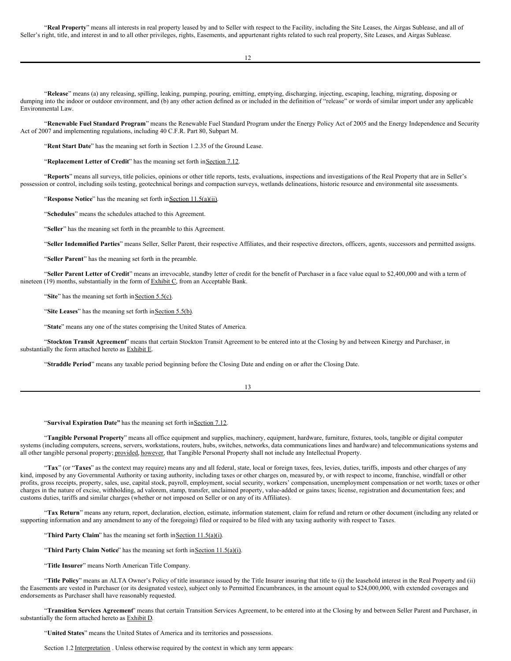"**Real Property**" means all interests in real property leased by and to Seller with respect to the Facility, including the Site Leases, the Airgas Sublease, and all of Seller's right, title, and interest in and to all other privileges, rights, Easements, and appurtenant rights related to such real property, Site Leases, and Airgas Sublease.

12

"**Release**" means (a) any releasing, spilling, leaking, pumping, pouring, emitting, emptying, discharging, injecting, escaping, leaching, migrating, disposing or dumping into the indoor or outdoor environment, and (b) any other action defined as or included in the definition of "release" or words of similar import under any applicable Environmental Law.

"**Renewable Fuel Standard Program**" means the Renewable Fuel Standard Program under the Energy Policy Act of 2005 and the Energy Independence and Security Act of 2007 and implementing regulations, including 40 C.F.R. Part 80, Subpart M.

"**Rent Start Date**" has the meaning set forth in Section 1.2.35 of the Ground Lease.

"Replacement Letter of Credit" has the meaning set forth in Section 7.12.

"**Reports**" means all surveys, title policies, opinions or other title reports, tests, evaluations, inspections and investigations of the Real Property that are in Seller's possession or control, including soils testing, geotechnical borings and compaction surveys, wetlands delineations, historic resource and environmental site assessments.

"**Response Notice**" has the meaning set forth inSection 11.5(a)(ii).

"**Schedules**" means the schedules attached to this Agreement.

"**Seller**" has the meaning set forth in the preamble to this Agreement.

"**Seller Indemnified Parties**" means Seller, Seller Parent, their respective Affiliates, and their respective directors, officers, agents, successors and permitted assigns.

"**Seller Parent**" has the meaning set forth in the preamble.

"**Seller Parent Letter of Credit**" means an irrevocable, standby letter of credit for the benefit of Purchaser in a face value equal to \$2,400,000 and with a term of nineteen (19) months, substantially in the form of  $\overline{\text{Exhibit C}}$ , from an Acceptable Bank.

"Site" has the meaning set forth in Section 5.5(c).

"Site Leases" has the meaning set forth in Section 5.5(b).

"**State**" means any one of the states comprising the United States of America.

"**Stockton Transit Agreement**" means that certain Stockton Transit Agreement to be entered into at the Closing by and between Kinergy and Purchaser, in substantially the form attached hereto as **Exhibit E**.

"**Straddle Period**" means any taxable period beginning before the Closing Date and ending on or after the Closing Date.

13

"**Survival Expiration Date"** has the meaning set forth inSection 7.12.

"**Tangible Personal Property**" means all office equipment and supplies, machinery, equipment, hardware, furniture, fixtures, tools, tangible or digital computer systems (including computers, screens, servers, workstations, routers, hubs, switches, networks, data communications lines and hardware) and telecommunications systems and all other tangible personal property; provided, however, that Tangible Personal Property shall not include any Intellectual Property.

"Tax" (or "Taxes" as the context may require) means any and all federal, state, local or foreign taxes, fees, levies, duties, tariffs, imposts and other charges of any kind, imposed by any Governmental Authority or taxing authority, including taxes or other charges on, measured by, or with respect to income, franchise, windfall or other profits, gross receipts, property, sales, use, capital stock, payroll, employment, social security, workers' compensation, unemployment compensation or net worth; taxes or other charges in the nature of excise, withholding, ad valorem, stamp, transfer, unclaimed property, value-added or gains taxes; license, registration and documentation fees; and customs duties, tariffs and similar charges (whether or not imposed on Seller or on any of its Affiliates).

"Tax Return" means any return, report, declaration, election, estimate, information statement, claim for refund and return or other document (including any related or supporting information and any amendment to any of the foregoing) filed or required to be filed with any taxing authority with respect to Taxes.

"Third Party Claim" has the meaning set forth in Section  $11.5(a)(i)$ .

"Third Party Claim Notice" has the meaning set forth in Section 11.5(a)(i).

"**Title Insurer**" means North American Title Company.

"**Title Policy**" means an ALTA Owner's Policy of title insurance issued by the Title Insurer insuring that title to (i) the leasehold interest in the Real Property and (ii) the Easements are vested in Purchaser (or its designated vestee), subject only to Permitted Encumbrances, in the amount equal to \$24,000,000, with extended coverages and endorsements as Purchaser shall have reasonably requested.

"Transition Services Agreement' means that certain Transition Services Agreement, to be entered into at the Closing by and between Seller Parent and Purchaser, in substantially the form attached hereto as **Exhibit D**.

"**United States**" means the United States of America and its territories and possessions.

Section 1.2 Interpretation . Unless otherwise required by the context in which any term appears: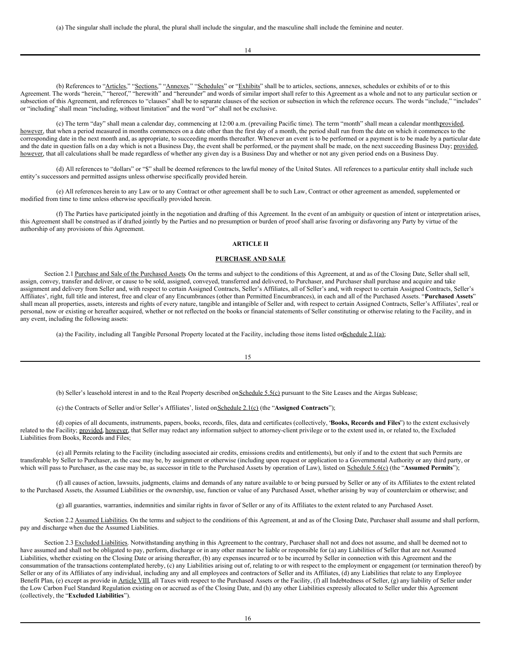14

(b) References to "Articles," "Sections," "Annexes," "Schedules" or "Exhibits" shall be to articles, sections, annexes, schedules or exhibits of or to this Agreement. The words "herein," "hereof," "herewith" and "hereunder" and words of similar import shall refer to this Agreement as a whole and not to any particular section or subsection of this Agreement, and references to "clauses" shall be to separate clauses of the section or subsection in which the reference occurs. The words "include," "includes" or "including" shall mean "including, without limitation" and the word "or" shall not be exclusive.

(c) The term "day" shall mean a calendar day, commencing at 12:00 a.m. (prevailing Pacific time). The term "month" shall mean a calendar month provided, however, that when a period measured in months commences on a date other than the first day of a month, the period shall run from the date on which it commences to the corresponding date in the next month and, as appropriate, to succeeding months thereafter. Whenever an event is to be performed or a payment is to be made by a particular date and the date in question falls on a day which is not a Business Day, the event shall be performed, or the payment shall be made, on the next succeeding Business Day; provided, however, that all calculations shall be made regardless of whether any given day is a Business Day and whether or not any given period ends on a Business Day.

(d) All references to "dollars" or "\$" shall be deemed references to the lawful money of the United States. All references to a particular entity shall include such entity's successors and permitted assigns unless otherwise specifically provided herein.

(e) All references herein to any Law or to any Contract or other agreement shall be to such Law, Contract or other agreement as amended, supplemented or modified from time to time unless otherwise specifically provided herein.

(f) The Parties have participated jointly in the negotiation and drafting of this Agreement. In the event of an ambiguity or question of intent or interpretation arises, this Agreement shall be construed as if drafted jointly by the Parties and no presumption or burden of proof shall arise favoring or disfavoring any Party by virtue of the authorship of any provisions of this Agreement.

# **ARTICLE II**

### **PURCHASE AND SALE**

Section 2.1 Purchase and Sale of the Purchased Assets. On the terms and subject to the conditions of this Agreement, at and as of the Closing Date, Seller shall sell, assign, convey, transfer and deliver, or cause to be sold, assigned, conveyed, transferred and delivered, to Purchaser, and Purchaser shall purchase and acquire and take assignment and delivery from Seller and, with respect to certain Assigned Contracts, Seller's Affiliates, all of Seller's and, with respect to certain Assigned Contracts, Seller's Affiliates', right, full title and interest, free and clear of any Encumbrances (other than Permitted Encumbrances), in each and all of the Purchased Assets. "**Purchased Assets**" shall mean all properties, assets, interests and rights of every nature, tangible and intangible of Seller and, with respect to certain Assigned Contracts, Seller's Affiliates', real or personal, now or existing or hereafter acquired, whether or not reflected on the books or financial statements of Seller constituting or otherwise relating to the Facility, and in any event, including the following assets:

(a) the Facility, including all Tangible Personal Property located at the Facility, including those items listed on Schedule 2.1(a);

(b) Seller's leasehold interest in and to the Real Property described on Schedule 5.5(c) pursuant to the Site Leases and the Airgas Sublease;

(c) the Contracts of Seller and/or Seller's Affiliates', listed onSchedule 2.1(c) (the "**Assigned Contracts**");

(d) copies of all documents, instruments, papers, books, records, files, data and certificates (collectively, "**Books, Records and Files**") to the extent exclusively related to the Facility; provided, however, that Seller may redact any information subject to attorney-client privilege or to the extent used in, or related to, the Excluded Liabilities from Books, Records and Files;

(e) all Permits relating to the Facility (including associated air credits, emissions credits and entitlements), but only if and to the extent that such Permits are transferable by Seller to Purchaser, as the case may be, by assignment or otherwise (including upon request or application to a Governmental Authority or any third party, or which will pass to Purchaser, as the case may be, as successor in title to the Purchased Assets by operation of Law), listed on Schedule 5.6(c) (the "Assumed Permits");

(f) all causes of action, lawsuits, judgments, claims and demands of any nature available to or being pursued by Seller or any of its Affiliates to the extent related to the Purchased Assets, the Assumed Liabilities or the ownership, use, function or value of any Purchased Asset, whether arising by way of counterclaim or otherwise; and

(g) all guaranties, warranties, indemnities and similar rights in favor of Seller or any of its Affiliates to the extent related to any Purchased Asset.

Section 2.2 Assumed Liabilities. On the terms and subject to the conditions of this Agreement, at and as of the Closing Date, Purchaser shall assume and shall perform, pay and discharge when due the Assumed Liabilities.

Section 2.3 Excluded Liabilities. Notwithstanding anything in this Agreement to the contrary, Purchaser shall not and does not assume, and shall be deemed not to have assumed and shall not be obligated to pay, perform, discharge or in any other manner be liable or responsible for (a) any Liabilities of Seller that are not Assumed Liabilities, whether existing on the Closing Date or arising thereafter, (b) any expenses incurred or to be incurred by Seller in connection with this Agreement and the consummation of the transactions contemplated hereby, (c) any Liabilities arising out of, relating to or with respect to the employment or engagement (or termination thereof) by Seller or any of its Affiliates of any individual, including any and all employees and contractors of Seller and its Affiliates, (d) any Liabilities that relate to any Employee Benefit Plan, (e) except as provide in **Article VIII**, all Taxes with respect to the Purchased Assets or the Facility, (f) all Indebtedness of Seller, (g) any liability of Seller under the Low Carbon Fuel Standard Regulation existing on or accrued as of the Closing Date, and (h) any other Liabilities expressly allocated to Seller under this Agreement (collectively, the "**Excluded Liabilities**").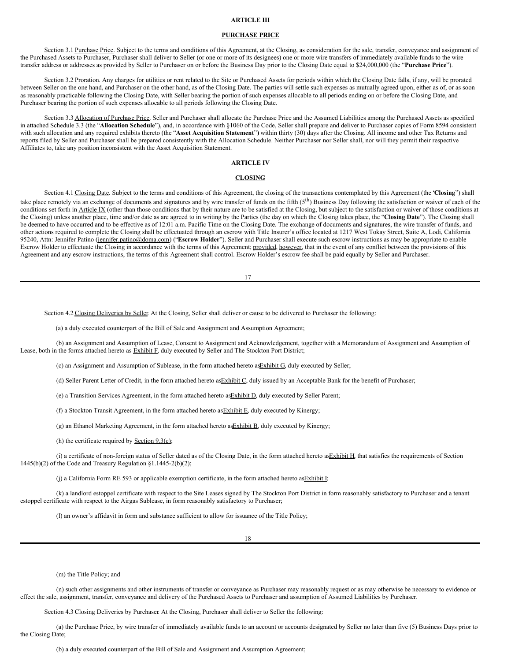## **ARTICLE III**

### **PURCHASE PRICE**

Section 3.1 Purchase Price. Subject to the terms and conditions of this Agreement, at the Closing, as consideration for the sale, transfer, conveyance and assignment of the Purchased Assets to Purchaser, Purchaser shall deliver to Seller (or one or more of its designees) one or more wire transfers of immediately available funds to the wire transfer address or addresses as provided by Seller to Purchaser on or before the Business Day prior to the Closing Date equal to \$24,000,000 (the "**Purchase Price**").

Section 3.2 Proration. Any charges for utilities or rent related to the Site or Purchased Assets for periods within which the Closing Date falls, if any, will be prorated between Seller on the one hand, and Purchaser on the other hand, as of the Closing Date. The parties will settle such expenses as mutually agreed upon, either as of, or as soon as reasonably practicable following the Closing Date, with Seller bearing the portion of such expenses allocable to all periods ending on or before the Closing Date, and Purchaser bearing the portion of such expenses allocable to all periods following the Closing Date.

Section 3.3 Allocation of Purchase Price. Seller and Purchaser shall allocate the Purchase Price and the Assumed Liabilities among the Purchased Assets as specified in attached Schedule 3.3 (the "**Allocation Schedule**"), and, in accordance with §1060 of the Code, Seller shall prepare and deliver to Purchaser copies of Form 8594 consistent with such allocation and any required exhibits thereto (the "**Asset Acquisition Statement**"**)** within thirty (30) days after the Closing. All income and other Tax Returns and reports filed by Seller and Purchaser shall be prepared consistently with the Allocation Schedule. Neither Purchaser nor Seller shall, nor will they permit their respective Affiliates to, take any position inconsistent with the Asset Acquisition Statement.

# **ARTICLE IV**

### **CLOSING**

Section 4.1 Closing Date. Subject to the terms and conditions of this Agreement, the closing of the transactions contemplated by this Agreement (the "**Closing**") shall take place remotely via an exchange of documents and signatures and by wire transfer of funds on the fifth (5<sup>th</sup>) Business Day following the satisfaction or waiver of each of the conditions set forth in Article IX (other than those conditions that by their nature are to be satisfied at the Closing, but subject to the satisfaction or waiver of those conditions at the Closing) unless another place, time and/or date as are agreed to in writing by the Parties (the day on which the Closing takes place, the "**Closing Date**"). The Closing shall be deemed to have occurred and to be effective as of 12:01 a.m. Pacific Time on the Closing Date. The exchange of documents and signatures, the wire transfer of funds, and other actions required to complete the Closing shall be effectuated through an escrow with Title Insurer's office located at 1217 West Tokay Street, Suite A, Lodi, California 95240, Attn: Jennifer Patino (jennifer.patino@doma.com) ("**Escrow Holder**"). Seller and Purchaser shall execute such escrow instructions as may be appropriate to enable Escrow Holder to effectuate the Closing in accordance with the terms of this Agreement; provided, however, that in the event of any conflict between the provisions of this Agreement and any escrow instructions, the terms of this Agreement shall control. Escrow Holder's escrow fee shall be paid equally by Seller and Purchaser.

17

Section 4.2 Closing Deliveries by Seller. At the Closing, Seller shall deliver or cause to be delivered to Purchaser the following:

(a) a duly executed counterpart of the Bill of Sale and Assignment and Assumption Agreement;

(b) an Assignment and Assumption of Lease, Consent to Assignment and Acknowledgement, together with a Memorandum of Assignment and Assumption of Lease, both in the forms attached hereto as **Exhibit F**, duly executed by Seller and The Stockton Port District;

(c) an Assignment and Assumption of Sublease, in the form attached hereto as Exhibit G, duly executed by Seller;

(d) Seller Parent Letter of Credit, in the form attached hereto asExhibit C, duly issued by an Acceptable Bank for the benefit of Purchaser;

(e) a Transition Services Agreement, in the form attached hereto asExhibit D, duly executed by Seller Parent;

(f) a Stockton Transit Agreement, in the form attached hereto as Exhibit E, duly executed by Kinergy;

(g) an Ethanol Marketing Agreement, in the form attached hereto asExhibit B, duly executed by Kinergy;

(h) the certificate required by  $Section 9.3(c)$ ;

(i) a certificate of non-foreign status of Seller dated as of the Closing Date, in the form attached hereto as **Exhibit H**, that satisfies the requirements of Section 1445(b)(2) of the Code and Treasury Regulation §1.1445-2(b)(2);

(j) a California Form RE 593 or applicable exemption certificate, in the form attached hereto as Exhibit I;

(k) a landlord estoppel certificate with respect to the Site Leases signed by The Stockton Port District in form reasonably satisfactory to Purchaser and a tenant estoppel certificate with respect to the Airgas Sublease, in form reasonably satisfactory to Purchaser;

(l) an owner's affidavit in form and substance sufficient to allow for issuance of the Title Policy;

#### (m) the Title Policy; and

(n) such other assignments and other instruments of transfer or conveyance as Purchaser may reasonably request or as may otherwise be necessary to evidence or effect the sale, assignment, transfer, conveyance and delivery of the Purchased Assets to Purchaser and assumption of Assumed Liabilities by Purchaser.

Section 4.3 Closing Deliveries by Purchaser. At the Closing, Purchaser shall deliver to Seller the following:

(a) the Purchase Price, by wire transfer of immediately available funds to an account or accounts designated by Seller no later than five (5) Business Days prior to the Closing Date;

(b) a duly executed counterpart of the Bill of Sale and Assignment and Assumption Agreement;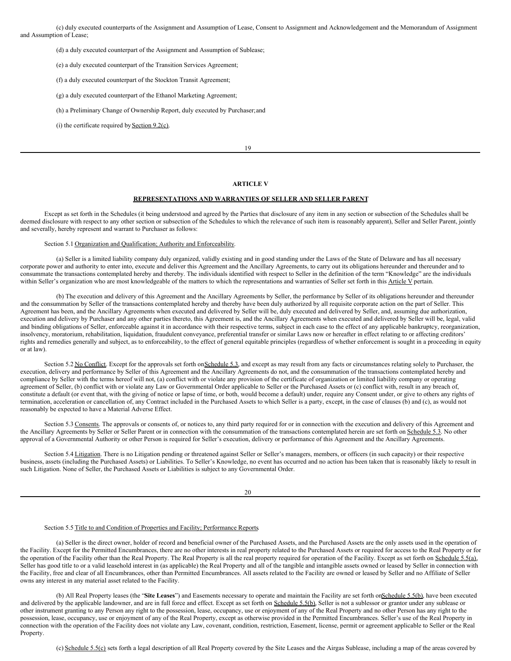(c) duly executed counterparts of the Assignment and Assumption of Lease, Consent to Assignment and Acknowledgement and the Memorandum of Assignment and Assumption of Lease;

(d) a duly executed counterpart of the Assignment and Assumption of Sublease;

(e) a duly executed counterpart of the Transition Services Agreement;

(f) a duly executed counterpart of the Stockton Transit Agreement;

(g) a duly executed counterpart of the Ethanol Marketing Agreement;

(h) a Preliminary Change of Ownership Report, duly executed by Purchaser;and

(i) the certificate required by Section  $9.2(c)$ .

19

# **ARTICLE V**

# **REPRESENTATIONS AND WARRANTIES OF SELLER AND SELLER PARENT**

Except as set forth in the Schedules (it being understood and agreed by the Parties that disclosure of any item in any section or subsection of the Schedules shall be deemed disclosure with respect to any other section or subsection of the Schedules to which the relevance of such item is reasonably apparent), Seller and Seller Parent, jointly and severally, hereby represent and warrant to Purchaser as follows:

### Section 5.1 Organization and Qualification; Authority and Enforceability.

(a) Seller is a limited liability company duly organized, validly existing and in good standing under the Laws of the State of Delaware and has all necessary corporate power and authority to enter into, execute and deliver this Agreement and the Ancillary Agreements, to carry out its obligations hereunder and thereunder and to consummate the transactions contemplated hereby and thereby. The individuals identified with respect to Seller in the definition of the term "Knowledge" are the individuals within Seller's organization who are most knowledgeable of the matters to which the representations and warranties of Seller set forth in this Article V pertain.

(b) The execution and delivery of this Agreement and the Ancillary Agreements by Seller, the performance by Seller of its obligations hereunder and thereunder and the consummation by Seller of the transactions contemplated hereby and thereby have been duly authorized by all requisite corporate action on the part of Seller. This Agreement has been, and the Ancillary Agreements when executed and delivered by Seller will be, duly executed and delivered by Seller, and, assuming due authorization, execution and delivery by Purchaser and any other parties thereto, this Agreement is, and the Ancillary Agreements when executed and delivered by Seller will be, legal, valid and binding obligations of Seller, enforceable against it in accordance with their respective terms, subject in each case to the effect of any applicable bankruptcy, reorganization, insolvency, moratorium, rehabilitation, liquidation, fraudulent conveyance, preferential transfer or similar Laws now or hereafter in effect relating to or affecting creditors' rights and remedies generally and subject, as to enforceability, to the effect of general equitable principles (regardless of whether enforcement is sought in a proceeding in equity or at law).

Section 5.2 No Conflict. Except for the approvals set forth on Schedule 5.3, and except as may result from any facts or circumstances relating solely to Purchaser, the execution, delivery and performance by Seller of this Agreement and the Ancillary Agreements do not, and the consummation of the transactions contemplated hereby and compliance by Seller with the terms hereof will not, (a) conflict with or violate any provision of the certificate of organization or limited liability company or operating agreement of Seller, (b) conflict with or violate any Law or Governmental Order applicable to Seller or the Purchased Assets or (c) conflict with, result in any breach of, constitute a default (or event that, with the giving of notice or lapse of time, or both, would become a default) under, require any Consent under, or give to others any rights of termination, acceleration or cancellation of, any Contract included in the Purchased Assets to which Seller is a party, except, in the case of clauses (b) and (c), as would not reasonably be expected to have a Material Adverse Effect.

Section 5.3 Consents. The approvals or consents of, or notices to, any third party required for or in connection with the execution and delivery of this Agreement and the Ancillary Agreements by Seller or Seller Parent or in connection with the consummation of the transactions contemplated herein are set forth on Schedule 5.3. No other approval of a Governmental Authority or other Person is required for Seller's execution, delivery or performance of this Agreement and the Ancillary Agreements.

Section 5.4 Litigation. There is no Litigation pending or threatened against Seller or Seller's managers, members, or officers (in such capacity) or their respective business, assets (including the Purchased Assets) or Liabilities. To Seller's Knowledge, no event has occurred and no action has been taken that is reasonably likely to result in such Litigation. None of Seller, the Purchased Assets or Liabilities is subject to any Governmental Order.

20

#### Section 5.5 Title to and Condition of Properties and Facility; Performance Reports.

(a) Seller is the direct owner, holder of record and beneficial owner of the Purchased Assets, and the Purchased Assets are the only assets used in the operation of the Facility. Except for the Permitted Encumbrances, there are no other interests in real property related to the Purchased Assets or required for access to the Real Property or for the operation of the Facility other than the Real Property. The Real Property is all the real property required for operation of the Facility. Except as set forth on Schedule 5.5(a), Seller has good title to or a valid leasehold interest in (as applicable) the Real Property and all of the tangible and intangible assets owned or leased by Seller in connection with the Facility, free and clear of all Encumbrances, other than Permitted Encumbrances. All assets related to the Facility are owned or leased by Seller and no Affiliate of Seller owns any interest in any material asset related to the Facility.

(b) All Real Property leases (the "**Site Leases**") and Easements necessary to operate and maintain the Facility are set forth onSchedule 5.5(b), have been executed and delivered by the applicable landowner, and are in full force and effect. Except as set forth on Schedule 5.5(b), Seller is not a sublessor or grantor under any sublease or other instrument granting to any Person any right to the possession, lease, occupancy, use or enjoyment of any of the Real Property and no other Person has any right to the possession, lease, occupancy, use or enjoyment of any of the Real Property, except as otherwise provided in the Permitted Encumbrances. Seller's use of the Real Property in connection with the operation of the Facility does not violate any Law, covenant, condition, restriction, Easement, license, permit or agreement applicable to Seller or the Real Property.

(c) Schedule 5.5(c) sets forth a legal description of all Real Property covered by the Site Leases and the Airgas Sublease, including a map of the areas covered by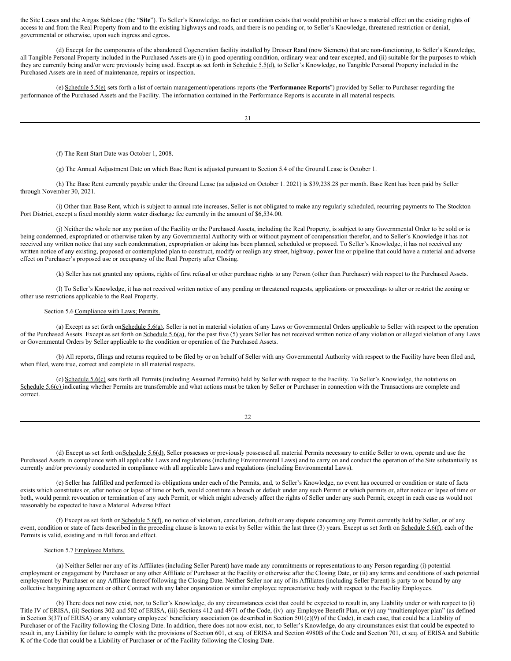<span id="page-63-0"></span>the Site Leases and the Airgas Sublease (the "**Site**"). To Seller's Knowledge, no fact or condition exists that would prohibit or have a material effect on the existing rights of access to and from the Real Property from and to the existing highways and roads, and there is no pending or, to Seller's Knowledge, threatened restriction or denial, governmental or otherwise, upon such ingress and egress.

(d) Except for the components of the abandoned Cogeneration facility installed by Dresser Rand (now Siemens) that are non-functioning, to Seller's Knowledge, all Tangible Personal Property included in the Purchased Assets are (i) in good operating condition, ordinary wear and tear excepted, and (ii) suitable for the purposes to which they are currently being and/or were previously being used. Except as set forth in Schedule 5.5(d), to Seller's Knowledge, no Tangible Personal Property included in the Purchased Assets are in need of maintenance, repairs or inspection.

(e) Schedule 5.5(e) sets forth a list of certain management/operations reports (the "**Performance Reports**") provided by Seller to Purchaser regarding the performance of the Purchased Assets and the Facility. The information contained in the Performance Reports is accurate in all material respects.

(f) The Rent Start Date was October 1, 2008.

(g) The Annual Adjustment Date on which Base Rent is adjusted pursuant to Section 5.4 of the Ground Lease is October 1.

(h) The Base Rent currently payable under the Ground Lease (as adjusted on October 1. 2021) is \$39,238.28 per month. Base Rent has been paid by Seller through November 30, 2021.

(i) Other than Base Rent, which is subject to annual rate increases, Seller is not obligated to make any regularly scheduled, recurring payments to The Stockton Port District, except a fixed monthly storm water discharge fee currently in the amount of \$6,534.00.

(j) Neither the whole nor any portion of the Facility or the Purchased Assets, including the Real Property, is subject to any Governmental Order to be sold or is being condemned, expropriated or otherwise taken by any Governmental Authority with or without payment of compensation therefor, and to Seller's Knowledge it has not received any written notice that any such condemnation, expropriation or taking has been planned, scheduled or proposed. To Seller's Knowledge, it has not received any written notice of any existing, proposed or contemplated plan to construct, modify or realign any street, highway, power line or pipeline that could have a material and adverse effect on Purchaser's proposed use or occupancy of the Real Property after Closing.

(k) Seller has not granted any options, rights of first refusal or other purchase rights to any Person (other than Purchaser) with respect to the Purchased Assets.

(l) To Seller's Knowledge, it has not received written notice of any pending or threatened requests, applications or proceedings to alter or restrict the zoning or other use restrictions applicable to the Real Property.

## Section 5.6 Compliance with Laws; Permits.

(a) Except as set forth on Schedule 5.6(a), Seller is not in material violation of any Laws or Governmental Orders applicable to Seller with respect to the operation of the Purchased Assets. Except as set forth on Schedule 5.6(a), for the past five (5) years Seller has not received written notice of any violation or alleged violation of any Laws or Governmental Orders by Seller applicable to the condition or operation of the Purchased Assets.

(b) All reports, filings and returns required to be filed by or on behalf of Seller with any Governmental Authority with respect to the Facility have been filed and, when filed, were true, correct and complete in all material respects.

(c) Schedule 5.6(c) sets forth all Permits (including Assumed Permits) held by Seller with respect to the Facility. To Seller's Knowledge, the notations on Schedule 5.6(c) indicating whether Permits are transferrable and what actions must be taken by Seller or Purchaser in connection with the Transactions are complete and correct.

| I |  |
|---|--|

(d) Except as set forth onSchedule 5.6(d), Seller possesses or previously possessed all material Permits necessary to entitle Seller to own, operate and use the Purchased Assets in compliance with all applicable Laws and regulations (including Environmental Laws) and to carry on and conduct the operation of the Site substantially as currently and/or previously conducted in compliance with all applicable Laws and regulations (including Environmental Laws).

(e) Seller has fulfilled and performed its obligations under each of the Permits, and, to Seller's Knowledge, no event has occurred or condition or state of facts exists which constitutes or, after notice or lapse of time or both, would constitute a breach or default under any such Permit or which permits or, after notice or lapse of time or both, would permit revocation or termination of any such Permit, or which might adversely affect the rights of Seller under any such Permit, except in each case as would not reasonably be expected to have a Material Adverse Effect

(f) Except as set forth on Schedule 5.6(f), no notice of violation, cancellation, default or any dispute concerning any Permit currently held by Seller, or of any event, condition or state of facts described in the preceding clause is known to exist by Seller within the last three (3) years. Except as set forth on Schedule 5.6(f), each of the Permits is valid, existing and in full force and effect.

# Section 5.7 Employee Matters.

(a) Neither Seller nor any of its Affiliates (including Seller Parent) have made any commitments or representations to any Person regarding (i) potential employment or engagement by Purchaser or any other Affiliate of Purchaser at the Facility or otherwise after the Closing Date, or (ii) any terms and conditions of such potential employment by Purchaser or any Affiliate thereof following the Closing Date. Neither Seller nor any of its Affiliates (including Seller Parent) is party to or bound by any collective bargaining agreement or other Contract with any labor organization or similar employee representative body with respect to the Facility Employees.

(b) There does not now exist, nor, to Seller's Knowledge, do any circumstances exist that could be expected to result in, any Liability under or with respect to (i) Title IV of ERISA, (ii) Sections 302 and 502 of ERISA, (iii) Sections 412 and 4971 of the Code, (iv) any Employee Benefit Plan, or (v) any "multiemployer plan" (as defined in Section 3(37) of ERISA) or any voluntary employees' beneficiary association (as described in Section 501(c)(9) of the Code), in each case, that could be a Liability of Purchaser or of the Facility following the Closing Date. In addition, there does not now exist, nor, to Seller's Knowledge, do any circumstances exist that could be expected to result in, any Liability for failure to comply with the provisions of Section 601, et seq. of ERISA and Section 4980B of the Code and Section 701, et seq. of ERISA and Subtitle K of the Code that could be a Liability of Purchaser or of the Facility following the Closing Date.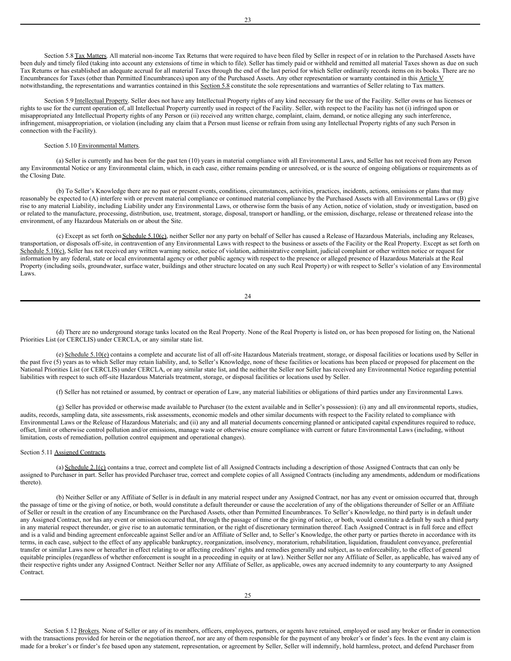Section 5.8 Tax Matters. All material non-income Tax Returns that were required to have been filed by Seller in respect of or in relation to the Purchased Assets have been duly and timely filed (taking into account any extensions of time in which to file). Seller has timely paid or withheld and remitted all material Taxes shown as due on such Tax Returns or has established an adequate accrual for all material Taxes through the end of the last period for which Seller ordinarily records items on its books. There are no Encumbrances for Taxes (other than Permitted Encumbrances) upon any of the Purchased Assets. Any other representation or warranty contained in this  $\Delta$ rticle V notwithstanding, the representations and warranties contained in this Section 5.8 constitute the sole representations and warranties of Seller relating to Tax matters.

Section 5.9 Intellectual Property. Seller does not have any Intellectual Property rights of any kind necessary for the use of the Facility. Seller owns or has licenses or rights to use for the current operation of, all Intellectual Property currently used in respect of the Facility. Seller, with respect to the Facility has not (i) infringed upon or misappropriated any Intellectual Property rights of any Person or (ii) received any written charge, complaint, claim, demand, or notice alleging any such interference, infringement, misappropriation, or violation (including any claim that a Person must license or refrain from using any Intellectual Property rights of any such Person in connection with the Facility).

### Section 5.10 Environmental Matters.

(a) Seller is currently and has been for the past ten (10) years in material compliance with all Environmental Laws, and Seller has not received from any Person any Environmental Notice or any Environmental claim, which, in each case, either remains pending or unresolved, or is the source of ongoing obligations or requirements as of the Closing Date.

(b) To Seller's Knowledge there are no past or present events, conditions, circumstances, activities, practices, incidents, actions, omissions or plans that may reasonably be expected to (A) interfere with or prevent material compliance or continued material compliance by the Purchased Assets with all Environmental Laws or (B) give rise to any material Liability, including Liability under any Environmental Laws, or otherwise form the basis of any Action, notice of violation, study or investigation, based on or related to the manufacture, processing, distribution, use, treatment, storage, disposal, transport or handling, or the emission, discharge, release or threatened release into the environment, of any Hazardous Materials on or about the Site.

(c) Except as set forth on Schedule 5.10(c), neither Seller nor any party on behalf of Seller has caused a Release of Hazardous Materials, including any Releases, transportation, or disposals off-site, in contravention of any Environmental Laws with respect to the business or assets of the Facility or the Real Property. Except as set forth on Schedule 5.10(c), Seller has not received any written warning notice, notice of violation, administrative complaint, judicial complaint or other written notice or request for information by any federal, state or local environmental agency or other public agency with respect to the presence or alleged presence of Hazardous Materials at the Real Property (including soils, groundwater, surface water, buildings and other structure located on any such Real Property) or with respect to Seller's violation of any Environmental Laws.

24

(d) There are no underground storage tanks located on the Real Property. None of the Real Property is listed on, or has been proposed for listing on, the National Priorities List (or CERCLIS) under CERCLA, or any similar state list.

(e) Schedule 5.10(e) contains a complete and accurate list of all off-site Hazardous Materials treatment, storage, or disposal facilities or locations used by Seller in the past five  $(5)$  years as to which Seller may retain liability, and, to Seller's Knowledge, none of these facilities or locations has been placed or proposed for placement on the National Priorities List (or CERCLIS) under CERCLA, or any similar state list, and the neither the Seller nor Seller has received any Environmental Notice regarding potential liabilities with respect to such off-site Hazardous Materials treatment, storage, or disposal facilities or locations used by Seller.

(f) Seller has not retained or assumed, by contract or operation of Law, any material liabilities or obligations of third parties under any Environmental Laws.

(g) Seller has provided or otherwise made available to Purchaser (to the extent available and in Seller's possession): (i) any and all environmental reports, studies, audits, records, sampling data, site assessments, risk assessments, economic models and other similar documents with respect to the Facility related to compliance with Environmental Laws or the Release of Hazardous Materials; and (ii) any and all material documents concerning planned or anticipated capital expenditures required to reduce, offset, limit or otherwise control pollution and/or emissions, manage waste or otherwise ensure compliance with current or future Environmental Laws (including, without limitation, costs of remediation, pollution control equipment and operational changes).

#### Section 5.11 Assigned Contracts.

(a) Schedule 2.1(c) contains a true, correct and complete list of all Assigned Contracts including a description of those Assigned Contracts that can only be assigned to Purchaser in part. Seller has provided Purchaser true, correct and complete copies of all Assigned Contracts (including any amendments, addendum or modifications thereto).

(b) Neither Seller or any Affiliate of Seller is in default in any material respect under any Assigned Contract, nor has any event or omission occurred that, through the passage of time or the giving of notice, or both, would constitute a default thereunder or cause the acceleration of any of the obligations thereunder of Seller or an Affiliate of Seller or result in the creation of any Encumbrance on the Purchased Assets, other than Permitted Encumbrances. To Seller's Knowledge, no third party is in default under any Assigned Contract, nor has any event or omission occurred that, through the passage of time or the giving of notice, or both, would constitute a default by such a third party in any material respect thereunder, or give rise to an automatic termination, or the right of discretionary termination thereof. Each Assigned Contract is in full force and effect and is a valid and binding agreement enforceable against Seller and/or an Affiliate of Seller and, to Seller's Knowledge, the other party or parties thereto in accordance with its terms, in each case, subject to the effect of any applicable bankruptcy, reorganization, insolvency, moratorium, rehabilitation, liquidation, fraudulent conveyance, preferential transfer or similar Laws now or hereafter in effect relating to or affecting creditors' rights and remedies generally and subject, as to enforceability, to the effect of general equitable principles (regardless of whether enforcement is sought in a proceeding in equity or at law). Neither Seller nor any Affiliate of Seller, as applicable, has waived any of their respective rights under any Assigned Contract. Neither Seller nor any Affiliate of Seller, as applicable, owes any accrued indemnity to any counterparty to any Assigned Contract.

Section 5.12 Brokers. None of Seller or any of its members, officers, employees, partners, or agents have retained, employed or used any broker or finder in connection with the transactions provided for herein or the negotiation thereof, nor are any of them responsible for the payment of any broker's or finder's fees. In the event any claim is made for a broker's or finder's fee based upon any statement, representation, or agreement by Seller, Seller will indemnify, hold harmless, protect, and defend Purchaser from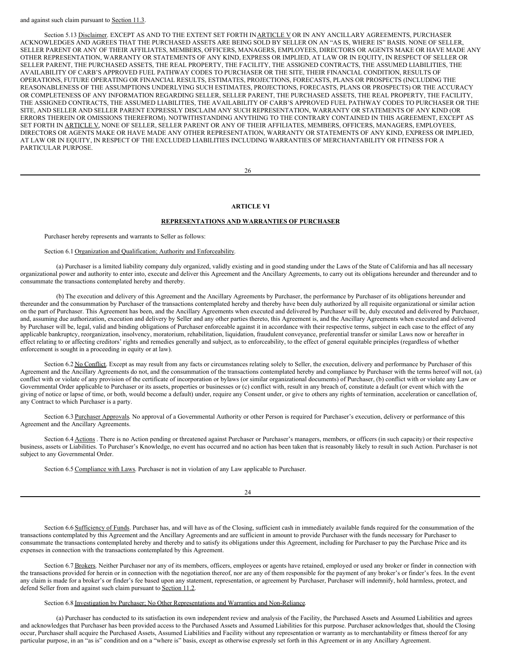#### and against such claim pursuant to Section 11.3.

Section 5.13 Disclaimer. EXCEPT AS AND TO THE EXTENT SET FORTH IN ARTICLE VOR IN ANY ANCILLARY AGREEMENTS, PURCHASER ACKNOWLEDGES AND AGREES THAT THE PURCHASED ASSETS ARE BEING SOLD BY SELLER ON AN "AS IS, WHERE IS" BASIS. NONE OF SELLER, SELLER PARENT OR ANY OF THEIR AFFILIATES, MEMBERS, OFFICERS, MANAGERS, EMPLOYEES, DIRECTORS OR AGENTS MAKE OR HAVE MADE ANY OTHER REPRESENTATION, WARRANTY OR STATEMENTS OF ANY KIND, EXPRESS OR IMPLIED, AT LAW OR IN EQUITY, IN RESPECT OF SELLER OR SELLER PARENT, THE PURCHASED ASSETS, THE REAL PROPERTY, THE FACILITY, THE ASSIGNED CONTRACTS, THE ASSUMED LIABILITIES, THE AVAILABILITY OF CARB'S APPROVED FUEL PATHWAY CODES TO PURCHASER OR THE SITE, THEIR FINANCIAL CONDITION, RESULTS OF OPERATIONS, FUTURE OPERATING OR FINANCIAL RESULTS, ESTIMATES, PROJECTIONS, FORECASTS, PLANS OR PROSPECTS (INCLUDING THE REASONABLENESS OF THE ASSUMPTIONS UNDERLYING SUCH ESTIMATES, PROJECTIONS, FORECASTS, PLANS OR PROSPECTS) OR THE ACCURACY OR COMPLETENESS OF ANY INFORMATION REGARDING SELLER, SELLER PARENT, THE PURCHASED ASSETS, THE REAL PROPERTY, THE FACILITY, THE ASSIGNED CONTRACTS, THE ASSUMED LIABILITIES, THE AVAILABILITY OF CARB'S APPROVED FUEL PATHWAY CODES TO PURCHASER OR THE SITE, AND SELLER AND SELLER PARENT EXPRESSLY DISCLAIM ANY SUCH REPRESENTATION, WARRANTY OR STATEMENTS OF ANY KIND (OR ERRORS THEREIN OR OMISSIONS THEREFROM). NOTWITHSTANDING ANYTHING TO THE CONTRARY CONTAINED IN THIS AGREEMENT, EXCEPT AS SET FORTH IN ARTICLE V, NONE OF SELLER, SELLER PARENT OR ANY OF THEIR AFFILIATES, MEMBERS, OFFICERS, MANAGERS, EMPLOYEES, DIRECTORS OR AGENTS MAKE OR HAVE MADE ANY OTHER REPRESENTATION, WARRANTY OR STATEMENTS OF ANY KIND, EXPRESS OR IMPLIED, AT LAW OR IN EQUITY, IN RESPECT OF THE EXCLUDED LIABILITIES INCLUDING WARRANTIES OF MERCHANTABILITY OR FITNESS FOR A PARTICULAR PURPOSE.

26

# **ARTICLE VI**

### **REPRESENTATIONS AND WARRANTIES OF PURCHASER**

Purchaser hereby represents and warrants to Seller as follows:

### Section 6.1 Organization and Qualification; Authority and Enforceability.

(a) Purchaser is a limited liability company duly organized, validly existing and in good standing under the Laws of the State of California and has all necessary organizational power and authority to enter into, execute and deliver this Agreement and the Ancillary Agreements, to carry out its obligations hereunder and thereunder and to consummate the transactions contemplated hereby and thereby.

(b) The execution and delivery of this Agreement and the Ancillary Agreements by Purchaser, the performance by Purchaser of its obligations hereunder and thereunder and the consummation by Purchaser of the transactions contemplated hereby and thereby have been duly authorized by all requisite organizational or similar action on the part of Purchaser. This Agreement has been, and the Ancillary Agreements when executed and delivered by Purchaser will be, duly executed and delivered by Purchaser, and, assuming due authorization, execution and delivery by Seller and any other parties thereto, this Agreement is, and the Ancillary Agreements when executed and delivered by Purchaser will be, legal, valid and binding obligations of Purchaser enforceable against it in accordance with their respective terms, subject in each case to the effect of any applicable bankruptcy, reorganization, insolvency, moratorium, rehabilitation, liquidation, fraudulent conveyance, preferential transfer or similar Laws now or hereafter in effect relating to or affecting creditors' rights and remedies generally and subject, as to enforceability, to the effect of general equitable principles (regardless of whether enforcement is sought in a proceeding in equity or at law).

Section 6.2 No Conflict. Except as may result from any facts or circumstances relating solely to Seller, the execution, delivery and performance by Purchaser of this Agreement and the Ancillary Agreements do not, and the consummation of the transactions contemplated hereby and compliance by Purchaser with the terms hereof will not, (a) conflict with or violate of any provision of the certificate of incorporation or bylaws (or similar organizational documents) of Purchaser, (b) conflict with or violate any Law or Governmental Order applicable to Purchaser or its assets, properties or businesses or (c) conflict with, result in any breach of, constitute a default (or event which with the giving of notice or lapse of time, or both, would become a default) under, require any Consent under, or give to others any rights of termination, acceleration or cancellation of, any Contract to which Purchaser is a party.

Section 6.3 Purchaser Approvals. No approval of a Governmental Authority or other Person is required for Purchaser's execution, delivery or performance of this Agreement and the Ancillary Agreements.

Section 6.4 Actions . There is no Action pending or threatened against Purchaser or Purchaser's managers, members, or officers (in such capacity) or their respective business, assets or Liabilities. To Purchaser's Knowledge, no event has occurred and no action has been taken that is reasonably likely to result in such Action. Purchaser is not subject to any Governmental Order.

Section 6.5 Compliance with Laws. Purchaser is not in violation of any Law applicable to Purchaser.

24

Section 6.6 Sufficiency of Funds. Purchaser has, and will have as of the Closing, sufficient cash in immediately available funds required for the consummation of the transactions contemplated by this Agreement and the Ancillary Agreements and are sufficient in amount to provide Purchaser with the funds necessary for Purchaser to consummate the transactions contemplated hereby and thereby and to satisfy its obligations under this Agreement, including for Purchaser to pay the Purchase Price and its expenses in connection with the transactions contemplated by this Agreement.

Section 6.7 Brokers. Neither Purchaser nor any of its members, officers, employees or agents have retained, employed or used any broker or finder in connection with the transactions provided for herein or in connection with the negotiation thereof, nor are any of them responsible for the payment of any broker's or finder's fees. In the event any claim is made for a broker's or finder's fee based upon any statement, representation, or agreement by Purchaser, Purchaser will indemnify, hold harmless, protect, and defend Seller from and against such claim pursuant to Section 11.2.

#### Section 6.8 Investigation by Purchaser; No Other Representations and Warranties and Non-Reliance.

(a) Purchaser has conducted to its satisfaction its own independent review and analysis of the Facility, the Purchased Assets and Assumed Liabilities and agrees and acknowledges that Purchaser has been provided access to the Purchased Assets and Assumed Liabilities for this purpose. Purchaser acknowledges that, should the Closing occur, Purchaser shall acquire the Purchased Assets, Assumed Liabilities and Facility without any representation or warranty as to merchantability or fitness thereof for any particular purpose, in an "as is" condition and on a "where is" basis, except as otherwise expressly set forth in this Agreement or in any Ancillary Agreement.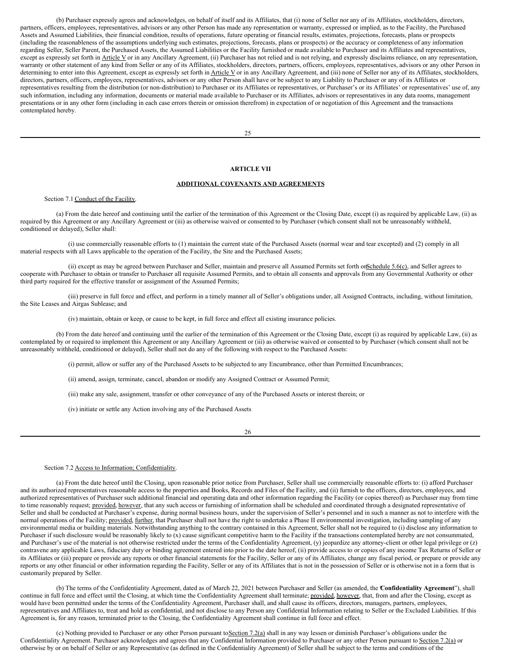(b) Purchaser expressly agrees and acknowledges, on behalf of itself and its Affiliates, that (i) none of Seller nor any of its Affiliates, stockholders, directors, partners, officers, employees, representatives, advisors or any other Person has made any representation or warranty, expressed or implied, as to the Facility, the Purchased Assets and Assumed Liabilities, their financial condition, results of operations, future operating or financial results, estimates, projections, forecasts, plans or prospects (including the reasonableness of the assumptions underlying such estimates, projections, forecasts, plans or prospects) or the accuracy or completeness of any information regarding Seller, Seller Parent, the Purchased Assets, the Assumed Liabilities or the Facility furnished or made available to Purchaser and its Affiliates and representatives, except as expressly set forth in Article V or in any Ancillary Agreement, (ii) Purchaser has not relied and is not relying, and expressly disclaims reliance, on any representation, warranty or other statement of any kind from Seller or any of its Affiliates, stockholders, directors, partners, officers, employees, representatives, advisors or any other Person in determining to enter into this Agreement, except as expressly set forth in Article V or in any Ancillary Agreement, and (iii) none of Seller nor any of its Affiliates, stockholders, directors, partners, officers, employees, representatives, advisors or any other Person shall have or be subject to any Liability to Purchaser or any of its Affiliates or representatives resulting from the distribution (or non-distribution) to Purchaser or its Affiliates or representatives, or Purchaser's or its Affiliates' or representatives' use of, any such information, including any information, documents or material made available to Purchaser or its Affiliates, advisors or representatives in any data rooms, management presentations or in any other form (including in each case errors therein or omission therefrom) in expectation of or negotiation of this Agreement and the transactions contemplated hereby.

# **ARTICLE VII**

### **ADDITIONAL COVENANTS AND AGREEMENTS**

#### Section 7.1 Conduct of the Facility.

(a) From the date hereof and continuing until the earlier of the termination of this Agreement or the Closing Date, except (i) as required by applicable Law, (ii) as required by this Agreement or any Ancillary Agreement or (iii) as otherwise waived or consented to by Purchaser (which consent shall not be unreasonably withheld, conditioned or delayed), Seller shall:

(i) use commercially reasonable efforts to (1) maintain the current state of the Purchased Assets (normal wear and tear excepted) and (2) comply in all material respects with all Laws applicable to the operation of the Facility, the Site and the Purchased Assets;

(ii) except as may be agreed between Purchaser and Seller, maintain and preserve all Assumed Permits set forth on Schedule 5.6(c), and Seller agrees to cooperate with Purchaser to obtain or transfer to Purchaser all requisite Assumed Permits, and to obtain all consents and approvals from any Governmental Authority or other third party required for the effective transfer or assignment of the Assumed Permits;

(iii) preserve in full force and effect, and perform in a timely manner all of Seller's obligations under, all Assigned Contracts, including, without limitation, the Site Leases and Airgas Sublease; and

(iv) maintain, obtain or keep, or cause to be kept, in full force and effect all existing insurance policies.

(b) From the date hereof and continuing until the earlier of the termination of this Agreement or the Closing Date, except (i) as required by applicable Law, (ii) as contemplated by or required to implement this Agreement or any Ancillary Agreement or (iii) as otherwise waived or consented to by Purchaser (which consent shall not be unreasonably withheld, conditioned or delayed), Seller shall not do any of the following with respect to the Purchased Assets:

(i) permit, allow or suffer any of the Purchased Assets to be subjected to any Encumbrance, other than Permitted Encumbrances;

(ii) amend, assign, terminate, cancel, abandon or modify any Assigned Contract or Assumed Permit;

(iii) make any sale, assignment, transfer or other conveyance of any of the Purchased Assets or interest therein; or

(iv) initiate or settle any Action involving any of the Purchased Assets

#### 26

### Section 7.2 Access to Information; Confidentiality.

(a) From the date hereof until the Closing, upon reasonable prior notice from Purchaser, Seller shall use commercially reasonable efforts to: (i) afford Purchaser and its authorized representatives reasonable access to the properties and Books, Records and Files of the Facility, and (ii) furnish to the officers, directors, employees, and authorized representatives of Purchaser such additional financial and operating data and other information regarding the Facility (or copies thereof) as Purchaser may from time to time reasonably request; provided, however, that any such access or furnishing of information shall be scheduled and coordinated through a designated representative of Seller and shall be conducted at Purchaser's expense, during normal business hours, under the supervision of Seller's personnel and in such a manner as not to interfere with the normal operations of the Facility; provided, further, that Purchaser shall not have the right to undertake a Phase II environmental investigation, including sampling of any environmental media or building materials. Notwithstanding anything to the contrary contained in this Agreement, Seller shall not be required to (i) disclose any information to Purchaser if such disclosure would be reasonably likely to (x) cause significant competitive harm to the Facility if the transactions contemplated hereby are not consummated, and Purchaser's use of the material is not otherwise restricted under the terms of the Confidentiality Agreement, (y) jeopardize any attorney-client or other legal privilege or (z) contravene any applicable Laws, fiduciary duty or binding agreement entered into prior to the date hereof, (ii) provide access to or copies of any income Tax Returns of Seller or its Affiliates or (iii) prepare or provide any reports or other financial statements for the Facility, Seller or any of its Affiliates, change any fiscal period, or prepare or provide any reports or any other financial or other information regarding the Facility, Seller or any of its Affiliates that is not in the possession of Seller or is otherwise not in a form that is customarily prepared by Seller.

(b) The terms of the Confidentiality Agreement, dated as of March 22, 2021 between Purchaser and Seller (as amended, the "**Confidentiality Agreement**"), shall continue in full force and effect until the Closing, at which time the Confidentiality Agreement shall terminate; provided, however, that, from and after the Closing, except as would have been permitted under the terms of the Confidentiality Agreement, Purchaser shall, and shall cause its officers, directors, managers, partners, employees, representatives and Affiliates to, treat and hold as confidential, and not disclose to any Person any Confidential Information relating to Seller or the Excluded Liabilities. If this Agreement is, for any reason, terminated prior to the Closing, the Confidentiality Agreement shall continue in full force and effect.

(c) Nothing provided to Purchaser or any other Person pursuant toSection 7.2(a) shall in any way lessen or diminish Purchaser's obligations under the Confidentiality Agreement. Purchaser acknowledges and agrees that any Confidential Information provided to Purchaser or any other Person pursuant to Section 7.2(a) or otherwise by or on behalf of Seller or any Representative (as defined in the Confidentiality Agreement) of Seller shall be subject to the terms and conditions of the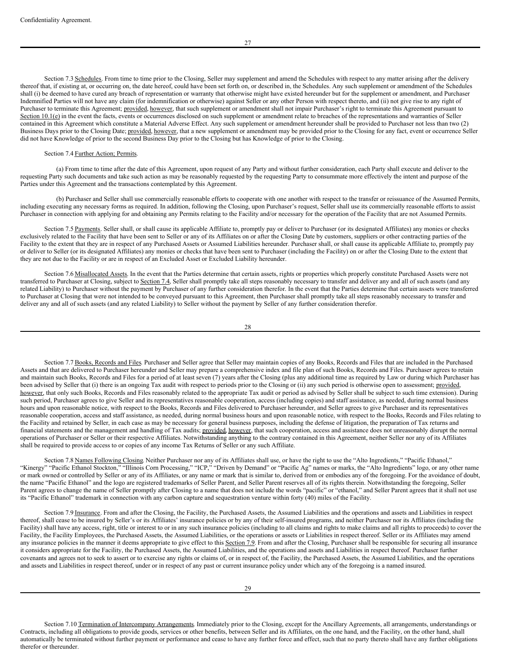Section 7.3 Schedules. From time to time prior to the Closing, Seller may supplement and amend the Schedules with respect to any matter arising after the delivery thereof that, if existing at, or occurring on, the date hereof, could have been set forth on, or described in, the Schedules. Any such supplement or amendment of the Schedules shall (i) be deemed to have cured any breach of representation or warranty that otherwise might have existed hereunder but for the supplement or amendment, and Purchaser Indemnified Parties will not have any claim (for indemnification or otherwise) against Seller or any other Person with respect thereto, and (ii) not give rise to any right of Purchaser to terminate this Agreement; provided, however, that such supplement or amendment shall not impair Purchaser's right to terminate this Agreement pursuant to Section 10.1(e) in the event the facts, events or occurrences disclosed on such supplement or amendment relate to breaches of the representations and warranties of Seller contained in this Agreement which constitute a Material Adverse Effect. Any such supplement or amendment hereunder shall be provided to Purchaser not less than two (2) Business Days prior to the Closing Date; provided, however, that a new supplement or amendment may be provided prior to the Closing for any fact, event or occurrence Seller did not have Knowledge of prior to the second Business Day prior to the Closing but has Knowledge of prior to the Closing.

#### Section 7.4 Further Action; Permits.

(a) From time to time after the date of this Agreement, upon request of any Party and without further consideration, each Party shall execute and deliver to the requesting Party such documents and take such action as may be reasonably requested by the requesting Party to consummate more effectively the intent and purpose of the Parties under this Agreement and the transactions contemplated by this Agreement.

(b) Purchaser and Seller shall use commercially reasonable efforts to cooperate with one another with respect to the transfer or reissuance of the Assumed Permits, including executing any necessary forms as required. In addition, following the Closing, upon Purchaser's request, Seller shall use its commercially reasonable efforts to assist Purchaser in connection with applying for and obtaining any Permits relating to the Facility and/or necessary for the operation of the Facility that are not Assumed Permits.

Section 7.5 Payments. Seller shall, or shall cause its applicable Affiliate to, promptly pay or deliver to Purchaser (or its designated Affiliates) any monies or checks exclusively related to the Facility that have been sent to Seller or any of its Affiliates on or after the Closing Date by customers, suppliers or other contracting parties of the Facility to the extent that they are in respect of any Purchased Assets or Assumed Liabilities hereunder. Purchaser shall, or shall cause its applicable Affiliate to, promptly pay or deliver to Seller (or its designated Affiliates) any monies or checks that have been sent to Purchaser (including the Facility) on or after the Closing Date to the extent that they are not due to the Facility or are in respect of an Excluded Asset or Excluded Liability hereunder.

Section 7.6 Misallocated Assets. In the event that the Parties determine that certain assets, rights or properties which properly constitute Purchased Assets were not transferred to Purchaser at Closing, subject to Section 7.4, Seller shall promptly take all steps reasonably necessary to transfer and deliver any and all of such assets (and any related Liability) to Purchaser without the payment by Purchaser of any further consideration therefor. In the event that the Parties determine that certain assets were transferred to Purchaser at Closing that were not intended to be conveyed pursuant to this Agreement, then Purchaser shall promptly take all steps reasonably necessary to transfer and deliver any and all of such assets (and any related Liability) to Seller without the payment by Seller of any further consideration therefor.

28

Section 7.7 Books, Records and Files. Purchaser and Seller agree that Seller may maintain copies of any Books, Records and Files that are included in the Purchased Assets and that are delivered to Purchaser hereunder and Seller may prepare a comprehensive index and file plan of such Books, Records and Files. Purchaser agrees to retain and maintain such Books, Records and Files for a period of at least seven (7) years after the Closing (plus any additional time as required by Law or during which Purchaser has been advised by Seller that (i) there is an ongoing Tax audit with respect to periods prior to the Closing or (ii) any such period is otherwise open to assessment; provided, however, that only such Books, Records and Files reasonably related to the appropriate Tax audit or period as advised by Seller shall be subject to such time extension). During such period, Purchaser agrees to give Seller and its representatives reasonable cooperation, access (including copies) and staff assistance, as needed, during normal business hours and upon reasonable notice, with respect to the Books, Records and Files delivered to Purchaser hereunder, and Seller agrees to give Purchaser and its representatives reasonable cooperation, access and staff assistance, as needed, during normal business hours and upon reasonable notice, with respect to the Books, Records and Files relating to the Facility and retained by Seller, in each case as may be necessary for general business purposes, including the defense of litigation, the preparation of Tax returns and financial statements and the management and handling of Tax audits; provided, however, that such cooperation, access and assistance does not unreasonably disrupt the normal operations of Purchaser or Seller or their respective Affiliates. Notwithstanding anything to the contrary contained in this Agreement, neither Seller nor any of its Affiliates shall be required to provide access to or copies of any income Tax Returns of Seller or any such Affiliate.

Section 7.8 Names Following Closing. Neither Purchaser nor any of its Affiliates shall use, or have the right to use the "Alto Ingredients," "Pacific Ethanol," "Kinergy" "Pacific Ethanol Stockton," "Illinois Corn Processing," "ICP," "Driven by Demand" or "Pacific Ag" names or marks, the "Alto Ingredients" logo, or any other name or mark owned or controlled by Seller or any of its Affiliates, or any name or mark that is similar to, derived from or embodies any of the foregoing. For the avoidance of doubt, the name "Pacific Ethanol" and the logo are registered trademarks of Seller Parent, and Seller Parent reserves all of its rights therein. Notwithstanding the foregoing, Seller Parent agrees to change the name of Seller promptly after Closing to a name that does not include the words "pacific" or "ethanol," and Seller Parent agrees that it shall not use its "Pacific Ethanol" trademark in connection with any carbon capture and sequestration venture within forty (40) miles of the Facility.

Section 7.9 Insurance. From and after the Closing, the Facility, the Purchased Assets, the Assumed Liabilities and the operations and assets and Liabilities in respect thereof, shall cease to be insured by Seller's or its Affiliates' insurance policies or by any of their self-insured programs, and neither Purchaser nor its Affiliates (including the Facility) shall have any access, right, title or interest to or in any such insurance policies (including to all claims and rights to make claims and all rights to proceeds) to cover the Facility, the Facility Employees, the Purchased Assets, the Assumed Liabilities, or the operations or assets or Liabilities in respect thereof. Seller or its Affiliates may amend any insurance policies in the manner it deems appropriate to give effect to this Section  $\overline{7.9}$ . From and after the Closing, Purchaser shall be responsible for securing all insurance it considers appropriate for the Facility, the Purchased Assets, the Assumed Liabilities, and the operations and assets and Liabilities in respect thereof. Purchaser further covenants and agrees not to seek to assert or to exercise any rights or claims of, or in respect of, the Facility, the Purchased Assets, the Assumed Liabilities, and the operations and assets and Liabilities in respect thereof, under or in respect of any past or current insurance policy under which any of the foregoing is a named insured.

Section 7.10 Termination of Intercompany Arrangements. Immediately prior to the Closing, except for the Ancillary Agreements, all arrangements, understandings or Contracts, including all obligations to provide goods, services or other benefits, between Seller and its Affiliates, on the one hand, and the Facility, on the other hand, shall automatically be terminated without further payment or performance and cease to have any further force and effect, such that no party thereto shall have any further obligations therefor or thereunder.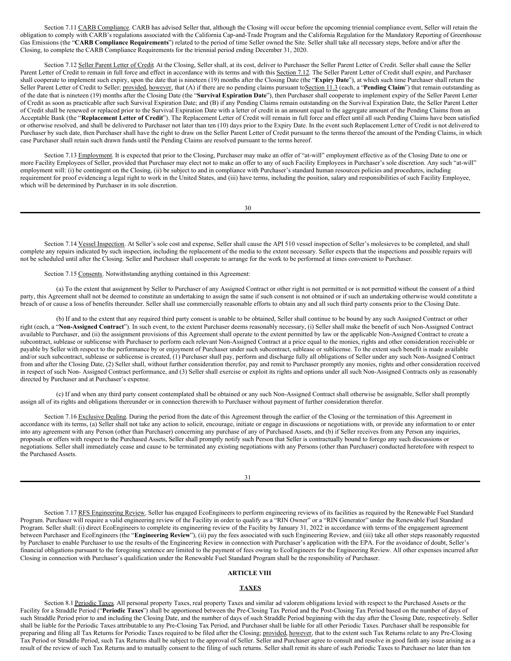Section 7.11 CARB Compliance. CARB has advised Seller that, although the Closing will occur before the upcoming triennial compliance event, Seller will retain the obligation to comply with CARB's regulations associated with the California Cap-and-Trade Program and the California Regulation for the Mandatory Reporting of Greenhouse Gas Emissions (the "**CARB Compliance Requirements**") related to the period of time Seller owned the Site. Seller shall take all necessary steps, before and/or after the Closing, to complete the CARB Compliance Requirements for the triennial period ending December 31, 2020.

Section 7.12 Seller Parent Letter of Credit At the Closing, Seller shall, at its cost, deliver to Purchaser the Seller Parent Letter of Credit. Seller shall cause the Seller Parent Letter of Credit to remain in full force and effect in accordance with its terms and with this Section 7.12. The Seller Parent Letter of Credit shall expire, and Purchaser shall cooperate to implement such expiry, upon the date that is nineteen (19) months after the Closing Date (the "**Expiry Date**"), at which such time Purchaser shall return the Seller Parent Letter of Credit to Seller; provided, however, that (A) if there are no pending claims pursuant to Section 11.3 (each, a "Pending Claim") that remain outstanding as of the date that is nineteen (19) months after the Closing Date (the "**Survival Expiration Date**"), then Purchaser shall cooperate to implement expiry of the Seller Parent Letter of Credit as soon as practicable after such Survival Expiration Date; and (B) if any Pending Claims remain outstanding on the Survival Expiration Date, the Seller Parent Letter of Credit shall be renewed or replaced prior to the Survival Expiration Date with a letter of credit in an amount equal to the aggregate amount of the Pending Claims from an Acceptable Bank (the "**Replacement Letter of Credit**"). The Replacement Letter of Credit will remain in full force and effect until all such Pending Claims have been satisfied or otherwise resolved, and shall be delivered to Purchaser not later than ten (10) days prior to the Expiry Date. In the event such Replacement Letter of Credit is not delivered to Purchaser by such date, then Purchaser shall have the right to draw on the Seller Parent Letter of Credit pursuant to the terms thereof the amount of the Pending Claims, in which case Purchaser shall retain such drawn funds until the Pending Claims are resolved pursuant to the terms hereof.

Section 7.13 Employment. It is expected that prior to the Closing, Purchaser may make an offer of "at-will" employment effective as of the Closing Date to one or more Facility Employees of Seller, provided that Purchaser may elect not to make an offer to any of such Facility Employees in Purchaser's sole discretion. Any such "at-will" employment will: (i) be contingent on the Closing, (ii) be subject to and in compliance with Purchaser's standard human resources policies and procedures, including requirement for proof evidencing a legal right to work in the United States, and (iii) have terms, including the position, salary and responsibilities of such Facility Employee, which will be determined by Purchaser in its sole discretion.

30

Section 7.14 Vessel Inspection. At Seller's sole cost and expense, Seller shall cause the API 510 vessel inspection of Seller's molesieves to be completed, and shall complete any repairs indicated by such inspection, including the replacement of the media to the extent necessary. Seller expects that the inspections and possible repairs will not be scheduled until after the Closing. Seller and Purchaser shall cooperate to arrange for the work to be performed at times convenient to Purchaser.

Section 7.15 Consents. Notwithstanding anything contained in this Agreement:

(a) To the extent that assignment by Seller to Purchaser of any Assigned Contract or other right is not permitted or is not permitted without the consent of a third party, this Agreement shall not be deemed to constitute an undertaking to assign the same if such consent is not obtained or if such an undertaking otherwise would constitute a breach of or cause a loss of benefits thereunder. Seller shall use commercially reasonable efforts to obtain any and all such third party consents prior to the Closing Date.

(b) If and to the extent that any required third party consent is unable to be obtained, Seller shall continue to be bound by any such Assigned Contract or other right (each, a "**Non-Assigned Contract**"). In such event, to the extent Purchaser deems reasonably necessary, (i) Seller shall make the benefit of such Non-Assigned Contract available to Purchaser, and (ii) the assignment provisions of this Agreement shall operate to the extent permitted by law or the applicable Non-Assigned Contract to create a subcontract, sublease or sublicense with Purchaser to perform each relevant Non-Assigned Contract at a price equal to the monies, rights and other consideration receivable or payable by Seller with respect to the performance by or enjoyment of Purchaser under such subcontract, sublease or sublicense. To the extent such benefit is made available and/or such subcontract, sublease or sublicense is created, (1) Purchaser shall pay, perform and discharge fully all obligations of Seller under any such Non-Assigned Contract from and after the Closing Date, (2) Seller shall, without further consideration therefor, pay and remit to Purchaser promptly any monies, rights and other consideration received in respect of such Non- Assigned Contract performance, and (3) Seller shall exercise or exploit its rights and options under all such Non-Assigned Contracts only as reasonably directed by Purchaser and at Purchaser's expense.

(c) If and when any third party consent contemplated shall be obtained or any such Non-Assigned Contract shall otherwise be assignable, Seller shall promptly assign all of its rights and obligations thereunder or in connection therewith to Purchaser without payment of further consideration therefor.

Section 7.16 Exclusive Dealing. During the period from the date of this Agreement through the earlier of the Closing or the termination of this Agreement in accordance with its terms, (a) Seller shall not take any action to solicit, encourage, initiate or engage in discussions or negotiations with, or provide any information to or enter into any agreement with any Person (other than Purchaser) concerning any purchase of any of Purchased Assets, and (b) if Seller receives from any Person any inquiries, proposals or offers with respect to the Purchased Assets, Seller shall promptly notify such Person that Seller is contractually bound to forego any such discussions or negotiations. Seller shall immediately cease and cause to be terminated any existing negotiations with any Persons (other than Purchaser) conducted heretofore with respect to the Purchased Assets.

31

Section 7.17 RFS Engineering Review. Seller has engaged EcoEngineers to perform engineering reviews of its facilities as required by the Renewable Fuel Standard Program. Purchaser will require a valid engineering review of the Facility in order to qualify as a "RIN Owner" or a "RIN Generator" under the Renewable Fuel Standard Program. Seller shall: (i) direct EcoEngineers to complete its engineering review of the Facility by January 31, 2022 in accordance with terms of the engagement agreement between Purchaser and EcoEngineers (the "**Engineering Review**"), (ii) pay the fees associated with such Engineering Review, and (iii) take all other steps reasonably requested by Purchaser to enable Purchaser to use the results of the Engineering Review in connection with Purchaser's application with the EPA. For the avoidance of doubt, Seller's financial obligations pursuant to the foregoing sentence are limited to the payment of fees owing to EcoEngineers for the Engineering Review. All other expenses incurred after Closing in connection with Purchaser's qualification under the Renewable Fuel Standard Program shall be the responsibility of Purchaser.

# **ARTICLE VIII**

# **TAXES**

Section 8.1 Periodic Taxes. All personal property Taxes, real property Taxes and similar ad valorem obligations levied with respect to the Purchased Assets or the Facility for a Straddle Period ("**Periodic Taxes**") shall be apportioned between the Pre-Closing Tax Period and the Post-Closing Tax Period based on the number of days of such Straddle Period prior to and including the Closing Date, and the number of days of such Straddle Period beginning with the day after the Closing Date, respectively. Seller shall be liable for the Periodic Taxes attributable to any Pre-Closing Tax Period, and Purchaser shall be liable for all other Periodic Taxes. Purchaser shall be responsible for preparing and filing all Tax Returns for Periodic Taxes required to be filed after the Closing; provided, however, that to the extent such Tax Returns relate to any Pre-Closing Tax Period or Straddle Period, such Tax Returns shall be subject to the approval of Seller. Seller and Purchaser agree to consult and resolve in good faith any issue arising as a result of the review of such Tax Returns and to mutually consent to the filing of such returns. Seller shall remit its share of such Periodic Taxes to Purchaser no later than ten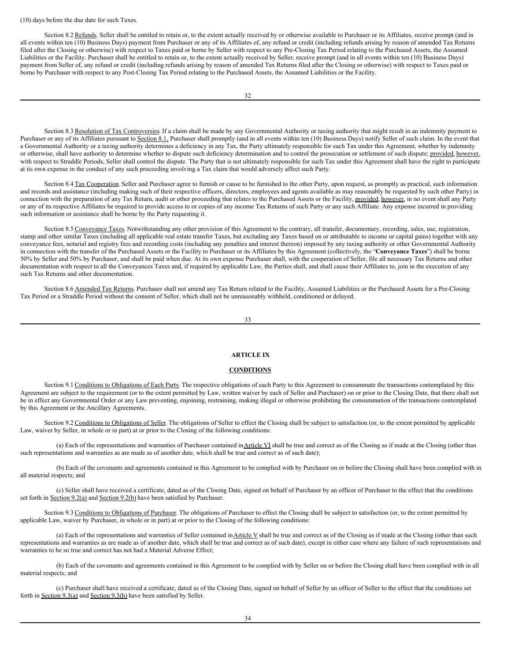#### (10) days before the due date for such Taxes.

Section 8.2 Refunds. Seller shall be entitled to retain or, to the extent actually received by or otherwise available to Purchaser or its Affiliates, receive prompt (and in all events within ten (10) Business Days) payment from Purchaser or any of its Affiliates of, any refund or credit (including refunds arising by reason of amended Tax Returns filed after the Closing or otherwise) with respect to Taxes paid or borne by Seller with respect to any Pre-Closing Tax Period relating to the Purchased Assets, the Assumed Liabilities or the Facility. Purchaser shall be entitled to retain or, to the extent actually received by Seller, receive prompt (and in all events within ten (10) Business Days) payment from Seller of, any refund or credit (including refunds arising by reason of amended Tax Returns filed after the Closing or otherwise) with respect to Taxes paid or borne by Purchaser with respect to any Post-Closing Tax Period relating to the Purchased Assets, the Assumed Liabilities or the Facility.

Section 8.3 Resolution of Tax Controversies. If a claim shall be made by any Governmental Authority or taxing authority that might result in an indemnity payment to Purchaser or any of its Affiliates pursuant to Section 8.1, Purchaser shall promptly (and in all events within ten (10) Business Days) notify Seller of such claim. In the event that a Governmental Authority or a taxing authority determines a deficiency in any Tax, the Party ultimately responsible for such Tax under this Agreement, whether by indemnity or otherwise, shall have authority to determine whether to dispute such deficiency determination and to control the prosecution or settlement of such dispute; provided, however, with respect to Straddle Periods, Seller shall control the dispute. The Party that is not ultimately responsible for such Tax under this Agreement shall have the right to participate at its own expense in the conduct of any such proceeding involving a Tax claim that would adversely affect such Party.

Section 8.4 Tax Cooperation. Seller and Purchaser agree to furnish or cause to be furnished to the other Party, upon request, as promptly as practical, such information and records and assistance (including making such of their respective officers, directors, employees and agents available as may reasonably be requested by such other Party) in connection with the preparation of any Tax Return, audit or other proceeding that relates to the Purchased Assets or the Facility, provided, however, in no event shall any Party or any of its respective Affiliates be required to provide access to or copies of any income Tax Returns of such Party or any such Affiliate. Any expense incurred in providing such information or assistance shall be borne by the Party requesting it.

Section 8.5 Conveyance Taxes. Notwithstanding any other provision of this Agreement to the contrary, all transfer, documentary, recording, sales, use, registration, stamp and other similar Taxes (including all applicable real estate transfer Taxes, but excluding any Taxes based on or attributable to income or capital gains) together with any conveyance fees, notarial and registry fees and recording costs (including any penalties and interest thereon) imposed by any taxing authority or other Governmental Authority in connection with the transfer of the Purchased Assets or the Facility to Purchaser or its Affiliates by this Agreement (collectively, the "**Conveyance Taxes**") shall be borne 50% by Seller and 50% by Purchaser, and shall be paid when due. At its own expense Purchaser shall, with the cooperation of Seller, file all necessary Tax Returns and other documentation with respect to all the Conveyances Taxes and, if required by applicable Law, the Parties shall, and shall cause their Affiliates to, join in the execution of any such Tax Returns and other documentation.

Section 8.6 Amended Tax Returns. Purchaser shall not amend any Tax Return related to the Facility, Assumed Liabilities or the Purchased Assets for a Pre-Closing Tax Period or a Straddle Period without the consent of Seller, which shall not be unreasonably withheld, conditioned or delayed.

33

### **ARTICLE IX**

## **CONDITIONS**

Section 9.1 Conditions to Obligations of Each Party. The respective obligations of each Party to this Agreement to consummate the transactions contemplated by this Agreement are subject to the requirement (or to the extent permitted by Law, written waiver by each of Seller and Purchaser) on or prior to the Closing Date, that there shall not be in effect any Governmental Order or any Law preventing, enjoining, restraining, making illegal or otherwise prohibiting the consummation of the transactions contemplated by this Agreement or the Ancillary Agreements.

Section 9.2 Conditions to Obligations of Seller. The obligations of Seller to effect the Closing shall be subject to satisfaction (or, to the extent permitted by applicable Law, waiver by Seller, in whole or in part) at or prior to the Closing of the following conditions:

(a) Each of the representations and warranties of Purchaser contained in Article VI shall be true and correct as of the Closing as if made at the Closing (other than such representations and warranties as are made as of another date, which shall be true and correct as of such date);

(b) Each of the covenants and agreements contained in this Agreement to be complied with by Purchaser on or before the Closing shall have been complied with in all material respects; and

(c) Seller shall have received a certificate, dated as of the Closing Date, signed on behalf of Purchaser by an officer of Purchaser to the effect that the conditions set forth in Section 9.2(a) and Section 9.2(b) have been satisfied by Purchaser.

Section 9.3 Conditions to Obligations of Purchaser. The obligations of Purchaser to effect the Closing shall be subject to satisfaction (or, to the extent permitted by applicable Law, waiver by Purchaser, in whole or in part) at or prior to the Closing of the following conditions:

(a) Each of the representations and warranties of Seller contained in Article V shall be true and correct as of the Closing as if made at the Closing (other than such representations and warranties as are made as of another date, which shall be true and correct as of such date), except in either case where any failure of such representations and warranties to be so true and correct has not had a Material Adverse Effect;

(b) Each of the covenants and agreements contained in this Agreement to be complied with by Seller on or before the Closing shall have been complied with in all material respects; and

(c) Purchaser shall have received a certificate, dated as of the Closing Date, signed on behalf of Seller by an officer of Seller to the effect that the conditions set forth in Section 9.3(a) and Section 9.3(b) have been satisfied by Seller.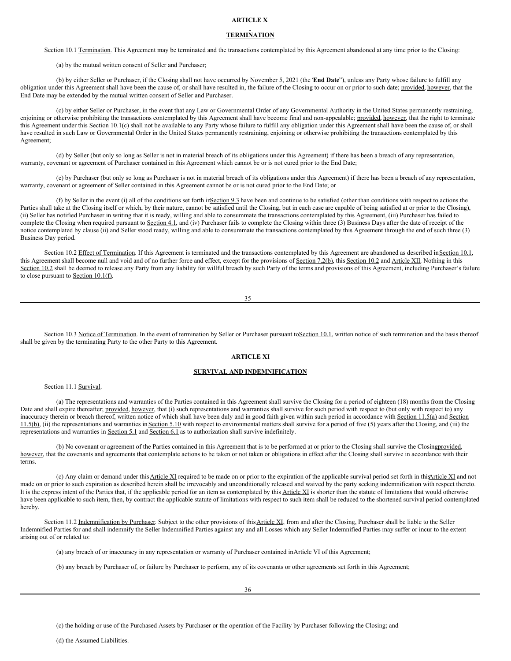# **ARTICLE X**

# **TERMINATION**

Section 10.1 Termination. This Agreement may be terminated and the transactions contemplated by this Agreement abandoned at any time prior to the Closing:

(a) by the mutual written consent of Seller and Purchaser;

(b) by either Seller or Purchaser, if the Closing shall not have occurred by November 5, 2021 (the "**End Date**"), unless any Party whose failure to fulfill any obligation under this Agreement shall have been the cause of, or shall have resulted in, the failure of the Closing to occur on or prior to such date; provided, however, that the End Date may be extended by the mutual written consent of Seller and Purchaser.

(c) by either Seller or Purchaser, in the event that any Law or Governmental Order of any Governmental Authority in the United States permanently restraining, enjoining or otherwise prohibiting the transactions contemplated by this Agreement shall have become final and non-appealable; provided, however, that the right to terminate this Agreement under this Section 10.1(c) shall not be available to any Party whose failure to fulfill any obligation under this Agreement shall have been the cause of, or shall have resulted in such Law or Governmental Order in the United States permanently restraining, enjoining or otherwise prohibiting the transactions contemplated by this Agreement;

(d) by Seller (but only so long as Seller is not in material breach of its obligations under this Agreement) if there has been a breach of any representation, warranty, covenant or agreement of Purchaser contained in this Agreement which cannot be or is not cured prior to the End Date;

(e) by Purchaser (but only so long as Purchaser is not in material breach of its obligations under this Agreement) if there has been a breach of any representation, warranty, covenant or agreement of Seller contained in this Agreement cannot be or is not cured prior to the End Date; or

(f) by Seller in the event (i) all of the conditions set forth inSection 9.3 have been and continue to be satisfied (other than conditions with respect to actions the Parties shall take at the Closing itself or which, by their nature, cannot be satisfied until the Closing, but in each case are capable of being satisfied at or prior to the Closing), (ii) Seller has notified Purchaser in writing that it is ready, willing and able to consummate the transactions contemplated by this Agreement, (iii) Purchaser has failed to complete the Closing when required pursuant to Section 4.1, and (iv) Purchaser fails to complete the Closing within three (3) Business Days after the date of receipt of the notice contemplated by clause (ii) and Seller stood ready, willing and able to consummate the transactions contemplated by this Agreement through the end of such three (3) Business Day period.

Section 10.2 Effect of Termination. If this Agreement is terminated and the transactions contemplated by this Agreement are abandoned as described in Section 10.1, this Agreement shall become null and void and of no further force and effect, except for the provisions of Section 7.2(b), this Section 10.2 and Article XII. Nothing in this Section 10.2 shall be deemed to release any Party from any liability for willful breach by such Party of the terms and provisions of this Agreement, including Purchaser's failure to close pursuant to Section 10.1(f).

35

Section 10.3 Notice of Termination. In the event of termination by Seller or Purchaser pursuant to Section 10.1, written notice of such termination and the basis thereof shall be given by the terminating Party to the other Party to this Agreement.

### **ARTICLE XI**

# **SURVIVAL AND INDEMNIFICATION**

Section 11.1 Survival.

(a) The representations and warranties of the Parties contained in this Agreement shall survive the Closing for a period of eighteen (18) months from the Closing Date and shall expire thereafter; provided, however, that (i) such representations and warranties shall survive for such period with respect to (but only with respect to) any inaccuracy therein or breach thereof, written notice of which shall have been duly and in good faith given within such period in accordance with Section 11.5(a) and Section 11.5(b), (ii) the representations and warranties in Section 5.10 with respect to environmental matters shall survive for a period of five (5) years after the Closing, and (iii) the representations and warranties in Section 5.1 and Section 6.1 as to authorization shall survive indefinitely.

(b) No covenant or agreement of the Parties contained in this Agreement that is to be performed at or prior to the Closing shall survive the Closingprovided, however, that the covenants and agreements that contemplate actions to be taken or not taken or obligations in effect after the Closing shall survive in accordance with their terms.

(c) Any claim or demand under this Article XI required to be made on or prior to the expiration of the applicable survival period set forth in thisArticle XI and not made on or prior to such expiration as described herein shall be irrevocably and unconditionally released and waived by the party seeking indemnification with respect thereto. It is the express intent of the Parties that, if the applicable period for an item as contemplated by this Article XI is shorter than the statute of limitations that would otherwise have been applicable to such item, then, by contract the applicable statute of limitations with respect to such item shall be reduced to the shortened survival period contemplated hereby.

Section 11.2 Indemnification by Purchaser. Subject to the other provisions of this Article XI, from and after the Closing, Purchaser shall be liable to the Seller Indemnified Parties for and shall indemnify the Seller Indemnified Parties against any and all Losses which any Seller Indemnified Parties may suffer or incur to the extent arising out of or related to:

(a) any breach of or inaccuracy in any representation or warranty of Purchaser contained inArticle VI of this Agreement;

(b) any breach by Purchaser of, or failure by Purchaser to perform, any of its covenants or other agreements set forth in this Agreement;

(c) the holding or use of the Purchased Assets by Purchaser or the operation of the Facility by Purchaser following the Closing; and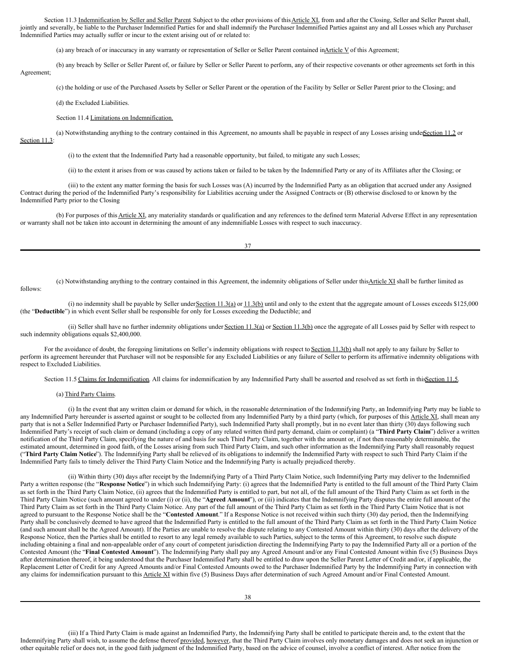Section 11.3 Indemnification by Seller and Seller Parent. Subject to the other provisions of this Article XI, from and after the Closing, Seller and Seller Parent shall, jointly and severally, be liable to the Purchaser Indemnified Parties for and shall indemnify the Purchaser Indemnified Parties against any and all Losses which any Purchaser Indemnified Parties may actually suffer or incur to the extent arising out of or related to:

(a) any breach of or inaccuracy in any warranty or representation of Seller or Seller Parent contained inArticle V of this Agreement;

(b) any breach by Seller or Seller Parent of, or failure by Seller or Seller Parent to perform, any of their respective covenants or other agreements set forth in this Agreement;

(c) the holding or use of the Purchased Assets by Seller or Seller Parent or the operation of the Facility by Seller or Seller Parent prior to the Closing; and

(d) the Excluded Liabilities.

Section 11.4 Limitations on Indemnification.

(a) Notwithstanding anything to the contrary contained in this Agreement, no amounts shall be payable in respect of any Losses arising undersection 11.2 or Section 11.3:

(i) to the extent that the Indemnified Party had a reasonable opportunity, but failed, to mitigate any such Losses;

(ii) to the extent it arises from or was caused by actions taken or failed to be taken by the Indemnified Party or any of its Affiliates after the Closing; or

(iii) to the extent any matter forming the basis for such Losses was (A) incurred by the Indemnified Party as an obligation that accrued under any Assigned Contract during the period of the Indemnified Party's responsibility for Liabilities accruing under the Assigned Contracts or (B) otherwise disclosed to or known by the Indemnified Party prior to the Closing

(b) For purposes of this **Article XI**, any materiality standards or qualification and any references to the defined term Material Adverse Effect in any representation or warranty shall not be taken into account in determining the amount of any indemnifiable Losses with respect to such inaccuracy.

37

(c) Notwithstanding anything to the contrary contained in this Agreement, the indemnity obligations of Seller under thisArticle XI shall be further limited as follows:

(i) no indemnity shall be payable by Seller under Section 11.3(a) or  $11.3(b)$  until and only to the extent that the aggregate amount of Losses exceeds \$125,000 (the "**Deductible**") in which event Seller shall be responsible for only for Losses exceeding the Deductible; and

(ii) Seller shall have no further indemnity obligations under Section 11.3(a) or Section 11.3(b) once the aggregate of all Losses paid by Seller with respect to such indemnity obligations equals \$2,400,000.

For the avoidance of doubt, the foregoing limitations on Seller's indemnity obligations with respect to Section 11.3(b) shall not apply to any failure by Seller to perform its agreement hereunder that Purchaser will not be responsible for any Excluded Liabilities or any failure of Seller to perform its affirmative indemnity obligations with respect to Excluded Liabilities.

Section 11.5 Claims for Indemnification. All claims for indemnification by any Indemnified Party shall be asserted and resolved as set forth in thisSection 11.5.

### (a) Third Party Claims.

(i) In the event that any written claim or demand for which, in the reasonable determination of the Indemnifying Party, an Indemnifying Party may be liable to any Indemnified Party hereunder is asserted against or sought to be collected from any Indemnified Party by a third party (which, for purposes of this Article XI, shall mean any party that is not a Seller Indemnified Party or Purchaser Indemnified Party), such Indemnified Party shall promptly, but in no event later than thirty (30) days following such Indemnified Party's receipt of such claim or demand (including a copy of any related written third party demand, claim or complaint) (a "**Third Party Claim**") deliver a written notification of the Third Party Claim, specifying the nature of and basis for such Third Party Claim, together with the amount or, if not then reasonably determinable, the estimated amount, determined in good faith, of the Losses arising from such Third Party Claim, and such other information as the Indemnifying Party shall reasonably request ("**Third Party Claim Notice**"). The Indemnifying Party shall be relieved of its obligations to indemnify the Indemnified Party with respect to such Third Party Claim if the Indemnified Party fails to timely deliver the Third Party Claim Notice and the Indemnifying Party is actually prejudiced thereby.

(ii) Within thirty (30) days after receipt by the Indemnifying Party of a Third Party Claim Notice, such Indemnifying Party may deliver to the Indemnified Party a written response (the "Response Notice") in which such Indemnifying Party: (i) agrees that the Indemnified Party is entitled to the full amount of the Third Party Claim as set forth in the Third Party Claim Notice, (ii) agrees that the Indemnified Party is entitled to part, but not all, of the full amount of the Third Party Claim as set forth in the Third Party Claim Notice (such amount agreed to under (i) or (ii), the "**Agreed Amount**"), or (iii) indicates that the Indemnifying Party disputes the entire full amount of the Third Party Claim as set forth in the Third Party Claim Notice. Any part of the full amount of the Third Party Claim as set forth in the Third Party Claim Notice that is not agreed to pursuant to the Response Notice shall be the "**Contested Amount**." If a Response Notice is not received within such thirty (30) day period, then the Indemnifying Party shall be conclusively deemed to have agreed that the Indemnified Party is entitled to the full amount of the Third Party Claim as set forth in the Third Party Claim Notice (and such amount shall be the Agreed Amount). If the Parties are unable to resolve the dispute relating to any Contested Amount within thirty (30) days after the delivery of the Response Notice, then the Parties shall be entitled to resort to any legal remedy available to such Parties, subject to the terms of this Agreement, to resolve such dispute including obtaining a final and non-appealable order of any court of competent jurisdiction directing the Indemnifying Party to pay the Indemnified Party all or a portion of the Contested Amount (the "**Final Contested Amount**"). The Indemnifying Party shall pay any Agreed Amount and/or any Final Contested Amount within five (5) Business Days after determination thereof, it being understood that the Purchaser Indemnified Party shall be entitled to draw upon the Seller Parent Letter of Credit and/or, if applicable, the Replacement Letter of Credit for any Agreed Amounts and/or Final Contested Amounts owed to the Purchaser Indemnified Party by the Indemnifying Party in connection with any claims for indemnification pursuant to this **Article XI** within five (5) Business Days after determination of such Agreed Amount and/or Final Contested Amount.

(iii) If a Third Party Claim is made against an Indemnified Party, the Indemnifying Party shall be entitled to participate therein and, to the extent that the Indemnifying Party shall wish, to assume the defense thereof provided, however, that the Third Party Claim involves only monetary damages and does not seek an injunction or other equitable relief or does not, in the good faith judgment of the Indemnified Party, based on the advice of counsel, involve a conflict of interest. After notice from the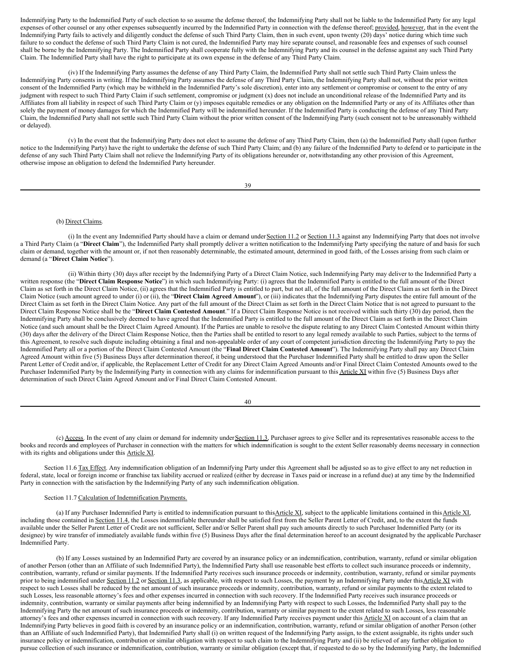Indemnifying Party to the Indemnified Party of such election to so assume the defense thereof, the Indemnifying Party shall not be liable to the Indemnified Party for any legal expenses of other counsel or any other expenses subsequently incurred by the Indemnified Party in connection with the defense thereof; provided, however, that in the event the Indemnifying Party fails to actively and diligently conduct the defense of such Third Party Claim, then in such event, upon twenty (20) days' notice during which time such failure to so conduct the defense of such Third Party Claim is not cured, the Indemnified Party may hire separate counsel, and reasonable fees and expenses of such counsel shall be borne by the Indemnifying Party. The Indemnified Party shall cooperate fully with the Indemnifying Party and its counsel in the defense against any such Third Party Claim. The Indemnified Party shall have the right to participate at its own expense in the defense of any Third Party Claim.

(iv) If the Indemnifying Party assumes the defense of any Third Party Claim, the Indemnified Party shall not settle such Third Party Claim unless the Indemnifying Party consents in writing. If the Indemnifying Party assumes the defense of any Third Party Claim, the Indemnifying Party shall not, without the prior written consent of the Indemnified Party (which may be withheld in the Indemnified Party's sole discretion), enter into any settlement or compromise or consent to the entry of any judgment with respect to such Third Party Claim if such settlement, compromise or judgment (x) does not include an unconditional release of the Indemnified Party and its Affiliates from all liability in respect of such Third Party Claim or (y) imposes equitable remedies or any obligation on the Indemnified Party or any of its Affiliates other than solely the payment of money damages for which the Indemnified Party will be indemnified hereunder. If the Indemnified Party is conducting the defense of any Third Party Claim, the Indemnified Party shall not settle such Third Party Claim without the prior written consent of the Indemnifying Party (such consent not to be unreasonably withheld or delayed).

(v) In the event that the Indemnifying Party does not elect to assume the defense of any Third Party Claim, then (a) the Indemnified Party shall (upon further notice to the Indemnifying Party) have the right to undertake the defense of such Third Party Claim; and (b) any failure of the Indemnified Party to defend or to participate in the defense of any such Third Party Claim shall not relieve the Indemnifying Party of its obligations hereunder or, notwithstanding any other provision of this Agreement, otherwise impose an obligation to defend the Indemnified Party hereunder.

39

#### (b) Direct Claims.

(i) In the event any Indemnified Party should have a claim or demand under Section 11.2 or Section 11.3 against any Indemnifying Party that does not involve a Third Party Claim (a "Direct Claim"), the Indemnified Party shall promptly deliver a written notification to the Indemnifying Party specifying the nature of and basis for such claim or demand, together with the amount or, if not then reasonably determinable, the estimated amount, determined in good faith, of the Losses arising from such claim or demand (a "**Direct Claim Notice**").

(ii) Within thirty (30) days after receipt by the Indemnifying Party of a Direct Claim Notice, such Indemnifying Party may deliver to the Indemnified Party a written response (the "**Direct Claim Response Notice**") in which such Indemnifying Party: (i) agrees that the Indemnified Party is entitled to the full amount of the Direct Claim as set forth in the Direct Claim Notice, (ii) agrees that the Indemnified Party is entitled to part, but not all, of the full amount of the Direct Claim as set forth in the Direct Claim Notice (such amount agreed to under (i) or (ii), the "**Direct Claim Agreed Amount**"), or (iii) indicates that the Indemnifying Party disputes the entire full amount of the Direct Claim as set forth in the Direct Claim Notice. Any part of the full amount of the Direct Claim as set forth in the Direct Claim Notice that is not agreed to pursuant to the Direct Claim Response Notice shall be the "**Direct Claim Contested Amount**." If a Direct Claim Response Notice is not received within such thirty (30) day period, then the Indemnifying Party shall be conclusively deemed to have agreed that the Indemnified Party is entitled to the full amount of the Direct Claim as set forth in the Direct Claim Notice (and such amount shall be the Direct Claim Agreed Amount). If the Parties are unable to resolve the dispute relating to any Direct Claim Contested Amount within thirty (30) days after the delivery of the Direct Claim Response Notice, then the Parties shall be entitled to resort to any legal remedy available to such Parties, subject to the terms of this Agreement, to resolve such dispute including obtaining a final and non-appealable order of any court of competent jurisdiction directing the Indemnifying Party to pay the Indemnified Party all or a portion of the Direct Claim Contested Amount (the "**Final Direct Claim Contested Amount**"). The Indemnifying Party shall pay any Direct Claim Agreed Amount within five (5) Business Days after determination thereof, it being understood that the Purchaser Indemnified Party shall be entitled to draw upon the Seller Parent Letter of Credit and/or, if applicable, the Replacement Letter of Credit for any Direct Claim Agreed Amounts and/or Final Direct Claim Contested Amounts owed to the Purchaser Indemnified Party by the Indemnifying Party in connection with any claims for indemnification pursuant to this Article XI within five (5) Business Days after determination of such Direct Claim Agreed Amount and/or Final Direct Claim Contested Amount.

(c) Access. In the event of any claim or demand for indemnity under Section 11.3, Purchaser agrees to give Seller and its representatives reasonable access to the books and records and employees of Purchaser in connection with the matters for which indemnification is sought to the extent Seller reasonably deems necessary in connection with its rights and obligations under this Article XI.

Section 11.6 Tax Effect. Any indemnification obligation of an Indemnifying Party under this Agreement shall be adjusted so as to give effect to any net reduction in federal, state, local or foreign income or franchise tax liability accrued or realized (either by decrease in Taxes paid or increase in a refund due) at any time by the Indemnified Party in connection with the satisfaction by the Indemnifying Party of any such indemnification obligation.

## Section 11.7 Calculation of Indemnification Payments.

(a) If any Purchaser Indemnified Party is entitled to indemnification pursuant to this Article XI, subject to the applicable limitations contained in this Article XI, including those contained in Section 11.4, the Losses indemnifiable thereunder shall be satisfied first from the Seller Parent Letter of Credit, and, to the extent the funds available under the Seller Parent Letter of Credit are not sufficient, Seller and/or Seller Parent shall pay such amounts directly to such Purchaser Indemnified Party (or its designee) by wire transfer of immediately available funds within five (5) Business Days after the final determination hereof to an account designated by the applicable Purchaser Indemnified Party.

(b) If any Losses sustained by an Indemnified Party are covered by an insurance policy or an indemnification, contribution, warranty, refund or similar obligation of another Person (other than an Affiliate of such Indemnified Party), the Indemnified Party shall use reasonable best efforts to collect such insurance proceeds or indemnity, contribution, warranty, refund or similar payments. If the Indemnified Party receives such insurance proceeds or indemnity, contribution, warranty, refund or similar payments prior to being indemnified under Section 11.2 or Section 11.3, as applicable, with respect to such Losses, the payment by an Indemnifying Party under thisArticle XI with respect to such Losses shall be reduced by the net amount of such insurance proceeds or indemnity, contribution, warranty, refund or similar payments to the extent related to such Losses, less reasonable attorney's fees and other expenses incurred in connection with such recovery. If the Indemnified Party receives such insurance proceeds or indemnity, contribution, warranty or similar payments after being indemnified by an Indemnifying Party with respect to such Losses, the Indemnified Party shall pay to the Indemnifying Party the net amount of such insurance proceeds or indemnity, contribution, warranty or similar payment to the extent related to such Losses, less reasonable attorney's fees and other expenses incurred in connection with such recovery. If any Indemnified Party receives payment under this Article XI on account of a claim that an Indemnifying Party believes in good faith is covered by an insurance policy or an indemnification, contribution, warranty, refund or similar obligation of another Person (other than an Affiliate of such Indemnified Party), that Indemnified Party shall (i) on written request of the Indemnifying Party assign, to the extent assignable, its rights under such insurance policy or indemnification, contribution or similar obligation with respect to such claim to the Indemnifying Party and (ii) be relieved of any further obligation to pursue collection of such insurance or indemnification, contribution, warranty or similar obligation (except that, if requested to do so by the Indemnifying Party, the Indemnified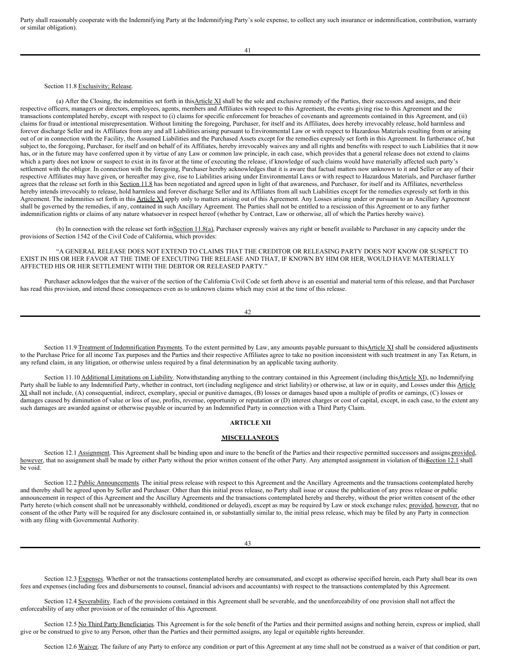Party shall reasonably cooperate with the Indemnifying Party at the Indemnifying Party's sole expense, to collect any such insurance or indemnification, contribution, warranty or similar obligation).

41

### Section 11.8 Exclusivity; Release.

(a) After the Closing, the indemnities set forth in thisArticle XI shall be the sole and exclusive remedy of the Parties, their successors and assigns, and their respective officers, managers or directors, employees, agents, members and Affiliates with respect to this Agreement, the events giving rise to this Agreement and the transactions contemplated hereby, except with respect to (i) claims for specific enforcement for breaches of covenants and agreements contained in this Agreement, and (ii) claims for fraud or intentional misrepresentation. Without limiting the foregoing, Purchaser, for itself and its Affiliates, does hereby irrevocably release, hold harmless and forever discharge Seller and its Affiliates from any and all Liabilities arising pursuant to Environmental Law or with respect to Hazardous Materials resulting from or arising out of or in connection with the Facility, the Assumed Liabilities and the Purchased Assets except for the remedies expressly set forth in this Agreement. In furtherance of, but subject to, the foregoing, Purchaser, for itself and on behalf of its Affiliates, hereby irrevocably waives any and all rights and benefits with respect to such Liabilities that it now has, or in the future may have conferred upon it by virtue of any Law or common law principle, in each case, which provides that a general release does not extend to claims which a party does not know or suspect to exist in its favor at the time of executing the release, if knowledge of such claims would have materially affected such party's settlement with the obligor. In connection with the foregoing, Purchaser hereby acknowledges that it is aware that factual matters now unknown to it and Seller or any of their respective Affiliates may have given, or hereafter may give, rise to Liabilities arising under Environmental Laws or with respect to Hazardous Materials, and Purchaser further agrees that the release set forth in this Section 11.8 has been negotiated and agreed upon in light of that awareness, and Purchaser, for itself and its Affiliates, nevertheless hereby intends irrevocably to release, hold harmless and forever discharge Seller and its Affiliates from all such Liabilities except for the remedies expressly set forth in this Agreement. The indemnities set forth in this Article XI apply only to matters arising out of this Agreement. Any Losses arising under or pursuant to an Ancillary Agreement shall be governed by the remedies, if any, contained in such Ancillary Agreement. The Parties shall not be entitled to a rescission of this Agreement or to any further indemnification rights or claims of any nature whatsoever in respect hereof (whether by Contract, Law or otherwise, all of which the Parties hereby waive).

(b) In connection with the release set forth in Section 11.8(a), Purchaser expressly waives any right or benefit available to Purchaser in any capacity under the provisions of Section 1542 of the Civil Code of California, which provides:

"A GENERAL RELEASE DOES NOT EXTEND TO CLAIMS THAT THE CREDITOR OR RELEASING PARTY DOES NOT KNOW OR SUSPECT TO EXIST IN HIS OR HER FAVOR AT THE TIME OF EXECUTING THE RELEASE AND THAT, IF KNOWN BY HIM OR HER, WOULD HAVE MATERIALLY AFFECTED HIS OR HER SETTLEMENT WITH THE DEBTOR OR RELEASED PARTY."

Purchaser acknowledges that the waiver of the section of the California Civil Code set forth above is an essential and material term of this release, and that Purchaser has read this provision, and intend these consequences even as to unknown claims which may exist at the time of this release.

42

Section 11.9 Treatment of Indemnification Payments. To the extent permitted by Law, any amounts payable pursuant to thisArticle XI shall be considered adjustments to the Purchase Price for all income Tax purposes and the Parties and their respective Affiliates agree to take no position inconsistent with such treatment in any Tax Return, in any refund claim, in any litigation, or otherwise unless required by a final determination by an applicable taxing authority.

Section 11.10 Additional Limitations on Liability. Notwithstanding anything to the contrary contained in this Agreement (including thisArticle XI), no Indemnifying Party shall be liable to any Indemnified Party, whether in contract, tort (including negligence and strict liability) or otherwise, at law or in equity, and Losses under this Article XI shall not include, (A) consequential, indirect, exemplary, special or punitive damages, (B) losses or damages based upon a multiple of profits or earnings, (C) losses or damages caused by diminution of value or loss of use, profits, revenue, opportunity or reputation or (D) interest charges or cost of capital, except, in each case, to the extent any such damages are awarded against or otherwise payable or incurred by an Indemnified Party in connection with a Third Party Claim.

## **ARTICLE XII**

### **MISCELLANEOUS**

Section 12.1 Assignment. This Agreement shall be binding upon and inure to the benefit of the Parties and their respective permitted successors and assigns;provided, however, that no assignment shall be made by either Party without the prior written consent of the other Party. Any attempted assignment in violation of this ection 12.1 shall be void.

Section 12.2 Public Announcements. The initial press release with respect to this Agreement and the Ancillary Agreements and the transactions contemplated hereby and thereby shall be agreed upon by Seller and Purchaser. Other than this initial press release, no Party shall issue or cause the publication of any press release or public announcement in respect of this Agreement and the Ancillary Agreements and the transactions contemplated hereby and thereby, without the prior written consent of the other Party hereto (which consent shall not be unreasonably withheld, conditioned or delayed), except as may be required by Law or stock exchange rules; provided, however, that no consent of the other Party will be required for any disclosure contained in, or substantially similar to, the initial press release, which may be filed by any Party in connection with any filing with Governmental Authority.

Section 12.3 Expenses. Whether or not the transactions contemplated hereby are consummated, and except as otherwise specified herein, each Party shall bear its own fees and expenses (including fees and disbursements to counsel, financial advisors and accountants) with respect to the transactions contemplated by this Agreement.

Section 12.4 Severability. Each of the provisions contained in this Agreement shall be severable, and the unenforceability of one provision shall not affect the enforceability of any other provision or of the remainder of this Agreement.

Section 12.5 No Third Party Beneficiaries. This Agreement is for the sole benefit of the Parties and their permitted assigns and nothing herein, express or implied, shall give or be construed to give to any Person, other than the Parties and their permitted assigns, any legal or equitable rights hereunder.

Section 12.6 Waiver. The failure of any Party to enforce any condition or part of this Agreement at any time shall not be construed as a waiver of that condition or part,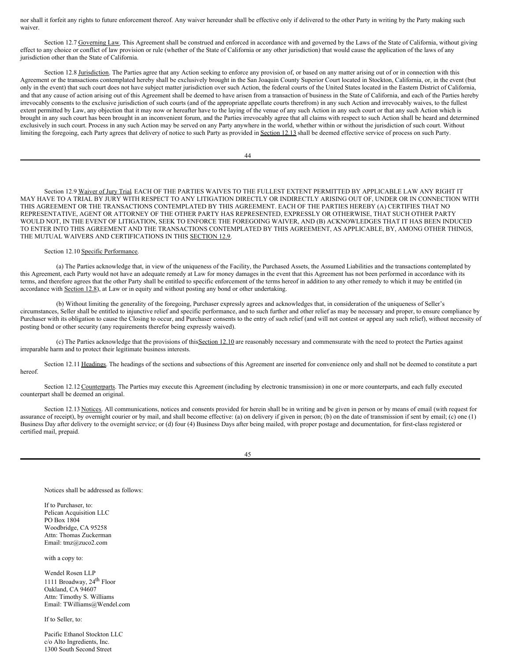nor shall it forfeit any rights to future enforcement thereof. Any waiver hereunder shall be effective only if delivered to the other Party in writing by the Party making such waiver.

Section 12.7 Governing Law. This Agreement shall be construed and enforced in accordance with and governed by the Laws of the State of California, without giving effect to any choice or conflict of law provision or rule (whether of the State of California or any other jurisdiction) that would cause the application of the laws of any jurisdiction other than the State of California.

Section 12.8 Jurisdiction. The Parties agree that any Action seeking to enforce any provision of, or based on any matter arising out of or in connection with this Agreement or the transactions contemplated hereby shall be exclusively brought in the San Joaquin County Superior Court located in Stockton, California, or, in the event (but only in the event) that such court does not have subject matter jurisdiction over such Action, the federal courts of the United States located in the Eastern District of California, and that any cause of action arising out of this Agreement shall be deemed to have arisen from a transaction of business in the State of California, and each of the Parties hereby irrevocably consents to the exclusive jurisdiction of such courts (and of the appropriate appellate courts therefrom) in any such Action and irrevocably waives, to the fullest extent permitted by Law, any objection that it may now or hereafter have to the laying of the venue of any such Action in any such court or that any such Action which is brought in any such court has been brought in an inconvenient forum, and the Parties irrevocably agree that all claims with respect to such Action shall be heard and determined exclusively in such court. Process in any such Action may be served on any Party anywhere in the world, whether within or without the jurisdiction of such court. Without limiting the foregoing, each Party agrees that delivery of notice to such Party as provided in Section 12.13 shall be deemed effective service of process on such Party.

44

Section 12.9 Waiver of Jury Trial. EACH OF THE PARTIES WAIVES TO THE FULLEST EXTENT PERMITTED BY APPLICABLE LAW ANY RIGHT IT MAY HAVE TO A TRIAL BY JURY WITH RESPECT TO ANY LITIGATION DIRECTLY OR INDIRECTLY ARISING OUT OF, UNDER OR IN CONNECTION WITH THIS AGREEMENT OR THE TRANSACTIONS CONTEMPLATED BY THIS AGREEMENT. EACH OF THE PARTIES HEREBY (A) CERTIFIES THAT NO REPRESENTATIVE, AGENT OR ATTORNEY OF THE OTHER PARTY HAS REPRESENTED, EXPRESSLY OR OTHERWISE, THAT SUCH OTHER PARTY WOULD NOT, IN THE EVENT OF LITIGATION, SEEK TO ENFORCE THE FOREGOING WAIVER, AND (B) ACKNOWLEDGES THAT IT HAS BEEN INDUCED TO ENTER INTO THIS AGREEMENT AND THE TRANSACTIONS CONTEMPLATED BY THIS AGREEMENT, AS APPLICABLE, BY, AMONG OTHER THINGS, THE MUTUAL WAIVERS AND CERTIFICATIONS IN THIS SECTION 12.9.

## Section 12.10 Specific Performance.

(a) The Parties acknowledge that, in view of the uniqueness of the Facility, the Purchased Assets, the Assumed Liabilities and the transactions contemplated by this Agreement, each Party would not have an adequate remedy at Law for money damages in the event that this Agreement has not been performed in accordance with its terms, and therefore agrees that the other Party shall be entitled to specific enforcement of the terms hereof in addition to any other remedy to which it may be entitled (in accordance with Section 12.8), at Law or in equity and without posting any bond or other undertaking.

(b) Without limiting the generality of the foregoing, Purchaser expressly agrees and acknowledges that, in consideration of the uniqueness of Seller's circumstances, Seller shall be entitled to injunctive relief and specific performance, and to such further and other relief as may be necessary and proper, to ensure compliance by Purchaser with its obligation to cause the Closing to occur, and Purchaser consents to the entry of such relief (and will not contest or appeal any such relief), without necessity of posting bond or other security (any requirements therefor being expressly waived).

(c) The Parties acknowledge that the provisions of thisSection 12.10 are reasonably necessary and commensurate with the need to protect the Parties against irreparable harm and to protect their legitimate business interests.

Section 12.11 Headings. The headings of the sections and subsections of this Agreement are inserted for convenience only and shall not be deemed to constitute a part hereof.

Section 12.12 Counterparts. The Parties may execute this Agreement (including by electronic transmission) in one or more counterparts, and each fully executed counterpart shall be deemed an original.

Section 12.13 Notices. All communications, notices and consents provided for herein shall be in writing and be given in person or by means of email (with request for assurance of receipt), by overnight courier or by mail, and shall become effective: (a) on delivery if given in person; (b) on the date of transmission if sent by email; (c) one (1) Business Day after delivery to the overnight service; or (d) four (4) Business Days after being mailed, with proper postage and documentation, for first-class registered or certified mail, prepaid.

Notices shall be addressed as follows:

If to Purchaser, to: Pelican Acquisition LLC PO Box 1804 Woodbridge, CA 95258 Attn: Thomas Zuckerman Email: tmz@zuco2.com

with a copy to:

Wendel Rosen LLP 1111 Broadway, 24<sup>th</sup> Floor Oakland, CA 94607 Attn: Timothy S. Williams Email: TWilliams@Wendel.com

If to Seller, to:

Pacific Ethanol Stockton LLC c/o Alto Ingredients, Inc. 1300 South Second Street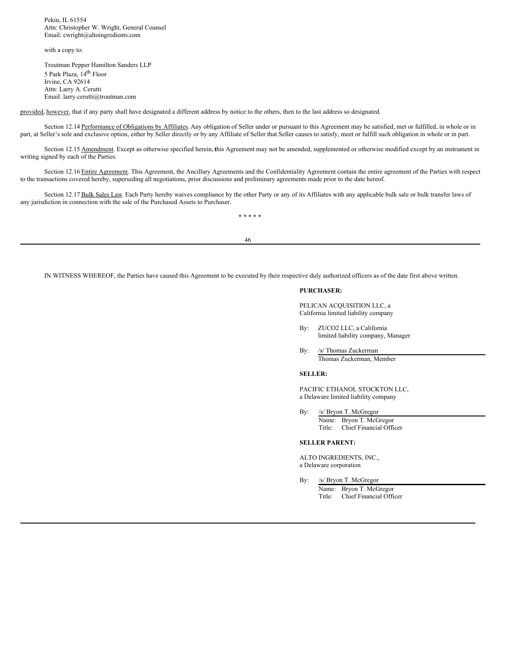Pekin, IL 61554 Attn: Christopher W. Wright, General Counsel Email: cwright@altoingredients.com

with a copy to:

Troutman Pepper Hamilton Sanders LLP 5 Park Plaza, 14<sup>th</sup> Floor Irvine, CA 92614 Attn: Larry A. Cerutti Email: larry.cerutti@troutman.com

provided, however, that if any party shall have designated a different address by notice to the others, then to the last address so designated.

Section 12.14 Performance of Obligations by Affiliates. Any obligation of Seller under or pursuant to this Agreement may be satisfied, met or fulfilled, in whole or in part, at Seller's sole and exclusive option, either by Seller directly or by any Affiliate of Seller that Seller causes to satisfy, meet or fulfill such obligation in whole or in part.

Section 12.15 Amendment. Except as otherwise specified herein, this Agreement may not be amended, supplemented or otherwise modified except by an instrument in writing signed by each of the Parties.

Section 12.16 Entire Agreement. This Agreement, the Ancillary Agreements and the Confidentiality Agreement contain the entire agreement of the Parties with respect to the transactions covered hereby, superseding all negotiations, prior discussions and preliminary agreements made prior to the date hereof.

Section 12.17 Bulk Sales Law. Each Party hereby waives compliance by the other Party or any of its Affiliates with any applicable bulk sale or bulk transfer laws of any jurisdiction in connection with the sale of the Purchased Assets to Purchaser.

\* \* \* \* \*

46

IN WITNESS WHEREOF, the Parties have caused this Agreement to be executed by their respective duly authorized officers as of the date first above written.

## **PURCHASER:**

PELICAN ACQUISITION LLC, a California limited liability company

- By: ZUCO2 LLC, a California limited liability company, Manager
- By: /s/ Thomas Zuckerman Thomas Zuckerman, Member

#### **SELLER:**

PACIFIC ETHANOL STOCKTON LLC, a Delaware limited liability company

By: /s/ Bryon T. McGregor

Name: Bryon T. McGregor Title: Chief Financial Officer

### **SELLER PARENT:**

ALTO INGREDIENTS, INC., a Delaware corporation

By: /s/ Bryon T. McGregor Name: Bryon T. McGregor Title: Chief Financial Officer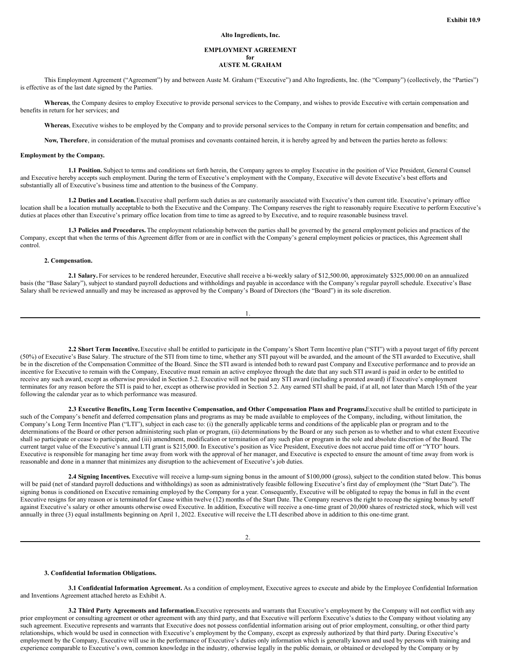# **EMPLOYMENT AGREEMENT for**

# **AUSTE M. GRAHAM**

This Employment Agreement ("Agreement") by and between Auste M. Graham ("Executive") and Alto Ingredients, Inc. (the "Company") (collectively, the "Parties") is effective as of the last date signed by the Parties.

**Whereas**, the Company desires to employ Executive to provide personal services to the Company, and wishes to provide Executive with certain compensation and benefits in return for her services; and

**Whereas**, Executive wishes to be employed by the Company and to provide personal services to the Company in return for certain compensation and benefits; and

**Now, Therefore**, in consideration of the mutual promises and covenants contained herein, it is hereby agreed by and between the parties hereto as follows:

#### **Employment by the Company.**

**1.1 Position.** Subject to terms and conditions set forth herein, the Company agrees to employ Executive in the position of Vice President, General Counsel and Executive hereby accepts such employment. During the term of Executive's employment with the Company, Executive will devote Executive's best efforts and substantially all of Executive's business time and attention to the business of the Company.

**1.2 Duties and Location.**Executive shall perform such duties as are customarily associated with Executive's then current title. Executive's primary office location shall be a location mutually acceptable to both the Executive and the Company. The Company reserves the right to reasonably require Executive to perform Executive's duties at places other than Executive's primary office location from time to time as agreed to by Executive, and to require reasonable business travel.

**1.3 Policies and Procedures.** The employment relationship between the parties shall be governed by the general employment policies and practices of the Company, except that when the terms of this Agreement differ from or are in conflict with the Company's general employment policies or practices, this Agreement shall control.

### **2. Compensation.**

**2.1 Salary.** For services to be rendered hereunder, Executive shall receive a bi-weekly salary of \$12,500.00, approximately \$325,000.00 on an annualized basis (the "Base Salary"), subject to standard payroll deductions and withholdings and payable in accordance with the Company's regular payroll schedule. Executive's Base Salary shall be reviewed annually and may be increased as approved by the Company's Board of Directors (the "Board") in its sole discretion.

1.

**2.2 Short Term Incentive.**Executive shall be entitled to participate in the Company's Short Term Incentive plan ("STI") with a payout target of fifty percent (50%) of Executive's Base Salary. The structure of the STI from time to time, whether any STI payout will be awarded, and the amount of the STI awarded to Executive, shall be in the discretion of the Compensation Committee of the Board. Since the STI award is intended both to reward past Company and Executive performance and to provide an incentive for Executive to remain with the Company, Executive must remain an active employee through the date that any such STI award is paid in order to be entitled to receive any such award, except as otherwise provided in Section 5.2. Executive will not be paid any STI award (including a prorated award) if Executive's employment terminates for any reason before the STI is paid to her, except as otherwise provided in Section 5.2. Any earned STI shall be paid, if at all, not later than March 15th of the year following the calendar year as to which performance was measured.

2.3 Executive Benefits, Long Term Incentive Compensation, and Other Compensation Plans and Programs.Executive shall be entitled to participate in such of the Company's benefit and deferred compensation plans and programs as may be made available to employees of the Company, including, without limitation, the Company's Long Term Incentive Plan ("LTI"), subject in each case to: (i) the generally applicable terms and conditions of the applicable plan or program and to the determinations of the Board or other person administering such plan or program, (ii) determinations by the Board or any such person as to whether and to what extent Executive shall so participate or cease to participate, and (iii) amendment, modification or termination of any such plan or program in the sole and absolute discretion of the Board. The current target value of the Executive's annual LTI grant is \$215,000. In Executive's position as Vice President, Executive does not accrue paid time off or "YTO" hours. Executive is responsible for managing her time away from work with the approval of her manager, and Executive is expected to ensure the amount of time away from work is reasonable and done in a manner that minimizes any disruption to the achievement of Executive's job duties.

**2.4 Signing Incentives.** Executive will receive a lump-sum signing bonus in the amount of \$100,000 (gross), subject to the condition stated below. This bonus will be paid (net of standard payroll deductions and withholdings) as soon as administratively feasible following Executive's first day of employment (the "Start Date"). The signing bonus is conditioned on Executive remaining employed by the Company for a year. Consequently, Executive will be obligated to repay the bonus in full in the event Executive resigns for any reason or is terminated for Cause within twelve (12) months of the Start Date. The Company reserves the right to recoup the signing bonus by setoff against Executive's salary or other amounts otherwise owed Executive. In addition, Executive will receive a one-time grant of 20,000 shares of restricted stock, which will vest annually in three (3) equal installments beginning on April 1, 2022. Executive will receive the LTI described above in addition to this one-time grant.

#### **3. Confidential Information Obligations.**

**3.1 Confidential Information Agreement.** As a condition of employment, Executive agrees to execute and abide by the Employee Confidential Information and Inventions Agreement attached hereto as Exhibit A.

**3.2 Third Party Agreements and Information.**Executive represents and warrants that Executive's employment by the Company will not conflict with any prior employment or consulting agreement or other agreement with any third party, and that Executive will perform Executive's duties to the Company without violating any such agreement. Executive represents and warrants that Executive does not possess confidential information arising out of prior employment, consulting, or other third party relationships, which would be used in connection with Executive's employment by the Company, except as expressly authorized by that third party. During Executive's employment by the Company, Executive will use in the performance of Executive's duties only information which is generally known and used by persons with training and experience comparable to Executive's own, common knowledge in the industry, otherwise legally in the public domain, or obtained or developed by the Company or by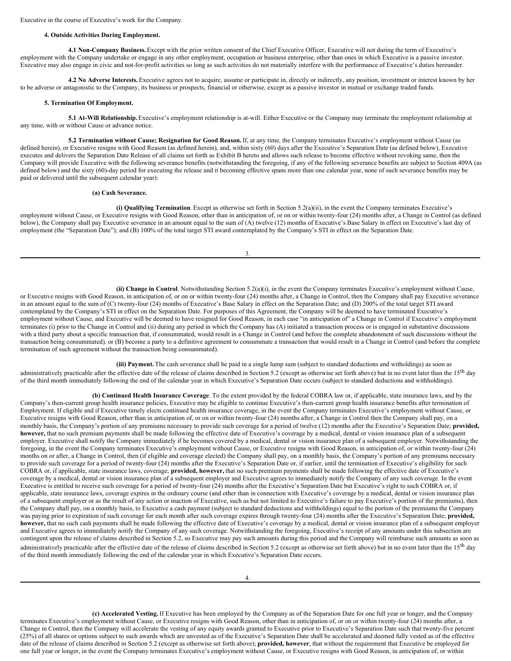Executive in the course of Executive's work for the Company.

## **4. Outside Activities During Employment.**

**4.1 Non-Company Business.**Except with the prior written consent of the Chief Executive Officer, Executive will not during the term of Executive's employment with the Company undertake or engage in any other employment, occupation or business enterprise, other than ones in which Executive is a passive investor. Executive may also engage in civic and not-for-profit activities so long as such activities do not materially interfere with the performance of Executive's duties hereunder.

**4.2 No Adverse Interests.** Executive agrees not to acquire, assume or participate in, directly or indirectly, any position, investment or interest known by her to be adverse or antagonistic to the Company, its business or prospects, financial or otherwise, except as a passive investor in mutual or exchange traded funds.

#### **5. Termination Of Employment.**

**5.1 At-Will Relationship.** Executive's employment relationship is at-will. Either Executive or the Company may terminate the employment relationship at any time, with or without Cause or advance notice.

**5.2 Termination without Cause; Resignation for Good Reason.**If, at any time, the Company terminates Executive's employment without Cause (as defined herein), or Executive resigns with Good Reason (as defined herein), and, within sixty (60) days after the Executive's Separation Date (as defined below), Executive executes and delivers the Separation Date Release of all claims set forth as Exhibit B hereto and allows such release to become effective without revoking same, then the Company will provide Executive with the following severance benefits (notwithstanding the foregoing, if any of the following severance benefits are subject to Section 409A (as defined below) and the sixty (60)-day period for executing the release and it becoming effective spans more than one calendar year, none of such severance benefits may be paid or delivered until the subsequent calendar year):

#### **(a) Cash Severance.**

**(i) Qualifying Termination**. Except as otherwise set forth in Section 5.2(a)(ii), in the event the Company terminates Executive's employment without Cause, or Executive resigns with Good Reason, other than in anticipation of, or on or within twenty-four (24) months after, a Change in Control (as defined below), the Company shall pay Executive severance in an amount equal to the sum of (A) twelve (12) months of Executive's Base Salary in effect on Executive's last day of employment (the "Separation Date"); and (B) 100% of the total target STI award contemplated by the Company's STI in effect on the Separation Date.

3.

**(ii) Change in Control**. Notwithstanding Section 5.2(a)(i), in the event the Company terminates Executive's employment without Cause, or Executive resigns with Good Reason, in anticipation of, or on or within twenty-four (24) months after, a Change in Control, then the Company shall pay Executive severance in an amount equal to the sum of (C) twenty-four (24) months of Executive's Base Salary in effect on the Separation Date; and (D) 200% of the total target STI award contemplated by the Company's STI in effect on the Separation Date. For purposes of this Agreement, the Company will be deemed to have terminated Executive's employment without Cause, and Executive will be deemed to have resigned for Good Reason, in each case "in anticipation of" a Change in Control if Executive's employment terminates (i) prior to the Change in Control and (ii) during any period in which the Company has (A) initiated a transaction process or is engaged in substantive discussions with a third party about a specific transaction that, if consummated, would result in a Change in Control (and before the complete abandonment of such discussions without the transaction being consummated), or (B) become a party to a definitive agreement to consummate a transaction that would result in a Change in Control (and before the complete termination of such agreement without the transaction being consummated).

**(iii) Payment.** The cash severance shall be paid in a single lump sum (subject to standard deductions and witholdings) as soon as administratively practicable after the effective date of the release of claims described in Section 5.2 (except as otherwise set forth above) but in no event later than the 15<sup>th</sup> day of the third month immediately following the end of the calendar year in which Executive's Separation Date occurs (subject to standard deductions and withholdings).

**(b) Continued Health Insurance Coverage**. To the extent provided by the federal COBRA law or, if applicable, state insurance laws, and by the Company's then-current group health insurance policies, Executive may be eligible to continue Executive's then-current group health insurance benefits after termination of Employment. If eligible and if Executive timely elects continued health insurance coverage, in the event the Company terminates Executive's employment without Cause, or Executive resigns with Good Reason, other than in anticipation of, or on or within twenty-four (24) months after, a Change in Control then the Company shall pay, on a monthly basis, the Company's portion of any premiums necessary to provide such coverage for a period of twelve (12) months after the Executive's Separation Date; **provided, however,** that no such premium payments shall be made following the effective date of Executive's coverage by a medical, dental or vision insurance plan of a subsequent employer. Executive shall notify the Company immediately if he becomes covered by a medical, dental or vision insurance plan of a subsequent employer. Notwithstanding the foregoing, in the event the Company terminates Executive's employment without Cause, or Executive resigns with Good Reason, in anticipation of, or within twenty-four (24) months on or after, a Change in Control, then (if eligible and coverage elected) the Company shall pay, on a monthly basis, the Company's portion of any premiums necessary to provide such coverage for a period of twenty-four (24) months after the Executive's Separation Date or, if earlier, until the termination of Executive's eligibility for such COBRA or, if applicable, state insurance laws, coverage; **provided, however,** that no such premium payments shall be made following the effective date of Executive's coverage by a medical, dental or vision insurance plan of a subsequent employer and Executive agrees to immediately notify the Company of any such coverage. In the event Executive is entitled to receive such coverage for a period of twenty-four (24) months after the Executive's Separation Date but Executive's right to such COBRA or, if applicable, state insurance laws, coverage expires in the ordinary course (and other than in connection with Executive's coverage by a medical, dental or vision insurance plan of a subsequent employer or as the result of any action or inaction of Executive, such as but not limited to Executive's failure to pay Executive's portion of the premiums), then the Company shall pay, on a monthly basis, to Executive a cash payment (subject to standard deductions and withholdings) equal to the portion of the premiums the Company was paying prior to expiration of such coverage for each month after such coverage expires through twenty-four (24) months after the Executive's Separation Date; **provided, however,** that no such cash payments shall be made following the effective date of Executive's coverage by a medical, dental or vision insurance plan of a subsequent employer and Executive agrees to immediately notify the Company of any such coverage. Notwithstanding the foregoing, Executive's receipt of any amounts under this subsection are contingent upon the release of claims described in Section 5.2, so Executive may pay such amounts during this period and the Company will reimburse such amounts as soon as administratively practicable after the effective date of the release of claims described in Section 5.2 (except as otherwise set forth above) but in no event later than the 15<sup>th</sup> day of the third month immediately following the end of the calendar year in which Executive's Separation Date occurs.

**(c) Accelerated Vesting.** If Executive has been employed by the Company as of the Separation Date for one full year or longer, and the Company terminates Executive's employment without Cause, or Executive resigns with Good Reason, other than in anticipation of, or on or within twenty-four (24) months after, a Change in Control, then the Company will accelerate the vesting of any equity awards granted to Executive prior to Executive's Separation Date such that twenty-five percent (25%) of all shares or options subject to such awards which are unvested as of the Executive's Separation Date shall be accelerated and deemed fully vested as of the effective date of the release of claims described in Section 5.2 (except as otherwise set forth above); **provided, however**, that without the requirement that Executive be employed for one full year or longer, in the event the Company terminates Executive's employment without Cause, or Executive resigns with Good Reason, in anticipation of, or within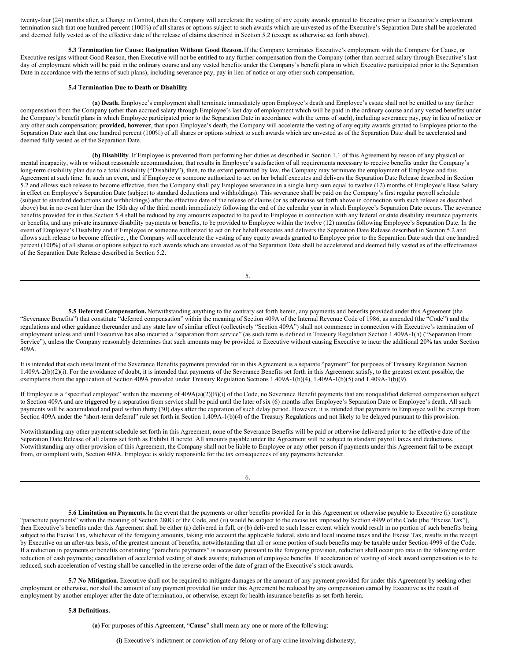twenty-four (24) months after, a Change in Control, then the Company will accelerate the vesting of any equity awards granted to Executive prior to Executive's employment termination such that one hundred percent (100%) of all shares or options subject to such awards which are unvested as of the Executive's Separation Date shall be accelerated and deemed fully vested as of the effective date of the release of claims described in Section 5.2 (except as otherwise set forth above).

**5.3 Termination for Cause; Resignation Without Good Reason.**If the Company terminates Executive's employment with the Company for Cause, or Executive resigns without Good Reason, then Executive will not be entitled to any further compensation from the Company (other than accrued salary through Executive's last day of employment which will be paid in the ordinary course and any vested benefits under the Company's benefit plans in which Executive participated prior to the Separation Date in accordance with the terms of such plans), including severance pay, pay in lieu of notice or any other such compensation.

## **5.4 Termination Due to Death or Disability**.

**(a) Death.** Employee's employment shall terminate immediately upon Employee's death and Employee's estate shall not be entitled to any further compensation from the Company (other than accrued salary through Employee's last day of employment which will be paid in the ordinary course and any vested benefits under the Company's benefit plans in which Employee participated prior to the Separation Date in accordance with the terms of such), including severance pay, pay in lieu of notice or any other such compensation; **provided, however**, that upon Employee's death, the Company will accelerate the vesting of any equity awards granted to Employee prior to the Separation Date such that one hundred percent (100%) of all shares or options subject to such awards which are unvested as of the Separation Date shall be accelerated and deemed fully vested as of the Separation Date.

**(b) Disability**. If Employee is prevented from performing her duties as described in Section 1.1 of this Agreement by reason of any physical or mental incapacity, with or without reasonable accommodation, that results in Employee's satisfaction of all requirements necessary to receive benefits under the Company's long-term disability plan due to a total disability ("Disability"), then, to the extent permitted by law, the Company may terminate the employment of Employee and this Agreement at such time. In such an event, and if Employee or someone authorized to act on her behalf executes and delivers the Separation Date Release described in Section 5.2 and allows such release to become effective, then the Company shall pay Employee severance in a single lump sum equal to twelve (12) months of Employee's Base Salary in effect on Employee's Separation Date (subject to standard deductions and withholdings). This severance shall be paid on the Company's first regular payroll schedule (subject to standard deductions and withholdings) after the effective date of the release of claims (or as otherwise set forth above in connection with such release as described above) but in no event later than the 15th day of the third month immediately following the end of the calendar year in which Employee's Separation Date occurs. The severance benefits provided for in this Section 5.4 shall be reduced by any amounts expected to be paid to Employee in connection with any federal or state disability insurance payments or benefits, and any private insurance disability payments or benefits, to be provided to Employee within the twelve (12) months following Employee's Separation Date. In the event of Employee's Disability and if Employee or someone authorized to act on her behalf executes and delivers the Separation Date Release described in Section 5.2 and allows such release to become effective, , the Company will accelerate the vesting of any equity awards granted to Employee prior to the Separation Date such that one hundred percent (100%) of all shares or options subject to such awards which are unvested as of the Separation Date shall be accelerated and deemed fully vested as of the effectiveness of the Separation Date Release described in Section 5.2.

| ۰.<br>× |  |
|---------|--|

**5.5 Deferred Compensation.** Notwithstanding anything to the contrary set forth herein, any payments and benefits provided under this Agreement (the "Severance Benefits") that constitute "deferred compensation" within the meaning of Section 409A of the Internal Revenue Code of 1986, as amended (the "Code") and the regulations and other guidance thereunder and any state law of similar effect (collectively "Section 409A") shall not commence in connection with Executive's termination of employment unless and until Executive has also incurred a "separation from service" (as such term is defined in Treasury Regulation Section 1.409A-1(h) ("Separation From Service"), unless the Company reasonably determines that such amounts may be provided to Executive without causing Executive to incur the additional 20% tax under Section 409A.

It is intended that each installment of the Severance Benefits payments provided for in this Agreement is a separate "payment" for purposes of Treasury Regulation Section 1.409A-2(b)(2)(i). For the avoidance of doubt, it is intended that payments of the Severance Benefits set forth in this Agreement satisfy, to the greatest extent possible, the exemptions from the application of Section 409A provided under Treasury Regulation Sections 1.409A-1(b)(4), 1.409A-1(b)(5) and 1.409A-1(b)(9).

If Employee is a "specified employee" within the meaning of 409A(a)(2)(B)(i) of the Code, no Severance Benefit payments that are nonqualified deferred compensation subject to Section 409A and are triggered by a separation from service shall be paid until the later of six (6) months after Employee's Separation Date or Employee's death. All such payments will be accumulated and paid within thirty (30) days after the expiration of such delay period. However, it is intended that payments to Employee will be exempt from Section 409A under the "short-term deferral" rule set forth in Section 1.409A-1(b)(4) of the Treasury Regulations and not likely to be delayed pursuant to this provision.

Notwithstanding any other payment schedule set forth in this Agreement, none of the Severance Benefits will be paid or otherwise delivered prior to the effective date of the Separation Date Release of all claims set forth as Exhibit B hereto. All amounts payable under the Agreement will be subject to standard payroll taxes and deductions. Notwithstanding any other provision of this Agreement, the Company shall not be liable to Employee or any other person if payments under this Agreement fail to be exempt from, or compliant with, Section 409A. Employee is solely responsible for the tax consequences of any payments hereunder.

6.

**5.6 Limitation on Payments.**In the event that the payments or other benefits provided for in this Agreement or otherwise payable to Executive (i) constitute "parachute payments" within the meaning of Section 280G of the Code, and (ii) would be subject to the excise tax imposed by Section 4999 of the Code (the "Excise Tax"), then Executive's benefits under this Agreement shall be either (a) delivered in full, or (b) delivered to such lesser extent which would result in no portion of such benefits being subject to the Excise Tax, whichever of the foregoing amounts, taking into account the applicable federal, state and local income taxes and the Excise Tax, results in the receipt by Executive on an after-tax basis, of the greatest amount of benefits, notwithstanding that all or some portion of such benefits may be taxable under Section 4999 of the Code. If a reduction in payments or benefits constituting "parachute payments" is necessary pursuant to the foregoing provision, reduction shall occur pro rata in the following order: reduction of cash payments; cancellation of accelerated vesting of stock awards; reduction of employee benefits. If acceleration of vesting of stock award compensation is to be reduced, such acceleration of vesting shall be cancelled in the reverse order of the date of grant of the Executive's stock awards.

**5.7 No Mitigation.** Executive shall not be required to mitigate damages or the amount of any payment provided for under this Agreement by seeking other employment or otherwise, nor shall the amount of any payment provided for under this Agreement be reduced by any compensation earned by Executive as the result of employment by another employer after the date of termination, or otherwise, except for health insurance benefits as set forth herein.

#### **5.8 Definitions.**

**(a)** For purposes of this Agreement, "**Cause**" shall mean any one or more of the following:

**(i)** Executive's indictment or conviction of any felony or of any crime involving dishonesty;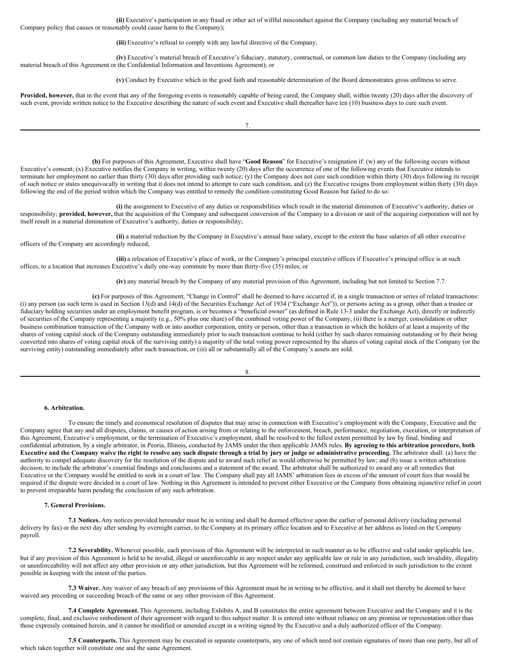**(ii)** Executive's participation in any fraud or other act of willful misconduct against the Company (including any material breach of Company policy that causes or reasonably could cause harm to the Company);

**(iii)** Executive's refusal to comply with any lawful directive of the Company;

**(iv)** Executive's material breach of Executive's fiduciary, statutory, contractual, or common law duties to the Company (including any material breach of this Agreement or the Confidential Information and Inventions Agreement); or

**(v)** Conduct by Executive which in the good faith and reasonable determination of the Board demonstrates gross unfitness to serve.

**Provided, however,** that in the event that any of the foregoing events is reasonably capable of being cured, the Company shall, within twenty (20) days after the discovery of such event, provide written notice to the Executive describing the nature of such event and Executive shall thereafter have ten (10) business days to cure such event.

7.

**(b)** For purposes of this Agreement, Executive shall have "**Good Reason**" for Executive's resignation if: (w) any of the following occurs without Executive's consent; (x) Executive notifies the Company in writing, within twenty (20) days after the occurrence of one of the following events that Executive intends to terminate her employment no earlier than thirty (30) days after providing such notice; (y) the Company does not cure such condition within thirty (30) days following its receipt of such notice or states unequivocally in writing that it does not intend to attempt to cure such condition, and (z) the Executive resigns from employment within thirty (30) days following the end of the period within which the Company was entitled to remedy the condition constituting Good Reason but failed to do so:

**(i)** the assignment to Executive of any duties or responsibilities which result in the material diminution of Executive's authority, duties or responsibility; **provided, however,** that the acquisition of the Company and subsequent conversion of the Company to a division or unit of the acquiring corporation will not by itself result in a material diminution of Executive's authority, duties or responsibility;

**(ii)** a material reduction by the Company in Executive's annual base salary, except to the extent the base salaries of all other executive officers of the Company are accordingly reduced;

**(iii)** a relocation of Executive's place of work, or the Company's principal executive offices if Executive's principal office is at such offices, to a location that increases Executive's daily one-way commute by more than thirty-five (35) miles; or

**(iv)** any material breach by the Company of any material provision of this Agreement, including but not limited to Section 7.7.

**(c)** For purposes of this Agreement, "Change in Control" shall be deemed to have occurred if, in a single transaction or series of related transactions: (i) any person (as such term is used in Section 13(d) and 14(d) of the Securities Exchange Act of 1934 ("Exchange Act")), or persons acting as a group, other than a trustee or fiduciary holding securities under an employment benefit program, is or becomes a "beneficial owner" (as defined in Rule 13-3 under the Exchange Act), directly or indirectly of securities of the Company representing a majority (e.g., 50% plus one share) of the combined voting power of the Company, (ii) there is a merger, consolidation or other business combination transaction of the Company with or into another corporation, entity or person, other than a transaction in which the holders of at least a majority of the shares of voting capital stock of the Company outstanding immediately prior to such transaction continue to hold (either by such shares remaining outstanding or by their being converted into shares of voting capital stock of the surviving entity) a majority of the total voting power represented by the shares of voting capital stock of the Company (or the surviving entity) outstanding immediately after such transaction, or (iii) all or substantially all of the Company's assets are sold.

8.

## **6. Arbitration.**

To ensure the timely and economical resolution of disputes that may arise in connection with Executive's employment with the Company, Executive and the Company agree that any and all disputes, claims, or causes of action arising from or relating to the enforcement, breach, performance, negotiation, execution, or interpretation of this Agreement, Executive's employment, or the termination of Executive's employment, shall be resolved to the fullest extent permitted by law by final, binding and confidential arbitration, by a single arbitrator, in Peoria, Illinois, conducted by JAMS under the then applicable JAMS rules. **By agreeing to this arbitration procedure, both** Executive and the Company waive the right to resolve any such dispute through a trial by jury or judge or administrative proceeding. The arbitrator shall: (a) have the authority to compel adequate discovery for the resolution of the dispute and to award such relief as would otherwise be permitted by law; and (b) issue a written arbitration decision, to include the arbitrator's essential findings and conclusions and a statement of the award. The arbitrator shall be authorized to award any or all remedies that Executive or the Company would be entitled to seek in a court of law. The Company shall pay all JAMS' arbitration fees in excess of the amount of court fees that would be required if the dispute were decided in a court of law. Nothing in this Agreement is intended to prevent either Executive or the Company from obtaining injunctive relief in court to prevent irreparable harm pending the conclusion of any such arbitration.

## **7. General Provisions.**

**7.1 Notices.** Any notices provided hereunder must be in writing and shall be deemed effective upon the earlier of personal delivery (including personal delivery by fax) or the next day after sending by overnight carrier, to the Company at its primary office location and to Executive at her address as listed on the Company payroll.

**7.2 Severability.** Whenever possible, each provision of this Agreement will be interpreted in such manner as to be effective and valid under applicable law, but if any provision of this Agreement is held to be invalid, illegal or unenforceable in any respect under any applicable law or rule in any jurisdiction, such invalidity, illegality or unenforceability will not affect any other provision or any other jurisdiction, but this Agreement will be reformed, construed and enforced in such jurisdiction to the extent possible in keeping with the intent of the parties.

**7.3 Waiver.** Any waiver of any breach of any provisions of this Agreement must be in writing to be effective, and it shall not thereby be deemed to have waived any preceding or succeeding breach of the same or any other provision of this Agreement.

**7.4 Complete Agreement.** This Agreement, including Exhibits A, and B constitutes the entire agreement between Executive and the Company and it is the complete, final, and exclusive embodiment of their agreement with regard to this subject matter. It is entered into without reliance on any promise or representation other than those expressly contained herein, and it cannot be modified or amended except in a writing signed by the Executive and a duly authorized officer of the Company.

**7.5 Counterparts.** This Agreement may be executed in separate counterparts, any one of which need not contain signatures of more than one party, but all of which taken together will constitute one and the same Agreement.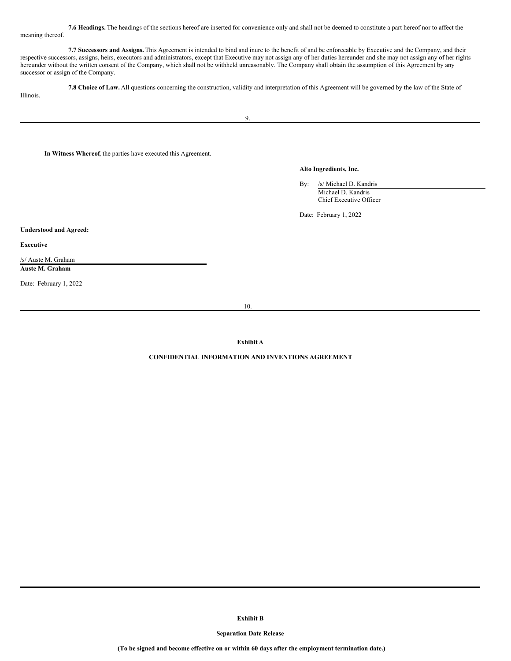**7.6 Headings.** The headings of the sections hereof are inserted for convenience only and shall not be deemed to constitute a part hereof nor to affect the meaning thereof.

**7.7 Successors and Assigns.** This Agreement is intended to bind and inure to the benefit of and be enforceable by Executive and the Company, and their respective successors, assigns, heirs, executors and administrators, except that Executive may not assign any of her duties hereunder and she may not assign any of her rights hereunder without the written consent of the Company, which shall not be withheld unreasonably. The Company shall obtain the assumption of this Agreement by any successor or assign of the Company.

**7.8 Choice of Law.** All questions concerning the construction, validity and interpretation of this Agreement will be governed by the law of the State of Illinois.

9.

**In Witness Whereof**, the parties have executed this Agreement.

**Alto Ingredients, Inc.**

By: /s/ Michael D. Kandris Michael D. Kandris Chief Executive Officer

Date: February 1, 2022

**Understood and Agreed:**

**Executive**

/s/ Auste M. Graham **Auste M. Graham**

Date: February 1, 2022

10.

**Exhibit A**

**CONFIDENTIAL INFORMATION AND INVENTIONS AGREEMENT**

**Exhibit B**

**Separation Date Release**

**(To be signed and become effective on or within 60 days after the employment termination date.)**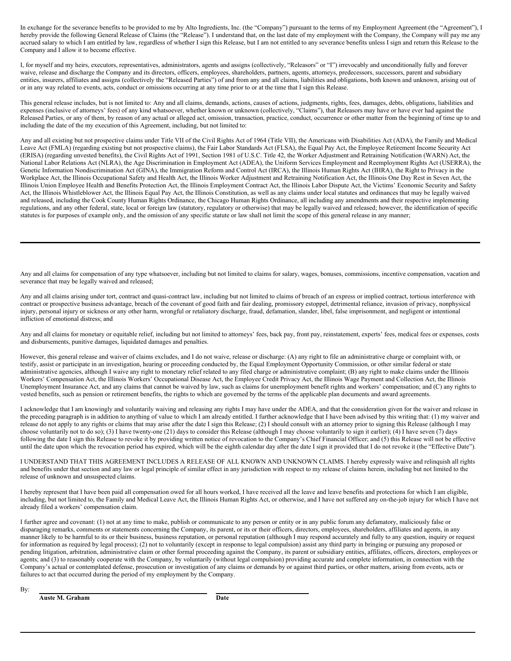In exchange for the severance benefits to be provided to me by Alto Ingredients, Inc. (the "Company") pursuant to the terms of my Employment Agreement (the "Agreement"), I hereby provide the following General Release of Claims (the "Release"). I understand that, on the last date of my employment with the Company, the Company will pay me any accrued salary to which I am entitled by law, regardless of whether I sign this Release, but I am not entitled to any severance benefits unless I sign and return this Release to the Company and I allow it to become effective.

I, for myself and my heirs, executors, representatives, administrators, agents and assigns (collectively, "Releasors" or "I") irrevocably and unconditionally fully and forever waive, release and discharge the Company and its directors, officers, employees, shareholders, partners, agents, attorneys, predecessors, successors, parent and subsidiary entities, insurers, affiliates and assigns (collectively the "Released Parties") of and from any and all claims, liabilities and obligations, both known and unknown, arising out of or in any way related to events, acts, conduct or omissions occurring at any time prior to or at the time that I sign this Release.

This general release includes, but is not limited to: Any and all claims, demands, actions, causes of actions, judgments, rights, fees, damages, debts, obligations, liabilities and expenses (inclusive of attorneys' fees) of any kind whatsoever, whether known or unknown (collectively, "Claims"), that Releasors may have or have ever had against the Released Parties, or any of them, by reason of any actual or alleged act, omission, transaction, practice, conduct, occurrence or other matter from the beginning of time up to and including the date of the my execution of this Agreement, including, but not limited to:

Any and all existing but not prospective claims under Title VII of the Civil Rights Act of 1964 (Title VII), the Americans with Disabilities Act (ADA), the Family and Medical Leave Act (FMLA) (regarding existing but not prospective claims), the Fair Labor Standards Act (FLSA), the Equal Pay Act, the Employee Retirement Income Security Act (ERISA) (regarding unvested benefits), the Civil Rights Act of 1991, Section 1981 of U.S.C. Title 42, the Worker Adjustment and Retraining Notification (WARN) Act, the National Labor Relations Act (NLRA), the Age Discrimination in Employment Act (ADEA), the Uniform Services Employment and Reemployment Rights Act (USERRA), the Genetic Information Nondiscrimination Act (GINA), the Immigration Reform and Control Act (IRCA), the Illinois Human Rights Act (IHRA), the Right to Privacy in the Workplace Act, the Illinois Occupational Safety and Health Act, the Illinois Worker Adjustment and Retraining Notification Act, the Illinois One Day Rest in Seven Act, the Illinois Union Employee Health and Benefits Protection Act, the Illinois Employment Contract Act, the Illinois Labor Dispute Act, the Victims' Economic Security and Safety Act, the Illinois Whistleblower Act, the Illinois Equal Pay Act, the Illinois Constitution, as well as any claims under local statutes and ordinances that may be legally waived and released, including the Cook County Human Rights Ordinance, the Chicago Human Rights Ordinance, all including any amendments and their respective implementing regulations, and any other federal, state, local or foreign law (statutory, regulatory or otherwise) that may be legally waived and released; however, the identification of specific statutes is for purposes of example only, and the omission of any specific statute or law shall not limit the scope of this general release in any manner;

Any and all claims for compensation of any type whatsoever, including but not limited to claims for salary, wages, bonuses, commissions, incentive compensation, vacation and severance that may be legally waived and released;

Any and all claims arising under tort, contract and quasi-contract law, including but not limited to claims of breach of an express or implied contract, tortious interference with contract or prospective business advantage, breach of the covenant of good faith and fair dealing, promissory estoppel, detrimental reliance, invasion of privacy, nonphysical injury, personal injury or sickness or any other harm, wrongful or retaliatory discharge, fraud, defamation, slander, libel, false imprisonment, and negligent or intentional infliction of emotional distress; and

Any and all claims for monetary or equitable relief, including but not limited to attorneys' fees, back pay, front pay, reinstatement, experts' fees, medical fees or expenses, costs and disbursements, punitive damages, liquidated damages and penalties.

However, this general release and waiver of claims excludes, and I do not waive, release or discharge: (A) any right to file an administrative charge or complaint with, or testify, assist or participate in an investigation, hearing or proceeding conducted by, the Equal Employment Opportunity Commission, or other similar federal or state administrative agencies, although I waive any right to monetary relief related to any filed charge or administrative complaint; (B) any right to make claims under the Illinois Workers' Compensation Act, the Illinois Workers' Occupational Disease Act, the Employee Credit Privacy Act, the Illinois Wage Payment and Collection Act, the Illinois Unemployment Insurance Act, and any claims that cannot be waived by law, such as claims for unemployment benefit rights and workers' compensation; and (C) any rights to vested benefits, such as pension or retirement benefits, the rights to which are governed by the terms of the applicable plan documents and award agreements.

I acknowledge that I am knowingly and voluntarily waiving and releasing any rights I may have under the ADEA, and that the consideration given for the waiver and release in the preceding paragraph is in addition to anything of value to which I am already entitled. I further acknowledge that I have been advised by this writing that: (1) my waiver and release do not apply to any rights or claims that may arise after the date I sign this Release; (2) I should consult with an attorney prior to signing this Release (although I may choose voluntarily not to do so); (3) I have twenty-one (21) days to consider this Release (although I may choose voluntarily to sign it earlier); (4) I have seven (7) days following the date I sign this Release to revoke it by providing written notice of revocation to the Company's Chief Financial Officer; and (5) this Release will not be effective until the date upon which the revocation period has expired, which will be the eighth calendar day after the date I sign it provided that I do not revoke it (the "Effective Date").

I UNDERSTAND THAT THIS AGREEMENT INCLUDES A RELEASE OF ALL KNOWN AND UNKNOWN CLAIMS. I hereby expressly waive and relinquish all rights and benefits under that section and any law or legal principle of similar effect in any jurisdiction with respect to my release of claims herein, including but not limited to the release of unknown and unsuspected claims.

I hereby represent that I have been paid all compensation owed for all hours worked, I have received all the leave and leave benefits and protections for which I am eligible, including, but not limited to, the Family and Medical Leave Act, the Illinois Human Rights Act, or otherwise, and I have not suffered any on-the-job injury for which I have not already filed a workers' compensation claim.

I further agree and covenant: (1) not at any time to make, publish or communicate to any person or entity or in any public forum any defamatory, maliciously false or disparaging remarks, comments or statements concerning the Company, its parent, or its or their officers, directors, employees, shareholders, affiliates and agents, in any manner likely to be harmful to its or their business, business reputation, or personal reputation (although I may respond accurately and fully to any question, inquiry or request for information as required by legal process); (2) not to voluntarily (except in response to legal compulsion) assist any third party in bringing or pursuing any proposed or pending litigation, arbitration, administrative claim or other formal proceeding against the Company, its parent or subsidiary entities, affiliates, officers, directors, employees or agents; and (3) to reasonably cooperate with the Company, by voluntarily (without legal compulsion) providing accurate and complete information, in connection with the Company's actual or contemplated defense, prosecution or investigation of any claims or demands by or against third parties, or other matters, arising from events, acts or failures to act that occurred during the period of my employment by the Company.

By:

**Auste M. Graham Date**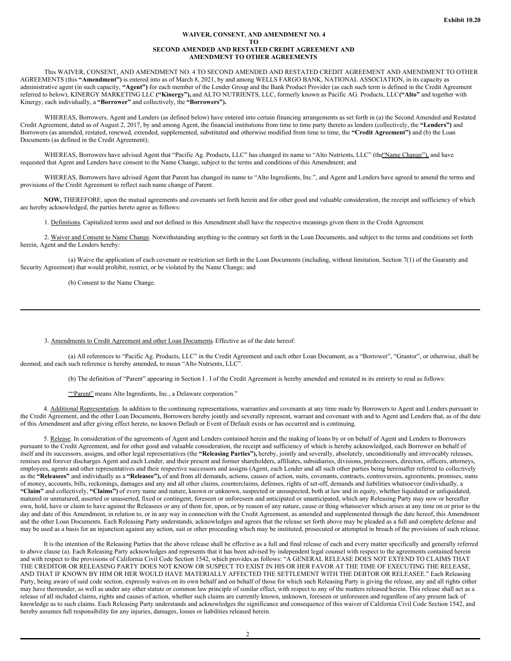### **WAIVER, CONSENT, AND AMENDMENT NO. 4 TO SECOND AMENDED AND RESTATED CREDIT AGREEMENT AND AMENDMENT TO OTHER AGREEMENTS**

This WAIVER, CONSENT, AND AMENDMENT NO. 4 TO SECOND AMENDED AND RESTATED CREDIT AGREEMENT AND AMENDMENT TO OTHER AGREEMENTS (this **"Amendment")** is entered into as of March 8, 2021, by and among WELLS FARGO BANK, NATIONAL ASSOCIATION, in its capacity as administrative agent (in such capacity, **"Agent")** for each member of the Lender Group and the Bank Product Provider (as each such term is defined in the Credit Agreement referred to below), KINERGY MARKETING LLC **("Kinergy"),** and ALTO NUTRIENTS, LLC, formerly known as Pacific AG. Products, LLC**("Alto"** and together with Kinergy, each individually, a **"Borrower"** and collectively, the **"Borrowers").**

WHEREAS, Borrowers, Agent and Lenders (as defined below) have entered into certain financing arrangements as set forth in (a) the Second Amended and Restated Credit Agreement, dated as of August 2, 2017, by and among Agent, the financial institutions from time to time party thereto as lenders (collectively, the **"Lenders")** and Borrowers (as amended, restated, renewed, extended, supplemented, substituted and otherwise modified from time to time, the **"Credit Agreement")** and (b) the Loan Documents (as defined in the Credit Agreement);

WHEREAS, Borrowers have advised Agent that "Pacific Ag. Products, LLC" has changed its name to "Alto Nutrients, LLC" (the Name Change"), and have requested that Agent and Lenders have consent to the Name Change, subject to the terms and conditions of this Amendment; and

WHEREAS, Borrowers have advised Agent that Parent has changed its name to "Alto Ingredients, Inc.", and Agent and Lenders have agreed to amend the terms and provisions of the Credit Agreement to reflect such name change of Parent.

**NOW,** THEREFORE, upon the mutual agreements and covenants set forth herein and for other good and valuable consideration, the receipt and sufficiency of which are hereby acknowledged, the parties hereto agree as follows:

1. Definitions. Capitalized terms used and not defined in this Amendment shall have the respective meanings given them in the Credit Agreement.

2. Waiver and Consent to Name Change. Notwithstanding anything to the contrary set forth in the Loan Documents, and subject to the terms and conditions set forth herein, Agent and the Lenders hereby:

(a) Waive the application of each covenant or restriction set forth in the Loan Documents (including, without limitation, Section 7(1) of the Guaranty and Security Agreement) that would prohibit, restrict, or be violated by the Name Change; and

(b) Consent to the Name Change.

3. Amendments to Credit Agreement and other Loan Documents. Effective as of the date hereof:

(a) All references to "Pacific Ag. Products, LLC" in the Credit Agreement and each other Loan Document, as a "Borrower", "Grantor", or otherwise, shall be deemed, and each such reference is hereby amended, to mean "Alto Nutrients, LLC".

(b) The definition of "Parent" appearing in Section I . I of the Credit Agreement is hereby amended and restated in its entirety to read as follows:

"Parent" means Alto Ingredients, Inc., a Delaware corporation."

4. Additional Representation. In addition to the continuing representations, warranties and covenants at any time made by Borrowers to Agent and Lenders pursuant to the Credit Agreement, and the other Loan Documents, Borrowers hereby jointly and severally represent, warrant and covenant with and to Agent and Lenders that, as of the date of this Amendment and after giving effect hereto, no known Default or Event of Default exists or has occurred and is continuing.

5. Release. In consideration of the agreements of Agent and Lenders contained herein and the making of loans by or on behalf of Agent and Lenders to Borrowers pursuant to the Credit Agreement, and for other good and valuable consideration, the receipt and sufficiency of which is hereby acknowledged, each Borrower on behalf of itself and its successors, assigns, and other legal representatives (the **"Releasing Parties"),** hereby, jointly and severally, absolutely, unconditionally and irrevocably releases, remises and forever discharges Agent and each Lender, and their present and former shareholders, affiliates, subsidiaries, divisions, predecessors, directors, officers, attorneys, employees, agents and other representatives and their respective successors and assigns (Agent, each Lender and all such other parties being hereinafter referred to collectively as the **"Releasees"** and individually as a **"Releasee"),** of and from all demands, actions, causes of action, suits, covenants, contracts, controversies, agreements, promises, sums of money, accounts, bills, reckonings, damages and any and all other claims, counterclaims, defenses, rights of set-off, demands and liabilities whatsoever (individually, a **"Claim"** and collectively, **"Claims")** of every name and nature, known or unknown, suspected or unsuspected, both at law and in equity, whether liquidated or unliquidated, matured or unmatured, asserted or unasserted, fixed or contingent, foreseen or unforeseen and anticipated or unanticipated, which any Releasing Party may now or hereafter own, hold, have or claim to have against the Releasees or any of them for, upon, or by reason of any nature, cause or thing whatsoever which arises at any time on or prior to the day and date of this Amendment, in relation to, or in any way in connection with the Credit Agreement, as amended and supplemented through the date hereof, this Amendment and the other Loan Documents. Each Releasing Party understands, acknowledges and agrees that the release set forth above may be pleaded as a full and complete defense and may be used as a basis for an injunction against any action, suit or other proceeding which may be instituted, prosecuted or attempted in breach of the provisions of such release.

It is the intention of the Releasing Parties that the above release shall be effective as a full and final release of each and every matter specifically and generally referred to above clause (a). Each Releasing Party acknowledges and represents that it has been advised by independent legal counsel with respect to the agreements contained herein and with respect to the provisions of California Civil Code Section 1542, which provides as follows: "A GENERAL RELEASE DOES NOT EXTEND TO CLAIMS THAT THE CREDITOR OR RELEASING PARTY DOES NOT KNOW OR SUSPECT TO EXIST IN HIS OR HER FAVOR AT THE TIME OF EXECUTING THE RELEASE, AND THAT IF KNOWN BY HIM OR HER WOULD HAVE MATERIALLY AFFECTED THE SETTLEMENT WITH THE DEBTOR OR RELEASEE." Each Releasing Party, being aware of said code section, expressly waives on its own behalf and on behalf of those for which such Releasing Party is giving the release, any and all rights either may have thereunder, as well as under any other statute or common law principle of similar effect, with respect to any of the matters released herein. This release shall act as a release of all included claims, rights and causes of action, whether such claims are currently known, unknown, foreseen or unforeseen and regardless of any present lack of knowledge as to such claims. Each Releasing Party understands and acknowledges the significance and consequence of this waiver of California Civil Code Section 1542, and hereby assumes full responsibility for any injuries, damages, losses or liabilities released herein.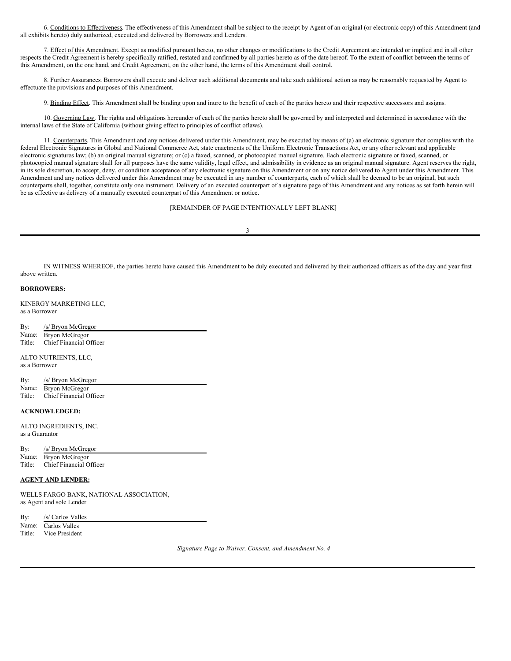6. Conditions to Effectiveness. The effectiveness of this Amendment shall be subject to the receipt by Agent of an original (or electronic copy) of this Amendment (and all exhibits hereto) duly authorized, executed and delivered by Borrowers and Lenders.

7. Effect of this Amendment. Except as modified pursuant hereto, no other changes or modifications to the Credit Agreement are intended or implied and in all other respects the Credit Agreement is hereby specifically ratified, restated and confirmed by all parties hereto as of the date hereof. To the extent of conflict between the terms of this Amendment, on the one hand, and Credit Agreement, on the other hand, the terms of this Amendment shall control.

8. Further Assurances. Borrowers shall execute and deliver such additional documents and take such additional action as may be reasonably requested by Agent to effectuate the provisions and purposes of this Amendment.

9. Binding Effect. This Amendment shall be binding upon and inure to the benefit of each of the parties hereto and their respective successors and assigns.

10. Governing Law. The rights and obligations hereunder of each of the parties hereto shall be governed by and interpreted and determined in accordance with the internal laws of the State of California (without giving effect to principles of conflict oflaws).

11. Counterparts. This Amendment and any notices delivered under this Amendment, may be executed by means of (a) an electronic signature that complies with the federal Electronic Signatures in Global and National Commerce Act, state enactments of the Uniform Electronic Transactions Act, or any other relevant and applicable electronic signatures law; (b) an original manual signature; or (c) a faxed, scanned, or photocopied manual signature. Each electronic signature or faxed, scanned, or photocopied manual signature shall for all purposes have the same validity, legal effect, and admissibility in evidence as an original manual signature. Agent reserves the right, in its sole discretion, to accept, deny, or condition acceptance of any electronic signature on this Amendment or on any notice delivered to Agent under this Amendment. This Amendment and any notices delivered under this Amendment may be executed in any number of counterparts, each of which shall be deemed to be an original, but such counterparts shall, together, constitute only one instrument. Delivery of an executed counterpart of a signature page of this Amendment and any notices as set forth herein will be as effective as delivery of a manually executed counterpart of this Amendment or notice.

[REMAINDER OF PAGE INTENTIONALLY LEFT BLANK]

3

IN WITNESS WHEREOF, the parties hereto have caused this Amendment to be duly executed and delivered by their authorized officers as of the day and year first above written.

## **BORROWERS:**

KINERGY MARKETING LLC, as a Borrower

By: /s/ Bryon McGregor Name: Bryon McGregor Title: Chief Financial Officer

ALTO NUTRIENTS, LLC, as a Borrower

By: /s/ Bryon McGregor Name: Bryon McGregor Title: Chief Financial Officer

## **ACKNOWLEDGED:**

ALTO INGREDIENTS, INC. as a Guarantor

By: /s/ Bryon McGregor Name: Bryon McGregor Title: Chief Financial Officer

#### **AGENT AND LENDER:**

WELLS FARGO BANK, NATIONAL ASSOCIATION, as Agent and sole Lender

By: /s/ Carlos Valles Name: Carlos Valles Title: Vice President

*Signature Page to Waiver, Consent, and Amendment No. 4*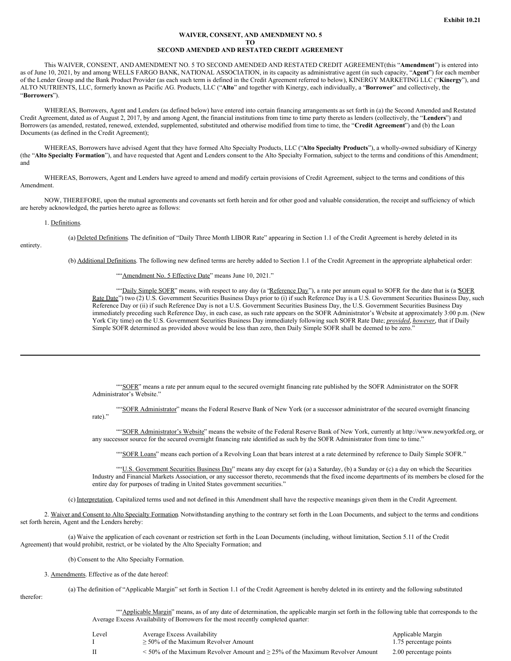### **WAIVER, CONSENT, AND AMENDMENT NO. 5 TO SECOND AMENDED AND RESTATED CREDIT AGREEMENT**

This WAIVER, CONSENT, ANDAMENDMENT NO. 5 TO SECOND AMENDED AND RESTATED CREDIT AGREEMENT(this "**Amendment**") is entered into as of June 10, 2021, by and among WELLS FARGO BANK, NATIONAL ASSOCIATION, in its capacity as administrative agent (in such capacity, "**Agent**") for each member of the Lender Group and the Bank Product Provider (as each such term is defined in the Credit Agreement referred to below), KINERGY MARKETING LLC ("**Kinergy**"), and ALTO NUTRIENTS, LLC, formerly known as Pacific AG. Products, LLC ("**Alto**" and together with Kinergy, each individually, a "**Borrower**" and collectively, the "**Borrowers**").

WHEREAS, Borrowers, Agent and Lenders (as defined below) have entered into certain financing arrangements as set forth in (a) the Second Amended and Restated Credit Agreement, dated as of August 2, 2017, by and among Agent, the financial institutions from time to time party thereto as lenders (collectively, the "**Lenders**") and Borrowers (as amended, restated, renewed, extended, supplemented, substituted and otherwise modified from time to time, the "**Credit Agreement**") and (b) the Loan Documents (as defined in the Credit Agreement);

WHEREAS, Borrowers have advised Agent that they have formed Alto Specialty Products, LLC ("**Alto Specialty Products**"), a wholly-owned subsidiary of Kinergy (the "**Alto Specialty Formation**"), and have requested that Agent and Lenders consent to the Alto Specialty Formation, subject to the terms and conditions of this Amendment; and

WHEREAS, Borrowers, Agent and Lenders have agreed to amend and modify certain provisions of Credit Agreement, subject to the terms and conditions of this Amendment.

NOW, THEREFORE, upon the mutual agreements and covenants set forth herein and for other good and valuable consideration, the receipt and sufficiency of which are hereby acknowledged, the parties hereto agree as follows:

1. Definitions.

(a) Deleted Definitions. The definition of "Daily Three Month LIBOR Rate" appearing in Section 1.1 of the Credit Agreement is hereby deleted in its

#### entirety.

(b) Additional Definitions. The following new defined terms are hereby added to Section 1.1 of the Credit Agreement in the appropriate alphabetical order:

""Amendment No. 5 Effective Date" means June 10, 2021."

""Daily Simple SOFR" means, with respect to any day (a "Reference Day"), a rate per annum equal to SOFR for the date that is (a "SOFR") Rate Date") two (2) U.S. Government Securities Business Days prior to (i) if such Reference Day is a U.S. Government Securities Business Day, such Reference Day or (ii) if such Reference Day is not a U.S. Government Securities Business Day, the U.S. Government Securities Business Day immediately preceding such Reference Day, in each case, as such rate appears on the SOFR Administrator's Website at approximately 3:00 p.m. (New York City time) on the U.S. Government Securities Business Day immediately following such SOFR Rate Date; *provided*, *however*, that if Daily Simple SOFR determined as provided above would be less than zero, then Daily Simple SOFR shall be deemed to be zero."

"SOFR" means a rate per annum equal to the secured overnight financing rate published by the SOFR Administrator on the SOFR Administrator's Website."

"SOFR Administrator" means the Federal Reserve Bank of New York (or a successor administrator of the secured overnight financing rate)."

"SOFR Administrator's Website'' means the website of the Federal Reserve Bank of New York, currently at http://www.newyorkfed.org, or any successor source for the secured overnight financing rate identified as such by the SOFR Administrator from time to time."

""SOFR Loans" means each portion of a Revolving Loan that bears interest at a rate determined by reference to Daily Simple SOFR."

""U.S. Government Securities Business Day" means any day except for (a) a Saturday, (b) a Sunday or (c) a day on which the Securities Industry and Financial Markets Association, or any successor thereto, recommends that the fixed income departments of its members be closed for the entire day for purposes of trading in United States government securities."

(c) Interpretation. Capitalized terms used and not defined in this Amendment shall have the respective meanings given them in the Credit Agreement.

2. Waiver and Consent to Alto Specialty Formation. Notwithstanding anything to the contrary set forth in the Loan Documents, and subject to the terms and conditions set forth herein, Agent and the Lenders hereby:

(a) Waive the application of each covenant or restriction set forth in the Loan Documents (including, without limitation, Section 5.11 of the Credit Agreement) that would prohibit, restrict, or be violated by the Alto Specialty Formation; and

(b) Consent to the Alto Specialty Formation.

3. Amendments. Effective as of the date hereof:

(a) The definition of "Applicable Margin" set forth in Section 1.1 of the Credit Agreement is hereby deleted in its entirety and the following substituted

therefor:

""Applicable Margin" means, as of any date of determination, the applicable margin set forth in the following table that corresponds to the Average Excess Availability of Borrowers for the most recently completed quarter:

| Level | Average Excess Availability<br>$\geq$ 50% of the Maximum Revolver Amount                | Applicable Margin<br>1.75 percentage points |
|-------|-----------------------------------------------------------------------------------------|---------------------------------------------|
|       | $\leq$ 50% of the Maximum Revolver Amount and $\geq$ 25% of the Maximum Revolver Amount | 2.00 percentage points                      |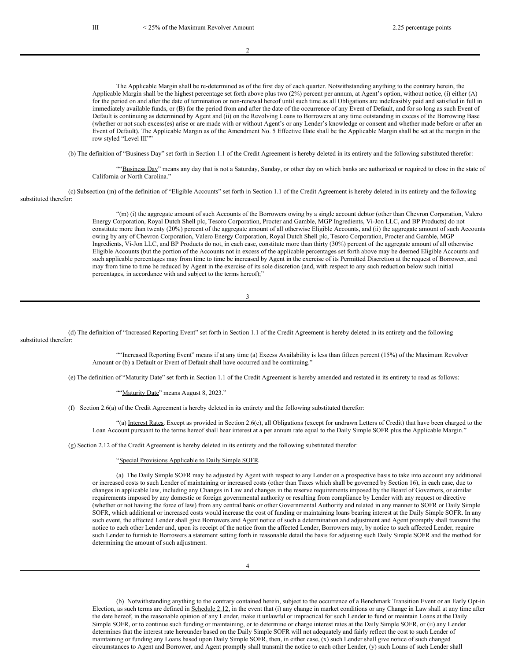$\mathfrak{Z}$ 

The Applicable Margin shall be re-determined as of the first day of each quarter. Notwithstanding anything to the contrary herein, the Applicable Margin shall be the highest percentage set forth above plus two (2%) percent per annum, at Agent's option, without notice, (i) either (A) for the period on and after the date of termination or non-renewal hereof until such time as all Obligations are indefeasibly paid and satisfied in full in immediately available funds, or (B) for the period from and after the date of the occurrence of any Event of Default, and for so long as such Event of Default is continuing as determined by Agent and (ii) on the Revolving Loans to Borrowers at any time outstanding in excess of the Borrowing Base (whether or not such excess(es) arise or are made with or without Agent's or any Lender's knowledge or consent and whether made before or after an Event of Default). The Applicable Margin as of the Amendment No. 5 Effective Date shall be the Applicable Margin shall be set at the margin in the row styled "Level III""

(b) The definition of "Business Day" set forth in Section 1.1 of the Credit Agreement is hereby deleted in its entirety and the following substituted therefor:

""Business Day" means any day that is not a Saturday, Sunday, or other day on which banks are authorized or required to close in the state of California or North Carolina."

(c) Subsection (m) of the definition of "Eligible Accounts" set forth in Section 1.1 of the Credit Agreement is hereby deleted in its entirety and the following substituted therefor:

> "(m) (i) the aggregate amount of such Accounts of the Borrowers owing by a single account debtor (other than Chevron Corporation, Valero Energy Corporation, Royal Dutch Shell plc, Tesoro Corporation, Procter and Gamble, MGP Ingredients, Vi-Jon LLC, and BP Products) do not constitute more than twenty (20%) percent of the aggregate amount of all otherwise Eligible Accounts, and (ii) the aggregate amount of such Accounts owing by any of Chevron Corporation, Valero Energy Corporation, Royal Dutch Shell plc, Tesoro Corporation, Procter and Gamble, MGP Ingredients, Vi-Jon LLC, and BP Products do not, in each case, constitute more than thirty (30%) percent of the aggregate amount of all otherwise Eligible Accounts (but the portion of the Accounts not in excess of the applicable percentages set forth above may be deemed Eligible Accounts and such applicable percentages may from time to time be increased by Agent in the exercise of its Permitted Discretion at the request of Borrower, and may from time to time be reduced by Agent in the exercise of its sole discretion (and, with respect to any such reduction below such initial percentages, in accordance with and subject to the terms hereof);"

> > 3

(d) The definition of "Increased Reporting Event" set forth in Section 1.1 of the Credit Agreement is hereby deleted in its entirety and the following substituted therefor:

> ""Increased Reporting Event" means if at any time (a) Excess Availability is less than fifteen percent (15%) of the Maximum Revolver Amount or (b) a Default or Event of Default shall have occurred and be continuing."

(e) The definition of "Maturity Date" set forth in Section 1.1 of the Credit Agreement is hereby amended and restated in its entirety to read as follows:

""Maturity Date" means August 8, 2023."

(f) Section 2.6(a) of the Credit Agreement is hereby deleted in its entirety and the following substituted therefor:

"(a) Interest Rates. Except as provided in Section 2.6(c), all Obligations (except for undrawn Letters of Credit) that have been charged to the Loan Account pursuant to the terms hereof shall bear interest at a per annum rate equal to the Daily Simple SOFR plus the Applicable Margin."

(g) Section 2.12 of the Credit Agreement is hereby deleted in its entirety and the following substituted therefor:

#### "Special Provisions Applicable to Daily Simple SOFR.

(a) The Daily Simple SOFR may be adjusted by Agent with respect to any Lender on a prospective basis to take into account any additional or increased costs to such Lender of maintaining or increased costs (other than Taxes which shall be governed by Section 16), in each case, due to changes in applicable law, including any Changes in Law and changes in the reserve requirements imposed by the Board of Governors, or similar requirements imposed by any domestic or foreign governmental authority or resulting from compliance by Lender with any request or directive (whether or not having the force of law) from any central bank or other Governmental Authority and related in any manner to SOFR or Daily Simple SOFR, which additional or increased costs would increase the cost of funding or maintaining loans bearing interest at the Daily Simple SOFR. In any such event, the affected Lender shall give Borrowers and Agent notice of such a determination and adjustment and Agent promptly shall transmit the notice to each other Lender and, upon its receipt of the notice from the affected Lender, Borrowers may, by notice to such affected Lender, require such Lender to furnish to Borrowers a statement setting forth in reasonable detail the basis for adjusting such Daily Simple SOFR and the method for determining the amount of such adjustment.

(b) Notwithstanding anything to the contrary contained herein, subject to the occurrence of a Benchmark Transition Event or an Early Opt-in Election, as such terms are defined in Schedule 2.12, in the event that (i) any change in market conditions or any Change in Law shall at any time after the date hereof, in the reasonable opinion of any Lender, make it unlawful or impractical for such Lender to fund or maintain Loans at the Daily Simple SOFR, or to continue such funding or maintaining, or to determine or charge interest rates at the Daily Simple SOFR, or (ii) any Lender determines that the interest rate hereunder based on the Daily Simple SOFR will not adequately and fairly reflect the cost to such Lender of maintaining or funding any Loans based upon Daily Simple SOFR, then, in either case, (x) such Lender shall give notice of such changed circumstances to Agent and Borrower, and Agent promptly shall transmit the notice to each other Lender, (y) such Loans of such Lender shall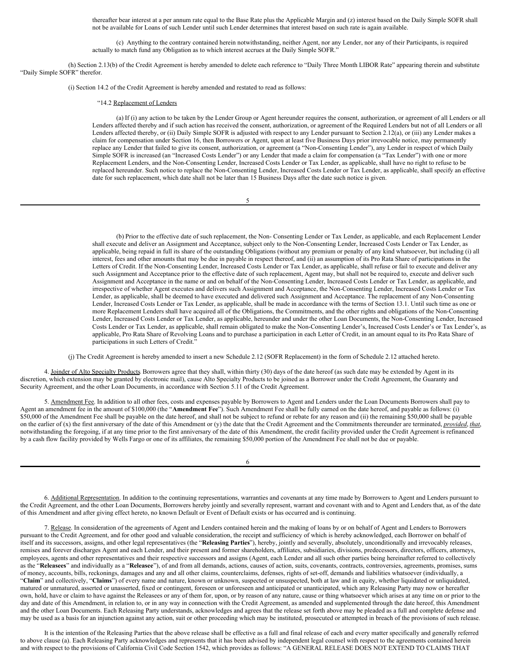thereafter bear interest at a per annum rate equal to the Base Rate plus the Applicable Margin and (z) interest based on the Daily Simple SOFR shall not be available for Loans of such Lender until such Lender determines that interest based on such rate is again available.

(c) Anything to the contrary contained herein notwithstanding, neither Agent, nor any Lender, nor any of their Participants, is required actually to match fund any Obligation as to which interest accrues at the Daily Simple SOFR."

(h) Section 2.13(b) of the Credit Agreement is hereby amended to delete each reference to "Daily Three Month LIBOR Rate" appearing therein and substitute "Daily Simple SOFR" therefor.

(i) Section 14.2 of the Credit Agreement is hereby amended and restated to read as follows:

#### "14.2 Replacement of Lenders

(a) If (i) any action to be taken by the Lender Group or Agent hereunder requires the consent, authorization, or agreement of all Lenders or all Lenders affected thereby and if such action has received the consent, authorization, or agreement of the Required Lenders but not of all Lenders or all Lenders affected thereby, or (ii) Daily Simple SOFR is adjusted with respect to any Lender pursuant to Section 2.12(a), or (iii) any Lender makes a claim for compensation under Section 16, then Borrowers or Agent, upon at least five Business Days prior irrevocable notice, may permanently replace any Lender that failed to give its consent, authorization, or agreement (a "Non-Consenting Lender"), any Lender in respect of which Daily Simple SOFR is increased (an "Increased Costs Lender") or any Lender that made a claim for compensation (a "Tax Lender") with one or more Replacement Lenders, and the Non-Consenting Lender, Increased Costs Lender or Tax Lender, as applicable, shall have no right to refuse to be replaced hereunder. Such notice to replace the Non-Consenting Lender, Increased Costs Lender or Tax Lender, as applicable, shall specify an effective date for such replacement, which date shall not be later than 15 Business Days after the date such notice is given.

(b) Prior to the effective date of such replacement, the Non- Consenting Lender or Tax Lender, as applicable, and each Replacement Lender shall execute and deliver an Assignment and Acceptance, subject only to the Non-Consenting Lender, Increased Costs Lender or Tax Lender, as applicable, being repaid in full its share of the outstanding Obligations (without any premium or penalty of any kind whatsoever, but including (i) all interest, fees and other amounts that may be due in payable in respect thereof, and (ii) an assumption of its Pro Rata Share of participations in the Letters of Credit. If the Non-Consenting Lender, Increased Costs Lender or Tax Lender, as applicable, shall refuse or fail to execute and deliver any such Assignment and Acceptance prior to the effective date of such replacement, Agent may, but shall not be required to, execute and deliver such Assignment and Acceptance in the name or and on behalf of the Non-Consenting Lender, Increased Costs Lender or Tax Lender, as applicable, and irrespective of whether Agent executes and delivers such Assignment and Acceptance, the Non-Consenting Lender, Increased Costs Lender or Tax Lender, as applicable, shall be deemed to have executed and delivered such Assignment and Acceptance. The replacement of any Non-Consenting Lender, Increased Costs Lender or Tax Lender, as applicable, shall be made in accordance with the terms of Section 13.1. Until such time as one or more Replacement Lenders shall have acquired all of the Obligations, the Commitments, and the other rights and obligations of the Non-Consenting Lender, Increased Costs Lender or Tax Lender, as applicable, hereunder and under the other Loan Documents, the Non-Consenting Lender, Increased Costs Lender or Tax Lender, as applicable, shall remain obligated to make the Non-Consenting Lender's, Increased Costs Lender's or Tax Lender's, as applicable, Pro Rata Share of Revolving Loans and to purchase a participation in each Letter of Credit, in an amount equal to its Pro Rata Share of participations in such Letters of Credit."

(j) The Credit Agreement is hereby amended to insert a new Schedule 2.12 (SOFR Replacement) in the form of Schedule 2.12 attached hereto.

4. Joinder of Alto Specialty Products Borrowers agree that they shall, within thirty (30) days of the date hereof (as such date may be extended by Agent in its discretion, which extension may be granted by electronic mail), cause Alto Specialty Products to be joined as a Borrower under the Credit Agreement, the Guaranty and Security Agreement, and the other Loan Documents, in accordance with Section 5.11 of the Credit Agreement.

5. Amendment Fee. In addition to all other fees, costs and expenses payable by Borrowers to Agent and Lenders under the Loan Documents Borrowers shall pay to Agent an amendment fee in the amount of \$100,000 (the "**Amendment Fee**"). Such Amendment Fee shall be fully earned on the date hereof, and payable as follows: (i) \$50,000 of the Amendment Fee shall be payable on the date hereof, and shall not be subject to refund or rebate for any reason and (ii) the remaining \$50,000 shall be payable on the earlier of (x) the first anniversary of the date of this Amendment or (y) the date that the Credit Agreement and the Commitments thereunder are terminated, *provided*, *that*, notwithstanding the foregoing, if at any time prior to the first anniversary of the date of this Amendment, the credit facility provided under the Credit Agreement is refinanced by a cash flow facility provided by Wells Fargo or one of its affiliates, the remaining \$50,000 portion of the Amendment Fee shall not be due or payable.

| ۰,<br>I<br>۰, |  |
|---------------|--|

6. Additional Representation. In addition to the continuing representations, warranties and covenants at any time made by Borrowers to Agent and Lenders pursuant to the Credit Agreement, and the other Loan Documents, Borrowers hereby jointly and severally represent, warrant and covenant with and to Agent and Lenders that, as of the date of this Amendment and after giving effect hereto, no known Default or Event of Default exists or has occurred and is continuing.

7. Release. In consideration of the agreements of Agent and Lenders contained herein and the making of loans by or on behalf of Agent and Lenders to Borrowers pursuant to the Credit Agreement, and for other good and valuable consideration, the receipt and sufficiency of which is hereby acknowledged, each Borrower on behalf of itself and its successors, assigns, and other legal representatives (the "**Releasing Parties**"), hereby, jointly and severally, absolutely, unconditionally and irrevocably releases, remises and forever discharges Agent and each Lender, and their present and former shareholders, affiliates, subsidiaries, divisions, predecessors, directors, officers, attorneys, employees, agents and other representatives and their respective successors and assigns (Agent, each Lender and all such other parties being hereinafter referred to collectively as the "**Releasees**" and individually as a "**Releasee**"), of and from all demands, actions, causes of action, suits, covenants, contracts, controversies, agreements, promises, sums of money, accounts, bills, reckonings, damages and any and all other claims, counterclaims, defenses, rights of set-off, demands and liabilities whatsoever (individually, a "**Claim**" and collectively, "**Claims**") of every name and nature, known or unknown, suspected or unsuspected, both at law and in equity, whether liquidated or unliquidated, matured or unmatured, asserted or unasserted, fixed or contingent, foreseen or unforeseen and anticipated or unanticipated, which any Releasing Party may now or hereafter own, hold, have or claim to have against the Releasees or any of them for, upon, or by reason of any nature, cause or thing whatsoever which arises at any time on or prior to the day and date of this Amendment, in relation to, or in any way in connection with the Credit Agreement, as amended and supplemented through the date hereof, this Amendment and the other Loan Documents. Each Releasing Party understands, acknowledges and agrees that the release set forth above may be pleaded as a full and complete defense and may be used as a basis for an injunction against any action, suit or other proceeding which may be instituted, prosecuted or attempted in breach of the provisions of such release.

It is the intention of the Releasing Parties that the above release shall be effective as a full and final release of each and every matter specifically and generally referred to above clause (a). Each Releasing Party acknowledges and represents that it has been advised by independent legal counsel with respect to the agreements contained herein and with respect to the provisions of California Civil Code Section 1542, which provides as follows: "A GENERAL RELEASE DOES NOT EXTEND TO CLAIMS THAT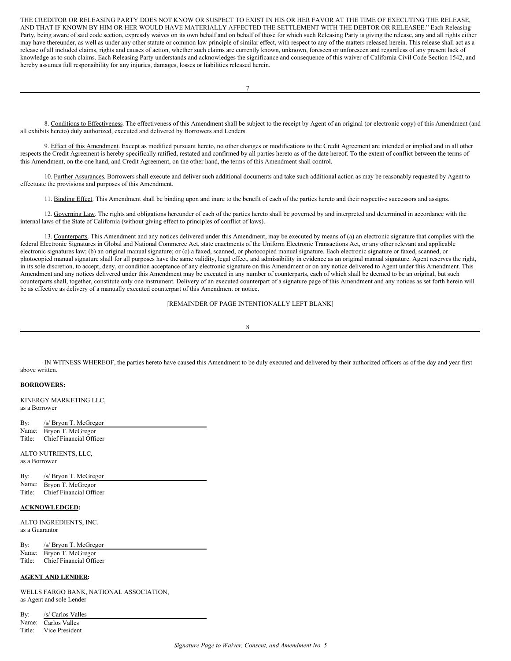THE CREDITOR OR RELEASING PARTY DOES NOT KNOW OR SUSPECT TO EXIST IN HIS OR HER FAVOR AT THE TIME OF EXECUTING THE RELEASE, AND THAT IF KNOWN BY HIM OR HER WOULD HAVE MATERIALLY AFFECTED THE SETTLEMENT WITH THE DEBTOR OR RELEASEE." Each Releasing Party, being aware of said code section, expressly waives on its own behalf and on behalf of those for which such Releasing Party is giving the release, any and all rights either may have thereunder, as well as under any other statute or common law principle of similar effect, with respect to any of the matters released herein. This release shall act as a release of all included claims, rights and causes of action, whether such claims are currently known, unknown, foreseen or unforeseen and regardless of any present lack of knowledge as to such claims. Each Releasing Party understands and acknowledges the significance and consequence of this waiver of California Civil Code Section 1542, and hereby assumes full responsibility for any injuries, damages, losses or liabilities released herein.

8. Conditions to Effectiveness. The effectiveness of this Amendment shall be subject to the receipt by Agent of an original (or electronic copy) of this Amendment (and all exhibits hereto) duly authorized, executed and delivered by Borrowers and Lenders.

9. Effect of this Amendment. Except as modified pursuant hereto, no other changes or modifications to the Credit Agreement are intended or implied and in all other respects the Credit Agreement is hereby specifically ratified, restated and confirmed by all parties hereto as of the date hereof. To the extent of conflict between the terms of this Amendment, on the one hand, and Credit Agreement, on the other hand, the terms of this Amendment shall control.

10. Further Assurances. Borrowers shall execute and deliver such additional documents and take such additional action as may be reasonably requested by Agent to effectuate the provisions and purposes of this Amendment.

11. Binding Effect. This Amendment shall be binding upon and inure to the benefit of each of the parties hereto and their respective successors and assigns.

12. Governing Law. The rights and obligations hereunder of each of the parties hereto shall be governed by and interpreted and determined in accordance with the internal laws of the State of California (without giving effect to principles of conflict of laws).

13. Counterparts. This Amendment and any notices delivered under this Amendment, may be executed by means of (a) an electronic signature that complies with the federal Electronic Signatures in Global and National Commerce Act, state enactments of the Uniform Electronic Transactions Act, or any other relevant and applicable electronic signatures law; (b) an original manual signature; or (c) a faxed, scanned, or photocopied manual signature. Each electronic signature or faxed, scanned, or photocopied manual signature shall for all purposes have the same validity, legal effect, and admissibility in evidence as an original manual signature. Agent reserves the right, in its sole discretion, to accept, deny, or condition acceptance of any electronic signature on this Amendment or on any notice delivered to Agent under this Amendment. This Amendment and any notices delivered under this Amendment may be executed in any number of counterparts, each of which shall be deemed to be an original, but such counterparts shall, together, constitute only one instrument. Delivery of an executed counterpart of a signature page of this Amendment and any notices as set forth herein will be as effective as delivery of a manually executed counterpart of this Amendment or notice.

[REMAINDER OF PAGE INTENTIONALLY LEFT BLANK]

8

IN WITNESS WHEREOF, the parties hereto have caused this Amendment to be duly executed and delivered by their authorized officers as of the day and year first above written.

## **BORROWERS:**

KINERGY MARKETING LLC, as a Borrower

By: /s/ Bryon T. McGregor Name: Bryon T. McGregor Title: Chief Financial Officer

ALTO NUTRIENTS, LLC, as a Borrower

By: /s/ Bryon T. McGregor Name: Bryon T. McGregor Title: Chief Financial Officer

# **ACKNOWLEDGED:**

ALTO INGREDIENTS, INC. as a Guarantor

By: /s/ Bryon T. McGregor

Name: Bryon T. McGregor Title: Chief Financial Officer

# **AGENT AND LENDER:**

WELLS FARGO BANK, NATIONAL ASSOCIATION, as Agent and sole Lender

By: /s/ Carlos Valles Name: Carlos Valles Title: Vice President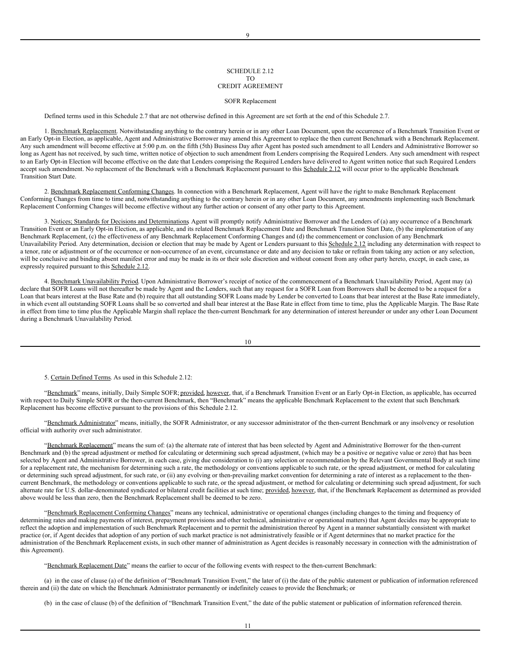#### SCHEDULE 2.12 TO CREDIT AGREEMENT

## SOFR Replacement

Defined terms used in this Schedule 2.7 that are not otherwise defined in this Agreement are set forth at the end of this Schedule 2.7.

1. Benchmark Replacement. Notwithstanding anything to the contrary herein or in any other Loan Document, upon the occurrence of a Benchmark Transition Event or an Early Opt-in Election, as applicable, Agent and Administrative Borrower may amend this Agreement to replace the then current Benchmark with a Benchmark Replacement. Any such amendment will become effective at 5:00 p.m. on the fifth (5th) Business Day after Agent has posted such amendment to all Lenders and Administrative Borrower so long as Agent has not received, by such time, written notice of objection to such amendment from Lenders comprising the Required Lenders. Any such amendment with respect to an Early Opt-in Election will become effective on the date that Lenders comprising the Required Lenders have delivered to Agent written notice that such Required Lenders accept such amendment. No replacement of the Benchmark with a Benchmark Replacement pursuant to this Schedule 2.12 will occur prior to the applicable Benchmark Transition Start Date.

2. Benchmark Replacement Conforming Changes. In connection with a Benchmark Replacement, Agent will have the right to make Benchmark Replacement Conforming Changes from time to time and, notwithstanding anything to the contrary herein or in any other Loan Document, any amendments implementing such Benchmark Replacement Conforming Changes will become effective without any further action or consent of any other party to this Agreement.

3. Notices; Standards for Decisions and Determinations. Agent will promptly notify Administrative Borrower and the Lenders of (a) any occurrence of a Benchmark Transition Event or an Early Opt-in Election, as applicable, and its related Benchmark Replacement Date and Benchmark Transition Start Date, (b) the implementation of any Benchmark Replacement, (c) the effectiveness of any Benchmark Replacement Conforming Changes and (d) the commencement or conclusion of any Benchmark Unavailability Period. Any determination, decision or election that may be made by Agent or Lenders pursuant to this Schedule 2.12 including any determination with respect to a tenor, rate or adjustment or of the occurrence or non-occurrence of an event, circumstance or date and any decision to take or refrain from taking any action or any selection, will be conclusive and binding absent manifest error and may be made in its or their sole discretion and without consent from any other party hereto, except, in each case, as expressly required pursuant to this Schedule 2.12.

4. Benchmark Unavailability Period. Upon Administrative Borrower's receipt of notice of the commencement of a Benchmark Unavailability Period, Agent may (a) declare that SOFR Loans will not thereafter be made by Agent and the Lenders, such that any request for a SOFR Loan from Borrowers shall be deemed to be a request for a Loan that bears interest at the Base Rate and (b) require that all outstanding SOFR Loans made by Lender be converted to Loans that bear interest at the Base Rate immediately, in which event all outstanding SOFR Loans shall be so converted and shall bear interest at the Base Rate in effect from time to time, plus the Applicable Margin. The Base Rate in effect from time to time plus the Applicable Margin shall replace the then-current Benchmark for any determination of interest hereunder or under any other Loan Document during a Benchmark Unavailability Period.

10

## 5. Certain Defined Terms. As used in this Schedule 2.12:

"Benchmark" means, initially, Daily Simple SOFR; provided, however, that, if a Benchmark Transition Event or an Early Opt-in Election, as applicable, has occurred with respect to Daily Simple SOFR or the then-current Benchmark, then "Benchmark" means the applicable Benchmark Replacement to the extent that such Benchmark Replacement has become effective pursuant to the provisions of this Schedule 2.12.

"Benchmark Administrator" means, initially, the SOFR Administrator, or any successor administrator of the then-current Benchmark or any insolvency or resolution official with authority over such administrator.

"Benchmark Replacement" means the sum of: (a) the alternate rate of interest that has been selected by Agent and Administrative Borrower for the then-current Benchmark and (b) the spread adjustment or method for calculating or determining such spread adjustment, (which may be a positive or negative value or zero) that has been selected by Agent and Administrative Borrower, in each case, giving due consideration to (i) any selection or recommendation by the Relevant Governmental Body at such time for a replacement rate, the mechanism for determining such a rate, the methodology or conventions applicable to such rate, or the spread adjustment, or method for calculating or determining such spread adjustment, for such rate, or (ii) any evolving or then-prevailing market convention for determining a rate of interest as a replacement to the thencurrent Benchmark, the methodology or conventions applicable to such rate, or the spread adjustment, or method for calculating or determining such spread adjustment, for such alternate rate for U.S. dollar-denominated syndicated or bilateral credit facilities at such time; provided, however, that, if the Benchmark Replacement as determined as provided above would be less than zero, then the Benchmark Replacement shall be deemed to be zero.

"Benchmark Replacement Conforming Changes" means any technical, administrative or operational changes (including changes to the timing and frequency of determining rates and making payments of interest, prepayment provisions and other technical, administrative or operational matters) that Agent decides may be appropriate to reflect the adoption and implementation of such Benchmark Replacement and to permit the administration thereof by Agent in a manner substantially consistent with market practice (or, if Agent decides that adoption of any portion of such market practice is not administratively feasible or if Agent determines that no market practice for the administration of the Benchmark Replacement exists, in such other manner of administration as Agent decides is reasonably necessary in connection with the administration of this Agreement).

"Benchmark Replacement Date" means the earlier to occur of the following events with respect to the then-current Benchmark:

(a) in the case of clause (a) of the definition of "Benchmark Transition Event," the later of (i) the date of the public statement or publication of information referenced therein and (ii) the date on which the Benchmark Administrator permanently or indefinitely ceases to provide the Benchmark; or

(b) in the case of clause (b) of the definition of "Benchmark Transition Event," the date of the public statement or publication of information referenced therein.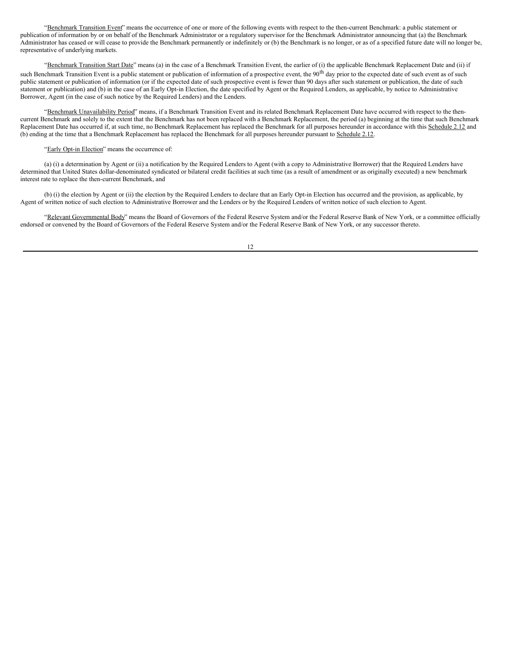"Benchmark Transition Event" means the occurrence of one or more of the following events with respect to the then-current Benchmark: a public statement or publication of information by or on behalf of the Benchmark Administrator or a regulatory supervisor for the Benchmark Administrator announcing that (a) the Benchmark Administrator has ceased or will cease to provide the Benchmark permanently or indefinitely or (b) the Benchmark is no longer, or as of a specified future date will no longer be, representative of underlying markets.

"Benchmark Transition Start Date" means (a) in the case of a Benchmark Transition Event, the earlier of (i) the applicable Benchmark Replacement Date and (ii) if such Benchmark Transition Event is a public statement or publication of information of a prospective event, the  $90<sup>th</sup>$  day prior to the expected date of such event as of such public statement or publication of information (or if the expected date of such prospective event is fewer than 90 days after such statement or publication, the date of such statement or publication) and (b) in the case of an Early Opt-in Election, the date specified by Agent or the Required Lenders, as applicable, by notice to Administrative Borrower, Agent (in the case of such notice by the Required Lenders) and the Lenders.

"Benchmark Unavailability Period" means, if a Benchmark Transition Event and its related Benchmark Replacement Date have occurred with respect to the thencurrent Benchmark and solely to the extent that the Benchmark has not been replaced with a Benchmark Replacement, the period (a) beginning at the time that such Benchmark Replacement Date has occurred if, at such time, no Benchmark Replacement has replaced the Benchmark for all purposes hereunder in accordance with this Schedule 2.12 and (b) ending at the time that a Benchmark Replacement has replaced the Benchmark for all purposes hereunder pursuant to Schedule 2.12.

"Early Opt-in Election" means the occurrence of:

(a) (i) a determination by Agent or (ii) a notification by the Required Lenders to Agent (with a copy to Administrative Borrower) that the Required Lenders have determined that United States dollar-denominated syndicated or bilateral credit facilities at such time (as a result of amendment or as originally executed) a new benchmark interest rate to replace the then-current Benchmark, and

(b) (i) the election by Agent or (ii) the election by the Required Lenders to declare that an Early Opt-in Election has occurred and the provision, as applicable, by Agent of written notice of such election to Administrative Borrower and the Lenders or by the Required Lenders of written notice of such election to Agent.

"Relevant Governmental Body" means the Board of Governors of the Federal Reserve System and/or the Federal Reserve Bank of New York, or a committee officially endorsed or convened by the Board of Governors of the Federal Reserve System and/or the Federal Reserve Bank of New York, or any successor thereto.

12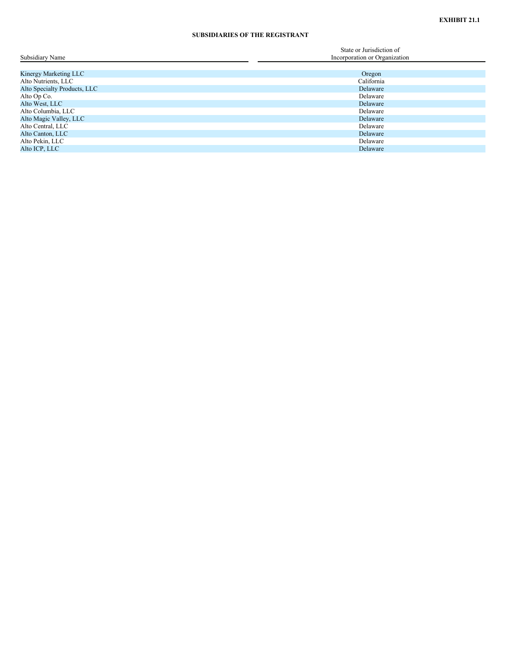# **SUBSIDIARIES OF THE REGISTRANT**

| Subsidiary Name              | State or Jurisdiction of<br>Incorporation or Organization |
|------------------------------|-----------------------------------------------------------|
| Kinergy Marketing LLC        | Oregon                                                    |
| Alto Nutrients, LLC          | California                                                |
| Alto Specialty Products, LLC | Delaware                                                  |
| Alto Op Co.                  | Delaware                                                  |
| Alto West, LLC               | Delaware                                                  |
| Alto Columbia, LLC           | Delaware                                                  |
| Alto Magic Valley, LLC       | Delaware                                                  |
| Alto Central, LLC            | Delaware                                                  |
| Alto Canton, LLC             | Delaware                                                  |
| Alto Pekin, LLC              | Delaware                                                  |
| Alto ICP, LLC                | Delaware                                                  |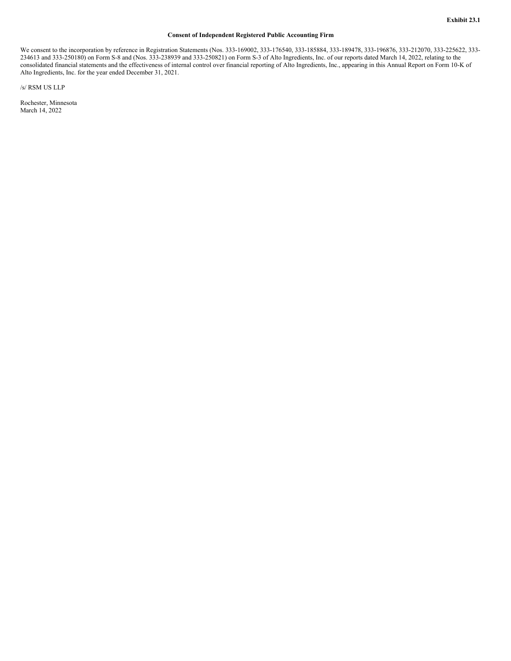## **Consent of Independent Registered Public Accounting Firm**

We consent to the incorporation by reference in Registration Statements (Nos. 333-169002, 333-176540, 333-185884, 333-189478, 333-196876, 333-212070, 333-225622, 333- 234613 and 333-250180) on Form S-8 and (Nos. 333-238939 and 333-250821) on Form S-3 of Alto Ingredients, Inc. of our reports dated March 14, 2022, relating to the consolidated financial statements and the effectiveness of internal control over financial reporting of Alto Ingredients, Inc., appearing in this Annual Report on Form 10-K of Alto Ingredients, Inc. for the year ended December 31, 2021.

/s/ RSM US LLP

Rochester, Minnesota March 14, 2022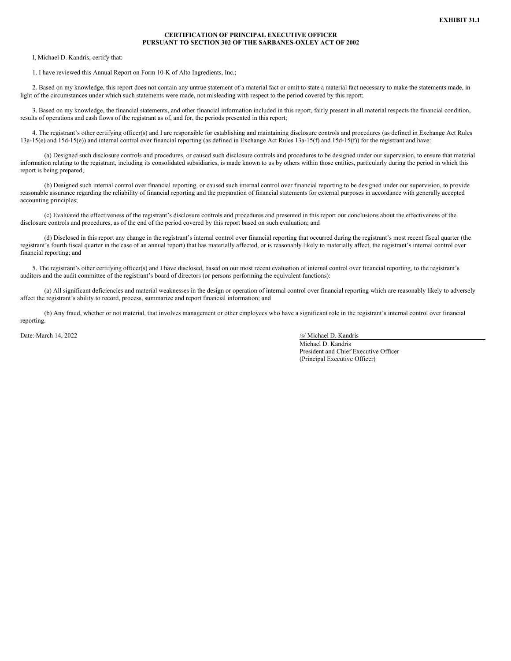## **CERTIFICATION OF PRINCIPAL EXECUTIVE OFFICER PURSUANT TO SECTION 302 OF THE SARBANES-OXLEY ACT OF 2002**

I, Michael D. Kandris, certify that:

1. I have reviewed this Annual Report on Form 10-K of Alto Ingredients, Inc.;

2. Based on my knowledge, this report does not contain any untrue statement of a material fact or omit to state a material fact necessary to make the statements made, in light of the circumstances under which such statements were made, not misleading with respect to the period covered by this report;

3. Based on my knowledge, the financial statements, and other financial information included in this report, fairly present in all material respects the financial condition, results of operations and cash flows of the registrant as of, and for, the periods presented in this report;

4. The registrant's other certifying officer(s) and I are responsible for establishing and maintaining disclosure controls and procedures (as defined in Exchange Act Rules 13a-15(e) and 15d-15(e)) and internal control over financial reporting (as defined in Exchange Act Rules 13a-15(f) and 15d-15(f)) for the registrant and have:

(a) Designed such disclosure controls and procedures, or caused such disclosure controls and procedures to be designed under our supervision, to ensure that material information relating to the registrant, including its consolidated subsidiaries, is made known to us by others within those entities, particularly during the period in which this report is being prepared;

(b) Designed such internal control over financial reporting, or caused such internal control over financial reporting to be designed under our supervision, to provide reasonable assurance regarding the reliability of financial reporting and the preparation of financial statements for external purposes in accordance with generally accepted accounting principles;

(c) Evaluated the effectiveness of the registrant's disclosure controls and procedures and presented in this report our conclusions about the effectiveness of the disclosure controls and procedures, as of the end of the period covered by this report based on such evaluation; and

(d) Disclosed in this report any change in the registrant's internal control over financial reporting that occurred during the registrant's most recent fiscal quarter (the registrant's fourth fiscal quarter in the case of an annual report) that has materially affected, or is reasonably likely to materially affect, the registrant's internal control over financial reporting; and

5. The registrant's other certifying officer(s) and I have disclosed, based on our most recent evaluation of internal control over financial reporting, to the registrant's auditors and the audit committee of the registrant's board of directors (or persons performing the equivalent functions):

(a) All significant deficiencies and material weaknesses in the design or operation of internal control over financial reporting which are reasonably likely to adversely affect the registrant's ability to record, process, summarize and report financial information; and

(b) Any fraud, whether or not material, that involves management or other employees who have a significant role in the registrant's internal control over financial reporting.

Date: March 14, 2022 /s/ Michael D. Kandris

Michael D. Kandris President and Chief Executive Officer (Principal Executive Officer)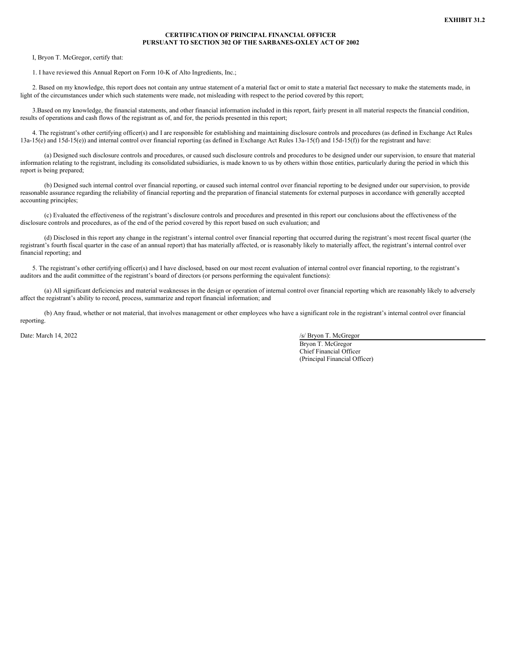## **CERTIFICATION OF PRINCIPAL FINANCIAL OFFICER PURSUANT TO SECTION 302 OF THE SARBANES-OXLEY ACT OF 2002**

I, Bryon T. McGregor, certify that:

1. I have reviewed this Annual Report on Form 10-K of Alto Ingredients, Inc.;

2. Based on my knowledge, this report does not contain any untrue statement of a material fact or omit to state a material fact necessary to make the statements made, in light of the circumstances under which such statements were made, not misleading with respect to the period covered by this report;

3.Based on my knowledge, the financial statements, and other financial information included in this report, fairly present in all material respects the financial condition, results of operations and cash flows of the registrant as of, and for, the periods presented in this report;

4. The registrant's other certifying officer(s) and I are responsible for establishing and maintaining disclosure controls and procedures (as defined in Exchange Act Rules 13a-15(e) and 15d-15(e)) and internal control over financial reporting (as defined in Exchange Act Rules 13a-15(f) and 15d-15(f)) for the registrant and have:

(a) Designed such disclosure controls and procedures, or caused such disclosure controls and procedures to be designed under our supervision, to ensure that material information relating to the registrant, including its consolidated subsidiaries, is made known to us by others within those entities, particularly during the period in which this report is being prepared;

(b) Designed such internal control over financial reporting, or caused such internal control over financial reporting to be designed under our supervision, to provide reasonable assurance regarding the reliability of financial reporting and the preparation of financial statements for external purposes in accordance with generally accepted accounting principles;

(c) Evaluated the effectiveness of the registrant's disclosure controls and procedures and presented in this report our conclusions about the effectiveness of the disclosure controls and procedures, as of the end of the period covered by this report based on such evaluation; and

(d) Disclosed in this report any change in the registrant's internal control over financial reporting that occurred during the registrant's most recent fiscal quarter (the registrant's fourth fiscal quarter in the case of an annual report) that has materially affected, or is reasonably likely to materially affect, the registrant's internal control over financial reporting; and

5. The registrant's other certifying officer(s) and I have disclosed, based on our most recent evaluation of internal control over financial reporting, to the registrant's auditors and the audit committee of the registrant's board of directors (or persons performing the equivalent functions):

(a) All significant deficiencies and material weaknesses in the design or operation of internal control over financial reporting which are reasonably likely to adversely affect the registrant's ability to record, process, summarize and report financial information; and

(b) Any fraud, whether or not material, that involves management or other employees who have a significant role in the registrant's internal control over financial reporting.

Date: March 14, 2022 /s/ Bryon T. McGregor

Bryon T. McGregor Chief Financial Officer (Principal Financial Officer)